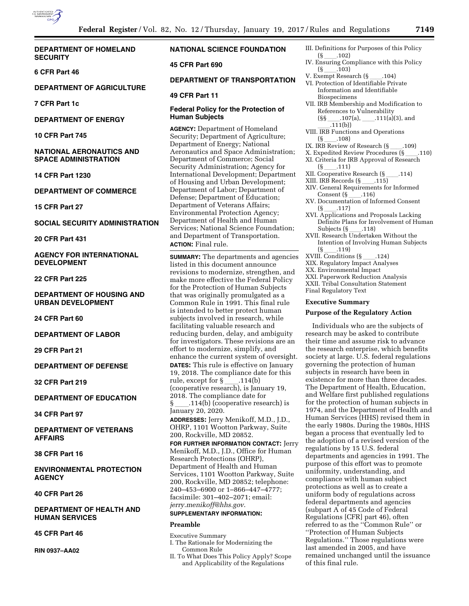

# **DEPARTMENT OF HOMELAND SECURITY**

**6 CFR Part 46** 

# **DEPARTMENT OF AGRICULTURE**

**7 CFR Part 1c** 

# **DEPARTMENT OF ENERGY**

**10 CFR Part 745** 

# **NATIONAL AERONAUTICS AND SPACE ADMINISTRATION**

**14 CFR Part 1230** 

### **DEPARTMENT OF COMMERCE**

**15 CFR Part 27** 

# **SOCIAL SECURITY ADMINISTRATION**

**20 CFR Part 431** 

# **AGENCY FOR INTERNATIONAL DEVELOPMENT**

**22 CFR Part 225** 

# **DEPARTMENT OF HOUSING AND URBAN DEVELOPMENT**

**24 CFR Part 60** 

# **DEPARTMENT OF LABOR**

**29 CFR Part 21** 

# **DEPARTMENT OF DEFENSE**

**32 CFR Part 219** 

# **DEPARTMENT OF EDUCATION**

**34 CFR Part 97** 

**DEPARTMENT OF VETERANS AFFAIRS** 

**38 CFR Part 16** 

**ENVIRONMENTAL PROTECTION AGENCY** 

# **40 CFR Part 26**

# **DEPARTMENT OF HEALTH AND HUMAN SERVICES**

# **45 CFR Part 46**

**RIN 0937–AA02** 

# **NATIONAL SCIENCE FOUNDATION**

# **45 CFR Part 690**

# **DEPARTMENT OF TRANSPORTATION**

### **49 CFR Part 11**

# **Federal Policy for the Protection of Human Subjects**

**AGENCY:** Department of Homeland Security; Department of Agriculture; Department of Energy; National Aeronautics and Space Administration; Department of Commerce; Social Security Administration; Agency for International Development; Department of Housing and Urban Development; Department of Labor; Department of Defense; Department of Education; Department of Veterans Affairs; Environmental Protection Agency; Department of Health and Human Services; National Science Foundation; and Department of Transportation. **ACTION:** Final rule.

**SUMMARY:** The departments and agencies listed in this document announce revisions to modernize, strengthen, and make more effective the Federal Policy for the Protection of Human Subjects that was originally promulgated as a Common Rule in 1991. This final rule is intended to better protect human subjects involved in research, while facilitating valuable research and reducing burden, delay, and ambiguity for investigators. These revisions are an effort to modernize, simplify, and enhance the current system of oversight. **DATES:** This rule is effective on January 19, 2018. The compliance date for this rule, except for § \_\_\_\_.114(b)<br>(cooperative research), is January 19, 2018. The compliance date for § .114(b) (cooperative research) is January 20, 2020. **ADDRESSES:** Jerry Menikoff, M.D., J.D., OHRP, 1101 Wootton Parkway, Suite

200, Rockville, MD 20852. **FOR FURTHER INFORMATION CONTACT:** Jerry Menikoff, M.D., J.D., Office for Human Research Protections (OHRP), Department of Health and Human Services, 1101 Wootton Parkway, Suite 200, Rockville, MD 20852; telephone: 240–453–6900 or 1–866–447–4777; facsimile: 301–402–2071; email: *[jerry.menikoff@hhs.gov](mailto:jerry.menikoff@hhs.gov)*.

# **SUPPLEMENTARY INFORMATION:**

### **Preamble**

Executive Summary

- I. The Rationale for Modernizing the Common Rule
- II. To What Does This Policy Apply? Scope and Applicability of the Regulations
- III. Definitions for Purposes of this Policy (§ll.102) IV. Ensuring Compliance with this Policy
- $(\S$  \_\_\_.103)<br>V. Exempt Research (§
	-
- V. Exempt Research (§ \_\_\_\_.104)<br>VI. Protection of Identifiable Private Information and Identifiable Biospecimens
- VII. IRB Membership and Modification to References to Vulnerability  $(S\$ \_ 111(6))$ .  $(111(6))$ .  $(3)$ , and
- ll.111(b)) VIII. IRB Functions and Operations (§ \_\_\_\_.108)<br>RB Review c
- IX. IRB Review of Research (§<sub>ll.</sub>109)<br>X. Expedited Review Procedures (§
- 
- X. Expedited Review Procedures (§ \_\_\_\_.110)<br>XI. Criteria for IRB Approval of Research  $(\S$  .111)
- XII. Cooperative Research (§ \_\_\_\_. 114)<br>XIII. IRB Records (§ \_\_\_\_. 115)
- 
- XIII. IRB Records (§ \_\_\_\_.115)<br>XIV. General Requirements for Informed
- Consent (§ll.116) XV. Documentation of Informed Consent
- (§ \_\_\_\_.117)<br>XVI. Applications and Proposals Lacking Definite Plans for Involvement of Human<br>Subjects (\$118)
- Subjects (§ll.118) XVII. Research Undertaken Without the Intention of Involving Human Subjects  $(S_{\text{119}})$ <br>XVIII. Conditions (§
	-
- XVIII. Conditions (§ \_\_\_\_.124)<br>XIX. Regulatory Impact Analyses
- XX. Environmental Impact
- XXI. Paperwork Reduction Analysis
- XXII. Tribal Consultation Statement Final Regulatory Text

#### **Executive Summary**

### **Purpose of the Regulatory Action**

Individuals who are the subjects of research may be asked to contribute their time and assume risk to advance the research enterprise, which benefits society at large. U.S. federal regulations governing the protection of human subjects in research have been in existence for more than three decades. The Department of Health, Education, and Welfare first published regulations for the protection of human subjects in 1974, and the Department of Health and Human Services (HHS) revised them in the early 1980s. During the 1980s, HHS began a process that eventually led to the adoption of a revised version of the regulations by 15 U.S. federal departments and agencies in 1991. The purpose of this effort was to promote uniformity, understanding, and compliance with human subject protections as well as to create a uniform body of regulations across federal departments and agencies (subpart A of 45 Code of Federal Regulations [CFR] part 46), often referred to as the ''Common Rule'' or ''Protection of Human Subjects Regulations.'' Those regulations were last amended in 2005, and have remained unchanged until the issuance of this final rule.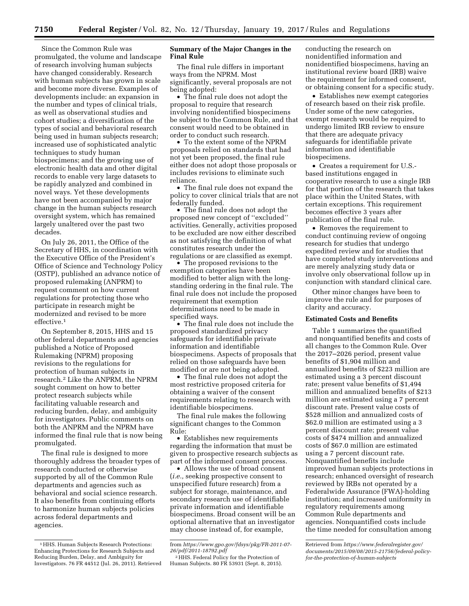Since the Common Rule was promulgated, the volume and landscape of research involving human subjects have changed considerably. Research with human subjects has grown in scale and become more diverse. Examples of developments include: an expansion in the number and types of clinical trials, as well as observational studies and cohort studies; a diversification of the types of social and behavioral research being used in human subjects research; increased use of sophisticated analytic techniques to study human biospecimens; and the growing use of electronic health data and other digital records to enable very large datasets to be rapidly analyzed and combined in novel ways. Yet these developments have not been accompanied by major change in the human subjects research oversight system, which has remained largely unaltered over the past two decades.

On July 26, 2011, the Office of the Secretary of HHS, in coordination with the Executive Office of the President's Office of Science and Technology Policy (OSTP), published an advance notice of proposed rulemaking (ANPRM) to request comment on how current regulations for protecting those who participate in research might be modernized and revised to be more effective.1

On September 8, 2015, HHS and 15 other federal departments and agencies published a Notice of Proposed Rulemaking (NPRM) proposing revisions to the regulations for protection of human subjects in research.2 Like the ANPRM, the NPRM sought comment on how to better protect research subjects while facilitating valuable research and reducing burden, delay, and ambiguity for investigators. Public comments on both the ANPRM and the NPRM have informed the final rule that is now being promulgated.

The final rule is designed to more thoroughly address the broader types of research conducted or otherwise supported by all of the Common Rule departments and agencies such as behavioral and social science research. It also benefits from continuing efforts to harmonize human subjects policies across federal departments and agencies.

# **Summary of the Major Changes in the Final Rule**

The final rule differs in important ways from the NPRM. Most significantly, several proposals are not being adopted:

• The final rule does not adopt the proposal to require that research involving nonidentified biospecimens be subject to the Common Rule, and that consent would need to be obtained in order to conduct such research.

• To the extent some of the NPRM proposals relied on standards that had not yet been proposed, the final rule either does not adopt those proposals or includes revisions to eliminate such reliance.

• The final rule does not expand the policy to cover clinical trials that are not federally funded.

• The final rule does not adopt the proposed new concept of ''excluded'' activities. Generally, activities proposed to be excluded are now either described as not satisfying the definition of what constitutes research under the regulations or are classified as exempt.

• The proposed revisions to the exemption categories have been modified to better align with the longstanding ordering in the final rule. The final rule does not include the proposed requirement that exemption determinations need to be made in specified ways.

• The final rule does not include the proposed standardized privacy safeguards for identifiable private information and identifiable biospecimens. Aspects of proposals that relied on those safeguards have been modified or are not being adopted.

• The final rule does not adopt the most restrictive proposed criteria for obtaining a waiver of the consent requirements relating to research with identifiable biospecimens.

The final rule makes the following significant changes to the Common Rule:

• Establishes new requirements regarding the information that must be given to prospective research subjects as part of the informed consent process.

• Allows the use of broad consent (*i.e.,* seeking prospective consent to unspecified future research) from a subject for storage, maintenance, and secondary research use of identifiable private information and identifiable biospecimens. Broad consent will be an optional alternative that an investigator may choose instead of, for example,

conducting the research on nonidentified information and nonidentified biospecimens, having an institutional review board (IRB) waive the requirement for informed consent, or obtaining consent for a specific study.

• Establishes new exempt categories of research based on their risk profile. Under some of the new categories, exempt research would be required to undergo limited IRB review to ensure that there are adequate privacy safeguards for identifiable private information and identifiable biospecimens.

• Creates a requirement for U.S. based institutions engaged in cooperative research to use a single IRB for that portion of the research that takes place within the United States, with certain exceptions. This requirement becomes effective 3 years after publication of the final rule.

• Removes the requirement to conduct continuing review of ongoing research for studies that undergo expedited review and for studies that have completed study interventions and are merely analyzing study data or involve only observational follow up in conjunction with standard clinical care.

Other minor changes have been to improve the rule and for purposes of clarity and accuracy.

# **Estimated Costs and Benefits**

Table 1 summarizes the quantified and nonquantified benefits and costs of all changes to the Common Rule. Over the 2017–2026 period, present value benefits of \$1,904 million and annualized benefits of \$223 million are estimated using a 3 percent discount rate; present value benefits of \$1,494 million and annualized benefits of \$213 million are estimated using a 7 percent discount rate. Present value costs of \$528 million and annualized costs of \$62.0 million are estimated using a 3 percent discount rate; present value costs of \$474 million and annualized costs of \$67.0 million are estimated using a 7 percent discount rate. Nonquantified benefits include improved human subjects protections in research; enhanced oversight of research reviewed by IRBs not operated by a Federalwide Assurance (FWA)-holding institution; and increased uniformity in regulatory requirements among Common Rule departments and agencies. Nonquantified costs include the time needed for consultation among

Retrieved from *[https://www.federalregister.gov/](https://www.federalregister.gov/documents/2015/09/08/2015-21756/federal-policy-for-the-protection-of-human-subjects) [documents/2015/09/08/2015-21756/federal-policy](https://www.federalregister.gov/documents/2015/09/08/2015-21756/federal-policy-for-the-protection-of-human-subjects)[for-the-protection-of-human-subjects](https://www.federalregister.gov/documents/2015/09/08/2015-21756/federal-policy-for-the-protection-of-human-subjects)* 

<sup>&</sup>lt;sup>1</sup> HHS. Human Subjects Research Protections: Enhancing Protections for Research Subjects and Reducing Burden, Delay, and Ambiguity for Investigators. 76 FR 44512 (Jul. 26, 2011). Retrieved

from *[https://www.gpo.gov/fdsys/pkg/FR-2011-07-](https://www.gpo.gov/fdsys/pkg/FR-2011-07-26/pdf/2011-18792.pdf)  [26/pdf/2011-18792.pdf](https://www.gpo.gov/fdsys/pkg/FR-2011-07-26/pdf/2011-18792.pdf)* 

<sup>2</sup>HHS. Federal Policy for the Protection of Human Subjects. 80 FR 53931 (Sept. 8, 2015).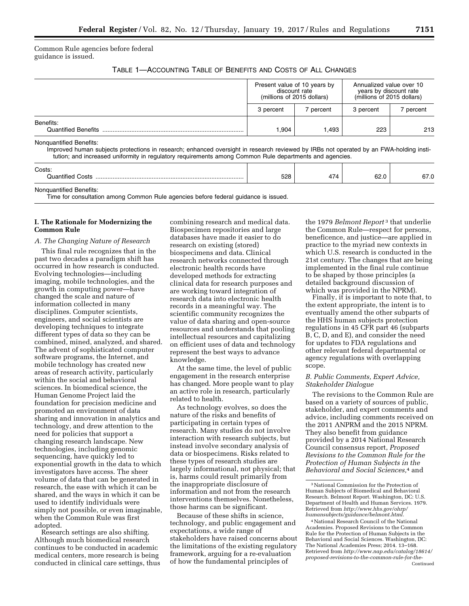Common Rule agencies before federal guidance is issued.

TABLE 1—ACCOUNTING TABLE OF BENEFITS AND COSTS OF ALL CHANGES

|                                         | Present value of 10 years by<br>discount rate<br>(millions of 2015 dollars) |           | Annualized value over 10<br>years by discount rate<br>(millions of 2015 dollars) |         |
|-----------------------------------------|-----------------------------------------------------------------------------|-----------|----------------------------------------------------------------------------------|---------|
|                                         | 3 percent                                                                   | 7 percent | 3 percent                                                                        | percent |
| Benefits:<br><b>Quantified Benefits</b> | 1.904                                                                       | l.493     | 223                                                                              | 213     |

## Nonquantified Benefits:

Improved human subjects protections in research; enhanced oversight in research reviewed by IRBs not operated by an FWA-holding institution; and increased uniformity in regulatory requirements among Common Rule departments and agencies.

| Costs: |            |     |            |     |
|--------|------------|-----|------------|-----|
| COSIS  | $F \cap D$ | - - | ~~<br>02.U | - 1 |
|        |            |     |            |     |

#### Nonquantified Benefits:

Time for consultation among Common Rule agencies before federal guidance is issued.

# **I. The Rationale for Modernizing the Common Rule**

#### *A. The Changing Nature of Research*

This final rule recognizes that in the past two decades a paradigm shift has occurred in how research is conducted. Evolving technologies—including imaging, mobile technologies, and the growth in computing power—have changed the scale and nature of information collected in many disciplines. Computer scientists, engineers, and social scientists are developing techniques to integrate different types of data so they can be combined, mined, analyzed, and shared. The advent of sophisticated computer software programs, the Internet, and mobile technology has created new areas of research activity, particularly within the social and behavioral sciences. In biomedical science, the Human Genome Project laid the foundation for precision medicine and promoted an environment of data sharing and innovation in analytics and technology, and drew attention to the need for policies that support a changing research landscape. New technologies, including genomic sequencing, have quickly led to exponential growth in the data to which investigators have access. The sheer volume of data that can be generated in research, the ease with which it can be shared, and the ways in which it can be used to identify individuals were simply not possible, or even imaginable, when the Common Rule was first adopted.

Research settings are also shifting. Although much biomedical research continues to be conducted in academic medical centers, more research is being conducted in clinical care settings, thus combining research and medical data. Biospecimen repositories and large databases have made it easier to do research on existing (stored) biospecimens and data. Clinical research networks connected through electronic health records have developed methods for extracting clinical data for research purposes and are working toward integration of research data into electronic health records in a meaningful way. The scientific community recognizes the value of data sharing and open-source resources and understands that pooling intellectual resources and capitalizing on efficient uses of data and technology represent the best ways to advance knowledge.

At the same time, the level of public engagement in the research enterprise has changed. More people want to play an active role in research, particularly related to health.

As technology evolves, so does the nature of the risks and benefits of participating in certain types of research. Many studies do not involve interaction with research subjects, but instead involve secondary analysis of data or biospecimens. Risks related to these types of research studies are largely informational, not physical; that is, harms could result primarily from the inappropriate disclosure of information and not from the research interventions themselves. Nonetheless, those harms can be significant.

Because of these shifts in science, technology, and public engagement and expectations, a wide range of stakeholders have raised concerns about the limitations of the existing regulatory framework, arguing for a re-evaluation of how the fundamental principles of

the 1979 *Belmont Report* 3 that underlie the Common Rule—respect for persons, beneficence, and justice—are applied in practice to the myriad new contexts in which U.S. research is conducted in the 21st century. The changes that are being implemented in the final rule continue to be shaped by those principles (a detailed background discussion of which was provided in the NPRM).

Finally, it is important to note that, to the extent appropriate, the intent is to eventually amend the other subparts of the HHS human subjects protection regulations in 45 CFR part 46 (subparts B, C, D, and E), and consider the need for updates to FDA regulations and other relevant federal departmental or agency regulations with overlapping scope.

### *B. Public Comments, Expert Advice, Stakeholder Dialogue*

The revisions to the Common Rule are based on a variety of sources of public, stakeholder, and expert comments and advice, including comments received on the 2011 ANPRM and the 2015 NPRM. They also benefit from guidance provided by a 2014 National Research Council consensus report, *Proposed Revisions to the Common Rule for the Protection of Human Subjects in the Behavioral and Social Sciences,*4 and

<sup>3</sup>National Commission for the Protection of Human Subjects of Biomedical and Behavioral Research. Belmont Report. Washington, DC: U.S. Department of Health and Human Services. 1979. Retrieved from *[http://www.hhs.gov/ohrp/](http://www.hhs.gov/ohrp/humansubjects/guidance/belmont.html) [humansubjects/guidance/belmont.html.](http://www.hhs.gov/ohrp/humansubjects/guidance/belmont.html)* 

<sup>4</sup>National Research Council of the National Academies. Proposed Revisions to the Common Rule for the Protection of Human Subjects in the Behavioral and Social Sciences. Washington, DC: The National Academies Press; 2014. 13–168. Retrieved from *[http://www.nap.edu/catalog/18614/](http://www.nap.edu/catalog/18614/proposed-revisions-to-the-common-rule-for-the-protection-of-human-subjects-in-the-behavioral-and-social-sciences)  [proposed-revisions-to-the-common-rule-for-the-](http://www.nap.edu/catalog/18614/proposed-revisions-to-the-common-rule-for-the-protection-of-human-subjects-in-the-behavioral-and-social-sciences)*Continued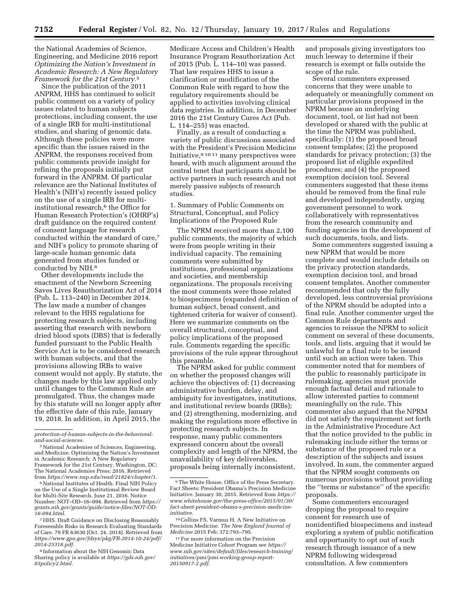the National Academies of Science, Engineering, and Medicine 2016 report *Optimizing the Nation's Investment in Academic Research: A New Regulatory Framework for the 21st Century.*5

Since the publication of the 2011 ANPRM, HHS has continued to solicit public comment on a variety of policy issues related to human subjects protections, including consent, the use of a single IRB for multi-institutional studies, and sharing of genomic data. Although these policies were more specific than the issues raised in the ANPRM, the responses received from public comments provide insight for refining the proposals initially put forward in the ANPRM. Of particular relevance are the National Institutes of Health's (NIH's) recently issued policy on the use of a single IRB for multiinstitutional research,<sup>6</sup> the Office for Human Research Protection's (OHRP's) draft guidance on the required content of consent language for research conducted within the standard of care,7 and NIH's policy to promote sharing of large-scale human genomic data generated from studies funded or conducted by NIH.8

Other developments include the enactment of the Newborn Screening Saves Lives Reauthorization Act of 2014 (Pub. L. 113–240) in December 2014. The law made a number of changes relevant to the HHS regulations for protecting research subjects, including asserting that research with newborn dried blood spots (DBS) that is federally funded pursuant to the Public Health Service Act is to be considered research with human subjects, and that the provisions allowing IRBs to waive consent would not apply. By statute, the changes made by this law applied only until changes to the Common Rule are promulgated. Thus, the changes made by this statute will no longer apply after the effective date of this rule, January 19, 2018. In addition, in April 2015, the

<sup>6</sup> National Institutes of Health. Final NIH Policy on the Use of a Single Institutional Review Board for Multi-Site Research. June 21, 2016. Notice Number: NOT–OD–16–094. Retrieved from *[https://](https://grants.nih.gov/grants/guide/notice-files/NOT-OD-16-094.html) [grants.nih.gov/grants/guide/notice-files/NOT-OD-](https://grants.nih.gov/grants/guide/notice-files/NOT-OD-16-094.html)[16-094.html.](https://grants.nih.gov/grants/guide/notice-files/NOT-OD-16-094.html)* 

7HHS. Draft Guidance on Disclosing Reasonably Foreseeable Risks in Research Evaluating Standards of Care. 79 FR 63630 (Oct. 24, 2014). Retrieved from *[https://www.gpo.gov/fdsys/pkg/FR-2014-10-24/pdf/](https://www.gpo.gov/fdsys/pkg/FR-2014-10-24/pdf/2014-25318.pdf)  [2014-25318.pdf.](https://www.gpo.gov/fdsys/pkg/FR-2014-10-24/pdf/2014-25318.pdf)* 

8 Information about the NIH Genomic Data Sharing policy is available at *[https://gds.nih.gov/](https://gds.nih.gov/03policy2.html)  [03policy2.html.](https://gds.nih.gov/03policy2.html)* 

Medicare Access and Children's Health Insurance Program Reauthorization Act of 2015 (Pub. L. 114–10) was passed. That law requires HHS to issue a clarification or modification of the Common Rule with regard to how the regulatory requirements should be applied to activities involving clinical data registries. In addition, in December 2016 the 21st Century Cures Act (Pub. L. 114–255) was enacted.

Finally, as a result of conducting a variety of public discussions associated with the President's Precision Medicine Initiative,9 10 11 many perspectives were heard, with much alignment around the central tenet that participants should be active partners in such research and not merely passive subjects of research studies.

1. Summary of Public Comments on Structural, Conceptual, and Policy Implications of the Proposed Rule

The NPRM received more than 2,100 public comments, the majority of which were from people writing in their individual capacity. The remaining comments were submitted by institutions, professional organizations and societies, and membership organizations. The proposals receiving the most comments were those related to biospecimens (expanded definition of human subject, broad consent, and tightened criteria for waiver of consent). Here we summarize comments on the overall structural, conceptual, and policy implications of the proposed rule. Comments regarding the specific provisions of the rule appear throughout this preamble.

The NPRM asked for public comment on whether the proposed changes will achieve the objectives of: (1) decreasing administrative burden, delay, and ambiguity for investigators, institutions, and institutional review boards (IRBs); and (2) strengthening, modernizing, and making the regulations more effective in protecting research subjects. In response, many public commenters expressed concern about the overall complexity and length of the NPRM, the unavailability of key deliverables, proposals being internally inconsistent,

and proposals giving investigators too much leeway to determine if their research is exempt or falls outside the scope of the rule.

Several commenters expressed concerns that they were unable to adequately or meaningfully comment on particular provisions proposed in the NPRM because an underlying document, tool, or list had not been developed or shared with the public at the time the NPRM was published, specifically: (1) the proposed broad consent templates; (2) the proposed standards for privacy protection; (3) the proposed list of eligible expedited procedures; and (4) the proposed exemption decision tool. Several commenters suggested that these items should be removed from the final rule and developed independently, urging government personnel to work collaboratively with representatives from the research community and funding agencies in the development of such documents, tools, and lists.

Some commenters suggested issuing a new NPRM that would be more complete and would include details on the privacy protection standards, exemption decision tool, and broad consent templates. Another commenter recommended that only the fully developed, less controversial provisions of the NPRM should be adopted into a final rule. Another commenter urged the Common Rule departments and agencies to reissue the NPRM to solicit comment on several of these documents, tools, and lists, arguing that it would be unlawful for a final rule to be issued until such an action were taken. This commenter noted that for members of the public to reasonably participate in rulemaking, agencies must provide enough factual detail and rationale to allow interested parties to comment meaningfully on the rule. This commenter also argued that the NPRM did not satisfy the requirement set forth in the Administrative Procedure Act that the notice provided to the public in rulemaking include either the terms or substance of the proposed rule or a description of the subjects and issues involved. In sum, the commenter argued that the NPRM sought comments on numerous provisions without providing the ''terms or substance'' of the specific proposals.

Some commenters encouraged dropping the proposal to require consent for research use of nonidentified biospecimens and instead exploring a system of public notification and opportunity to opt out of such research through issuance of a new NPRM following widespread consultation. A few commenters

*[protection-of-human-subjects-in-the-behavioral](http://www.nap.edu/catalog/18614/proposed-revisions-to-the-common-rule-for-the-protection-of-human-subjects-in-the-behavioral-and-social-sciences)[and-social-sciences.](http://www.nap.edu/catalog/18614/proposed-revisions-to-the-common-rule-for-the-protection-of-human-subjects-in-the-behavioral-and-social-sciences)* 

<sup>5</sup>National Academies of Sciences, Engineering, and Medicine. Optimizing the Nation's Investment in Academic Research: A New Regulatory Framework for the 21st Century. Washington, DC: The National Academies Press; 2016. Retrieved from *[https://www.nap.edu/read/21824/chapter/1.](https://www.nap.edu/read/21824/chapter/1)* 

<sup>9</sup>The White House, Office of the Press Secretary. Fact Sheets: President Obama's Precision Medicine Initiative. January 30, 2015. Retrieved from *[https://](https://www.whitehouse.gov/the-press-office/2015/01/30/fact-sheet-president-obama-s-precision-medicine-initiative)  [www.whitehouse.gov/the-press-office/2015/01/30/](https://www.whitehouse.gov/the-press-office/2015/01/30/fact-sheet-president-obama-s-precision-medicine-initiative)  [fact-sheet-president-obama-s-precision-medicine](https://www.whitehouse.gov/the-press-office/2015/01/30/fact-sheet-president-obama-s-precision-medicine-initiative)[initiative.](https://www.whitehouse.gov/the-press-office/2015/01/30/fact-sheet-president-obama-s-precision-medicine-initiative)* 

<sup>10</sup>Collins FS, Varmus H. A New Initiative on Precision Medicine. *The New England Journal of Medicine* 2015 Feb; 372:793–795.

 $^{\rm 11}\mathrm{For}$  more information on the Precision Medicine Initiative Cohort Program see *[https://](https://www.nih.gov/sites/default/files/research-training/initiatives/pmi/pmi-working-group-report-20150917-2.pdf)  [www.nih.gov/sites/default/files/research-training/](https://www.nih.gov/sites/default/files/research-training/initiatives/pmi/pmi-working-group-report-20150917-2.pdf)  [initiatives/pmi/pmi-working-group-report-](https://www.nih.gov/sites/default/files/research-training/initiatives/pmi/pmi-working-group-report-20150917-2.pdf)[20150917-2.pdf.](https://www.nih.gov/sites/default/files/research-training/initiatives/pmi/pmi-working-group-report-20150917-2.pdf)*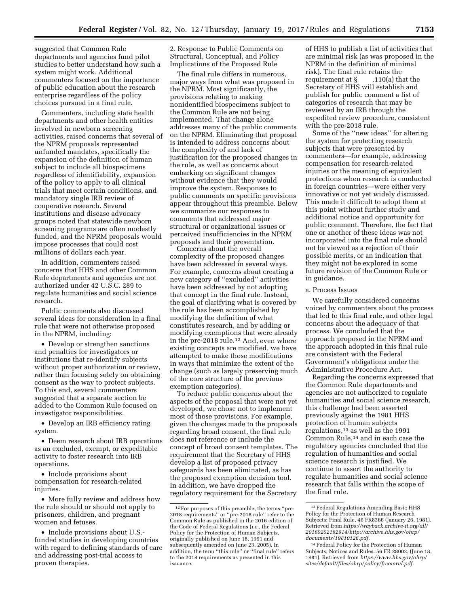suggested that Common Rule departments and agencies fund pilot studies to better understand how such a system might work. Additional commenters focused on the importance of public education about the research enterprise regardless of the policy choices pursued in a final rule.

Commenters, including state health departments and other health entities involved in newborn screening activities, raised concerns that several of the NPRM proposals represented unfunded mandates, specifically the expansion of the definition of human subject to include all biospecimens regardless of identifiability, expansion of the policy to apply to all clinical trials that meet certain conditions, and mandatory single IRB review of cooperative research. Several institutions and disease advocacy groups noted that statewide newborn screening programs are often modestly funded, and the NPRM proposals would impose processes that could cost millions of dollars each year.

In addition, commenters raised concerns that HHS and other Common Rule departments and agencies are not authorized under 42 U.S.C. 289 to regulate humanities and social science research.

Public comments also discussed several ideas for consideration in a final rule that were not otherwise proposed in the NPRM, including:

• Develop or strengthen sanctions and penalties for investigators or institutions that re-identify subjects without proper authorization or review, rather than focusing solely on obtaining consent as the way to protect subjects. To this end, several commenters suggested that a separate section be added to the Common Rule focused on investigator responsibilities.

• Develop an IRB efficiency rating system.

• Deem research about IRB operations as an excluded, exempt, or expeditable activity to foster research into IRB operations.

• Include provisions about compensation for research-related injuries.

• More fully review and address how the rule should or should not apply to prisoners, children, and pregnant women and fetuses.

• Include provisions about U.S. funded studies in developing countries with regard to defining standards of care and addressing post-trial access to proven therapies.

2. Response to Public Comments on Structural, Conceptual, and Policy Implications of the Proposed Rule

The final rule differs in numerous, major ways from what was proposed in the NPRM. Most significantly, the provisions relating to making nonidentified biospecimens subject to the Common Rule are not being implemented. That change alone addresses many of the public comments on the NPRM. Eliminating that proposal is intended to address concerns about the complexity of and lack of justification for the proposed changes in the rule, as well as concerns about embarking on significant changes without evidence that they would improve the system. Responses to public comments on specific provisions appear throughout this preamble. Below we summarize our responses to comments that addressed major structural or organizational issues or perceived insufficiencies in the NPRM proposals and their presentation.

Concerns about the overall complexity of the proposed changes have been addressed in several ways. For example, concerns about creating a new category of ''excluded'' activities have been addressed by not adopting that concept in the final rule. Instead, the goal of clarifying what is covered by the rule has been accomplished by modifying the definition of what constitutes research, and by adding or modifying exemptions that were already in the pre-2018 rule.12 And, even where existing concepts are modified, we have attempted to make those modifications in ways that minimize the extent of the change (such as largely preserving much of the core structure of the previous exemption categories).

To reduce public concerns about the aspects of the proposal that were not yet developed, we chose not to implement most of those provisions. For example, given the changes made to the proposals regarding broad consent, the final rule does not reference or include the concept of broad consent templates. The requirement that the Secretary of HHS develop a list of proposed privacy safeguards has been eliminated, as has the proposed exemption decision tool. In addition, we have dropped the regulatory requirement for the Secretary

of HHS to publish a list of activities that are minimal risk (as was proposed in the NPRM in the definition of minimal risk). The final rule retains the requirement at  $\S$  \_\_\_\_\_. 110(a) that the requirement at § \_\_\_\_.110(a) that the<br>Secretary of HHS will establish and publish for public comment a list of categories of research that may be reviewed by an IRB through the expedited review procedure, consistent with the pre-2018 rule.

Some of the ''new ideas'' for altering the system for protecting research subjects that were presented by commenters—for example, addressing compensation for research-related injuries or the meaning of equivalent protections when research is conducted in foreign countries—were either very innovative or not yet widely discussed. This made it difficult to adopt them at this point without further study and additional notice and opportunity for public comment. Therefore, the fact that one or another of these ideas was not incorporated into the final rule should not be viewed as a rejection of their possible merits, or an indication that they might not be explored in some future revision of the Common Rule or in guidance.

## a. Process Issues

We carefully considered concerns voiced by commenters about the process that led to this final rule, and other legal concerns about the adequacy of that process. We concluded that the approach proposed in the NPRM and the approach adopted in this final rule are consistent with the Federal Government's obligations under the Administrative Procedure Act.

Regarding the concerns expressed that the Common Rule departments and agencies are not authorized to regulate humanities and social science research, this challenge had been asserted previously against the 1981 HHS protection of human subjects regulations,13 as well as the 1991 Common Rule,14 and in each case the regulatory agencies concluded that the regulation of humanities and social science research is justified. We continue to assert the authority to regulate humanities and social science research that falls within the scope of the final rule.

<sup>12</sup>For purposes of this preamble, the terms ''pre-2018 requirements'' or ''pre-2018 rule'' refer to the Common Rule as published in the 2016 edition of the Code of Federal Regulations (*i.e.,* the Federal Policy for the Protection of Human Subjects, originally published on June 18, 1991 and subsequently amended on June 23, 2005). In addition, the term ''this rule'' or ''final rule'' refers to the 2018 requirements as presented in this issuance.

<sup>13</sup>Federal Regulations Amending Basic HHS Policy for the Protection of Human Research Subjects; Final Rule, 46 FR8366 (January 26, 1981). Retrieved from *[https://wayback.archive-it.org/all/](https://wayback.archive-it.org/all/20160202182914/http://archive.hhs.gov/ohrp/documents/19810126.pdf)  [20160202182914/http://archive.hhs.gov/ohrp/](https://wayback.archive-it.org/all/20160202182914/http://archive.hhs.gov/ohrp/documents/19810126.pdf)  [documents/19810126.pdf.](https://wayback.archive-it.org/all/20160202182914/http://archive.hhs.gov/ohrp/documents/19810126.pdf)* 

<sup>14</sup>Federal Policy for the Protection of Human Subjects; Notices and Rules. 56 FR 28002. (June 18, 1981). Retrieved from *[https://www.hhs.gov/ohrp/](https://www.hhs.gov/ohrp/sites/default/files/ohrp/policy/frcomrul.pdf) [sites/default/files/ohrp/policy/frcomrul.pdf.](https://www.hhs.gov/ohrp/sites/default/files/ohrp/policy/frcomrul.pdf)*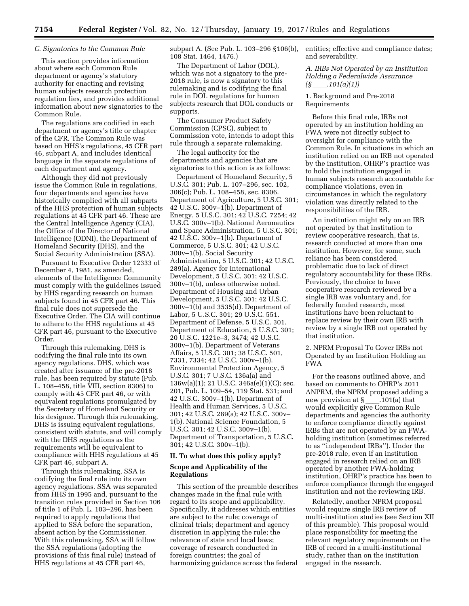#### *C. Signatories to the Common Rule*

This section provides information about where each Common Rule department or agency's statutory authority for enacting and revising human subjects research protection regulation lies, and provides additional information about new signatories to the Common Rule.

The regulations are codified in each department or agency's title or chapter of the CFR. The Common Rule was based on HHS's regulations, 45 CFR part 46, subpart A, and includes identical language in the separate regulations of each department and agency.

Although they did not previously issue the Common Rule in regulations, four departments and agencies have historically complied with all subparts of the HHS protection of human subjects regulations at 45 CFR part 46. These are the Central Intelligence Agency (CIA), the Office of the Director of National Intelligence (ODNI), the Department of Homeland Security (DHS), and the Social Security Administration (SSA).

Pursuant to Executive Order 12333 of December 4, 1981, as amended, elements of the Intelligence Community must comply with the guidelines issued by HHS regarding research on human subjects found in 45 CFR part 46. This final rule does not supersede the Executive Order. The CIA will continue to adhere to the HHS regulations at 45 CFR part 46, pursuant to the Executive Order.

Through this rulemaking, DHS is codifying the final rule into its own agency regulations. DHS, which was created after issuance of the pre-2018 rule, has been required by statute (Pub. L. 108–458, title VIII, section 8306) to comply with 45 CFR part 46, or with equivalent regulations promulgated by the Secretary of Homeland Security or his designee. Through this rulemaking, DHS is issuing equivalent regulations, consistent with statute, and will comply with the DHS regulations as the requirements will be equivalent to compliance with HHS regulations at 45 CFR part 46, subpart A.

Through this rulemaking, SSA is codifying the final rule into its own agency regulations. SSA was separated from HHS in 1995 and, pursuant to the transition rules provided in Section 106 of title 1 of Pub. L. 103–296, has been required to apply regulations that applied to SSA before the separation, absent action by the Commissioner. With this rulemaking, SSA will follow the SSA regulations (adopting the provisions of this final rule) instead of HHS regulations at 45 CFR part 46,

subpart A. (See Pub. L. 103–296 §106(b), 108 Stat. 1464, 1476.)

The Department of Labor (DOL), which was not a signatory to the pre-2018 rule, is now a signatory to this rulemaking and is codifying the final rule in DOL regulations for human subjects research that DOL conducts or supports.

The Consumer Product Safety Commission (CPSC), subject to Commission vote, intends to adopt this rule through a separate rulemaking.

The legal authority for the departments and agencies that are signatories to this action is as follows:

Department of Homeland Security, 5 U.S.C. 301; Pub. L. 107–296, sec. 102, 306(c); Pub. L. 108–458, sec. 8306. Department of Agriculture, 5 U.S.C. 301; 42 U.S.C. 300v–1(b). Department of Energy, 5 U.S.C. 301; 42 U.S.C. 7254; 42 U.S.C. 300v–1(b). National Aeronautics and Space Administration, 5 U.S.C. 301; 42 U.S.C. 300v–1(b). Department of Commerce, 5 U.S.C. 301; 42 U.S.C. 300v–1(b). Social Security Administration, 5 U.S.C. 301; 42 U.S.C. 289(a). Agency for International Development, 5 U.S.C. 301; 42 U.S.C. 300v–1(b), unless otherwise noted. Department of Housing and Urban Development, 5 U.S.C. 301; 42 U.S.C. 300v–1(b) and 3535(d). Department of Labor, 5 U.S.C. 301; 29 U.S.C. 551. Department of Defense, 5 U.S.C. 301. Department of Education, 5 U.S.C. 301; 20 U.S.C. 1221e–3, 3474; 42 U.S.C. 300v–1(b). Department of Veterans Affairs, 5 U.S.C. 301; 38 U.S.C. 501, 7331, 7334; 42 U.S.C. 300v–1(b). Environmental Protection Agency, 5 U.S.C. 301; 7 U.S.C. 136a(a) and 136w(a)(1); 21 U.S.C. 346a(e)(1)(C); sec. 201, Pub. L. 109–54, 119 Stat. 531; and 42 U.S.C. 300v–1(b). Department of Health and Human Services, 5 U.S.C. 301; 42 U.S.C. 289(a); 42 U.S.C. 300v– 1(b). National Science Foundation, 5 U.S.C. 301; 42 U.S.C. 300v–1(b). Department of Transportation, 5 U.S.C. 301; 42 U.S.C. 300v–1(b).

### **II. To what does this policy apply?**

### **Scope and Applicability of the Regulations**

This section of the preamble describes changes made in the final rule with regard to its scope and applicability. Specifically, it addresses which entities are subject to the rule; coverage of clinical trials; department and agency discretion in applying the rule; the relevance of state and local laws; coverage of research conducted in foreign countries; the goal of harmonizing guidance across the federal

entities; effective and compliance dates; and severability.

*A. IRBs Not Operated by an Institution Holding a Federalwide Assurance*   $(S_1, 101(a)(1))$ 

1. Background and Pre-2018 Requirements

Before this final rule, IRBs not operated by an institution holding an FWA were not directly subject to oversight for compliance with the Common Rule. In situations in which an institution relied on an IRB not operated by the institution, OHRP's practice was to hold the institution engaged in human subjects research accountable for compliance violations, even in circumstances in which the regulatory violation was directly related to the responsibilities of the IRB.

An institution might rely on an IRB not operated by that institution to review cooperative research, that is, research conducted at more than one institution. However, for some, such reliance has been considered problematic due to lack of direct regulatory accountability for these IRBs. Previously, the choice to have cooperative research reviewed by a single IRB was voluntary and, for federally funded research, most institutions have been reluctant to replace review by their own IRB with review by a single IRB not operated by that institution.

2. NPRM Proposal To Cover IRBs not Operated by an Institution Holding an FWA

For the reasons outlined above, and based on comments to OHRP's 2011 ANPRM, the NPRM proposed adding a new provision at  $\S$  \_\_\_\_\_.101(a) that new provision at §\_\_\_\_.101(a) that<br>would explicitly give Common Rule departments and agencies the authority to enforce compliance directly against IRBs that are not operated by an FWAholding institution (sometimes referred to as ''independent IRBs''). Under the pre-2018 rule, even if an institution engaged in research relied on an IRB operated by another FWA-holding institution, OHRP's practice has been to enforce compliance through the engaged institution and not the reviewing IRB.

Relatedly, another NPRM proposal would require single IRB review of multi-institution studies (see Section XII of this preamble). This proposal would place responsibility for meeting the relevant regulatory requirements on the IRB of record in a multi-institutional study, rather than on the institution engaged in the research.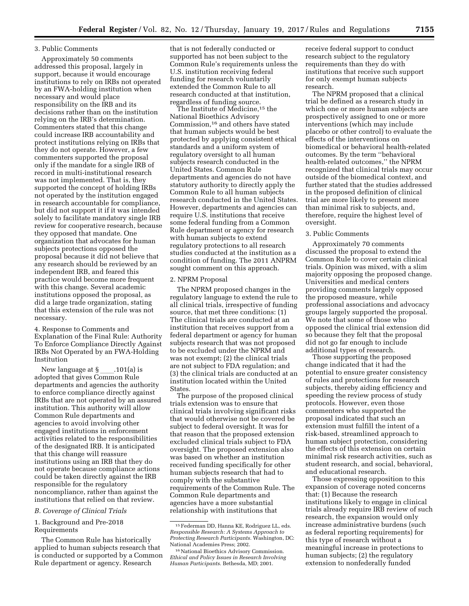### 3. Public Comments

Approximately 50 comments addressed this proposal, largely in support, because it would encourage institutions to rely on IRBs not operated by an FWA-holding institution when necessary and would place responsibility on the IRB and its decisions rather than on the institution relying on the IRB's determination. Commenters stated that this change could increase IRB accountability and protect institutions relying on IRBs that they do not operate. However, a few commenters supported the proposal only if the mandate for a single IRB of record in multi-institutional research was not implemented. That is, they supported the concept of holding IRBs not operated by the institution engaged in research accountable for compliance, but did not support it if it was intended solely to facilitate mandatory single IRB review for cooperative research, because they opposed that mandate. One organization that advocates for human subjects protections opposed the proposal because it did not believe that any research should be reviewed by an independent IRB, and feared this practice would become more frequent with this change. Several academic institutions opposed the proposal, as did a large trade organization, stating that this extension of the rule was not necessary.

4. Response to Comments and Explanation of the Final Rule: Authority To Enforce Compliance Directly Against IRBs Not Operated by an FWA-Holding Institution

New language at §\_\_\_\_.101(a) is<br>adopted that gives Common Rule departments and agencies the authority to enforce compliance directly against IRBs that are not operated by an assured institution. This authority will allow Common Rule departments and agencies to avoid involving other engaged institutions in enforcement activities related to the responsibilities of the designated IRB. It is anticipated that this change will reassure institutions using an IRB that they do not operate because compliance actions could be taken directly against the IRB responsible for the regulatory noncompliance, rather than against the institutions that relied on that review.

### *B. Coverage of Clinical Trials*

1. Background and Pre-2018 Requirements

The Common Rule has historically applied to human subjects research that is conducted or supported by a Common Rule department or agency. Research

that is not federally conducted or supported has not been subject to the Common Rule's requirements unless the U.S. institution receiving federal funding for research voluntarily extended the Common Rule to all research conducted at that institution, regardless of funding source.

The Institute of Medicine,15 the National Bioethics Advisory Commission,16 and others have stated that human subjects would be best protected by applying consistent ethical standards and a uniform system of regulatory oversight to all human subjects research conducted in the United States. Common Rule departments and agencies do not have statutory authority to directly apply the Common Rule to all human subjects research conducted in the United States. However, departments and agencies can require U.S. institutions that receive some federal funding from a Common Rule department or agency for research with human subjects to extend regulatory protections to all research studies conducted at the institution as a condition of funding. The 2011 ANPRM sought comment on this approach.

#### 2. NPRM Proposal

The NPRM proposed changes in the regulatory language to extend the rule to all clinical trials, irrespective of funding source, that met three conditions: (1) The clinical trials are conducted at an institution that receives support from a federal department or agency for human subjects research that was not proposed to be excluded under the NPRM and was not exempt; (2) the clinical trials are not subject to FDA regulation; and (3) the clinical trials are conducted at an institution located within the United States.

The purpose of the proposed clinical trials extension was to ensure that clinical trials involving significant risks that would otherwise not be covered be subject to federal oversight. It was for that reason that the proposed extension excluded clinical trials subject to FDA oversight. The proposed extension also was based on whether an institution received funding specifically for other human subjects research that had to comply with the substantive requirements of the Common Rule. The Common Rule departments and agencies have a more substantial relationship with institutions that

receive federal support to conduct research subject to the regulatory requirements than they do with institutions that receive such support for only exempt human subjects research.

The NPRM proposed that a clinical trial be defined as a research study in which one or more human subjects are prospectively assigned to one or more interventions (which may include placebo or other control) to evaluate the effects of the interventions on biomedical or behavioral health-related outcomes. By the term ''behavioral health-related outcomes,'' the NPRM recognized that clinical trials may occur outside of the biomedical context, and further stated that the studies addressed in the proposed definition of clinical trial are more likely to present more than minimal risk to subjects, and, therefore, require the highest level of oversight.

### 3. Public Comments

Approximately 70 comments discussed the proposal to extend the Common Rule to cover certain clinical trials. Opinion was mixed, with a slim majority opposing the proposed change. Universities and medical centers providing comments largely opposed the proposed measure, while professional associations and advocacy groups largely supported the proposal. We note that some of those who opposed the clinical trial extension did so because they felt that the proposal did not go far enough to include additional types of research.

Those supporting the proposed change indicated that it had the potential to ensure greater consistency of rules and protections for research subjects, thereby aiding efficiency and speeding the review process of study protocols. However, even those commenters who supported the proposal indicated that such an extension must fulfill the intent of a risk-based, streamlined approach to human subject protection, considering the effects of this extension on certain minimal risk research activities, such as student research, and social, behavioral, and educational research.

Those expressing opposition to this expansion of coverage noted concerns that: (1) Because the research institutions likely to engage in clinical trials already require IRB review of such research, the expansion would only increase administrative burdens (such as federal reporting requirements) for this type of research without a meaningful increase in protections to human subjects; (2) the regulatory extension to nonfederally funded

<sup>15</sup>Federman DD, Hanna KE, Rodriguez LL, eds. *Responsible Research: A Systems Approach to Protecting Research Participants.* Washington, DC: National Academies Press; 2002.

<sup>&</sup>lt;sup>16</sup> National Bioethics Advisory Commission. *Ethical and Policy Issues in Research Involving Human Participants.* Bethesda, MD; 2001.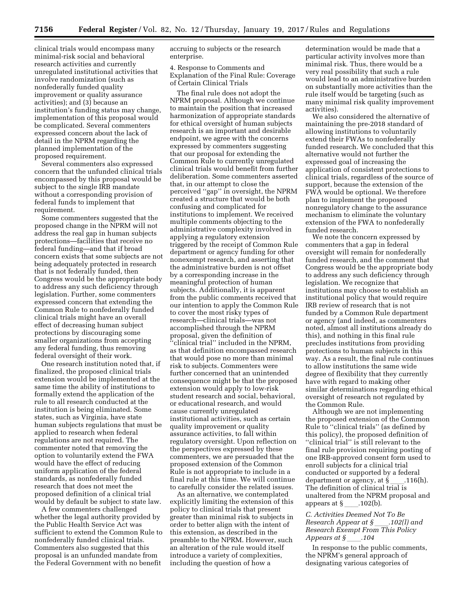clinical trials would encompass many minimal-risk social and behavioral research activities and currently unregulated institutional activities that involve randomization (such as nonfederally funded quality improvement or quality assurance activities); and (3) because an institution's funding status may change, implementation of this proposal would be complicated. Several commenters expressed concern about the lack of detail in the NPRM regarding the planned implementation of the proposed requirement.

Several commenters also expressed concern that the unfunded clinical trials encompassed by this proposal would be subject to the single IRB mandate without a corresponding provision of federal funds to implement that requirement.

Some commenters suggested that the proposed change in the NPRM will not address the real gap in human subjects protections—facilities that receive no federal funding—and that if broad concern exists that some subjects are not being adequately protected in research that is not federally funded, then Congress would be the appropriate body to address any such deficiency through legislation. Further, some commenters expressed concern that extending the Common Rule to nonfederally funded clinical trials might have an overall effect of decreasing human subject protections by discouraging some smaller organizations from accepting any federal funding, thus removing federal oversight of their work.

One research institution noted that, if finalized, the proposed clinical trials extension would be implemented at the same time the ability of institutions to formally extend the application of the rule to all research conducted at the institution is being eliminated. Some states, such as Virginia, have state human subjects regulations that must be applied to research when federal regulations are not required. The commenter noted that removing the option to voluntarily extend the FWA would have the effect of reducing uniform application of the federal standards, as nonfederally funded research that does not meet the proposed definition of a clinical trial would by default be subject to state law.

A few commenters challenged whether the legal authority provided by the Public Health Service Act was sufficient to extend the Common Rule to nonfederally funded clinical trials. Commenters also suggested that this proposal is an unfunded mandate from the Federal Government with no benefit

accruing to subjects or the research enterprise.

4. Response to Comments and Explanation of the Final Rule: Coverage of Certain Clinical Trials

The final rule does not adopt the NPRM proposal. Although we continue to maintain the position that increased harmonization of appropriate standards for ethical oversight of human subjects research is an important and desirable endpoint, we agree with the concerns expressed by commenters suggesting that our proposal for extending the Common Rule to currently unregulated clinical trials would benefit from further deliberation. Some commenters asserted that, in our attempt to close the perceived ''gap'' in oversight, the NPRM created a structure that would be both confusing and complicated for institutions to implement. We received multiple comments objecting to the administrative complexity involved in applying a regulatory extension triggered by the receipt of Common Rule department or agency funding for other nonexempt research, and asserting that the administrative burden is not offset by a corresponding increase in the meaningful protection of human subjects. Additionally, it is apparent from the public comments received that our intention to apply the Common Rule to cover the most risky types of research—clinical trials—was not accomplished through the NPRM proposal, given the definition of ''clinical trial'' included in the NPRM, as that definition encompassed research that would pose no more than minimal risk to subjects. Commenters were further concerned that an unintended consequence might be that the proposed extension would apply to low-risk student research and social, behavioral, or educational research, and would cause currently unregulated institutional activities, such as certain quality improvement or quality assurance activities, to fall within regulatory oversight. Upon reflection on the perspectives expressed by these commenters, we are persuaded that the proposed extension of the Common Rule is not appropriate to include in a final rule at this time. We will continue to carefully consider the related issues.

As an alternative, we contemplated explicitly limiting the extension of this policy to clinical trials that present greater than minimal risk to subjects in order to better align with the intent of this extension, as described in the preamble to the NPRM. However, such an alteration of the rule would itself introduce a variety of complexities, including the question of how a

determination would be made that a particular activity involves more than minimal risk. Thus, there would be a very real possibility that such a rule would lead to an administrative burden on substantially more activities than the rule itself would be targeting (such as many minimal risk quality improvement activities).

We also considered the alternative of maintaining the pre-2018 standard of allowing institutions to voluntarily extend their FWAs to nonfederally funded research. We concluded that this alternative would not further the expressed goal of increasing the application of consistent protections to clinical trials, regardless of the source of support, because the extension of the FWA would be optional. We therefore plan to implement the proposed nonregulatory change to the assurance mechanism to eliminate the voluntary extension of the FWA to nonfederally funded research.

We note the concern expressed by commenters that a gap in federal oversight will remain for nonfederally funded research, and the comment that Congress would be the appropriate body to address any such deficiency through legislation. We recognize that institutions may choose to establish an institutional policy that would require IRB review of research that is not funded by a Common Rule department or agency (and indeed, as commenters noted, almost all institutions already do this), and nothing in this final rule precludes institutions from providing protections to human subjects in this way. As a result, the final rule continues to allow institutions the same wide degree of flexibility that they currently have with regard to making other similar determinations regarding ethical oversight of research not regulated by the Common Rule.

Although we are not implementing the proposed extension of the Common Rule to ''clinical trials'' (as defined by this policy), the proposed definition of ''clinical trial'' is still relevant to the final rule provision requiring posting of one IRB-approved consent form used to enroll subjects for a clinical trial conducted or supported by a federal department or agency, at  $\S$  .116(h). The definition of clinical trial is unaltered from the NPRM proposal and appears at  $\S$  .102(b).

# *C. Activities Deemed Not To Be Research Appear at §*ll*.102(l) and Research Exempt From This Policy Appears at* § \_\_\_\_.104

In response to the public comments, the NPRM's general approach of designating various categories of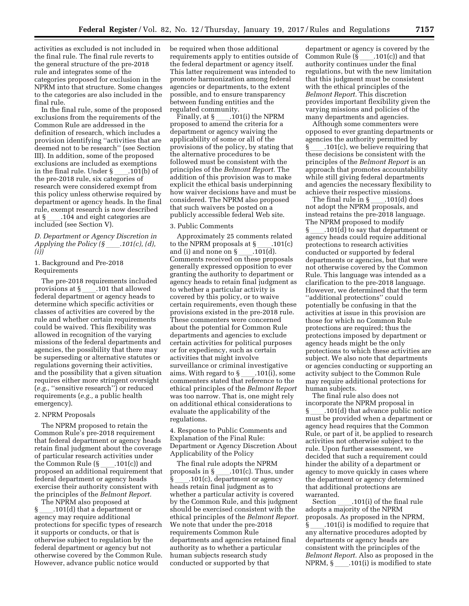activities as excluded is not included in the final rule. The final rule reverts to the general structure of the pre-2018 rule and integrates some of the categories proposed for exclusion in the NPRM into that structure. Some changes to the categories are also included in the final rule.

In the final rule, some of the proposed exclusions from the requirements of the Common Rule are addressed in the definition of research, which includes a provision identifying ''activities that are deemed not to be research'' (see Section III). In addition, some of the proposed exclusions are included as exemptions in the final rule. Under  $\S$  .101(b) of the pre-2018 rule, six categories of research were considered exempt from this policy unless otherwise required by department or agency heads. In the final rule, exempt research is now described at § 104 and eight categories are included (see Section V).

*D. Department or Agency Discretion in Applying the Policy (§*ll*.101(c), (d), (i))* 

# 1. Background and Pre-2018 Requirements

The pre-2018 requirements included provisions at  $\S$  .101 that allowed federal department or agency heads to determine which specific activities or classes of activities are covered by the rule and whether certain requirements could be waived. This flexibility was allowed in recognition of the varying missions of the federal departments and agencies, the possibility that there may be superseding or alternative statutes or regulations governing their activities, and the possibility that a given situation requires either more stringent oversight (*e.g.,* ''sensitive research'') or reduced requirements (*e.g.,* a public health emergency).

### 2. NPRM Proposals

The NPRM proposed to retain the Common Rule's pre-2018 requirement that federal department or agency heads retain final judgment about the coverage of particular research activities under the Common Rule (§ \_\_\_\_.101(c)) and<br>proposed an additional requirement that federal department or agency heads exercise their authority consistent with the principles of the *Belmont Report.* 

The NPRM also proposed at § .101(d) that a department or agency may require additional protections for specific types of research it supports or conducts, or that is otherwise subject to regulation by the federal department or agency but not otherwise covered by the Common Rule. However, advance public notice would

be required when those additional requirements apply to entities outside of the federal department or agency itself. This latter requirement was intended to promote harmonization among federal agencies or departments, to the extent possible, and to ensure transparency between funding entities and the regulated community.<br>Finally, at § .101(i) the NPRM

Finally, at  $\S$  \_\_\_\_.101(i) the NPRM proposed to amend the criteria for a department or agency waiving the applicability of some or all of the provisions of the policy, by stating that the alternative procedures to be followed must be consistent with the principles of the *Belmont Report.* The addition of this provision was to make explicit the ethical basis underpinning how waiver decisions have and must be considered. The NPRM also proposed that such waivers be posted on a publicly accessible federal Web site.

# 3. Public Comments

Approximately 25 comments related to the NPRM proposals at  $\S$  .101(c)<br>and (i) and none on  $\S$  .101(d). and (i) and none on § \_\_\_\_.101(d).<br>Comments received on these proposals generally expressed opposition to ever granting the authority to department or agency heads to retain final judgment as to whether a particular activity is covered by this policy, or to waive certain requirements, even though these provisions existed in the pre-2018 rule. These commenters were concerned about the potential for Common Rule departments and agencies to exclude certain activities for political purposes or for expediency, such as certain activities that might involve surveillance or criminal investigative aims. With regard to §\_\_\_\_.101(i), some<br>commenters stated that reference to the ethical principles of the *Belmont Report*  was too narrow. That is, one might rely on additional ethical considerations to evaluate the applicability of the regulations.

4. Response to Public Comments and Explanation of the Final Rule: Department or Agency Discretion About Applicability of the Policy

The final rule adopts the NPRM proposals in § \_\_\_\_.101(c). Thus, under<br>§ 101(c). department or agency § \_\_\_\_.101(c), department or agency<br>heads retain final indement as to heads retain final judgment as to whether a particular activity is covered by the Common Rule, and this judgment should be exercised consistent with the ethical principles of the *Belmont Report.*  We note that under the pre-2018 requirements Common Rule departments and agencies retained final authority as to whether a particular human subjects research study conducted or supported by that

department or agency is covered by the Common Rule  $(\S_$  \_\_\_\_.101(c)) and that authority continues under the final regulations, but with the new limitation that this judgment must be consistent with the ethical principles of the *Belmont Report.* This discretion provides important flexibility given the varying missions and policies of the many departments and agencies.

Although some commenters were opposed to ever granting departments or agencies the authority permitted by § ll.101(c), we believe requiring that these decisions be consistent with the principles of the *Belmont Report* is an approach that promotes accountability while still giving federal departments and agencies the necessary flexibility to achieve their respective missions.<br>The final rule in § .101(d) does

The final rule in §\_\_\_\_.101(d) does<br>not adopt the NPRM proposals, and instead retains the pre-2018 language. The NPRM proposed to modify  $\S$  .101(d) to say that department or agency heads could require additional protections to research activities conducted or supported by federal departments or agencies, but that were not otherwise covered by the Common Rule. This language was intended as a clarification to the pre-2018 language. However, we determined that the term ''additional protections'' could potentially be confusing in that the activities at issue in this provision are those for which no Common Rule protections are required; thus the protections imposed by department or agency heads might be the only protections to which these activities are subject. We also note that departments or agencies conducting or supporting an activity subject to the Common Rule may require additional protections for human subjects.

The final rule also does not incorporate the NPRM proposal in § \_\_\_\_.101(d) that advance public notice<br>must be provided when a department or agency head requires that the Common Rule, or part of it, be applied to research activities not otherwise subject to the rule. Upon further assessment, we decided that such a requirement could hinder the ability of a department or agency to move quickly in cases where the department or agency determined that additional protections are warranted.

Section ll.101(i) of the final rule adopts a majority of the NPRM proposals. As proposed in the NPRM,  $\S$  .101(i) is modified to require that any alternative procedures adopted by departments or agency heads are consistent with the principles of the *Belmont Report.* Also as proposed in the NPRM,  $\S$  .101(i) is modified to state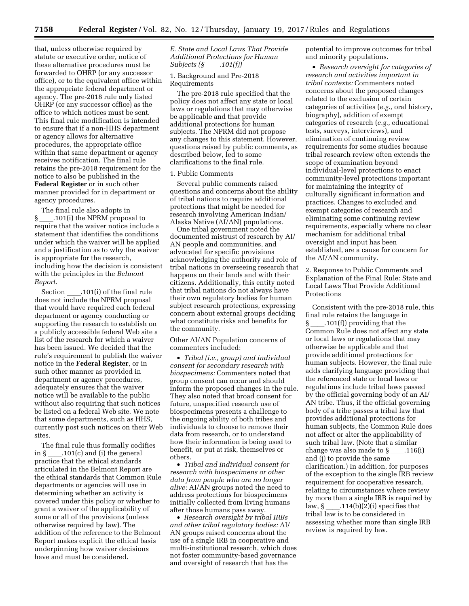that, unless otherwise required by statute or executive order, notice of these alternative procedures must be forwarded to OHRP (or any successor office), or to the equivalent office within the appropriate federal department or agency. The pre-2018 rule only listed OHRP (or any successor office) as the office to which notices must be sent. This final rule modification is intended to ensure that if a non-HHS department or agency allows for alternative procedures, the appropriate office within that same department or agency receives notification. The final rule retains the pre-2018 requirement for the notice to also be published in the **Federal Register** or in such other manner provided for in department or agency procedures.

The final rule also adopts in § \_\_\_\_\_.101(i) the NPRM proposal to require that the waiver notice include a statement that identifies the conditions under which the waiver will be applied and a justification as to why the waiver is appropriate for the research, including how the decision is consistent with the principles in the *Belmont Report.* 

Section \_\_\_\_.101(i) of the final rule<br>does not include the NPRM proposal that would have required each federal department or agency conducting or supporting the research to establish on a publicly accessible federal Web site a list of the research for which a waiver has been issued. We decided that the rule's requirement to publish the waiver notice in the **Federal Register**, or in such other manner as provided in department or agency procedures, adequately ensures that the waiver notice will be available to the public without also requiring that such notices be listed on a federal Web site. We note that some departments, such as HHS, currently post such notices on their Web sites.

The final rule thus formally codifies in  $\S$  .101(c) and (i) the general practice that the ethical standards articulated in the Belmont Report are the ethical standards that Common Rule departments or agencies will use in determining whether an activity is covered under this policy or whether to grant a waiver of the applicability of some or all of the provisions (unless otherwise required by law). The addition of the reference to the Belmont Report makes explicit the ethical basis underpinning how waiver decisions have and must be considered.

*E. State and Local Laws That Provide Additional Protections for Human Subjects (§* .101(*f*))

# 1. Background and Pre-2018 Requirements

The pre-2018 rule specified that the policy does not affect any state or local laws or regulations that may otherwise be applicable and that provide additional protections for human subjects. The NPRM did not propose any changes to this statement. However, questions raised by public comments, as described below, led to some clarifications to the final rule.

#### 1. Public Comments

Several public comments raised questions and concerns about the ability of tribal nations to require additional protections that might be needed for research involving American Indian/ Alaska Native (AI/AN) populations.

One tribal government noted the documented mistrust of research by AI/ AN people and communities, and advocated for specific provisions acknowledging the authority and role of tribal nations in overseeing research that happens on their lands and with their citizens. Additionally, this entity noted that tribal nations do not always have their own regulatory bodies for human subject research protections, expressing concern about external groups deciding what constitute risks and benefits for the community.

# Other AI/AN Population concerns of commenters included:

• *Tribal (i.e., group) and individual consent for secondary research with biospecimens:* Commenters noted that group consent can occur and should inform the proposed changes in the rule. They also noted that broad consent for future, unspecified research use of biospecimens presents a challenge to the ongoing ability of both tribes and individuals to choose to remove their data from research, or to understand how their information is being used to benefit, or put at risk, themselves or others.

• *Tribal and individual consent for research with biospecimens or other data from people who are no longer alive:* AI/AN groups noted the need to address protections for biospecimens initially collected from living humans after those humans pass away.

• *Research oversight by tribal IRBs and other tribal regulatory bodies:* AI/ AN groups raised concerns about the use of a single IRB in cooperative and multi-institutional research, which does not foster community-based governance and oversight of research that has the

potential to improve outcomes for tribal and minority populations.

• *Research oversight for categories of research and activities important in tribal contexts:* Commenters noted concerns about the proposed changes related to the exclusion of certain categories of activities (*e.g.,* oral history, biography), addition of exempt categories of research (*e.g.,* educational tests, surveys, interviews), and elimination of continuing review requirements for some studies because tribal research review often extends the scope of examination beyond individual-level protections to enact community-level protections important for maintaining the integrity of culturally significant information and practices. Changes to excluded and exempt categories of research and eliminating some continuing review requirements, especially where no clear mechanism for additional tribal oversight and input has been established, are a cause for concern for the AI/AN community.

2. Response to Public Comments and Explanation of the Final Rule: State and Local Laws That Provide Additional Protections

Consistent with the pre-2018 rule, this final rule retains the language in  $\S$  .101(f)) providing that the Common Rule does not affect any state or local laws or regulations that may otherwise be applicable and that provide additional protections for human subjects. However, the final rule adds clarifying language providing that the referenced state or local laws or regulations include tribal laws passed by the official governing body of an AI/ AN tribe. Thus, if the official governing body of a tribe passes a tribal law that provides additional protections for human subjects, the Common Rule does not affect or alter the applicability of such tribal law. (Note that a similar change was also made to  $\S$  .116(i) and (j) to provide the same clarification.) In addition, for purposes of the exception to the single IRB review requirement for cooperative research, relating to circumstances where review by more than a single IRB is required by law,  $\S$  .114(b)(2)(i) specifies that tribal law is to be considered in assessing whether more than single IRB review is required by law.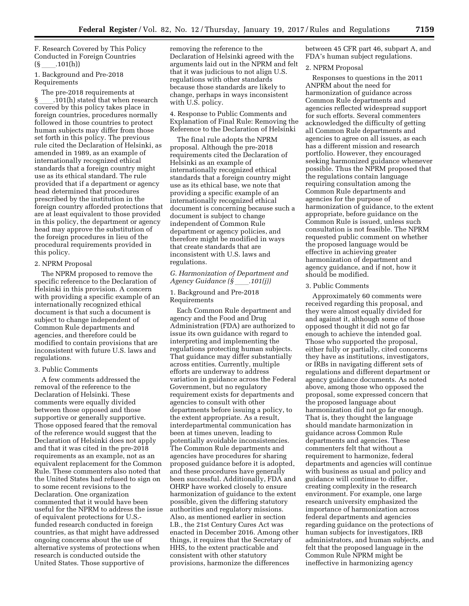F. Research Covered by This Policy Conducted in Foreign Countries  $(S \t.101(h))$ 

1. Background and Pre-2018 Requirements

The pre-2018 requirements at § ll.101(h) stated that when research covered by this policy takes place in foreign countries, procedures normally followed in those countries to protect human subjects may differ from those set forth in this policy. The previous rule cited the Declaration of Helsinki, as amended in 1989, as an example of internationally recognized ethical standards that a foreign country might use as its ethical standard. The rule provided that if a department or agency head determined that procedures prescribed by the institution in the foreign country afforded protections that are at least equivalent to those provided in this policy, the department or agency head may approve the substitution of the foreign procedures in lieu of the procedural requirements provided in this policy.

# 2. NPRM Proposal

The NPRM proposed to remove the specific reference to the Declaration of Helsinki in this provision. A concern with providing a specific example of an internationally recognized ethical document is that such a document is subject to change independent of Common Rule departments and agencies, and therefore could be modified to contain provisions that are inconsistent with future U.S. laws and regulations.

#### 3. Public Comments

A few comments addressed the removal of the reference to the Declaration of Helsinki. These comments were equally divided between those opposed and those supportive or generally supportive. Those opposed feared that the removal of the reference would suggest that the Declaration of Helsinki does not apply and that it was cited in the pre-2018 requirements as an example, not as an equivalent replacement for the Common Rule. These commenters also noted that the United States had refused to sign on to some recent revisions to the Declaration. One organization commented that it would have been useful for the NPRM to address the issue of equivalent protections for U.S. funded research conducted in foreign countries, as that might have addressed ongoing concerns about the use of alternative systems of protections when research is conducted outside the United States. Those supportive of

removing the reference to the Declaration of Helsinki agreed with the arguments laid out in the NPRM and felt that it was judicious to not align U.S. regulations with other standards because those standards are likely to change, perhaps in ways inconsistent with U.S. policy.

4. Response to Public Comments and Explanation of Final Rule: Removing the Reference to the Declaration of Helsinki

The final rule adopts the NPRM proposal. Although the pre-2018 requirements cited the Declaration of Helsinki as an example of internationally recognized ethical standards that a foreign country might use as its ethical base, we note that providing a specific example of an internationally recognized ethical document is concerning because such a document is subject to change independent of Common Rule department or agency policies, and therefore might be modified in ways that create standards that are inconsistent with U.S. laws and regulations.

# *G. Harmonization of Department and Agency Guidance* (§ \_\_\_\_.101(j))

1. Background and Pre-2018 Requirements

Each Common Rule department and agency and the Food and Drug Administration (FDA) are authorized to issue its own guidance with regard to interpreting and implementing the regulations protecting human subjects. That guidance may differ substantially across entities. Currently, multiple efforts are underway to address variation in guidance across the Federal Government, but no regulatory requirement exists for departments and agencies to consult with other departments before issuing a policy, to the extent appropriate. As a result, interdepartmental communication has been at times uneven, leading to potentially avoidable inconsistencies. The Common Rule departments and agencies have procedures for sharing proposed guidance before it is adopted, and these procedures have generally been successful. Additionally, FDA and OHRP have worked closely to ensure harmonization of guidance to the extent possible, given the differing statutory authorities and regulatory missions. Also, as mentioned earlier in section I.B., the 21st Century Cures Act was enacted in December 2016. Among other things, it requires that the Secretary of HHS, to the extent practicable and consistent with other statutory provisions, harmonize the differences

between 45 CFR part 46, subpart A, and FDA's human subject regulations.

### 2. NPRM Proposal

Responses to questions in the 2011 ANPRM about the need for harmonization of guidance across Common Rule departments and agencies reflected widespread support for such efforts. Several commenters acknowledged the difficulty of getting all Common Rule departments and agencies to agree on all issues, as each has a different mission and research portfolio. However, they encouraged seeking harmonized guidance whenever possible. Thus the NPRM proposed that the regulations contain language requiring consultation among the Common Rule departments and agencies for the purpose of harmonization of guidance, to the extent appropriate, before guidance on the Common Rule is issued, unless such consultation is not feasible. The NPRM requested public comment on whether the proposed language would be effective in achieving greater harmonization of department and agency guidance, and if not, how it should be modified.

#### 3. Public Comments

Approximately 60 comments were received regarding this proposal, and they were almost equally divided for and against it, although some of those opposed thought it did not go far enough to achieve the intended goal. Those who supported the proposal, either fully or partially, cited concerns they have as institutions, investigators, or IRBs in navigating different sets of regulations and different department or agency guidance documents. As noted above, among those who opposed the proposal, some expressed concern that the proposed language about harmonization did not go far enough. That is, they thought the language should mandate harmonization in guidance across Common Rule departments and agencies. These commenters felt that without a requirement to harmonize, federal departments and agencies will continue with business as usual and policy and guidance will continue to differ, creating complexity in the research environment. For example, one large research university emphasized the importance of harmonization across federal departments and agencies regarding guidance on the protections of human subjects for investigators, IRB administrators, and human subjects, and felt that the proposed language in the Common Rule NPRM might be ineffective in harmonizing agency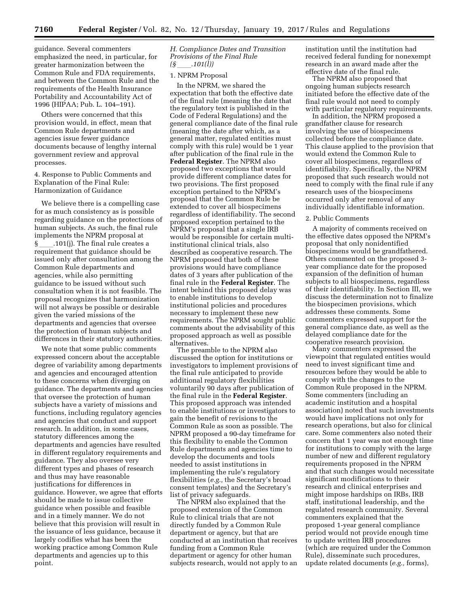guidance. Several commenters emphasized the need, in particular, for greater harmonization between the Common Rule and FDA requirements, and between the Common Rule and the requirements of the Health Insurance Portability and Accountability Act of 1996 (HIPAA; Pub. L. 104–191).

Others were concerned that this provision would, in effect, mean that Common Rule departments and agencies issue fewer guidance documents because of lengthy internal government review and approval processes.

4. Response to Public Comments and Explanation of the Final Rule: Harmonization of Guidance

We believe there is a compelling case for as much consistency as is possible regarding guidance on the protections of human subjects. As such, the final rule implements the NPRM proposal at § .101(j). The final rule creates a requirement that guidance should be issued only after consultation among the Common Rule departments and agencies, while also permitting guidance to be issued without such consultation when it is not feasible. The proposal recognizes that harmonization will not always be possible or desirable given the varied missions of the departments and agencies that oversee the protection of human subjects and differences in their statutory authorities.

We note that some public comments expressed concern about the acceptable degree of variability among departments and agencies and encouraged attention to these concerns when diverging on guidance. The departments and agencies that oversee the protection of human subjects have a variety of missions and functions, including regulatory agencies and agencies that conduct and support research. In addition, in some cases, statutory differences among the departments and agencies have resulted in different regulatory requirements and guidance. They also oversee very different types and phases of research and thus may have reasonable justifications for differences in guidance. However, we agree that efforts should be made to issue collective guidance when possible and feasible and in a timely manner. We do not believe that this provision will result in the issuance of less guidance, because it largely codifies what has been the working practice among Common Rule departments and agencies up to this point.

### *H. Compliance Dates and Transition Provisions of the Final Rule*   $(S \t 101(l))$

# 1. NPRM Proposal

In the NPRM, we shared the expectation that both the effective date of the final rule (meaning the date that the regulatory text is published in the Code of Federal Regulations) and the general compliance date of the final rule (meaning the date after which, as a general matter, regulated entities must comply with this rule) would be 1 year after publication of the final rule in the **Federal Register**. The NPRM also proposed two exceptions that would provide different compliance dates for two provisions. The first proposed exception pertained to the NPRM's proposal that the Common Rule be extended to cover all biospecimens regardless of identifiability. The second proposed exception pertained to the NPRM's proposal that a single IRB would be responsible for certain multiinstitutional clinical trials, also described as cooperative research. The NPRM proposed that both of these provisions would have compliance dates of 3 years after publication of the final rule in the **Federal Register**. The intent behind this proposed delay was to enable institutions to develop institutional policies and procedures necessary to implement these new requirements. The NPRM sought public comments about the advisability of this proposed approach as well as possible alternatives.

The preamble to the NPRM also discussed the option for institutions or investigators to implement provisions of the final rule anticipated to provide additional regulatory flexibilities voluntarily 90 days after publication of the final rule in the **Federal Register**. This proposed approach was intended to enable institutions or investigators to gain the benefit of revisions to the Common Rule as soon as possible. The NPRM proposed a 90-day timeframe for this flexibility to enable the Common Rule departments and agencies time to develop the documents and tools needed to assist institutions in implementing the rule's regulatory flexibilities (*e.g.,* the Secretary's broad consent templates) and the Secretary's list of privacy safeguards.

The NPRM also explained that the proposed extension of the Common Rule to clinical trials that are not directly funded by a Common Rule department or agency, but that are conducted at an institution that receives funding from a Common Rule department or agency for other human subjects research, would not apply to an

institution until the institution had received federal funding for nonexempt research in an award made after the effective date of the final rule.

The NPRM also proposed that ongoing human subjects research initiated before the effective date of the final rule would not need to comply with particular regulatory requirements.

In addition, the NPRM proposed a grandfather clause for research involving the use of biospecimens collected before the compliance date. This clause applied to the provision that would extend the Common Rule to cover all biospecimens, regardless of identifiability. Specifically, the NPRM proposed that such research would not need to comply with the final rule if any research uses of the biospecimens occurred only after removal of any individually identifiable information.

#### 2. Public Comments

A majority of comments received on the effective dates opposed the NPRM's proposal that only nonidentified biospecimens would be grandfathered. Others commented on the proposed 3 year compliance date for the proposed expansion of the definition of human subjects to all biospecimens, regardless of their identifiability. In Section III, we discuss the determination not to finalize the biospecimen provisions, which addresses these comments. Some commenters expressed support for the general compliance date, as well as the delayed compliance date for the cooperative research provision.

Many commenters expressed the viewpoint that regulated entities would need to invest significant time and resources before they would be able to comply with the changes to the Common Rule proposed in the NPRM. Some commenters (including an academic institution and a hospital association) noted that such investments would have implications not only for research operations, but also for clinical care. Some commenters also noted their concern that 1 year was not enough time for institutions to comply with the large number of new and different regulatory requirements proposed in the NPRM and that such changes would necessitate significant modifications to their research and clinical enterprises and might impose hardships on IRBs, IRB staff, institutional leadership, and the regulated research community. Several commenters explained that the proposed 1-year general compliance period would not provide enough time to update written IRB procedures (which are required under the Common Rule), disseminate such procedures, update related documents (*e.g.,* forms),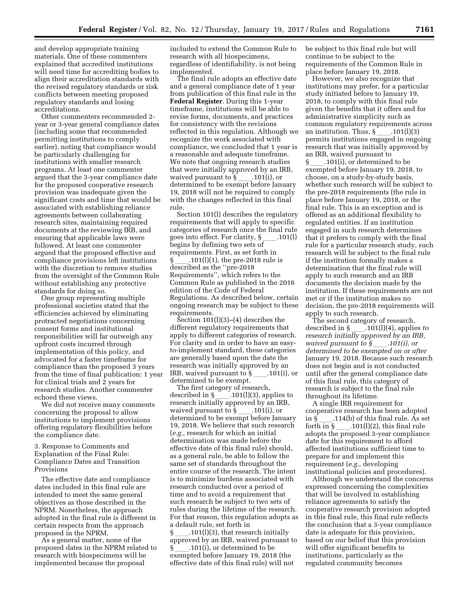and develop appropriate training materials. One of these commenters explained that accredited institutions will need time for accrediting bodies to align their accreditation standards with the revised regulatory standards or risk conflicts between meeting proposed regulatory standards and losing accreditations.

Other commenters recommended 2 year or 3-year general compliance dates (including some that recommended permitting institutions to comply earlier), noting that compliance would be particularly challenging for institutions with smaller research programs. At least one commenter argued that the 3-year compliance date for the proposed cooperative research provision was inadequate given the significant costs and time that would be associated with establishing reliance agreements between collaborating research sites, maintaining required documents at the reviewing IRB, and ensuring that applicable laws were followed. At least one commenter argued that the proposed effective and compliance provisions left institutions with the discretion to remove studies from the oversight of the Common Rule without establishing any protective standards for doing so.

One group representing multiple professional societies stated that the efficiencies achieved by eliminating protracted negotiations concerning consent forms and institutional responsibilities will far outweigh any upfront costs incurred through implementation of this policy, and advocated for a faster timeframe for compliance than the proposed 3 years from the time of final publication: 1 year for clinical trials and 2 years for research studies. Another commenter echoed these views.

We did not receive many comments concerning the proposal to allow institutions to implement provisions offering regulatory flexibilities before the compliance date.

3. Response to Comments and Explanation of the Final Rule: Compliance Dates and Transition Provisions

The effective date and compliance dates included in this final rule are intended to meet the same general objectives as those described in the NPRM. Nonetheless, the approach adopted in the final rule is different in certain respects from the approach proposed in the NPRM.

As a general matter, none of the proposed dates in the NPRM related to research with biospecimens will be implemented because the proposal

included to extend the Common Rule to research with all biospecimens, regardless of identifiability, is not being implemented.

The final rule adopts an effective date and a general compliance date of 1 year from publication of this final rule in the **Federal Register**. During this 1-year timeframe, institutions will be able to revise forms, documents, and practices for consistency with the revisions reflected in this regulation. Although we recognize the work associated with compliance, we concluded that 1 year is a reasonable and adequate timeframe. We note that ongoing research studies that were initially approved by an IRB, waived pursuant to §\_\_\_\_.101(i), or<br>determined to be exempt before January 19, 2018 will not be required to comply with the changes reflected in this final rule.

Section 101(l) describes the regulatory requirements that will apply to specific categories of research once the final rule goes into effect. For clarity, § .101(l) begins by defining two sets of requirements. First, as set forth in § ll.101(l)(1), the pre-2018 rule is described as the ''pre-2018 Requirements'', which refers to the Common Rule as published in the 2016 edition of the Code of Federal Regulations. As described below, certain ongoing research may be subject to these requirements.

Section 101(l)(3)–(4) describes the different regulatory requirements that apply to different categories of research. For clarity and in order to have an easyto-implement standard, these categories are generally based upon the date the research was initially approved by an IRB, waived pursuant to  $\S$  .101(i), or determined to be exempt.

The first category of research, described in § \_\_\_\_.101(l)(3), applies to<br>research initially approved by an IRB, waived pursuant to §\_\_\_\_.101(i), or<br>determined to be exempt before January 19, 2018. We believe that such research (*e.g.,* research for which an initial determination was made before the effective date of this final rule) should, as a general rule, be able to follow the same set of standards throughout the entire course of the research. The intent is to minimize burdens associated with research conducted over a period of time and to avoid a requirement that such research be subject to two sets of rules during the lifetime of the research. For that reason, this regulation adopts as a default rule, set forth in

§ ll.101(l)(3), that research initially approved by an IRB, waived pursuant to  $\S$  \_\_\_\_\_.101(i), or determined to be exempted before January 19, 2018 (the effective date of this final rule) will not

be subject to this final rule but will continue to be subject to the requirements of the Common Rule in place before January 19, 2018.

However, we also recognize that institutions may prefer, for a particular study initiated before to January 19, 2018, to comply with this final rule given the benefits that it offers and for administrative simplicity such as common regulatory requirements across an institution. Thus, § \_\_\_\_.101(l)(3)<br>permits institutions engaged in ongoing research that was initially approved by an IRB, waived pursuant to § \_\_\_\_.101(i), or determined to be exempted before January 19, 2018, to choose, on a study-by-study basis, whether such research will be subject to the pre-2018 requirements (the rule in place before January 19, 2018, or the final rule. This is an exception and is offered as an additional flexibility to regulated entities. If an institution engaged in such research determines that it prefers to comply with the final rule for a particular research study, such research will be subject to the final rule if the institution formally makes a determination that the final rule will apply to such research and an IRB documents the decision made by the institution. If these requirements are not met or if the institution makes no decision, the pre-2018 requirements will apply to such research.

The second category of research,<br>described in  $\S$  .101(l)(4), applie described in § ll.101(l)(4), applies *to research initially approved by an IRB, waived pursuant to §*ll*.101(i), or determined to be exempted on or after*  January 19, 2018. Because such research does not begin and is not conducted until after the general compliance date of this final rule, this category of research is subject to the final rule throughout its lifetime.

A single IRB requirement for cooperative research has been adopted<br>in § .114(b) of this final rule. As set in §ll.114(b) of this final rule. As set forth in § \_\_\_\_.101(l)(2), this final rule<br>adopts the proposed 3-year compliance date for this requirement to afford affected institutions sufficient time to prepare for and implement this requirement (*e.g.,* developing institutional policies and procedures).

Although we understand the concerns expressed concerning the complexities that will be involved in establishing reliance agreements to satisfy the cooperative research provision adopted in this final rule, this final rule reflects the conclusion that a 3-year compliance date is adequate for this provision, based on our belief that this provision will offer significant benefits to institutions, particularly as the regulated community becomes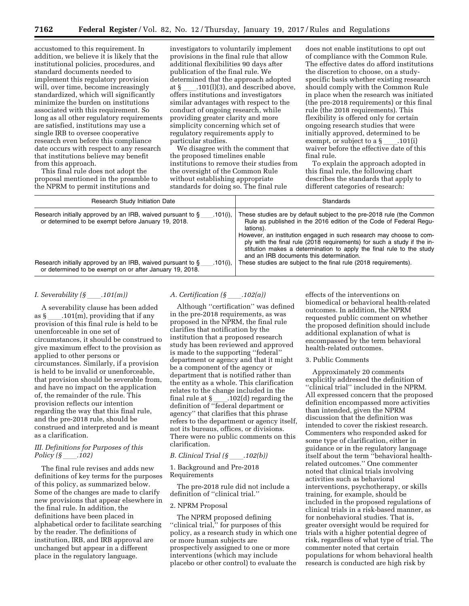accustomed to this requirement. In addition, we believe it is likely that the institutional policies, procedures, and standard documents needed to implement this regulatory provision will, over time, become increasingly standardized, which will significantly minimize the burden on institutions associated with this requirement. So long as all other regulatory requirements are satisfied, institutions may use a single IRB to oversee cooperative research even before this compliance date occurs with respect to any research that institutions believe may benefit from this approach.

This final rule does not adopt the proposal mentioned in the preamble to the NPRM to permit institutions and

investigators to voluntarily implement provisions in the final rule that allow additional flexibilities 90 days after publication of the final rule. We determined that the approach adopted at  $\S$  \_\_\_\_\_. 101(l)(3), and described above, offers institutions and investigators similar advantages with respect to the conduct of ongoing research, while providing greater clarity and more simplicity concerning which set of regulatory requirements apply to particular studies.

We disagree with the comment that the proposed timelines enable institutions to remove their studies from the oversight of the Common Rule without establishing appropriate standards for doing so. The final rule

does not enable institutions to opt out of compliance with the Common Rule. The effective dates do afford institutions the discretion to choose, on a studyspecific basis whether existing research should comply with the Common Rule in place when the research was initiated (the pre-2018 requirements) or this final rule (the 2018 requirements). This flexibility is offered only for certain ongoing research studies that were initially approved, determined to be exempt, or subject to a  $\S$  .101(i) waiver before the effective date of this final rule.

To explain the approach adopted in this final rule, the following chart describes the standards that apply to different categories of research:

| <b>Research Study Initiation Date</b>                                                                                                  | Standards                                                                                                                                                                                                                                                                                                                                                                                                                      |
|----------------------------------------------------------------------------------------------------------------------------------------|--------------------------------------------------------------------------------------------------------------------------------------------------------------------------------------------------------------------------------------------------------------------------------------------------------------------------------------------------------------------------------------------------------------------------------|
| Research initially approved by an IRB, waived pursuant to §<br>.101(i),<br>or determined to be exempt before January 19, 2018.         | These studies are by default subject to the pre-2018 rule (the Common<br>Rule as published in the 2016 edition of the Code of Federal Regu-<br>lations).<br>However, an institution engaged in such research may choose to com-<br>ply with the final rule (2018 requirements) for such a study if the in-<br>stitution makes a determination to apply the final rule to the study<br>and an IRB documents this determination. |
| Research initially approved by an IRB, waived pursuant to §<br>$.101(i)$ ,<br>or determined to be exempt on or after January 19, 2018. | These studies are subject to the final rule (2018 requirements).                                                                                                                                                                                                                                                                                                                                                               |

# *I. Severability* (§ \_\_\_\_.101(m))

A severability clause has been added as  $\S$  \_\_\_\_\_. 101(m), providing that if any provision of this final rule is held to be unenforceable in one set of circumstances, it should be construed to give maximum effect to the provision as applied to other persons or circumstances. Similarly, if a provision is held to be invalid or unenforceable, that provision should be severable from, and have no impact on the application of, the remainder of the rule. This provision reflects our intention regarding the way that this final rule, and the pre-2018 rule, should be construed and interpreted and is meant as a clarification.

### *III. Definitions for Purposes of this Policy (§* .102)

The final rule revises and adds new definitions of key terms for the purposes of this policy, as summarized below. Some of the changes are made to clarify new provisions that appear elsewhere in the final rule. In addition, the definitions have been placed in alphabetical order to facilitate searching by the reader. The definitions of institution, IRB, and IRB approval are unchanged but appear in a different place in the regulatory language.

# *A. Certification (§ 102(a))*

Although ''certification'' was defined in the pre-2018 requirements, as was proposed in the NPRM, the final rule clarifies that notification by the institution that a proposed research study has been reviewed and approved is made to the supporting ''federal'' department or agency and that it might be a component of the agency or department that is notified rather than the entity as a whole. This clarification relates to the change included in the final rule at § \_\_\_\_.102(d) regarding the<br>definition of ''federal department or agency'' that clarifies that this phrase refers to the department or agency itself, not its bureaus, offices, or divisions. There were no public comments on this clarification.

# *B. Clinical Trial* (§ *102(b)*)

# 1. Background and Pre-2018 Requirements

The pre-2018 rule did not include a definition of ''clinical trial.''

# 2. NPRM Proposal

The NPRM proposed defining ''clinical trial,'' for purposes of this policy, as a research study in which one or more human subjects are prospectively assigned to one or more interventions (which may include placebo or other control) to evaluate the

effects of the interventions on biomedical or behavioral health-related outcomes. In addition, the NPRM requested public comment on whether the proposed definition should include additional explanation of what is encompassed by the term behavioral health-related outcomes.

# 3. Public Comments

Approximately 20 comments explicitly addressed the definition of ''clinical trial'' included in the NPRM. All expressed concern that the proposed definition encompassed more activities than intended, given the NPRM discussion that the definition was intended to cover the riskiest research. Commenters who responded asked for some type of clarification, either in guidance or in the regulatory language itself about the term ''behavioral healthrelated outcomes.'' One commenter noted that clinical trials involving activities such as behavioral interventions, psychotherapy, or skills training, for example, should be included in the proposed regulations of clinical trials in a risk-based manner, as for nonbehavioral studies. That is, greater oversight would be required for trials with a higher potential degree of risk, regardless of what type of trial. The commenter noted that certain populations for whom behavioral health research is conducted are high risk by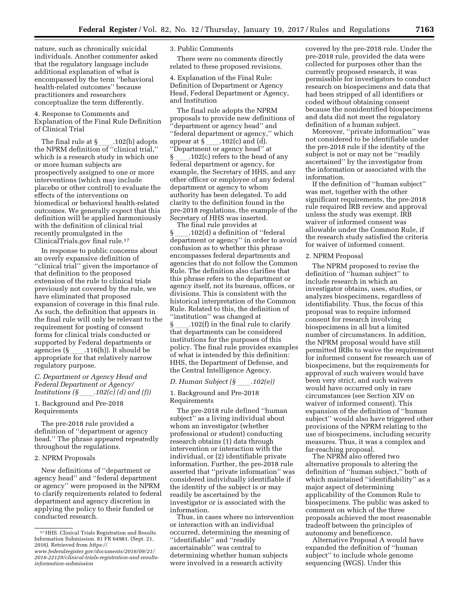nature, such as chronically suicidal individuals. Another commenter asked that the regulatory language include additional explanation of what is encompassed by the term ''behavioral health-related outcomes'' because practitioners and researchers conceptualize the term differently.

4. Response to Comments and Explanation of the Final Rule Definition of Clinical Trial

The final rule at  $\S$  \_\_\_\_.102(b) adopts the NPRM definition of "clinical trial," which is a research study in which one or more human subjects are prospectively assigned to one or more interventions (which may include placebo or other control) to evaluate the effects of the interventions on biomedical or behavioral health-related outcomes. We generally expect that this definition will be applied harmoniously with the definition of clinical trial recently promulgated in the ClinicalTrials.gov final rule.17

In response to public concerns about an overly expansive definition of ''clinical trial'' given the importance of that definition to the proposed extension of the rule to clinical trials previously not covered by the rule, we have eliminated that proposed expansion of coverage in this final rule. As such, the definition that appears in the final rule will only be relevant to the requirement for posting of consent forms for clinical trials conducted or supported by Federal departments or<br>agencies (§ \_\_\_\_\_.116(h)). It should be agencies (§ \_\_\_\_.116(h)). It should be<br>appropriate for that relatively narrow regulatory purpose.

*C. Department or Agency Head and Federal Department or Agency/ Institutions (§*ll*.102(c) (d) and (f))* 

# 1. Background and Pre-2018 Requirements

The pre-2018 rule provided a definition of ''department or agency head.'' The phrase appeared repeatedly throughout the regulations.

# 2. NPRM Proposals

New definitions of ''department or agency head'' and ''federal department or agency'' were proposed in the NPRM to clarify requirements related to federal department and agency discretion in applying the policy to their funded or conducted research.

### 3. Public Comments

There were no comments directly related to these proposed revisions.

4. Explanation of the Final Rule: Definition of Department or Agency Head, Federal Department or Agency, and Institution

The final rule adopts the NPRM proposals to provide new definitions of ''department or agency head'' and "federal department or agency," which<br>appear at  $\S$ \_\_\_\_\_.102(c) and (d). appear at §\_\_\_\_.102(c) and (d).<br>''Department or agency head'' at § ll.102(c) refers to the head of any federal department or agency, for example, the Secretary of HHS, and any other officer or employee of any federal department or agency to whom authority has been delegated. To add clarity to the definition found in the pre-2018 regulations, the example of the Secretary of HHS was inserted.

The final rule provides at § \_\_\_\_.102(d) a definition of ''federal<br>department or agency'' in order to avoid confusion as to whether this phrase encompasses federal departments and agencies that do not follow the Common Rule. The definition also clarifies that this phrase refers to the department or agency itself, not its bureaus, offices, or divisions. This is consistent with the historical interpretation of the Common Rule. Related to this, the definition of ''institution'' was changed at  $\S$  .102(f) in the final rule to clarify that departments can be considered institutions for the purposes of this policy. The final rule provides examples of what is intended by this definition: HHS, the Department of Defense, and the Central Intelligence Agency.

### *D. Human Subject (§* .102(e))

1. Background and Pre-2018 Requirements

The pre-2018 rule defined ''human subject'' as a living individual about whom an investigator (whether professional or student) conducting research obtains (1) data through intervention or interaction with the individual, or (2) identifiable private information. Further, the pre-2018 rule asserted that ''private information'' was considered individually identifiable if the identity of the subject is or may readily be ascertained by the investigator or is associated with the information.

Thus, in cases where no intervention or interaction with an individual occurred, determining the meaning of ''identifiable'' and ''readily ascertainable'' was central to determining whether human subjects were involved in a research activity

covered by the pre-2018 rule. Under the pre-2018 rule, provided the data were collected for purposes other than the currently proposed research, it was permissible for investigators to conduct research on biospecimens and data that had been stripped of all identifiers or coded without obtaining consent because the nonidentified biospecimens and data did not meet the regulatory definition of a human subject.

Moreover, ''private information'' was not considered to be identifiable under the pre-2018 rule if the identity of the subject is not or may not be ''readily ascertained'' by the investigator from the information or associated with the information.

If the definition of ''human subject'' was met, together with the other significant requirements, the pre-2018 rule required IRB review and approval unless the study was exempt. IRB waiver of informed consent was allowable under the Common Rule, if the research study satisfied the criteria for waiver of informed consent.

### 2. NPRM Proposal

The NPRM proposed to revise the definition of ''human subject'' to include research in which an investigator obtains, uses, studies, or analyzes biospecimens, regardless of identifiability. Thus, the focus of this proposal was to require informed consent for research involving biospecimens in all but a limited number of circumstances. In addition, the NPRM proposal would have still permitted IRBs to waive the requirement for informed consent for research use of biospecimens, but the requirements for approval of such waivers would have been very strict, and such waivers would have occurred only in rare circumstances (see Section XIV on waiver of informed consent). This expansion of the definition of ''human subject'' would also have triggered other provisions of the NPRM relating to the use of biospecimens, including security measures. Thus, it was a complex and far-reaching proposal.

The NPRM also offered two alternative proposals to altering the definition of ''human subject,'' both of which maintained ''identifiability'' as a major aspect of determining applicability of the Common Rule to biospecimens. The public was asked to comment on which of the three proposals achieved the most reasonable tradeoff between the principles of autonomy and beneficence.

Alternative Proposal A would have expanded the definition of ''human subject'' to include whole genome sequencing (WGS). Under this

<sup>17</sup>HHS. Clinical Trials Registration and Results Information Submission. 81 FR 64981. (Sept. 21, 2016). Retrieved from *[https://](https://www.federalregister.gov/documents/2016/09/21/2016-22129/clinical-trials-registration-and-results-information-submission)* 

*[www.federalregister.gov/documents/2016/09/21/](https://www.federalregister.gov/documents/2016/09/21/2016-22129/clinical-trials-registration-and-results-information-submission) [2016-22129/clinical-trials-registration-and-results](https://www.federalregister.gov/documents/2016/09/21/2016-22129/clinical-trials-registration-and-results-information-submission)[information-submission](https://www.federalregister.gov/documents/2016/09/21/2016-22129/clinical-trials-registration-and-results-information-submission)*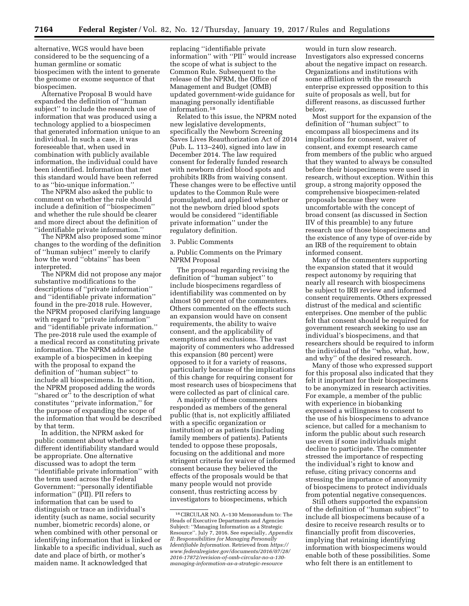alternative, WGS would have been considered to be the sequencing of a human germline or somatic biospecimen with the intent to generate the genome or exome sequence of that biospecimen.

Alternative Proposal B would have expanded the definition of ''human subject'' to include the research use of information that was produced using a technology applied to a biospecimen that generated information unique to an individual. In such a case, it was foreseeable that, when used in combination with publicly available information, the individual could have been identified. Information that met this standard would have been referred to as ''bio-unique information.''

The NPRM also asked the public to comment on whether the rule should include a definition of ''biospecimen'' and whether the rule should be clearer and more direct about the definition of ''identifiable private information.''

The NPRM also proposed some minor changes to the wording of the definition of ''human subject'' merely to clarify how the word ''obtains'' has been interpreted.

The NPRM did not propose any major substantive modifications to the descriptions of ''private information'' and ''identifiable private information'' found in the pre-2018 rule. However, the NPRM proposed clarifying language with regard to ''private information'' and ''identifiable private information.'' The pre-2018 rule used the example of a medical record as constituting private information. The NPRM added the example of a biospecimen in keeping with the proposal to expand the definition of ''human subject'' to include all biospecimens. In addition, the NPRM proposed adding the words ''shared or'' to the description of what constitutes ''private information,'' for the purpose of expanding the scope of the information that would be described by that term.

In addition, the NPRM asked for public comment about whether a different identifiability standard would be appropriate. One alternative discussed was to adopt the term ''identifiable private information'' with the term used across the Federal Government: ''personally identifiable information'' (PII). PII refers to information that can be used to distinguish or trace an individual's identity (such as name, social security number, biometric records) alone, or when combined with other personal or identifying information that is linked or linkable to a specific individual, such as date and place of birth, or mother's maiden name. It acknowledged that

replacing ''identifiable private information'' with ''PII'' would increase the scope of what is subject to the Common Rule. Subsequent to the release of the NPRM, the Office of Management and Budget (OMB) updated government-wide guidance for managing personally identifiable information.18

Related to this issue, the NPRM noted new legislative developments, specifically the Newborn Screening Saves Lives Reauthorization Act of 2014 (Pub. L. 113–240), signed into law in December 2014. The law required consent for federally funded research with newborn dried blood spots and prohibits IRBs from waiving consent. These changes were to be effective until updates to the Common Rule were promulgated, and applied whether or not the newborn dried blood spots would be considered ''identifiable private information'' under the regulatory definition.

#### 3. Public Comments

a. Public Comments on the Primary NPRM Proposal

The proposal regarding revising the definition of ''human subject'' to include biospecimens regardless of identifiability was commented on by almost 50 percent of the commenters. Others commented on the effects such an expansion would have on consent requirements, the ability to waive consent, and the applicability of exemptions and exclusions. The vast majority of commenters who addressed this expansion (80 percent) were opposed to it for a variety of reasons, particularly because of the implications of this change for requiring consent for most research uses of biospecimens that were collected as part of clinical care.

A majority of these commenters responded as members of the general public (that is, not explicitly affiliated with a specific organization or institution) or as patients (including family members of patients). Patients tended to oppose these proposals, focusing on the additional and more stringent criteria for waiver of informed consent because they believed the effects of the proposals would be that many people would not provide consent, thus restricting access by investigators to biospecimens, which

would in turn slow research. Investigators also expressed concerns about the negative impact on research. Organizations and institutions with some affiliation with the research enterprise expressed opposition to this suite of proposals as well, but for different reasons, as discussed further below.

Most support for the expansion of the definition of ''human subject'' to encompass all biospecimens and its implications for consent, waiver of consent, and exempt research came from members of the public who argued that they wanted to always be consulted before their biospecimens were used in research, without exception. Within this group, a strong majority opposed the comprehensive biospecimen-related proposals because they were uncomfortable with the concept of broad consent (as discussed in Section IIV of this preamble) to any future research use of those biospecimens and the existence of any type of over-ride by an IRB of the requirement to obtain informed consent.

Many of the commenters supporting the expansion stated that it would respect autonomy by requiring that nearly all research with biospecimens be subject to IRB review and informed consent requirements. Others expressed distrust of the medical and scientific enterprises. One member of the public felt that consent should be required for government research seeking to use an individual's biospecimens, and that researchers should be required to inform the individual of the ''who, what, how, and why'' of the desired research.

Many of those who expressed support for this proposal also indicated that they felt it important for their biospecimens to be anonymized in research activities. For example, a member of the public with experience in biobanking expressed a willingness to consent to the use of his biospecimens to advance science, but called for a mechanism to inform the public about such research use even if some individuals might decline to participate. The commenter stressed the importance of respecting the individual's right to know and refuse, citing privacy concerns and stressing the importance of anonymity of biospecimens to protect individuals from potential negative consequences.

Still others supported the expansion of the definition of ''human subject'' to include all biospecimens because of a desire to receive research results or to financially profit from discoveries, implying that retaining identifying information with biospecimens would enable both of these possibilities. Some who felt there is an entitlement to

<sup>18</sup>CIRCULAR NO. A–130 Memorandum to: The Heads of Executive Departments and Agencies Subject: ''Managing Information as a Strategic Resource''. July 7, 2016. See especially, *Appendix II: Responsibilities for Managing Personally Identifiable Information.* Retrieved from *[https://](https://www.federalregister.gov/documents/2016/07/28/2016-17872/revision-of-omb-circular-no-a-130-managing-information-as-a-strategic-resource) [www.federalregister.gov/documents/2016/07/28/](https://www.federalregister.gov/documents/2016/07/28/2016-17872/revision-of-omb-circular-no-a-130-managing-information-as-a-strategic-resource) [2016-17872/revision-of-omb-circular-no-a-130](https://www.federalregister.gov/documents/2016/07/28/2016-17872/revision-of-omb-circular-no-a-130-managing-information-as-a-strategic-resource)  [managing-information-as-a-strategic-resource](https://www.federalregister.gov/documents/2016/07/28/2016-17872/revision-of-omb-circular-no-a-130-managing-information-as-a-strategic-resource)*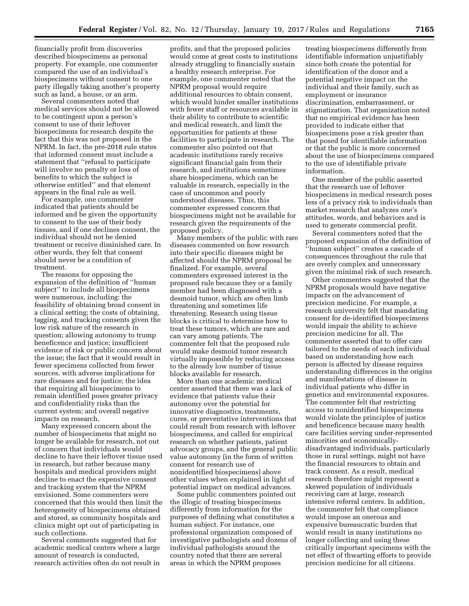financially profit from discoveries described biospecimens as personal property. For example, one commenter compared the use of an individual's biospecimens without consent to one party illegally taking another's property such as land, a house, or an arm.

Several commenters noted that medical services should not be allowed to be contingent upon a person's consent to use of their leftover biospecimens for research despite the fact that this was not proposed in the NPRM. In fact, the pre-2018 rule states that informed consent must include a statement that ''refusal to participate will involve no penalty or loss of benefits to which the subject is otherwise entitled'' and that element appears in the final rule as well.

For example, one commenter indicated that patients should be informed and be given the opportunity to consent to the use of their body tissues, and if one declines consent, the individual should not be denied treatment or receive diminished care. In other words, they felt that consent should never be a condition of treatment.

The reasons for opposing the expansion of the definition of ''human subject'' to include all biospecimens were numerous, including: the feasibility of obtaining broad consent in a clinical setting; the costs of obtaining, tagging, and tracking consents given the low risk nature of the research in question; allowing autonomy to trump beneficence and justice; insufficient evidence of risk or public concern about the issue; the fact that it would result in fewer specimens collected from fewer sources, with adverse implications for rare diseases and for justice; the idea that requiring all biospecimens to remain identified poses greater privacy and confidentiality risks than the current system; and overall negative impacts on research.

Many expressed concern about the number of biospecimens that might no longer be available for research, not out of concern that individuals would decline to have their leftover tissue used in research, but rather because many hospitals and medical providers might decline to enact the expensive consent and tracking system that the NPRM envisioned. Some commenters were concerned that this would then limit the heterogeneity of biospecimens obtained and stored, as community hospitals and clinics might opt out of participating in such collections.

Several comments suggested that for academic medical centers where a large amount of research is conducted, research activities often do not result in

profits, and that the proposed policies would come at great costs to institutions already struggling to financially sustain a healthy research enterprise. For example, one commenter noted that the NPRM proposal would require additional resources to obtain consent, which would hinder smaller institutions with fewer staff or resources available in their ability to contribute to scientific and medical research, and limit the opportunities for patients at these facilities to participate in research. The commenter also pointed out that academic institutions rarely receive significant financial gain from their research, and institutions sometimes share biospecimens, which can be valuable in research, especially in the case of uncommon and poorly understood diseases. Thus, this commenter expressed concern that biospecimens might not be available for research given the requirements of the proposed policy.

Many members of the public with rare diseases commented on how research into their specific diseases might be affected should the NPRM proposal be finalized. For example, several commenters expressed interest in the proposed rule because they or a family member had been diagnosed with a desmoid tumor, which are often limb threatening and sometimes life threatening. Research using tissue blocks is critical to determine how to treat these tumors, which are rare and can vary among patients. The commenter felt that the proposed rule would make desmoid tumor research virtually impossible by reducing access to the already low number of tissue blocks available for research.

More than one academic medical center asserted that there was a lack of evidence that patients value their autonomy over the potential for innovative diagnostics, treatments, cures, or preventative interventions that could result from research with leftover biospecimens, and called for empirical research on whether patients, patient advocacy groups, and the general public value autonomy (in the form of written consent for research use of nonidentified biospecimens) above other values when explained in light of potential impact on medical advances.

Some public commenters pointed out the illogic of treating biospecimens differently from information for the purposes of defining what constitutes a human subject. For instance, one professional organization composed of investigative pathologists and dozens of individual pathologists around the country noted that there are several areas in which the NPRM proposes

treating biospecimens differently from identifiable information unjustifiably since both create the potential for identification of the donor and a potential negative impact on the individual and their family, such as employment or insurance discrimination, embarrassment, or stigmatization. That organization noted that no empirical evidence has been provided to indicate either that biospecimens pose a risk greater than that posed for identifiable information or that the public is more concerned about the use of biospecimens compared to the use of identifiable private information.

One member of the public asserted that the research use of leftover biospecimens in medical research poses less of a privacy risk to individuals than market research that analyzes one's attitudes, words, and behaviors and is used to generate commercial profit.

Several commenters noted that the proposed expansion of the definition of ''human subject'' creates a cascade of consequences throughout the rule that are overly complex and unnecessary given the minimal risk of such research.

Other commenters suggested that the NPRM proposals would have negative impacts on the advancement of precision medicine. For example, a research university felt that mandating consent for de-identified biospecimens would impair the ability to achieve precision medicine for all. The commenter asserted that to offer care tailored to the needs of each individual based on understanding how each person is affected by disease requires understanding differences in the origins and manifestations of disease in individual patients who differ in genetics and environmental exposures. The commenter felt that restricting access to nonidentified biospecimens would violate the principles of justice and beneficence because many health care facilities serving under-represented minorities and economicallydisadvantaged individuals, particularly those in rural settings, might not have the financial resources to obtain and track consent. As a result, medical research therefore might represent a skewed population of individuals receiving care at large, research intensive referral centers. In addition, the commenter felt that compliance would impose an onerous and expensive bureaucratic burden that would result in many institutions no longer collecting and using these critically important specimens with the net effect of thwarting efforts to provide precision medicine for all citizens.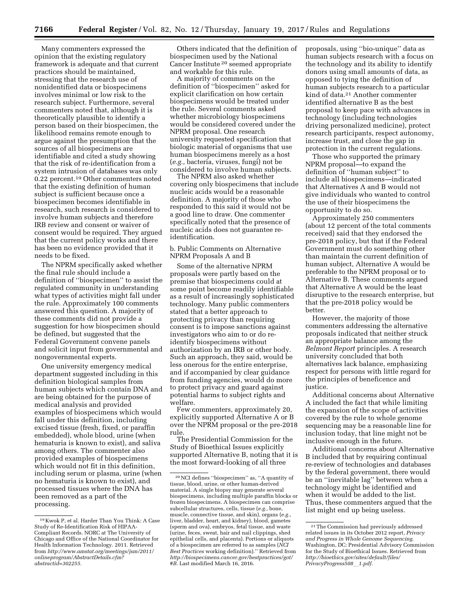Many commenters expressed the opinion that the existing regulatory framework is adequate and that current practices should be maintained, stressing that the research use of nonidentified data or biospecimens involves minimal or low risk to the research subject. Furthermore, several commenters noted that, although it is theoretically plausible to identify a person based on their biospecimen, the likelihood remains remote enough to argue against the presumption that the sources of all biospecimens are identifiable and cited a study showing that the risk of re-identification from a system intrusion of databases was only 0.22 percent.19 Other commenters noted that the existing definition of human subject is sufficient because once a biospecimen becomes identifiable in research, such research is considered to involve human subjects and therefore IRB review and consent or waiver of consent would be required. They argued that the current policy works and there has been no evidence provided that it needs to be fixed.

The NPRM specifically asked whether the final rule should include a definition of ''biospecimen'' to assist the regulated community in understanding what types of activities might fall under the rule. Approximately 100 comments answered this question. A majority of these comments did not provide a suggestion for how biospecimen should be defined, but suggested that the Federal Government convene panels and solicit input from governmental and nongovernmental experts.

One university emergency medical department suggested including in this definition biological samples from human subjects which contain DNA and are being obtained for the purpose of medical analysis and provided examples of biospecimens which would fall under this definition, including excised tissue (fresh, fixed, or paraffin embedded), whole blood, urine (when hematuria is known to exist), and saliva among others. The commenter also provided examples of biospecimens which would not fit in this definition, including serum or plasma, urine (when no hematuria is known to exist), and processed tissues where the DNA has been removed as a part of the processing.

Others indicated that the definition of biospecimen used by the National Cancer Institute 20 seemed appropriate and workable for this rule.

A majority of comments on the definition of ''biospecimen'' asked for explicit clarification on how certain biospecimens would be treated under the rule. Several comments asked whether microbiology biospecimens would be considered covered under the NPRM proposal. One research university requested specification that biologic material of organisms that use human biospecimens merely as a host (*e.g.,* bacteria, viruses, fungi) not be considered to involve human subjects.

The NPRM also asked whether covering only biospecimens that include nucleic acids would be a reasonable definition. A majority of those who responded to this said it would not be a good line to draw. One commenter specifically noted that the presence of nucleic acids does not guarantee reidentification.

b. Public Comments on Alternative NPRM Proposals A and B

Some of the alternative NPRM proposals were partly based on the premise that biospecimens could at some point become readily identifiable as a result of increasingly sophisticated technology. Many public commenters stated that a better approach to protecting privacy than requiring consent is to impose sanctions against investigators who aim to or do reidentify biospecimens without authorization by an IRB or other body. Such an approach, they said, would be less onerous for the entire enterprise, and if accompanied by clear guidance from funding agencies, would do more to protect privacy and guard against potential harms to subject rights and welfare.

Few commenters, approximately 20, explicitly supported Alternative A or B over the NPRM proposal or the pre-2018 rule.

The Presidential Commission for the Study of Bioethical Issues explicitly supported Alternative B, noting that it is the most forward-looking of all three

proposals, using ''bio-unique'' data as human subjects research with a focus on the technology and its ability to identify donors using small amounts of data, as opposed to tying the definition of human subjects research to a particular kind of data.21 Another commenter identified alternative B as the best proposal to keep pace with advances in technology (including technologies driving personalized medicine), protect research participants, respect autonomy, increase trust, and close the gap in protection in the current regulations.

Those who supported the primary NPRM proposal—to expand the definition of ''human subject'' to include all biospecimens—indicated that Alternatives A and B would not give individuals who wanted to control the use of their biospecimens the opportunity to do so.

Approximately 250 commenters (about 12 percent of the total comments received) said that they endorsed the pre-2018 policy, but that if the Federal Government must do something other than maintain the current definition of human subject, Alternative A would be preferable to the NPRM proposal or to Alternative B. These comments argued that Alternative A would be the least disruptive to the research enterprise, but that the pre-2018 policy would be better.

However, the majority of those commenters addressing the alternative proposals indicated that neither struck an appropriate balance among the *Belmont Report* principles. A research university concluded that both alternatives lack balance, emphasizing respect for persons with little regard for the principles of beneficence and justice.

Additional concerns about Alternative A included the fact that while limiting the expansion of the scope of activities covered by the rule to whole genome sequencing may be a reasonable line for inclusion today, that line might not be inclusive enough in the future.

Additional concerns about Alternative B included that by requiring continual re-review of technologies and databases by the federal government, there would be an ''inevitable lag'' between when a technology might be identified and when it would be added to the list. Thus, these commenters argued that the list might end up being useless.

<sup>19</sup> Kwok P, et al. Harder Than You Think: A Case Study of Re-Identification Risk of HIPAA-Compliant Records. NORC at The University of Chicago and Office of the National Coordinator for Health Information Technology. 2011. Retrieved from *[http://www.amstat.org/meetings/jsm/2011/](http://www.amstat.org/meetings/jsm/2011/onlineprogram/AbstractDetails.cfm?abstractid=302255)  [onlineprogram/AbstractDetails.cfm?](http://www.amstat.org/meetings/jsm/2011/onlineprogram/AbstractDetails.cfm?abstractid=302255) [abstractid=302255.](http://www.amstat.org/meetings/jsm/2011/onlineprogram/AbstractDetails.cfm?abstractid=302255)* 

<sup>20</sup>NCI defines ''biospecimen'' as, ''A quantity of tissue, blood, urine, or other human-derived material. A single biopsy may generate several biospecimens, including multiple paraffin blocks or frozen biospecimens. A biospecimen can comprise subcellular structures, cells, tissue (*e.g.,* bone, muscle, connective tissue, and skin), organs (*e.g.,*  liver, bladder, heart, and kidney), blood, gametes (sperm and ova), embryos, fetal tissue, and waste (urine, feces, sweat, hair and nail clippings, shed epithelial cells, and placenta). Portions or aliquots of a biospecimen are referred to as samples (*NCI Best Practices* working definition).'' Retrieved from *[http://biospecimens.cancer.gov/bestpractices/got/](http://biospecimens.cancer.gov/bestpractices/got/#B) [#B](http://biospecimens.cancer.gov/bestpractices/got/#B)*. Last modified March 16, 2016.

<sup>21</sup>The Commission had previously addressed related issues in its October 2012 report, *Privacy and Progress in Whole Genome Sequencing.*  Washington, DC: Presidential Advisory Commission for the Study of Bioethical Issues. Retrieved from *[http://bioethics.gov/sites/default/files/](http://bioethics.gov/sites/default/files/PrivacyProgress508_1.pdf)  [PrivacyProgress508](http://bioethics.gov/sites/default/files/PrivacyProgress508_1.pdf)*l*1.pdf.*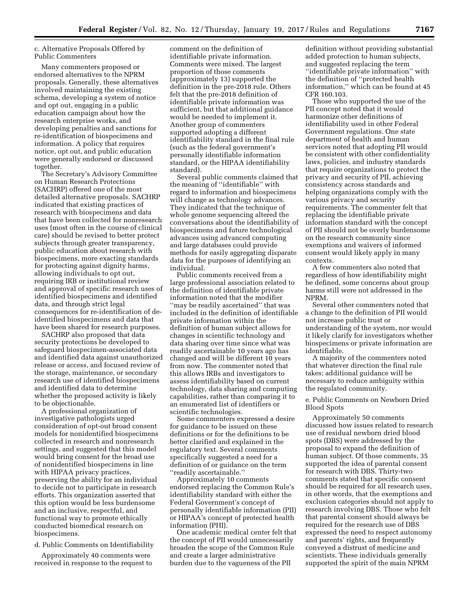### c. Alternative Proposals Offered by Public Commenters

Many commenters proposed or endorsed alternatives to the NPRM proposals. Generally, these alternatives involved maintaining the existing schema, developing a system of notice and opt out, engaging in a public education campaign about how the research enterprise works, and developing penalties and sanctions for re-identification of biospecimens and information. A policy that requires notice, opt out, and public education were generally endorsed or discussed together.

The Secretary's Advisory Committee on Human Research Protections (SACHRP) offered one of the most detailed alternative proposals. SACHRP indicated that existing practices of research with biospecimens and data that have been collected for nonresearch uses (most often in the course of clinical care) should be revised to better protect subjects through greater transparency, public education about research with biospecimens, more exacting standards for protecting against dignity harms, allowing individuals to opt out, requiring IRB or institutional review and approval of specific research uses of identified biospecimens and identified data, and through strict legal consequences for re-identification of deidentified biospecimens and data that have been shared for research purposes.

SACHRP also proposed that data security protections be developed to safeguard biospecimen-associated data and identified data against unauthorized release or access, and focused review of the storage, maintenance, or secondary research use of identified biospecimens and identified data to determine whether the proposed activity is likely to be objectionable.

A professional organization of investigative pathologists urged consideration of opt-out broad consent models for nonidentified biospecimens collected in research and nonresearch settings, and suggested that this model would bring consent for the broad use of nonidentified biospecimens in line with HIPAA privacy practices, preserving the ability for an individual to decide not to participate in research efforts. This organization asserted that this option would be less burdensome and an inclusive, respectful, and functional way to promote ethically conducted biomedical research on biospecimens.

d. Public Comments on Identifiability

Approximately 40 comments were received in response to the request to

comment on the definition of identifiable private information. Comments were mixed. The largest proportion of those comments (approximately 13) supported the definition in the pre-2018 rule. Others felt that the pre-2018 definition of identifiable private information was sufficient, but that additional guidance would be needed to implement it. Another group of commenters supported adopting a different identifiability standard in the final rule (such as the federal government's personally identifiable information standard, or the HIPAA identifiability standard).

Several public comments claimed that the meaning of ''identifiable'' with regard to information and biospecimens will change as technology advances. They indicated that the technique of whole genome sequencing altered the conversations about the identifiability of biospecimens and future technological advances using advanced computing and large databases could provide methods for easily aggregating disparate data for the purposes of identifying an individual.

Public comments received from a large professional association related to the definition of identifiable private information noted that the modifier ''may be readily ascertained'' that was included in the definition of identifiable private information within the definition of human subject allows for changes in scientific technology and data sharing over time since what was readily ascertainable 10 years ago has changed and will be different 10 years from now. The commenter noted that this allows IRBs and investigators to assess identifiability based on current technology, data sharing and computing capabilities, rather than comparing it to an enumerated list of identifiers or scientific technologies.

Some commenters expressed a desire for guidance to be issued on these definitions or for the definitions to be better clarified and explained in the regulatory text. Several comments specifically suggested a need for a definition of or guidance on the term ''readily ascertainable.''

Approximately 10 comments endorsed replacing the Common Rule's identifiability standard with either the Federal Government's concept of personally identifiable information (PII) or HIPAA's concept of protected health information (PHI).

One academic medical center felt that the concept of PII would unnecessarily broaden the scope of the Common Rule and create a larger administrative burden due to the vagueness of the PII

definition without providing substantial added protection to human subjects, and suggested replacing the term ''identifiable private information'' with the definition of ''protected health information,'' which can be found at 45 CFR 160.103.

Those who supported the use of the PII concept noted that it would harmonize other definitions of identifiability used in other Federal Government regulations. One state department of health and human services noted that adopting PII would be consistent with other confidentiality laws, policies, and industry standards that require organizations to protect the privacy and security of PII, achieving consistency across standards and helping organizations comply with the various privacy and security requirements. The commenter felt that replacing the identifiable private information standard with the concept of PII should not be overly burdensome on the research community since exemptions and waivers of informed consent would likely apply in many contexts.

A few commenters also noted that regardless of how identifiability might be defined, some concerns about group harms still were not addressed in the NPRM.

Several other commenters noted that a change to the definition of PII would not increase public trust or understanding of the system, nor would it likely clarify for investigators whether biospecimens or private information are identifiable.

A majority of the commenters noted that whatever direction the final rule takes; additional guidance will be necessary to reduce ambiguity within the regulated community.

e. Public Comments on Newborn Dried Blood Spots

Approximately 50 comments discussed how issues related to research use of residual newborn dried blood spots (DBS) were addressed by the proposal to expand the definition of human subject. Of those comments, 35 supported the idea of parental consent for research with DBS. Thirty-two comments stated that specific consent should be required for all research uses, in other words, that the exemptions and exclusion categories should not apply to research involving DBS. Those who felt that parental consent should always be required for the research use of DBS expressed the need to respect autonomy and parents' rights, and frequently conveyed a distrust of medicine and scientists. These individuals generally supported the spirit of the main NPRM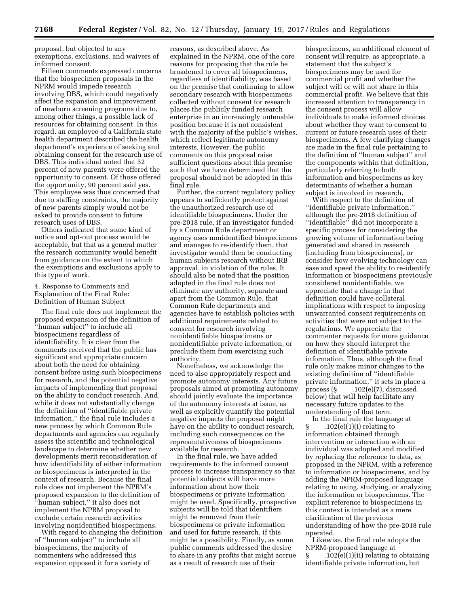proposal, but objected to any exemptions, exclusions, and waivers of informed consent.

Fifteen comments expressed concerns that the biospecimen proposals in the NPRM would impede research involving DBS, which could negatively affect the expansion and improvement of newborn screening programs due to, among other things, a possible lack of resources for obtaining consent. In this regard, an employee of a California state health department described the health department's experience of seeking and obtaining consent for the research use of DBS. This individual noted that 52 percent of new parents were offered the opportunity to consent. Of those offered the opportunity, 90 percent said yes. This employee was thus concerned that due to staffing constraints, the majority of new parents simply would not be asked to provide consent to future research uses of DBS.

Others indicated that some kind of notice and opt-out process would be acceptable, but that as a general matter the research community would benefit from guidance on the extent to which the exemptions and exclusions apply to this type of work.

4. Response to Comments and Explanation of the Final Rule: Definition of Human Subject

The final rule does not implement the proposed expansion of the definition of ''human subject'' to include all biospecimens regardless of identifiability. It is clear from the comments received that the public has significant and appropriate concern about both the need for obtaining consent before using such biospecimens for research, and the potential negative impacts of implementing that proposal on the ability to conduct research. And, while it does not substantially change the definition of ''identifiable private information,'' the final rule includes a new process by which Common Rule departments and agencies can regularly assess the scientific and technological landscape to determine whether new developments merit reconsideration of how identifiability of either information or biospecimens is interpreted in the context of research. Because the final rule does not implement the NPRM's proposed expansion to the definition of ''human subject,'' it also does not implement the NPRM proposal to exclude certain research activities involving nonidentified biospecimens.

With regard to changing the definition of ''human subject'' to include all biospecimens, the majority of commenters who addressed this expansion opposed it for a variety of

reasons, as described above. As explained in the NPRM, one of the core reasons for proposing that the rule be broadened to cover all biospecimens, regardless of identifiability, was based on the premise that continuing to allow secondary research with biospecimens collected without consent for research places the publicly funded research enterprise in an increasingly untenable position because it is not consistent with the majority of the public's wishes, which reflect legitimate autonomy interests. However, the public comments on this proposal raise sufficient questions about this premise such that we have determined that the proposal should not be adopted in this final rule.

Further, the current regulatory policy appears to sufficiently protect against the unauthorized research use of identifiable biospecimens. Under the pre-2018 rule, if an investigator funded by a Common Rule department or agency uses nonidentified biospecimens and manages to re-identify them, that investigator would then be conducting human subjects research without IRB approval, in violation of the rules. It should also be noted that the position adopted in the final rule does not eliminate any authority, separate and apart from the Common Rule, that Common Rule departments and agencies have to establish policies with additional requirements related to consent for research involving nonidentifiable biospecimens or nonidentifiable private information, or preclude them from exercising such authority.

Nonetheless, we acknowledge the need to also appropriately respect and promote autonomy interests. Any future proposals aimed at promoting autonomy should jointly evaluate the importance of the autonomy interests at issue, as well as explicitly quantify the potential negative impacts the proposal might have on the ability to conduct research, including such consequences on the representativeness of biospecimens available for research.

In the final rule, we have added requirements to the informed consent process to increase transparency so that potential subjects will have more information about how their biospecimens or private information might be used. Specifically, prospective subjects will be told that identifiers might be removed from their biospecimens or private information and used for future research, if this might be a possibility. Finally, as some public comments addressed the desire to share in any profits that might accrue as a result of research use of their

biospecimens, an additional element of consent will require, as appropriate, a statement that the subject's biospecimens may be used for commercial profit and whether the subject will or will not share in this commercial profit. We believe that this increased attention to transparency in the consent process will allow individuals to make informed choices about whether they want to consent to current or future research uses of their biospecimens. A few clarifying changes are made in the final rule pertaining to the definition of ''human subject'' and the components within that definition, particularly referring to both information and biospecimens as key determinants of whether a human subject is involved in research.

With respect to the definition of ''identifiable private information,'' although the pre-2018 definition of ''identifiable'' did not incorporate a specific process for considering the growing volume of information being generated and shared in research (including from biospecimens), or consider how evolving technology can ease and speed the ability to re-identify information or biospecimens previously considered nonidentifiable, we appreciate that a change in that definition could have collateral implications with respect to imposing unwarranted consent requirements on activities that were not subject to the regulations. We appreciate the commenter requests for more guidance on how they should interpret the definition of identifiable private information. Thus, although the final rule only makes minor changes to the existing definition of ''identifiable private information,'' it sets in place a process (§ \_\_\_\_.102(e)(7), discussed<br>below) that will help facilitate any necessary future updates to the understanding of that term.

In the final rule the language at  $\S$  .102(e)(1)(i) relating to information obtained through intervention or interaction with an individual was adopted and modified by replacing the reference to data, as proposed in the NPRM, with a reference to information or biospecimens, and by adding the NPRM-proposed language relating to using, studying, or analyzing the information or biospecimens. The explicit reference to biospecimens in this context is intended as a mere clarification of the previous understanding of how the pre-2018 rule operated.

Likewise, the final rule adopts the NPRM-proposed language at  $.102(e)(1)(ii)$  relating to obtaining identifiable private information, but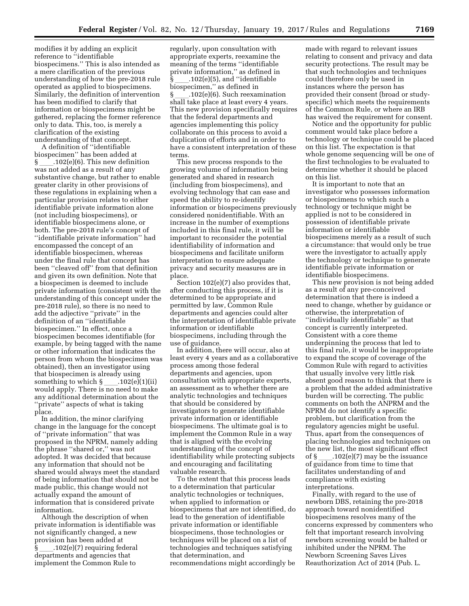modifies it by adding an explicit reference to ''identifiable biospecimens.'' This is also intended as a mere clarification of the previous understanding of how the pre-2018 rule operated as applied to biospecimens. Similarly, the definition of intervention has been modified to clarify that information or biospecimens might be gathered, replacing the former reference only to data. This, too, is merely a clarification of the existing understanding of that concept.

A definition of ''identifiable biospecimen'' has been added at  $\S$  . 102(e)(6). This new definition was not added as a result of any substantive change, but rather to enable greater clarity in other provisions of these regulations in explaining when a particular provision relates to either identifiable private information alone (not including biospecimens), or identifiable biospecimens alone, or both. The pre-2018 rule's concept of ''identifiable private information'' had encompassed the concept of an identifiable biospecimen, whereas under the final rule that concept has been ''cleaved off'' from that definition and given its own definition. Note that a biospecimen is deemed to include private information (consistent with the understanding of this concept under the pre-2018 rule), so there is no need to add the adjective ''private'' in the definition of an ''identifiable biospecimen.'' In effect, once a biospecimen becomes identifiable (for example, by being tagged with the name or other information that indicates the person from whom the biospecimen was obtained), then an investigator using that biospecimen is already using<br>something to which  $\S$  .102(e)(1)(ii) something to which § \_\_\_\_.102(e)(1)(ii)<br>would apply. There is no need to make any additional determination about the ''private'' aspects of what is taking place.

In addition, the minor clarifying change in the language for the concept of ''private information'' that was proposed in the NPRM, namely adding the phrase ''shared or,'' was not adopted. It was decided that because any information that should not be shared would always meet the standard of being information that should not be made public, this change would not actually expand the amount of information that is considered private information.

Although the description of when private information is identifiable was not significantly changed, a new provision has been added at

§ ll.102(e)(7) requiring federal departments and agencies that implement the Common Rule to

regularly, upon consultation with appropriate experts, reexamine the meaning of the terms ''identifiable private information,'' as defined in § \_\_\_\_.102(e)(5), and ''identifiable<br>biospecimen '' as defined in biospecimen,'' as defined in § ll.102(e)(6). Such reexamination shall take place at least every 4 years. This new provision specifically requires that the federal departments and agencies implementing this policy collaborate on this process to avoid a duplication of efforts and in order to have a consistent interpretation of these terms.

This new process responds to the growing volume of information being generated and shared in research (including from biospecimens), and evolving technology that can ease and speed the ability to re-identify information or biospecimens previously considered nonidentifiable. With an increase in the number of exemptions included in this final rule, it will be important to reconsider the potential identifiability of information and biospecimens and facilitate uniform interpretation to ensure adequate privacy and security measures are in place.

Section 102(e)(7) also provides that, after conducting this process, if it is determined to be appropriate and permitted by law, Common Rule departments and agencies could alter the interpretation of identifiable private information or identifiable biospecimens, including through the use of guidance.

In addition, there will occur, also at least every 4 years and as a collaborative process among those federal departments and agencies, upon consultation with appropriate experts, an assessment as to whether there are analytic technologies and techniques that should be considered by investigators to generate identifiable private information or identifiable biospecimens. The ultimate goal is to implement the Common Rule in a way that is aligned with the evolving understanding of the concept of identifiability while protecting subjects and encouraging and facilitating valuable research.

To the extent that this process leads to a determination that particular analytic technologies or techniques, when applied to information or biospecimens that are not identified, do lead to the generation of identifiable private information or identifiable biospecimens, those technologies or techniques will be placed on a list of technologies and techniques satisfying that determination, and recommendations might accordingly be

made with regard to relevant issues relating to consent and privacy and data security protections. The result may be that such technologies and techniques could therefore only be used in instances where the person has provided their consent (broad or studyspecific) which meets the requirements of the Common Rule, or where an IRB has waived the requirement for consent.

Notice and the opportunity for public comment would take place before a technology or technique could be placed on this list. The expectation is that whole genome sequencing will be one of the first technologies to be evaluated to determine whether it should be placed on this list.

It is important to note that an investigator who possesses information or biospecimens to which such a technology or technique might be applied is not to be considered in possession of identifiable private information or identifiable biospecimens merely as a result of such a circumstance: that would only be true were the investigator to actually apply the technology or technique to generate identifiable private information or identifiable biospecimens.

This new provision is not being added as a result of any pre-conceived determination that there is indeed a need to change, whether by guidance or otherwise, the interpretation of ''individually identifiable'' as that concept is currently interpreted. Consistent with a core theme underpinning the process that led to this final rule, it would be inappropriate to expand the scope of coverage of the Common Rule with regard to activities that usually involve very little risk absent good reason to think that there is a problem that the added administrative burden will be correcting. The public comments on both the ANPRM and the NPRM do not identify a specific problem, but clarification from the regulatory agencies might be useful. Thus, apart from the consequences of placing technologies and techniques on the new list, the most significant effect of  $\S$  .102(e)(7) may be the issuance of guidance from time to time that facilitates understanding of and compliance with existing interpretations.

Finally, with regard to the use of newborn DBS, retaining the pre-2018 approach toward nonidentified biospecimens resolves many of the concerns expressed by commenters who felt that important research involving newborn screening would be halted or inhibited under the NPRM. The Newborn Screening Saves Lives Reauthorization Act of 2014 (Pub. L.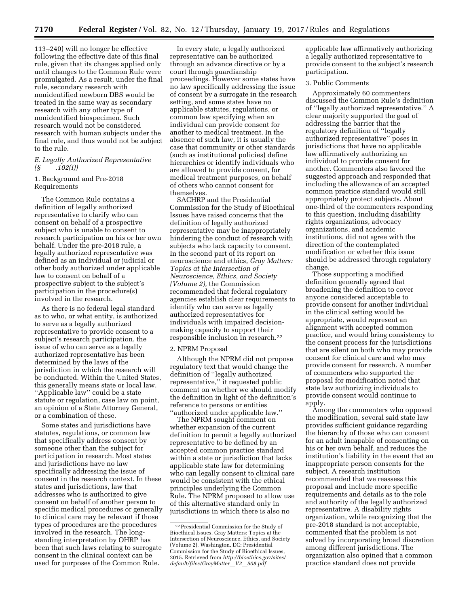113–240) will no longer be effective following the effective date of this final rule, given that its changes applied only until changes to the Common Rule were promulgated. As a result, under the final rule, secondary research with nonidentified newborn DBS would be treated in the same way as secondary research with any other type of nonidentified biospecimen. Such research would not be considered research with human subjects under the final rule, and thus would not be subject to the rule.

*E. Legally Authorized Representative*   $(S \t 102(i))$ 

### 1. Background and Pre-2018 Requirements

The Common Rule contains a definition of legally authorized representative to clarify who can consent on behalf of a prospective subject who is unable to consent to research participation on his or her own behalf. Under the pre-2018 rule, a legally authorized representative was defined as an individual or judicial or other body authorized under applicable law to consent on behalf of a prospective subject to the subject's participation in the procedure(s) involved in the research.

As there is no federal legal standard as to who, or what entity, is authorized to serve as a legally authorized representative to provide consent to a subject's research participation, the issue of who can serve as a legally authorized representative has been determined by the laws of the jurisdiction in which the research will be conducted. Within the United States, this generally means state or local law. ''Applicable law'' could be a state statute or regulation, case law on point, an opinion of a State Attorney General, or a combination of these.

Some states and jurisdictions have statutes, regulations, or common law that specifically address consent by someone other than the subject for participation in research. Most states and jurisdictions have no law specifically addressing the issue of consent in the research context. In these states and jurisdictions, law that addresses who is authorized to give consent on behalf of another person to specific medical procedures or generally to clinical care may be relevant if those types of procedures are the procedures involved in the research. The longstanding interpretation by OHRP has been that such laws relating to surrogate consent in the clinical context can be used for purposes of the Common Rule.

In every state, a legally authorized representative can be authorized through an advance directive or by a court through guardianship proceedings. However some states have no law specifically addressing the issue of consent by a surrogate in the research setting, and some states have no applicable statutes, regulations, or common law specifying when an individual can provide consent for another to medical treatment. In the absence of such law, it is usually the case that community or other standards (such as institutional policies) define hierarchies or identify individuals who are allowed to provide consent, for medical treatment purposes, on behalf of others who cannot consent for themselves.

SACHRP and the Presidential Commission for the Study of Bioethical Issues have raised concerns that the definition of legally authorized representative may be inappropriately hindering the conduct of research with subjects who lack capacity to consent. In the second part of its report on neuroscience and ethics, *Gray Matters: Topics at the Intersection of Neuroscience, Ethics, and Society (Volume 2),* the Commission recommended that federal regulatory agencies establish clear requirements to identify who can serve as legally authorized representatives for individuals with impaired decisionmaking capacity to support their responsible inclusion in research.22

#### 2. NPRM Proposal

Although the NPRM did not propose regulatory text that would change the definition of ''legally authorized representative,'' it requested public comment on whether we should modify the definition in light of the definition's reference to persons or entities 'authorized under applicable law."

The NPRM sought comment on whether expansion of the current definition to permit a legally authorized representative to be defined by an accepted common practice standard within a state or jurisdiction that lacks applicable state law for determining who can legally consent to clinical care would be consistent with the ethical principles underlying the Common Rule. The NPRM proposed to allow use of this alternative standard only in jurisdictions in which there is also no

applicable law affirmatively authorizing a legally authorized representative to provide consent to the subject's research participation.

### 3. Public Comments

Approximately 60 commenters discussed the Common Rule's definition of ''legally authorized representative.'' A clear majority supported the goal of addressing the barrier that the regulatory definition of ''legally authorized representative'' poses in jurisdictions that have no applicable law affirmatively authorizing an individual to provide consent for another. Commenters also favored the suggested approach and responded that including the allowance of an accepted common practice standard would still appropriately protect subjects. About one-third of the commenters responding to this question, including disability rights organizations, advocacy organizations, and academic institutions, did not agree with the direction of the contemplated modification or whether this issue should be addressed through regulatory change.

Those supporting a modified definition generally agreed that broadening the definition to cover anyone considered acceptable to provide consent for another individual in the clinical setting would be appropriate, would represent an alignment with accepted common practice, and would bring consistency to the consent process for the jurisdictions that are silent on both who may provide consent for clinical care and who may provide consent for research. A number of commenters who supported the proposal for modification noted that state law authorizing individuals to provide consent would continue to apply.

Among the commenters who opposed the modification, several said state law provides sufficient guidance regarding the hierarchy of those who can consent for an adult incapable of consenting on his or her own behalf, and reduces the institution's liability in the event that an inappropriate person consents for the subject. A research institution recommended that we reassess this proposal and include more specific requirements and details as to the role and authority of the legally authorized representative. A disability rights organization, while recognizing that the pre-2018 standard is not acceptable, commented that the problem is not solved by incorporating broad discretion among different jurisdictions. The organization also opined that a common practice standard does not provide

<sup>22</sup>Presidential Commission for the Study of Bioethical Issues. Gray Matters: Topics at the Intersection of Neuroscience, Ethics, and Society (Volume 2). Washington, DC: Presidential Commission for the Study of Bioethical Issues, 2015. Retrieved from *[http://bioethics.gov/sites/](http://bioethics.gov/sites/default/files/GrayMatter_V2_508.pdf)  [default/files/GrayMatter](http://bioethics.gov/sites/default/files/GrayMatter_V2_508.pdf)*l*V2*l*508.pdf*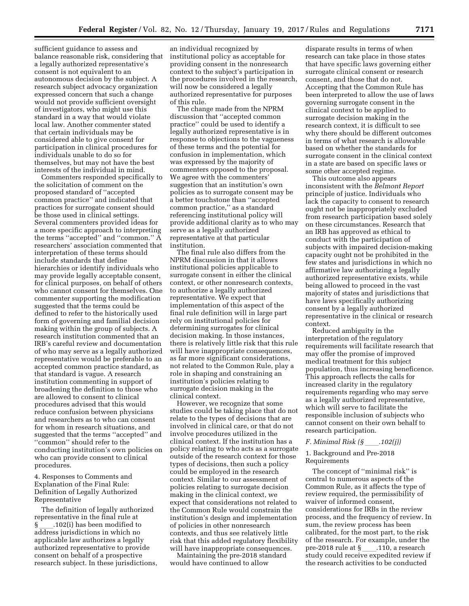sufficient guidance to assess and balance reasonable risk, considering that a legally authorized representative's consent is not equivalent to an autonomous decision by the subject. A research subject advocacy organization expressed concern that such a change would not provide sufficient oversight of investigators, who might use this standard in a way that would violate local law. Another commenter stated that certain individuals may be considered able to give consent for participation in clinical procedures for individuals unable to do so for themselves, but may not have the best interests of the individual in mind.

Commenters responded specifically to the solicitation of comment on the proposed standard of ''accepted common practice'' and indicated that practices for surrogate consent should be those used in clinical settings. Several commenters provided ideas for a more specific approach to interpreting the terms ''accepted'' and ''common.'' A researchers' association commented that interpretation of these terms should include standards that define hierarchies or identify individuals who may provide legally acceptable consent, for clinical purposes, on behalf of others who cannot consent for themselves. One commenter supporting the modification suggested that the terms could be defined to refer to the historically used form of governing and familial decision making within the group of subjects. A research institution commented that an IRB's careful review and documentation of who may serve as a legally authorized representative would be preferable to an accepted common practice standard, as that standard is vague. A research institution commenting in support of broadening the definition to those who are allowed to consent to clinical procedures advised that this would reduce confusion between physicians and researchers as to who can consent for whom in research situations, and suggested that the terms ''accepted'' and ''common'' should refer to the conducting institution's own policies on who can provide consent to clinical procedures.

4. Responses to Comments and Explanation of the Final Rule: Definition of Legally Authorized Representative

The definition of legally authorized representative in the final rule at § ll.102(i) has been modified to address jurisdictions in which no applicable law authorizes a legally authorized representative to provide consent on behalf of a prospective research subject. In these jurisdictions,

an individual recognized by institutional policy as acceptable for providing consent in the nonresearch context to the subject's participation in the procedures involved in the research, will now be considered a legally authorized representative for purposes of this rule.

The change made from the NPRM discussion that ''accepted common practice'' could be used to identify a legally authorized representative is in response to objections to the vagueness of these terms and the potential for confusion in implementation, which was expressed by the majority of commenters opposed to the proposal. We agree with the commenters' suggestion that an institution's own policies as to surrogate consent may be a better touchstone than ''accepted common practice,'' as a standard referencing institutional policy will provide additional clarity as to who may serve as a legally authorized representative at that particular institution.

The final rule also differs from the NPRM discussion in that it allows institutional policies applicable to surrogate consent in either the clinical context, or other nonresearch contexts, to authorize a legally authorized representative. We expect that implementation of this aspect of the final rule definition will in large part rely on institutional policies for determining surrogates for clinical decision making. In those instances, there is relatively little risk that this rule will have inappropriate consequences, as far more significant considerations, not related to the Common Rule, play a role in shaping and constraining an institution's policies relating to surrogate decision making in the clinical context.

However, we recognize that some studies could be taking place that do not relate to the types of decisions that are involved in clinical care, or that do not involve procedures utilized in the clinical context. If the institution has a policy relating to who acts as a surrogate outside of the research context for those types of decisions, then such a policy could be employed in the research context. Similar to our assessment of policies relating to surrogate decision making in the clinical context, we expect that considerations not related to the Common Rule would constrain the institution's design and implementation of policies in other nonresearch contexts, and thus see relatively little risk that this added regulatory flexibility will have inappropriate consequences.

Maintaining the pre-2018 standard would have continued to allow

disparate results in terms of when research can take place in those states that have specific laws governing either surrogate clinical consent or research consent, and those that do not. Accepting that the Common Rule has been interpreted to allow the use of laws governing surrogate consent in the clinical context to be applied to surrogate decision making in the research context, it is difficult to see why there should be different outcomes in terms of what research is allowable based on whether the standards for surrogate consent in the clinical context in a state are based on specific laws or some other accepted regime.

This outcome also appears inconsistent with the *Belmont Report*  principle of justice. Individuals who lack the capacity to consent to research ought not be inappropriately excluded from research participation based solely on these circumstances. Research that an IRB has approved as ethical to conduct with the participation of subjects with impaired decision-making capacity ought not be prohibited in the few states and jurisdictions in which no affirmative law authorizing a legally authorized representative exists, while being allowed to proceed in the vast majority of states and jurisdictions that have laws specifically authorizing consent by a legally authorized representative in the clinical or research context.

Reduced ambiguity in the interpretation of the regulatory requirements will facilitate research that may offer the promise of improved medical treatment for this subject population, thus increasing beneficence. This approach reflects the calls for increased clarity in the regulatory requirements regarding who may serve as a legally authorized representative, which will serve to facilitate the responsible inclusion of subjects who cannot consent on their own behalf to research participation.

#### *F. Minimal Risk (§* .102(*j*))

### 1. Background and Pre-2018 Requirements

The concept of ''minimal risk'' is central to numerous aspects of the Common Rule, as it affects the type of review required, the permissibility of waiver of informed consent, considerations for IRBs in the review process, and the frequency of review. In sum, the review process has been calibrated, for the most part, to the risk of the research. For example, under the pre-2018 rule at §\_\_\_\_.110, a research<br>study could receive expedited review if the research activities to be conducted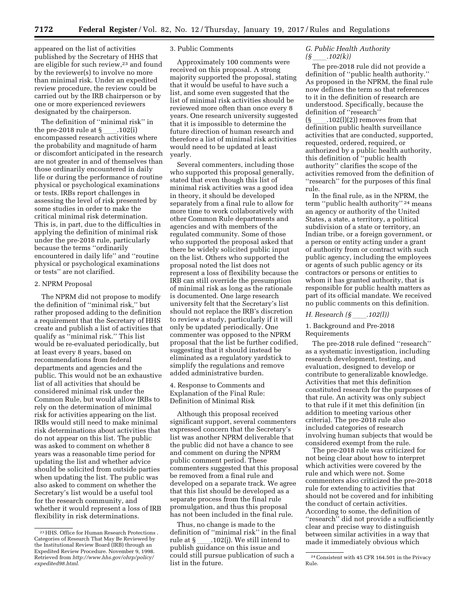appeared on the list of activities published by the Secretary of HHS that are eligible for such review,23 and found by the reviewer(s) to involve no more than minimal risk. Under an expedited review procedure, the review could be carried out by the IRB chairperson or by one or more experienced reviewers designated by the chairperson.

The definition of ''minimal risk'' in the pre-2018 rule at §\_\_\_\_.102(i)<br>encompassed research activities where the probability and magnitude of harm or discomfort anticipated in the research are not greater in and of themselves than those ordinarily encountered in daily life or during the performance of routine physical or psychological examinations or tests. IRBs report challenges in assessing the level of risk presented by some studies in order to make the critical minimal risk determination. This is, in part, due to the difficulties in applying the definition of minimal risk under the pre-2018 rule, particularly because the terms ''ordinarily encountered in daily life'' and ''routine physical or psychological examinations or tests'' are not clarified.

#### 2. NPRM Proposal

The NPRM did not propose to modify the definition of ''minimal risk,'' but rather proposed adding to the definition a requirement that the Secretary of HHS create and publish a list of activities that qualify as ''minimal risk.'' This list would be re-evaluated periodically, but at least every 8 years, based on recommendations from federal departments and agencies and the public. This would not be an exhaustive list of all activities that should be considered minimal risk under the Common Rule, but would allow IRBs to rely on the determination of minimal risk for activities appearing on the list. IRBs would still need to make minimal risk determinations about activities that do not appear on this list. The public was asked to comment on whether 8 years was a reasonable time period for updating the list and whether advice should be solicited from outside parties when updating the list. The public was also asked to comment on whether the Secretary's list would be a useful tool for the research community, and whether it would represent a loss of IRB flexibility in risk determinations.

# 3. Public Comments

Approximately 100 comments were received on this proposal. A strong majority supported the proposal, stating that it would be useful to have such a list, and some even suggested that the list of minimal risk activities should be reviewed more often than once every 8 years. One research university suggested that it is impossible to determine the future direction of human research and therefore a list of minimal risk activities would need to be updated at least yearly.

Several commenters, including those who supported this proposal generally, stated that even though this list of minimal risk activities was a good idea in theory, it should be developed separately from a final rule to allow for more time to work collaboratively with other Common Rule departments and agencies and with members of the regulated community. Some of those who supported the proposal asked that there be widely solicited public input on the list. Others who supported the proposal noted the list does not represent a loss of flexibility because the IRB can still override the presumption of minimal risk as long as the rationale is documented. One large research university felt that the Secretary's list should not replace the IRB's discretion to review a study, particularly if it will only be updated periodically. One commenter was opposed to the NPRM proposal that the list be further codified, suggesting that it should instead be eliminated as a regulatory yardstick to simplify the regulations and remove added administrative burden.

4. Response to Comments and Explanation of the Final Rule: Definition of Minimal Risk

Although this proposal received significant support, several commenters expressed concern that the Secretary's list was another NPRM deliverable that the public did not have a chance to see and comment on during the NPRM public comment period. These commenters suggested that this proposal be removed from a final rule and developed on a separate track. We agree that this list should be developed as a separate process from the final rule promulgation, and thus this proposal has not been included in the final rule.

Thus, no change is made to the definition of "minimal risk" in the final<br>rule at §\_\_\_\_.102(j). We still intend to rule at § \_\_\_\_.102(j). We still intend to<br>publish guidance on this issue and could still pursue publication of such a list in the future.

# *G. Public Health Authority*   $(S \t 102(k))$

The pre-2018 rule did not provide a definition of ''public health authority.'' As proposed in the NPRM, the final rule now defines the term so that references to it in the definition of research are understood. Specifically, because the definition of ''research'' (§ \_\_\_\_.102(l)(2)) removes from that<br>definition public health surveillanc definition public health surveillance activities that are conducted, supported, requested, ordered, required, or authorized by a public health authority, this definition of ''public health authority'' clarifies the scope of the activities removed from the definition of ''research'' for the purposes of this final rule.

In the final rule, as in the NPRM, the term ''public health authority'' 24 means an agency or authority of the United States, a state, a territory, a political subdivision of a state or territory, an Indian tribe, or a foreign government, or a person or entity acting under a grant of authority from or contract with such public agency, including the employees or agents of such public agency or its contractors or persons or entities to whom it has granted authority, that is responsible for public health matters as part of its official mandate. We received no public comments on this definition.

*H. Research (§* 102(l))

# 1. Background and Pre-2018 Requirements

The pre-2018 rule defined ''research'' as a systematic investigation, including research development, testing, and evaluation, designed to develop or contribute to generalizable knowledge. Activities that met this definition constituted research for the purposes of that rule. An activity was only subject to that rule if it met this definition (in addition to meeting various other criteria). The pre-2018 rule also included categories of research involving human subjects that would be considered exempt from the rule.

The pre-2018 rule was criticized for not being clear about how to interpret which activities were covered by the rule and which were not. Some commenters also criticized the pre-2018 rule for extending to activities that should not be covered and for inhibiting the conduct of certain activities. According to some, the definition of ''research'' did not provide a sufficiently clear and precise way to distinguish between similar activities in a way that made it immediately obvious which

<sup>23</sup>HHS. Office for Human Research Protections . Categories of Research That May Be Reviewed by the Institutional Review Board (IRB) through an Expedited Review Procedure. November 9, 1998. Retrieved from *[http://www.hhs.gov/ohrp/policy/](http://www.hhs.gov/ohrp/policy/expedited98.html)  [expedited98.html](http://www.hhs.gov/ohrp/policy/expedited98.html)*.

<sup>24</sup>Consistent with 45 CFR 164.501 in the Privacy Rule.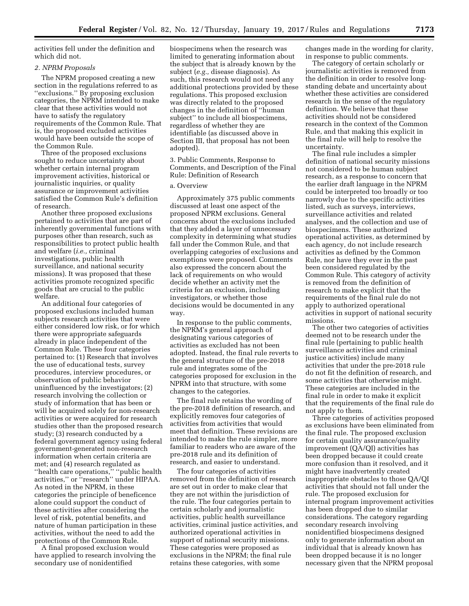activities fell under the definition and which did not.

# *2. NPRM Proposals*

The NPRM proposed creating a new section in the regulations referred to as ''exclusions.'' By proposing exclusion categories, the NPRM intended to make clear that these activities would not have to satisfy the regulatory requirements of the Common Rule. That is, the proposed excluded activities would have been outside the scope of the Common Rule.

Three of the proposed exclusions sought to reduce uncertainty about whether certain internal program improvement activities, historical or journalistic inquiries, or quality assurance or improvement activities satisfied the Common Rule's definition of research.

Another three proposed exclusions pertained to activities that are part of inherently governmental functions with purposes other than research, such as responsibilities to protect public health and welfare (*i.e.,* criminal investigations, public health surveillance, and national security missions). It was proposed that these activities promote recognized specific goods that are crucial to the public welfare.

An additional four categories of proposed exclusions included human subjects research activities that were either considered low risk, or for which there were appropriate safeguards already in place independent of the Common Rule. These four categories pertained to: (1) Research that involves the use of educational tests, survey procedures, interview procedures, or observation of public behavior uninfluenced by the investigators; (2) research involving the collection or study of information that has been or will be acquired solely for non-research activities or were acquired for research studies other than the proposed research study; (3) research conducted by a federal government agency using federal government-generated non-research information when certain criteria are met; and (4) research regulated as ''health care operations,'' ''public health activities,'' or ''research'' under HIPAA. As noted in the NPRM, in these categories the principle of beneficence alone could support the conduct of these activities after considering the level of risk, potential benefits, and nature of human participation in these activities, without the need to add the protections of the Common Rule.

A final proposed exclusion would have applied to research involving the secondary use of nonidentified

biospecimens when the research was limited to generating information about the subject that is already known by the subject (*e.g.,* disease diagnosis). As such, this research would not need any additional protections provided by these regulations. This proposed exclusion was directly related to the proposed changes in the definition of ''human subject'' to include all biospecimens, regardless of whether they are identifiable (as discussed above in Section III, that proposal has not been adopted).

3. Public Comments, Response to Comments, and Description of the Final Rule: Definition of Research

### a. Overview

Approximately 375 public comments discussed at least one aspect of the proposed NPRM exclusions. General concerns about the exclusions included that they added a layer of unnecessary complexity in determining what studies fall under the Common Rule, and that overlapping categories of exclusions and exemptions were proposed. Comments also expressed the concern about the lack of requirements on who would decide whether an activity met the criteria for an exclusion, including investigators, or whether those decisions would be documented in any way.

In response to the public comments, the NPRM's general approach of designating various categories of activities as excluded has not been adopted. Instead, the final rule reverts to the general structure of the pre-2018 rule and integrates some of the categories proposed for exclusion in the NPRM into that structure, with some changes to the categories.

The final rule retains the wording of the pre-2018 definition of research, and explicitly removes four categories of activities from activities that would meet that definition. These revisions are intended to make the rule simpler, more familiar to readers who are aware of the pre-2018 rule and its definition of research, and easier to understand.

The four categories of activities removed from the definition of research are set out in order to make clear that they are not within the jurisdiction of the rule. The four categories pertain to certain scholarly and journalistic activities, public health surveillance activities, criminal justice activities, and authorized operational activities in support of national security missions. These categories were proposed as exclusions in the NPRM; the final rule retains these categories, with some

changes made in the wording for clarity, in response to public comments.

The category of certain scholarly or journalistic activities is removed from the definition in order to resolve longstanding debate and uncertainty about whether these activities are considered research in the sense of the regulatory definition. We believe that these activities should not be considered research in the context of the Common Rule, and that making this explicit in the final rule will help to resolve the uncertainty.

The final rule includes a simpler definition of national security missions not considered to be human subject research, as a response to concern that the earlier draft language in the NPRM could be interpreted too broadly or too narrowly due to the specific activities listed, such as surveys, interviews, surveillance activities and related analyses, and the collection and use of biospecimens. These authorized operational activities, as determined by each agency, do not include research activities as defined by the Common Rule, nor have they ever in the past been considered regulated by the Common Rule. This category of activity is removed from the definition of research to make explicit that the requirements of the final rule do not apply to authorized operational activities in support of national security missions.

The other two categories of activities deemed not to be research under the final rule (pertaining to public health surveillance activities and criminal justice activities) include many activities that under the pre-2018 rule do not fit the definition of research, and some activities that otherwise might. These categories are included in the final rule in order to make it explicit that the requirements of the final rule do not apply to them.

Three categories of activities proposed as exclusions have been eliminated from the final rule. The proposed exclusion for certain quality assurance/quality improvement (QA/QI) activities has been dropped because it could create more confusion than it resolved, and it might have inadvertently created inappropriate obstacles to those QA/QI activities that should not fall under the rule. The proposed exclusion for internal program improvement activities has been dropped due to similar considerations. The category regarding secondary research involving nonidentified biospecimens designed only to generate information about an individual that is already known has been dropped because it is no longer necessary given that the NPRM proposal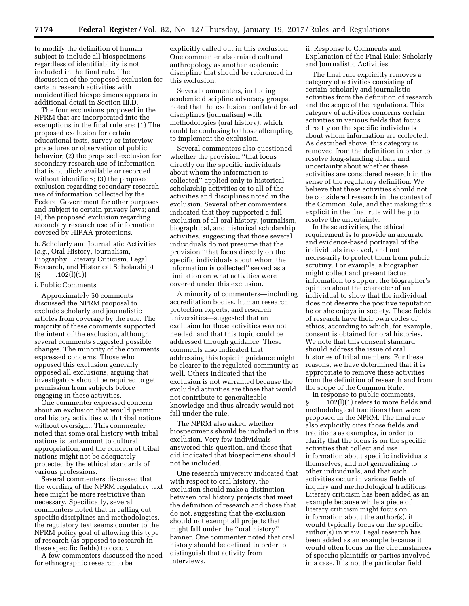to modify the definition of human subject to include all biospecimens regardless of identifiability is not included in the final rule. The discussion of the proposed exclusion for certain research activities with nonidentified biospecimens appears in additional detail in Section III.D.

The four exclusions proposed in the NPRM that are incorporated into the exemptions in the final rule are: (1) The proposed exclusion for certain educational tests, survey or interview procedures or observation of public behavior; (2) the proposed exclusion for secondary research use of information that is publicly available or recorded without identifiers; (3) the proposed exclusion regarding secondary research use of information collected by the Federal Government for other purposes and subject to certain privacy laws; and (4) the proposed exclusion regarding secondary research use of information covered by HIPAA protections.

b. Scholarly and Journalistic Activities (*e.g.,* Oral History, Journalism, Biography, Literary Criticism, Legal Research, and Historical Scholarship)  $(S \t 102(l)(1))$ 

### i. Public Comments

Approximately 50 comments discussed the NPRM proposal to exclude scholarly and journalistic articles from coverage by the rule. The majority of these comments supported the intent of the exclusion, although several comments suggested possible changes. The minority of the comments expressed concerns. Those who opposed this exclusion generally opposed all exclusions, arguing that investigators should be required to get permission from subjects before engaging in these activities.

One commenter expressed concern about an exclusion that would permit oral history activities with tribal nations without oversight. This commenter noted that some oral history with tribal nations is tantamount to cultural appropriation, and the concern of tribal nations might not be adequately protected by the ethical standards of various professions.

Several commenters discussed that the wording of the NPRM regulatory text here might be more restrictive than necessary. Specifically, several commenters noted that in calling out specific disciplines and methodologies, the regulatory text seems counter to the NPRM policy goal of allowing this type of research (as opposed to research in these specific fields) to occur.

A few commenters discussed the need for ethnographic research to be

explicitly called out in this exclusion. One commenter also raised cultural anthropology as another academic discipline that should be referenced in this exclusion.

Several commenters, including academic discipline advocacy groups, noted that the exclusion conflated broad disciplines (journalism) with methodologies (oral history), which could be confusing to those attempting to implement the exclusion.

Several commenters also questioned whether the provision ''that focus directly on the specific individuals about whom the information is collected'' applied only to historical scholarship activities or to all of the activities and disciplines noted in the exclusion. Several other commenters indicated that they supported a full exclusion of all oral history, journalism, biographical, and historical scholarship activities, suggesting that those several individuals do not presume that the provision ''that focus directly on the specific individuals about whom the information is collected'' served as a limitation on what activities were covered under this exclusion.

A minority of commenters—including accreditation bodies, human research protection experts, and research universities—suggested that an exclusion for these activities was not needed, and that this topic could be addressed through guidance. These comments also indicated that addressing this topic in guidance might be clearer to the regulated community as well. Others indicated that the exclusion is not warranted because the excluded activities are those that would not contribute to generalizable knowledge and thus already would not fall under the rule.

The NPRM also asked whether biospecimens should be included in this exclusion. Very few individuals answered this question, and those that did indicated that biospecimens should not be included.

One research university indicated that with respect to oral history, the exclusion should make a distinction between oral history projects that meet the definition of research and those that do not, suggesting that the exclusion should not exempt all projects that might fall under the ''oral history'' banner. One commenter noted that oral history should be defined in order to distinguish that activity from interviews.

ii. Response to Comments and Explanation of the Final Rule: Scholarly and Journalistic Activities

The final rule explicitly removes a category of activities consisting of certain scholarly and journalistic activities from the definition of research and the scope of the regulations. This category of activities concerns certain activities in various fields that focus directly on the specific individuals about whom information are collected. As described above, this category is removed from the definition in order to resolve long-standing debate and uncertainty about whether these activities are considered research in the sense of the regulatory definition. We believe that these activities should not be considered research in the context of the Common Rule, and that making this explicit in the final rule will help to resolve the uncertainty.

In these activities, the ethical requirement is to provide an accurate and evidence-based portrayal of the individuals involved, and not necessarily to protect them from public scrutiny. For example, a biographer might collect and present factual information to support the biographer's opinion about the character of an individual to show that the individual does not deserve the positive reputation he or she enjoys in society. These fields of research have their own codes of ethics, according to which, for example, consent is obtained for oral histories. We note that this consent standard should address the issue of oral histories of tribal members. For these reasons, we have determined that it is appropriate to remove these activities from the definition of research and from the scope of the Common Rule.

In response to public comments,  $\S$  .102(l)(1) refers to more fields and methodological traditions than were proposed in the NPRM. The final rule also explicitly cites those fields and traditions as examples, in order to clarify that the focus is on the specific activities that collect and use information about specific individuals themselves, and not generalizing to other individuals, and that such activities occur in various fields of inquiry and methodological traditions. Literary criticism has been added as an example because while a piece of literary criticism might focus on information about the author(s), it would typically focus on the specific author(s) in view. Legal research has been added as an example because it would often focus on the circumstances of specific plaintiffs or parties involved in a case. It is not the particular field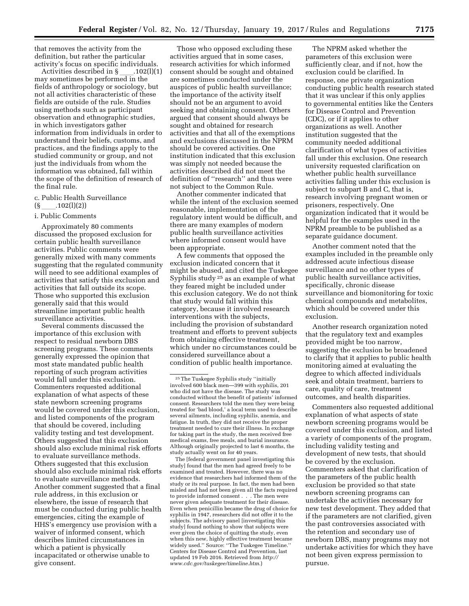that removes the activity from the definition, but rather the particular activity's focus on specific individuals.

Activities described in  $\S$  \_\_\_\_.102(l)(1) may sometimes be performed in the fields of anthropology or sociology, but not all activities characteristic of these fields are outside of the rule. Studies using methods such as participant observation and ethnographic studies, in which investigators gather information from individuals in order to understand their beliefs, customs, and practices, and the findings apply to the studied community or group, and not just the individuals from whom the information was obtained, fall within the scope of the definition of research of the final rule.

# c. Public Health Surveillance  $(S \t 102(l)(2))$

#### i. Public Comments

Approximately 80 comments discussed the proposed exclusion for certain public health surveillance activities. Public comments were generally mixed with many comments suggesting that the regulated community will need to see additional examples of activities that satisfy this exclusion and activities that fall outside its scope. Those who supported this exclusion generally said that this would streamline important public health surveillance activities.

Several comments discussed the importance of this exclusion with respect to residual newborn DBS screening programs. These comments generally expressed the opinion that most state mandated public health reporting of such program activities would fall under this exclusion. Commenters requested additional explanation of what aspects of these state newborn screening programs would be covered under this exclusion, and listed components of the program that should be covered, including validity testing and test development. Others suggested that this exclusion should also exclude minimal risk efforts to evaluate surveillance methods. Others suggested that this exclusion should also exclude minimal risk efforts to evaluate surveillance methods. Another comment suggested that a final rule address, in this exclusion or elsewhere, the issue of research that must be conducted during public health emergencies, citing the example of HHS's emergency use provision with a waiver of informed consent, which describes limited circumstances in which a patient is physically incapacitated or otherwise unable to give consent.

Those who opposed excluding these activities argued that in some cases, research activities for which informed consent should be sought and obtained are sometimes conducted under the auspices of public health surveillance; the importance of the activity itself should not be an argument to avoid seeking and obtaining consent. Others argued that consent should always be sought and obtained for research activities and that all of the exemptions and exclusions discussed in the NPRM should be covered activities. One institution indicated that this exclusion was simply not needed because the activities described did not meet the definition of ''research'' and thus were not subject to the Common Rule.

Another commenter indicated that while the intent of the exclusion seemed reasonable, implementation of the regulatory intent would be difficult, and there are many examples of modern public health surveillance activities where informed consent would have been appropriate.

A few comments that opposed the exclusion indicated concern that it might be abused, and cited the Tuskegee Syphilis study 25 as an example of what they feared might be included under this exclusion category. We do not think that study would fall within this category, because it involved research interventions with the subjects, including the provision of substandard treatment and efforts to prevent subjects from obtaining effective treatment, which under no circumstances could be considered surveillance about a condition of public health importance.

The [federal government panel investigating this study] found that the men had agreed freely to be examined and treated. However, there was no evidence that researchers had informed them of the study or its real purpose. In fact, the men had been misled and had not been given all the facts required to provide informed consent . . . The men were never given adequate treatment for their disease. Even when penicillin became the drug of choice for syphilis in 1947, researchers did not offer it to the subjects. The advisory panel [investigating this study] found nothing to show that subjects were ever given the choice of quitting the study, even when this new, highly effective treatment became widely used.'' Source: ''The Tuskegee Timeline.'' Centers for Disease Control and Prevention, last updated 19 Feb 2016. Retrieved from *[http://](http://www.cdc.gov/tuskegee/timeline.htm) [www.cdc.gov/tuskegee/timeline.htm](http://www.cdc.gov/tuskegee/timeline.htm)*.)

The NPRM asked whether the parameters of this exclusion were sufficiently clear, and if not, how the exclusion could be clarified. In response, one private organization conducting public health research stated that it was unclear if this only applies to governmental entities like the Centers for Disease Control and Prevention (CDC), or if it applies to other organizations as well. Another institution suggested that the community needed additional clarification of what types of activities fall under this exclusion. One research university requested clarification on whether public health surveillance activities falling under this exclusion is subject to subpart B and C, that is, research involving pregnant women or prisoners, respectively. One organization indicated that it would be helpful for the examples used in the NPRM preamble to be published as a separate guidance document.

Another comment noted that the examples included in the preamble only addressed acute infectious disease surveillance and no other types of public health surveillance activities, specifically, chronic disease surveillance and biomonitoring for toxic chemical compounds and metabolites, which should be covered under this exclusion.

Another research organization noted that the regulatory text and examples provided might be too narrow, suggesting the exclusion be broadened to clarify that it applies to public health monitoring aimed at evaluating the degree to which affected individuals seek and obtain treatment, barriers to care, quality of care, treatment outcomes, and health disparities.

Commenters also requested additional explanation of what aspects of state newborn screening programs would be covered under this exclusion, and listed a variety of components of the program, including validity testing and development of new tests, that should be covered by the exclusion. Commenters asked that clarification of the parameters of the public health exclusion be provided so that state newborn screening programs can undertake the activities necessary for new test development. They added that if the parameters are not clarified, given the past controversies associated with the retention and secondary use of newborn DBS, many programs may not undertake activities for which they have not been given express permission to pursue.

<sup>25</sup>The Tuskegee Syphilis study ''initially involved 600 black men—399 with syphilis, 201 who did not have the disease. The study was conducted without the benefit of patients' informed consent. Researchers told the men they were being treated for 'bad blood,' a local term used to describe several ailments, including syphilis, anemia, and fatigue. In truth, they did not receive the proper treatment needed to cure their illness. In exchange for taking part in the study, the men received free medical exams, free meals, and burial insurance. Although originally projected to last 6 months, the study actually went on for 40 years.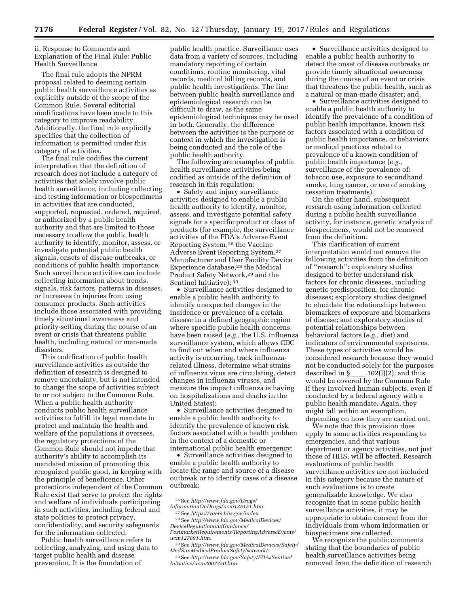ii. Response to Comments and Explanation of the Final Rule: Public Health Surveillance

The final rule adopts the NPRM proposal related to deeming certain public health surveillance activities as explicitly outside of the scope of the Common Rule. Several editorial modifications have been made to this category to improve readability. Additionally, the final rule explicitly specifies that the collection of information is permitted under this category of activities.

The final rule codifies the current interpretation that the definition of research does not include a category of activities that solely involve public health surveillance, including collecting and testing information or biospecimens in activities that are conducted, supported, requested, ordered, required, or authorized by a public health authority and that are limited to those necessary to allow the public health authority to identify, monitor, assess, or investigate potential public health signals, onsets of disease outbreaks, or conditions of public health importance. Such surveillance activities can include collecting information about trends, signals, risk factors, patterns in diseases, or increases in injuries from using consumer products. Such activities include those associated with providing timely situational awareness and priority-setting during the course of an event or crisis that threatens public health, including natural or man-made disasters.

This codification of public health surveillance activities as outside the definition of research is designed to remove uncertainty, but is not intended to change the scope of activities subject to or not subject to the Common Rule. When a public health authority conducts public health surveillance activities to fulfill its legal mandate to protect and maintain the health and welfare of the populations it oversees, the regulatory protections of the Common Rule should not impede that authority's ability to accomplish its mandated mission of promoting this recognized public good, in keeping with the principle of beneficence. Other protections independent of the Common Rule exist that serve to protect the rights and welfare of individuals participating in such activities, including federal and state policies to protect privacy, confidentiality, and security safeguards for the information collected.

Public health surveillance refers to collecting, analyzing, and using data to target public health and disease prevention. It is the foundation of

public health practice. Surveillance uses data from a variety of sources, including mandatory reporting of certain conditions, routine monitoring, vital records, medical billing records, and public health investigations. The line between public health surveillance and epidemiological research can be difficult to draw, as the same epidemiological techniques may be used in both. Generally, the difference between the activities is the purpose or context in which the investigation is being conducted and the role of the public health authority.

The following are examples of public health surveillance activities being codified as outside of the definition of research in this regulation:

• Safety and injury surveillance activities designed to enable a public health authority to identify, monitor, assess, and investigate potential safety signals for a specific product or class of products (for example, the surveillance activities of the FDA's Adverse Event Reporting System,26 the Vaccine Adverse Event Reporting System,27 Manufacturer and User Facility Device Experience database,<sup>28</sup> the Medical Product Safety Network,<sup>29</sup> and the Sentinel Initiative); 30

• Surveillance activities designed to enable a public health authority to identify unexpected changes in the incidence or prevalence of a certain disease in a defined geographic region where specific public health concerns have been raised (*e.g.,* the U.S. influenza surveillance system, which allows CDC to find out when and where influenza activity is occurring, track influenzarelated illness, determine what strains of influenza virus are circulating, detect changes in influenza viruses, and measure the impact influenza is having on hospitalizations and deaths in the United States);

• Surveillance activities designed to enable a public health authority to identify the prevalence of known risk factors associated with a health problem in the context of a domestic or international public health emergency;

• Surveillance activities designed to enable a public health authority to locate the range and source of a disease outbreak or to identify cases of a disease outbreak;

28See *[http://www.fda.gov/MedicalDevices/](http://www.fda.gov/MedicalDevices/DeviceRegulationandGuidance/PostmarketRequirements/ReportingAdverseEvents/ucm127891.htm) [DeviceRegulationandGuidance/](http://www.fda.gov/MedicalDevices/DeviceRegulationandGuidance/PostmarketRequirements/ReportingAdverseEvents/ucm127891.htm)* 

• Surveillance activities designed to enable a public health authority to detect the onset of disease outbreaks or provide timely situational awareness during the course of an event or crisis that threatens the public health, such as a natural or man-made disaster; and,

• Surveillance activities designed to enable a public health authority to identify the prevalence of a condition of public health importance, known risk factors associated with a condition of public health importance, or behaviors or medical practices related to prevalence of a known condition of public health importance (*e.g.,*  surveillance of the prevalence of: tobacco use, exposure to secondhand smoke, lung cancer, or use of smoking cessation treatments).

On the other hand, subsequent research using information collected during a public health surveillance activity, for instance, genetic analysis of biospecimens, would not be removed from the definition.

This clarification of current interpretation would not remove the following activities from the definition of ''research'': exploratory studies designed to better understand risk factors for chronic diseases, including genetic predisposition, for chronic diseases; exploratory studies designed to elucidate the relationships between biomarkers of exposure and biomarkers of disease; and exploratory studies of potential relationships between behavioral factors (*e.g.,* diet) and indicators of environmental exposures. These types of activities would be considered research because they would not be conducted solely for the purposes described in § \_\_\_\_.102(l)(2), and thus<br>would be covered by the Common Rule if they involved human subjects, even if conducted by a federal agency with a public health mandate. Again, they might fall within an exemption, depending on how they are carried out.

We note that this provision does apply to some activities responding to emergencies, and that various department or agency activities, not just those of HHS, will be affected. Research evaluations of public health surveillance activities are not included in this category because the nature of such evaluations is to create generalizable knowledge. We also recognize that in some public health surveillance activities, it may be appropriate to obtain consent from the individuals from whom information or biospecimens are collected.

We recognize the public comments stating that the boundaries of public health surveillance activities being removed from the definition of research

<sup>26</sup>See *[http://www.fda.gov/Drugs/](http://www.fda.gov/Drugs/InformationOnDrugs/ucm135151.htm)* 

*[InformationOnDrugs/ucm135151.htm.](http://www.fda.gov/Drugs/InformationOnDrugs/ucm135151.htm)* 

<sup>27</sup>See *[https://vaers.hhs.gov/index.](https://vaers.hhs.gov/index)* 

*[PostmarketRequirements/ReportingAdverseEvents/](http://www.fda.gov/MedicalDevices/DeviceRegulationandGuidance/PostmarketRequirements/ReportingAdverseEvents/ucm127891.htm) [ucm127891.htm.](http://www.fda.gov/MedicalDevices/DeviceRegulationandGuidance/PostmarketRequirements/ReportingAdverseEvents/ucm127891.htm)* 

<sup>29</sup>See *[http://www.fda.gov/MedicalDevices/Safety/](http://www.fda.gov/MedicalDevices/Safety/MedSunMedicalProductSafetyNetwork/)  [MedSunMedicalProductSafetyNetwork/.](http://www.fda.gov/MedicalDevices/Safety/MedSunMedicalProductSafetyNetwork/)* 

<sup>30</sup>See *[http://www.fda.gov/Safety/FDAsSentinel](http://www.fda.gov/Safety/FDAsSentinelInitiative/ucm2007250.htm) [Initiative/ucm2007250.htm.](http://www.fda.gov/Safety/FDAsSentinelInitiative/ucm2007250.htm)*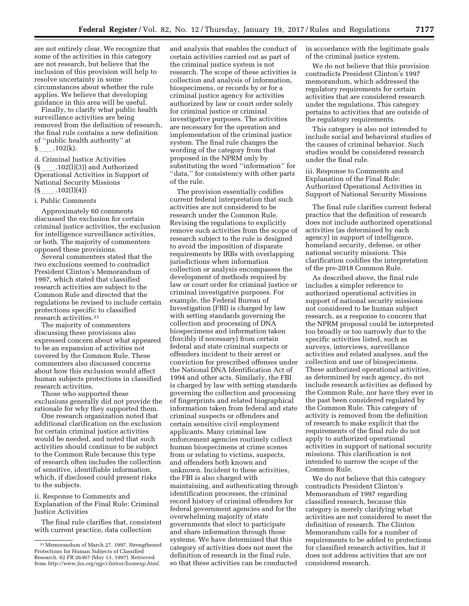are not entirely clear. We recognize that some of the activities in this category are not research, but believe that the inclusion of this provision will help to resolve uncertainty in some circumstances about whether the rule applies. We believe that developing guidance in this area will be useful.

Finally, to clarify what public health surveillance activities are being removed from the definition of research, the final rule contains a new definition of ''public health authority'' at  $\S$  .102(k).

d. Criminal Justice Activities  $(S \t 102(l)(3))$  and Authorized Operational Activities in Support of National Security Missions  $(S \t 102(l)(4))$ 

# i. Public Comments

Approximately 60 comments discussed the exclusion for certain criminal justice activities, the exclusion for intelligence surveillance activities, or both. The majority of commenters opposed these provisions.

Several commenters stated that the two exclusions seemed to contradict President Clinton's Memorandum of 1997, which stated that classified research activities are subject to the Common Rule and directed that the regulations be revised to include certain protections specific to classified research activities.31

The majority of commenters discussing these provisions also expressed concern about what appeared to be an expansion of activities not covered by the Common Rule. These commenters also discussed concerns about how this exclusion would affect human subjects protections in classified research activities.

Those who supported these exclusions generally did not provide the rationale for why they supported them.

One research organization noted that additional clarification on the exclusion for certain criminal justice activities would be needed, and noted that such activities should continue to be subject to the Common Rule because this type of research often includes the collection of sensitive, identifiable information, which, if disclosed could present risks to the subjects.

ii. Response to Comments and Explanation of the Final Rule: Criminal Justice Activities

The final rule clarifies that, consistent with current practice, data collection

and analysis that enables the conduct of certain activities carried out as part of the criminal justice system is not research. The scope of these activities is collection and analysis of information, biospecimens, or records by or for a criminal justice agency for activities authorized by law or court order solely for criminal justice or criminal investigative purposes. The activities are necessary for the operation and implementation of the criminal justice system. The final rule changes the wording of the category from that proposed in the NPRM only by substituting the word ''information'' for ''data,'' for consistency with other parts of the rule.

The provision essentially codifies current federal interpretation that such activities are not considered to be research under the Common Rule. Revising the regulations to explicitly remove such activities from the scope of research subject to the rule is designed to avoid the imposition of disparate requirements by IRBs with overlapping jurisdictions when information collection or analysis encompasses the development of methods required by law or court order for criminal justice or criminal investigative purposes. For example, the Federal Bureau of Investigation (FBI) is charged by law with setting standards governing the collection and processing of DNA biospecimens and information taken (forcibly if necessary) from certain federal and state criminal suspects or offenders incident to their arrest or conviction for prescribed offenses under the National DNA Identification Act of 1994 and other acts. Similarly, the FBI is charged by law with setting standards governing the collection and processing of fingerprints and related biographical information taken from federal and state criminal suspects or offenders and certain sensitive civil employment applicants. Many criminal law enforcement agencies routinely collect human biospecimens at crime scenes from or relating to victims, suspects, and offenders both known and unknown. Incident to these activities, the FBI is also charged with maintaining, and authenticating through identification processes, the criminal record history of criminal offenders for federal government agencies and for the overwhelming majority of state governments that elect to participate and share information through those systems. We have determined that this category of activities does not meet the definition of research in the final rule, so that these activities can be conducted

in accordance with the legitimate goals of the criminal justice system.

We do not believe that this provision contradicts President Clinton's 1997 memorandum, which addressed the regulatory requirements for certain activities that are considered research under the regulations. This category pertains to activities that are outside of the regulatory requirements.

This category is also not intended to include social and behavioral studies of the causes of criminal behavior. Such studies would be considered research under the final rule.

iii. Response to Comments and Explanation of the Final Rule: Authorized Operational Activities in Support of National Security Missions

The final rule clarifies current federal practice that the definition of research does not include authorized operational activities (as determined by each agency) in support of intelligence, homeland security, defense, or other national security missions. This clarification codifies the interpretation of the pre-2018 Common Rule.

As described above, the final rule includes a simpler reference to authorized operational activities in support of national security missions not considered to be human subject research, as a response to concern that the NPRM proposal could be interpreted too broadly or too narrowly due to the specific activities listed, such as surveys, interviews, surveillance activities and related analyses, and the collection and use of biospecimens. These authorized operational activities, as determined by each agency, do not include research activities as defined by the Common Rule, nor have they ever in the past been considered regulated by the Common Rule. This category of activity is removed from the definition of research to make explicit that the requirements of the final rule do not apply to authorized operational activities in support of national security missions. This clarification is not intended to narrow the scope of the Common Rule.

We do not believe that this category contradicts President Clinton's Memorandum of 1997 regarding classified research, because this category is merely clarifying what activities are not considered to meet the definition of research. The Clinton Memorandum calls for a number of requirements to be added to protections for classified research activities, but it does not address activities that are not considered research.

<sup>31</sup>Memorandum of March 27, 1997. Strengthened Protections for Human Subjects of Classified Research. 62 FR 26367 (May 13, 1997). Retrieved from *[http://www.fas.org/sgp/clinton/humexp.html.](http://www.fas.org/sgp/clinton/humexp.html)*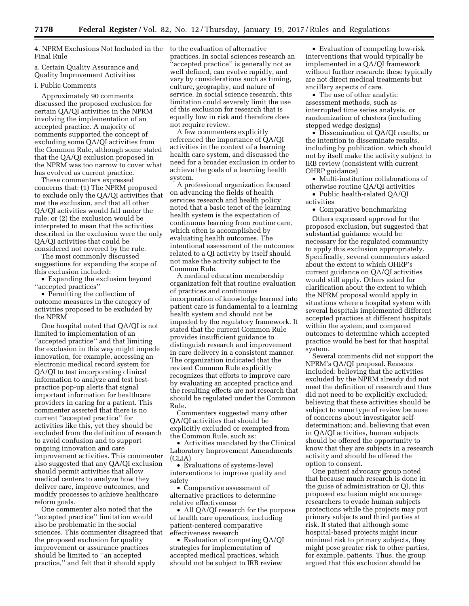4. NPRM Exclusions Not Included in the to the evaluation of alternative Final Rule

a. Certain Quality Assurance and Quality Improvement Activities

# i. Public Comments

Approximately 90 comments discussed the proposed exclusion for certain QA/QI activities in the NPRM involving the implementation of an accepted practice. A majority of comments supported the concept of excluding some QA/QI activities from the Common Rule, although some stated that the QA/QI exclusion proposed in the NPRM was too narrow to cover what has evolved as current practice.

These commenters expressed concerns that: (1) The NPRM proposed to exclude only the QA/QI activities that met the exclusion, and that all other QA/QI activities would fall under the rule; or (2) the exclusion would be interpreted to mean that the activities described in the exclusion were the only QA/QI activities that could be considered not covered by the rule.

The most commonly discussed suggestions for expanding the scope of this exclusion included:

• Expanding the exclusion beyond ''accepted practices''

• Permitting the collection of outcome measures in the category of activities proposed to be excluded by the NPRM

One hospital noted that QA/QI is not limited to implementation of an ''accepted practice'' and that limiting the exclusion in this way might impede innovation, for example, accessing an electronic medical record system for QA/QI to test incorporating clinical information to analyze and test bestpractice pop-up alerts that signal important information for healthcare providers in caring for a patient. This commenter asserted that there is no current ''accepted practice'' for activities like this, yet they should be excluded from the definition of research to avoid confusion and to support ongoing innovation and care improvement activities. This commenter also suggested that any QA/QI exclusion should permit activities that allow medical centers to analyze how they deliver care, improve outcomes, and modify processes to achieve healthcare reform goals.

One commenter also noted that the "accepted practice" limitation would also be problematic in the social sciences. This commenter disagreed that the proposed exclusion for quality improvement or assurance practices should be limited to ''an accepted practice,'' and felt that it should apply

practices. In social sciences research an 'accepted practice'' is generally not as well defined, can evolve rapidly, and vary by considerations such as timing, culture, geography, and nature of service. In social science research, this limitation could severely limit the use of this exclusion for research that is equally low in risk and therefore does not require review.

A few commenters explicitly referenced the importance of QA/QI activities in the context of a learning health care system, and discussed the need for a broader exclusion in order to achieve the goals of a learning health system.

A professional organization focused on advancing the fields of health services research and health policy noted that a basic tenet of the learning health system is the expectation of continuous learning from routine care, which often is accomplished by evaluating health outcomes. The intentional assessment of the outcomes related to a QI activity by itself should not make the activity subject to the Common Rule.

A medical education membership organization felt that routine evaluation of practices and continuous incorporation of knowledge learned into patient care is fundamental to a learning health system and should not be impeded by the regulatory framework. It stated that the current Common Rule provides insufficient guidance to distinguish research and improvement in care delivery in a consistent manner. The organization indicated that the revised Common Rule explicitly recognizes that efforts to improve care by evaluating an accepted practice and the resulting effects are not research that should be regulated under the Common Rule.

Commenters suggested many other QA/QI activities that should be explicitly excluded or exempted from the Common Rule, such as:

• Activities mandated by the Clinical Laboratory Improvement Amendments (CLIA)

• Evaluations of systems-level interventions to improve quality and safety

• Comparative assessment of alternative practices to determine relative effectiveness

• All QA/QI research for the purpose of health care operations, including patient-centered comparative effectiveness research

• Evaluation of competing QA/QI strategies for implementation of accepted medical practices, which should not be subject to IRB review

• Evaluation of competing low-risk interventions that would typically be implemented in a QA/QI framework without further research: these typically are not direct medical treatments but ancillary aspects of care.

• The use of other analytic assessment methods, such as interrupted time series analysis, or randomization of clusters (including stepped wedge designs)

• Dissemination of QA/QI results, or the intention to disseminate results, including by publication, which should not by itself make the activity subject to IRB review (consistent with current OHRP guidance)

• Multi-institution collaborations of otherwise routine QA/QI activities

• Public health-related QA/QI activities

• Comparative benchmarking

Others expressed approval for the proposed exclusion, but suggested that substantial guidance would be necessary for the regulated community to apply this exclusion appropriately. Specifically, several commenters asked about the extent to which OHRP's current guidance on QA/QI activities would still apply. Others asked for clarification about the extent to which the NPRM proposal would apply in situations where a hospital system with several hospitals implemented different accepted practices at different hospitals within the system, and compared outcomes to determine which accepted practice would be best for that hospital system.

Several comments did not support the NPRM's QA/QI proposal. Reasons included: believing that the activities excluded by the NPRM already did not meet the definition of research and thus did not need to be explicitly excluded; believing that these activities should be subject to some type of review because of concerns about investigator selfdetermination; and, believing that even in QA/QI activities, human subjects should be offered the opportunity to know that they are subjects in a research activity and should be offered the option to consent.

One patient advocacy group noted that because much research is done in the guise of administration or QI, this proposed exclusion might encourage researchers to evade human subjects protections while the projects may put primary subjects and third parties at risk. It stated that although some hospital-based projects might incur minimal risk to primary subjects, they might pose greater risk to other parties, for example, patients. Thus, the group argued that this exclusion should be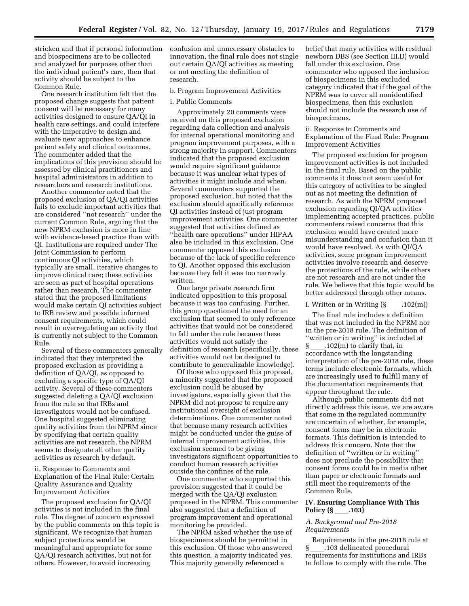stricken and that if personal information and biospecimens are to be collected and analyzed for purposes other than the individual patient's care, then that activity should be subject to the Common Rule.

One research institution felt that the proposed change suggests that patient consent will be necessary for many activities designed to ensure QA/QI in health care settings, and could interfere with the imperative to design and evaluate new approaches to enhance patient safety and clinical outcomes. The commenter added that the implications of this provision should be assessed by clinical practitioners and hospital administrators in addition to researchers and research institutions.

Another commenter noted that the proposed exclusion of QA/QI activities fails to exclude important activities that are considered ''not research'' under the current Common Rule, arguing that the new NPRM exclusion is more in line with evidence-based practice than with QI. Institutions are required under The Joint Commission to perform continuous QI activities, which typically are small, iterative changes to improve clinical care; these activities are seen as part of hospital operations rather than research. The commenter stated that the proposed limitations would make certain QI activities subject to IRB review and possible informed consent requirements, which could result in overregulating an activity that is currently not subject to the Common Rule.

Several of these commenters generally indicated that they interpreted the proposed exclusion as providing a definition of QA/QI, as opposed to excluding a specific type of QA/QI activity. Several of these commenters suggested deleting a QA/QI exclusion from the rule so that IRBs and investigators would not be confused. One hospital suggested eliminating quality activities from the NPRM since by specifying that certain quality activities are not research, the NPRM seems to designate all other quality activities as research by default.

ii. Response to Comments and Explanation of the Final Rule: Certain Quality Assurance and Quality Improvement Activities

The proposed exclusion for QA/QI activities is not included in the final rule. The degree of concern expressed by the public comments on this topic is significant. We recognize that human subject protections would be meaningful and appropriate for some QA/QI research activities, but not for others. However, to avoid increasing

confusion and unnecessary obstacles to innovation, the final rule does not single out certain QA/QI activities as meeting or not meeting the definition of research.

### b. Program Improvement Activities

### i. Public Comments

Approximately 20 comments were received on this proposed exclusion regarding data collection and analysis for internal operational monitoring and program improvement purposes, with a strong majority in support. Commenters indicated that the proposed exclusion would require significant guidance because it was unclear what types of activities it might include and when. Several commenters supported the proposed exclusion, but noted that the exclusion should specifically reference QI activities instead of just program improvement activities. One commenter suggested that activities defined as ''health care operations'' under HIPAA also be included in this exclusion. One commenter opposed this exclusion because of the lack of specific reference to QI. Another opposed this exclusion because they felt it was too narrowly written.

One large private research firm indicated opposition to this proposal because it was too confusing. Further, this group questioned the need for an exclusion that seemed to only reference activities that would not be considered to fall under the rule because these activities would not satisfy the definition of research (specifically, these activities would not be designed to contribute to generalizable knowledge).

Of those who opposed this proposal, a minority suggested that the proposed exclusion could be abused by investigators, especially given that the NPRM did not propose to require any institutional oversight of exclusion determinations. One commenter noted that because many research activities might be conducted under the guise of internal improvement activities, this exclusion seemed to be giving investigators significant opportunities to conduct human research activities outside the confines of the rule.

One commenter who supported this provision suggested that it could be merged with the QA/QI exclusion proposed in the NPRM. This commenter also suggested that a definition of program improvement and operational monitoring be provided.

The NPRM asked whether the use of biospecimens should be permitted in this exclusion. Of those who answered this question, a majority indicated yes. This majority generally referenced a

belief that many activities with residual newborn DBS (see Section III.D) would fall under this exclusion. One commenter who opposed the inclusion of biospecimens in this excluded category indicated that if the goal of the NPRM was to cover all nonidentified biospecimens, then this exclusion should not include the research use of biospecimens.

# ii. Response to Comments and Explanation of the Final Rule: Program Improvement Activities

The proposed exclusion for program improvement activities is not included in the final rule. Based on the public comments it does not seem useful for this category of activities to be singled out as not meeting the definition of research. As with the NPRM proposed exclusion regarding QI/QA activities implementing accepted practices, public commenters raised concerns that this exclusion would have created more misunderstanding and confusion than it would have resolved. As with QI/QA activities, some program improvement activities involve research and deserve the protections of the rule, while others are not research and are not under the rule. We believe that this topic would be better addressed through other means.

### I. Written or in Writing  $(\S$  .102(m))

The final rule includes a definition that was not included in the NPRM nor in the pre-2018 rule. The definition of "written or in writing" is included at  $\S$  .102(m) to clarify that, in § \_\_\_\_.102(m) to clarify that, in<br>accordance with the longstanding interpretation of the pre-2018 rule, these terms include electronic formats, which are increasingly used to fulfill many of the documentation requirements that appear throughout the rule.

Although public comments did not directly address this issue, we are aware that some in the regulated community are uncertain of whether, for example, consent forms may be in electronic formats. This definition is intended to address this concern. Note that the definition of ''written or in writing'' does not preclude the possibility that consent forms could be in media other than paper or electronic formats and still meet the requirements of the Common Rule.

# **IV. Ensuring Compliance With This Policy (§** .103)

# *A. Background and Pre-2018 Requirements*

Requirements in the pre-2018 rule at § 103 delineated procedural requirements for institutions and IRBs to follow to comply with the rule. The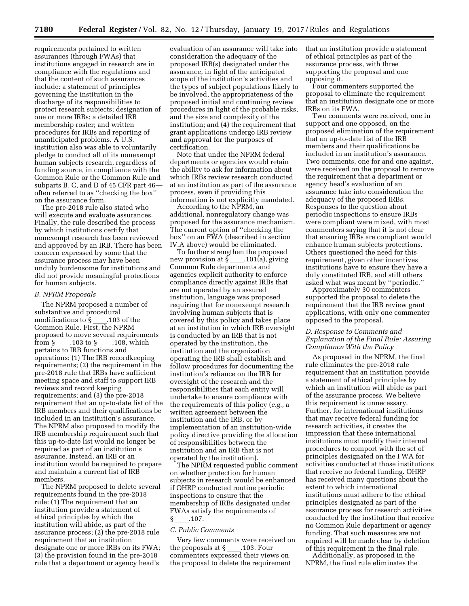requirements pertained to written assurances (through FWAs) that institutions engaged in research are in compliance with the regulations and that the content of such assurances include: a statement of principles governing the institution in the discharge of its responsibilities to protect research subjects; designation of one or more IRBs; a detailed IRB membership roster; and written procedures for IRBs and reporting of unanticipated problems. A U.S. institution also was able to voluntarily pledge to conduct all of its nonexempt human subjects research, regardless of funding source, in compliance with the Common Rule or the Common Rule and subparts B, C, and D of 45 CFR part 46 often referred to as ''checking the box'' on the assurance form.

The pre-2018 rule also stated who will execute and evaluate assurances. Finally, the rule described the process by which institutions certify that nonexempt research has been reviewed and approved by an IRB. There has been concern expressed by some that the assurance process may have been unduly burdensome for institutions and did not provide meaningful protections for human subjects.

#### *B. NPRM Proposals*

The NPRM proposed a number of substantive and procedural<br>modifications to § .103 of the modifications to § \_\_\_\_.103 of the<br>Common Rule. First, the NPRM proposed to move several requirements from §\_\_\_\_.103 to §\_\_\_\_.108, which<br>pertains to IRB functions and operations: (1) The IRB recordkeeping requirements; (2) the requirement in the pre-2018 rule that IRBs have sufficient meeting space and staff to support IRB reviews and record keeping requirements; and (3) the pre-2018 requirement that an up-to-date list of the IRB members and their qualifications be included in an institution's assurance. The NPRM also proposed to modify the IRB membership requirement such that this up-to-date list would no longer be required as part of an institution's assurance. Instead, an IRB or an institution would be required to prepare and maintain a current list of IRB members.

The NPRM proposed to delete several requirements found in the pre-2018 rule: (1) The requirement that an institution provide a statement of ethical principles by which the institution will abide, as part of the assurance process; (2) the pre-2018 rule requirement that an institution designate one or more IRBs on its FWA; (3) the provision found in the pre-2018 rule that a department or agency head's

evaluation of an assurance will take into consideration the adequacy of the proposed IRB(s) designated under the assurance, in light of the anticipated scope of the institution's activities and the types of subject populations likely to be involved, the appropriateness of the proposed initial and continuing review procedures in light of the probable risks, and the size and complexity of the institution; and (4) the requirement that grant applications undergo IRB review and approval for the purposes of certification.

Note that under the NPRM federal departments or agencies would retain the ability to ask for information about which IRBs review research conducted at an institution as part of the assurance process, even if providing this information is not explicitly mandated.

According to the NPRM, an additional, nonregulatory change was proposed for the assurance mechanism. The current option of ''checking the box'' on an FWA (described in section IV.A above) would be eliminated.

To further strengthen the proposed new provision at § \_\_\_\_.101(a), giving<br>Common Rule departments and agencies explicit authority to enforce compliance directly against IRBs that are not operated by an assured institution, language was proposed requiring that for nonexempt research involving human subjects that is covered by this policy and takes place at an institution in which IRB oversight is conducted by an IRB that is not operated by the institution, the institution and the organization operating the IRB shall establish and follow procedures for documenting the institution's reliance on the IRB for oversight of the research and the responsibilities that each entity will undertake to ensure compliance with the requirements of this policy (*e.g.,* a written agreement between the institution and the IRB, or by implementation of an institution-wide policy directive providing the allocation of responsibilities between the institution and an IRB that is not operated by the institution).

The NPRM requested public comment on whether protection for human subjects in research would be enhanced if OHRP conducted routine periodic inspections to ensure that the membership of IRBs designated under FWAs satisfy the requirements of  $\S$  .107.

#### *C. Public Comments*

Very few comments were received on<br>the proposals at  $\S$  \_\_\_\_\_.103. Four the proposals at §\_\_\_\_.103. Four<br>commenters expressed their views on the proposal to delete the requirement

that an institution provide a statement of ethical principles as part of the assurance process, with three supporting the proposal and one opposing it.

Four commenters supported the proposal to eliminate the requirement that an institution designate one or more IRBs on its FWA.

Two comments were received, one in support and one opposed, on the proposed elimination of the requirement that an up-to-date list of the IRB members and their qualifications be included in an institution's assurance. Two comments, one for and one against, were received on the proposal to remove the requirement that a department or agency head's evaluation of an assurance take into consideration the adequacy of the proposed IRBs. Responses to the question about periodic inspections to ensure IRBs were compliant were mixed, with most commenters saying that it is not clear that ensuring IRBs are compliant would enhance human subjects protections. Others questioned the need for this requirement, given other incentives institutions have to ensure they have a duly constituted IRB, and still others asked what was meant by ''periodic.''

Approximately 30 commenters supported the proposal to delete the requirement that the IRB review grant applications, with only one commenter opposed to the proposal.

# *D. Response to Comments and Explanation of the Final Rule: Assuring Compliance With the Policy*

As proposed in the NPRM, the final rule eliminates the pre-2018 rule requirement that an institution provide a statement of ethical principles by which an institution will abide as part of the assurance process. We believe this requirement is unnecessary. Further, for international institutions that may receive federal funding for research activities, it creates the impression that these international institutions must modify their internal procedures to comport with the set of principles designated on the FWA for activities conducted at those institutions that receive no federal funding. OHRP has received many questions about the extent to which international institutions must adhere to the ethical principles designated as part of the assurance process for research activities conducted by the institution that receive no Common Rule department or agency funding. That such measures are not required will be made clear by deletion of this requirement in the final rule.

Additionally, as proposed in the NPRM, the final rule eliminates the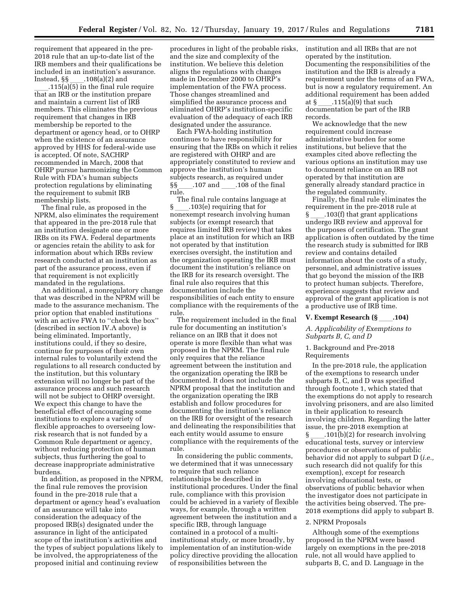requirement that appeared in the pre-2018 rule that an up-to-date list of the IRB members and their qualifications be included in an institution's assurance. Instead, §§w. .108(a)(2) and<br>115(a)(5) in the final rule

 $\frac{115(a)(5)}{b}$  in the final rule require<br>that an IRB or the institution prepare that an IRB or the institution prepare and maintain a current list of IRB members. This eliminates the previous requirement that changes in IRB membership be reported to the department or agency head, or to OHRP when the existence of an assurance approved by HHS for federal-wide use is accepted. Of note, SACHRP recommended in March, 2008 that OHRP pursue harmonizing the Common Rule with FDA's human subjects protection regulations by eliminating the requirement to submit IRB membership lists.

The final rule, as proposed in the NPRM, also eliminates the requirement that appeared in the pre-2018 rule that an institution designate one or more IRBs on its FWA. Federal departments or agencies retain the ability to ask for information about which IRBs review research conducted at an institution as part of the assurance process, even if that requirement is not explicitly mandated in the regulations.

An additional, a nonregulatory change that was described in the NPRM will be made to the assurance mechanism. The prior option that enabled institutions with an active FWA to ''check the box'' (described in section IV.A above) is being eliminated. Importantly, institutions could, if they so desire, continue for purposes of their own internal rules to voluntarily extend the regulations to all research conducted by the institution, but this voluntary extension will no longer be part of the assurance process and such research will not be subject to OHRP oversight. We expect this change to have the beneficial effect of encouraging some institutions to explore a variety of flexible approaches to overseeing lowrisk research that is not funded by a Common Rule department or agency, without reducing protection of human subjects, thus furthering the goal to decrease inappropriate administrative burdens.

In addition, as proposed in the NPRM, the final rule removes the provision found in the pre-2018 rule that a department or agency head's evaluation of an assurance will take into consideration the adequacy of the proposed IRB(s) designated under the assurance in light of the anticipated scope of the institution's activities and the types of subject populations likely to be involved, the appropriateness of the proposed initial and continuing review

procedures in light of the probable risks, and the size and complexity of the institution. We believe this deletion aligns the regulations with changes made in December 2000 to OHRP's implementation of the FWA process. Those changes streamlined and simplified the assurance process and eliminated OHRP's institution-specific evaluation of the adequacy of each IRB designated under the assurance.

Each FWA-holding institution continues to have responsibility for ensuring that the IRBs on which it relies are registered with OHRP and are appropriately constituted to review and approve the institution's human subjects research, as required under §§ .107 and .108 of the final rule.

The final rule contains language at § \_\_\_\_.103(e) requiring that for<br>nonexempt research involving human subjects (or exempt research that requires limited IRB review) that takes place at an institution for which an IRB not operated by that institution exercises oversight, the institution and the organization operating the IRB must document the institution's reliance on the IRB for its research oversight. The final rule also requires that this documentation include the responsibilities of each entity to ensure compliance with the requirements of the rule.

The requirement included in the final rule for documenting an institution's reliance on an IRB that it does not operate is more flexible than what was proposed in the NPRM. The final rule only requires that the reliance agreement between the institution and the organization operating the IRB be documented. It does not include the NPRM proposal that the institution and the organization operating the IRB establish and follow procedures for documenting the institution's reliance on the IRB for oversight of the research and delineating the responsibilities that each entity would assume to ensure compliance with the requirements of the rule.

In considering the public comments, we determined that it was unnecessary to require that such reliance relationships be described in institutional procedures. Under the final rule, compliance with this provision could be achieved in a variety of flexible ways, for example, through a written agreement between the institution and a specific IRB, through language contained in a protocol of a multiinstitutional study, or more broadly, by implementation of an institution-wide policy directive providing the allocation of responsibilities between the

institution and all IRBs that are not operated by the institution. Documenting the responsibilities of the institution and the IRB is already a requirement under the terms of an FWA, but is now a regulatory requirement. An additional requirement has been added at § \_\_\_\_.115(a)(9) that such<br>documentation be part of the IRB records.

We acknowledge that the new requirement could increase administrative burden for some institutions, but believe that the examples cited above reflecting the various options an institution may use to document reliance on an IRB not operated by that institution are generally already standard practice in the regulated community.

Finally, the final rule eliminates the requirement in the pre-2018 rule at § \_\_\_\_\_.103(f) that grant applications undergo IRB review and approval for the purposes of certification. The grant application is often outdated by the time the research study is submitted for IRB review and contains detailed information about the costs of a study, personnel, and administrative issues that go beyond the mission of the IRB to protect human subjects. Therefore, experience suggests that review and approval of the grant application is not a productive use of IRB time.

#### **V. Exempt Research (§**llocom. 104)

*A. Applicability of Exemptions to Subparts B, C, and D* 

# 1. Background and Pre-2018 Requirements

In the pre-2018 rule, the application of the exemptions to research under subparts B, C, and D was specified through footnote 1, which stated that the exemptions do not apply to research involving prisoners, and are also limited in their application to research involving children. Regarding the latter issue, the pre-2018 exemption at § ll.101(b)(2) for research involving educational tests, survey or interview procedures or observations of public behavior did not apply to subpart D (*i.e.,*  such research did not qualify for this exemption), except for research involving educational tests, or observations of public behavior when the investigator does not participate in the activities being observed. The pre-2018 exemptions did apply to subpart B.

#### 2. NPRM Proposals

Although some of the exemptions proposed in the NPRM were based largely on exemptions in the pre-2018 rule, not all would have applied to subparts B, C, and D. Language in the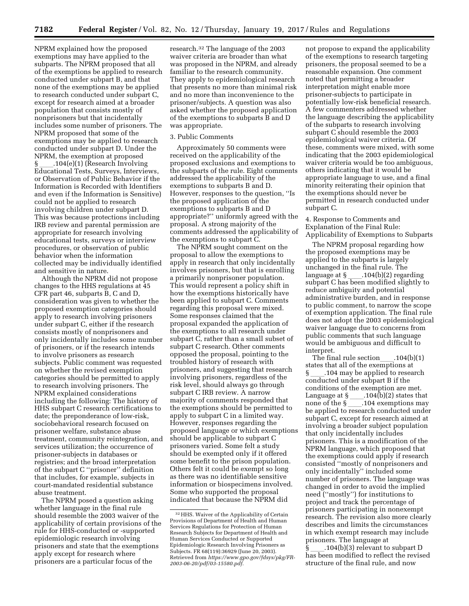NPRM explained how the proposed exemptions may have applied to the subparts. The NPRM proposed that all of the exemptions be applied to research conducted under subpart B, and that none of the exemptions may be applied to research conducted under subpart C, except for research aimed at a broader population that consists mostly of nonprisoners but that incidentally includes some number of prisoners. The NPRM proposed that some of the exemptions may be applied to research conducted under subpart D. Under the NPRM, the exemption at proposed

§ ll.104(e)(1) (Research Involving Educational Tests, Surveys, Interviews, or Observation of Public Behavior if the Information is Recorded with Identifiers and even if the Information is Sensitive) could not be applied to research involving children under subpart D. This was because protections including IRB review and parental permission are appropriate for research involving educational tests, surveys or interview procedures, or observation of public behavior when the information collected may be individually identified and sensitive in nature.

Although the NPRM did not propose changes to the HHS regulations at 45 CFR part 46, subparts B, C and D, consideration was given to whether the proposed exemption categories should apply to research involving prisoners under subpart C, either if the research consists mostly of nonprisoners and only incidentally includes some number of prisoners, or if the research intends to involve prisoners as research subjects. Public comment was requested on whether the revised exemption categories should be permitted to apply to research involving prisoners. The NPRM explained considerations including the following: The history of HHS subpart C research certifications to date; the preponderance of low-risk, sociobehavioral research focused on prisoner welfare, substance abuse treatment, community reintegration, and services utilization; the occurrence of prisoner-subjects in databases or registries; and the broad interpretation of the subpart C ''prisoner'' definition that includes, for example, subjects in court-mandated residential substance abuse treatment.

The NPRM posed a question asking whether language in the final rule should resemble the 2003 waiver of the applicability of certain provisions of the rule for HHS-conducted or -supported epidemiologic research involving prisoners and state that the exemptions apply except for research where prisoners are a particular focus of the

research.32 The language of the 2003 waiver criteria are broader than what was proposed in the NPRM, and already familiar to the research community. They apply to epidemiological research that presents no more than minimal risk and no more than inconvenience to the prisoner/subjects. A question was also asked whether the proposed application of the exemptions to subparts B and D was appropriate.

### 3. Public Comments

Approximately 50 comments were received on the applicability of the proposed exclusions and exemptions to the subparts of the rule. Eight comments addressed the applicability of the exemptions to subparts B and D. However, responses to the question, ''Is the proposed application of the exemptions to subparts B and D appropriate?'' uniformly agreed with the proposal. A strong majority of the comments addressed the applicability of the exemptions to subpart C.

The NPRM sought comment on the proposal to allow the exemptions to apply in research that only incidentally involves prisoners, but that is enrolling a primarily nonprisoner population. This would represent a policy shift in how the exemptions historically have been applied to subpart C. Comments regarding this proposal were mixed. Some responses claimed that the proposal expanded the application of the exemptions to all research under subpart C, rather than a small subset of subpart C research. Other comments opposed the proposal, pointing to the troubled history of research with prisoners, and suggesting that research involving prisoners, regardless of the risk level, should always go through subpart C IRB review. A narrow majority of comments responded that the exemptions should be permitted to apply to subpart C in a limited way. However, responses regarding the proposed language or which exemptions should be applicable to subpart C prisoners varied. Some felt a study should be exempted only if it offered some benefit to the prison population. Others felt it could be exempt so long as there was no identifiable sensitive information or biospecimens involved. Some who supported the proposal indicated that because the NPRM did

not propose to expand the applicability of the exemptions to research targeting prisoners, the proposal seemed to be a reasonable expansion. One comment noted that permitting a broader interpretation might enable more prisoner-subjects to participate in potentially low-risk beneficial research. A few commenters addressed whether the language describing the applicability of the subparts to research involving subpart C should resemble the 2003 epidemiological waiver criteria. Of these, comments were mixed, with some indicating that the 2003 epidemiological waiver criteria would be too ambiguous, others indicating that it would be appropriate language to use, and a final minority reiterating their opinion that the exemptions should never be permitted in research conducted under subpart C.

4. Response to Comments and Explanation of the Final Rule: Applicability of Exemptions to Subparts

The NPRM proposal regarding how the proposed exemptions may be applied to the subparts is largely unchanged in the final rule. The language at § \_\_\_\_.104(b)(2) regarding<br>subpart C has been modified slightly to reduce ambiguity and potential administrative burden, and in response to public comment, to narrow the scope of exemption application. The final rule does not adopt the 2003 epidemiological waiver language due to concerns from public comments that such language would be ambiguous and difficult to interpret.

The final rule section\_\_\_\_.104(b)(1)<br>states that all of the exemptions at § 104 may be applied to research conducted under subpart B if the conditions of the exemption are met.<br>Language at  $\sum 104(b)(2)$  states that Language at  $\frac{\S}{\S}$   $\frac{104(b)(2)}{104}$  states that<br>none of the S  $\frac{104}{104}$  exemptions may none of the §\_\_\_\_.104 exemptions may<br>be annlied to research conducted under be applied to research conducted under subpart C, except for research aimed at involving a broader subject population that only incidentally includes prisoners. This is a modification of the NPRM language, which proposed that the exemptions could apply if research consisted ''mostly of nonprisoners and only incidentally'' included some number of prisoners. The language was changed in order to avoid the implied need (''mostly'') for institutions to project and track the percentage of prisoners participating in nonexempt research. The revision also more clearly describes and limits the circumstances in which exempt research may include prisoners. The language at

§ ll.104(b)(3) relevant to subpart D has been modified to reflect the revised structure of the final rule, and now

<sup>32</sup>HHS. Waiver of the Applicability of Certain Provisions of Department of Health and Human Services Regulations for Protection of Human Research Subjects for Department of Health and Human Services Conducted or Supported Epidemiologic Research Involving Prisoners as Subjects. FR 68(119):36929 (June 20, 2003). Retrieved from *[https://www.gpo.gov/fdsys/pkg/FR-](https://www.gpo.gov/fdsys/pkg/FR-2003-06-20/pdf/03-15580.pdf)[2003-06-20/pdf/03-15580.pdf.](https://www.gpo.gov/fdsys/pkg/FR-2003-06-20/pdf/03-15580.pdf)*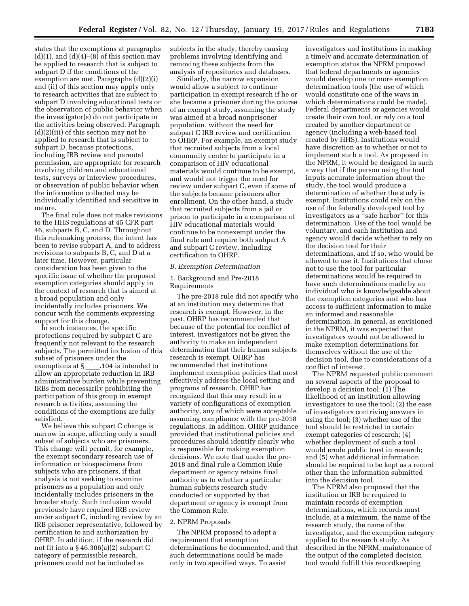states that the exemptions at paragraphs  $(d)(1)$ , and  $(d)(4)$ – $(8)$  of this section may be applied to research that is subject to subpart D if the conditions of the exemption are met. Paragraphs (d)(2)(i) and (ii) of this section may apply only to research activities that are subject to subpart D involving educational tests or the observation of public behavior when the investigator(s) do not participate in the activities being observed. Paragraph (d)(2)(iii) of this section may not be applied to research that is subject to subpart D, because protections, including IRB review and parental permission, are appropriate for research involving children and educational tests, surveys or interview procedures, or observation of public behavior when the information collected may be individually identified and sensitive in nature.

The final rule does not make revisions to the HHS regulations at 45 CFR part 46, subparts B, C, and D. Throughout this rulemaking process, the intent has been to revise subpart A, and to address revisions to subparts B, C, and D at a later time. However, particular consideration has been given to the specific issue of whether the proposed exemption categories should apply in the context of research that is aimed at a broad population and only incidentally includes prisoners. We concur with the comments expressing support for this change.

In such instances, the specific protections required by subpart C are frequently not relevant to the research subjects. The permitted inclusion of this subset of prisoners under the exemptions at § \_\_\_\_.104 is intended to<br>allow an appropriate reduction in IRB administrative burden while preventing IRBs from necessarily prohibiting the participation of this group in exempt research activities, assuming the conditions of the exemptions are fully satisfied.

We believe this subpart C change is narrow in scope, affecting only a small subset of subjects who are prisoners. This change will permit, for example, the exempt secondary research use of information or biospecimens from subjects who are prisoners, if that analysis is not seeking to examine prisoners as a population and only incidentally includes prisoners in the broader study. Such inclusion would previously have required IRB review under subpart C, including review by an IRB prisoner representative, followed by certification to and authorization by OHRP. In addition, if the research did not fit into a § 46.306(a)(2) subpart C category of permissible research, prisoners could not be included as

subjects in the study, thereby causing problems involving identifying and removing these subjects from the analysis of repositories and databases.

Similarly, the narrow expansion would allow a subject to continue participation in exempt research if he or she became a prisoner during the course of an exempt study, assuming the study was aimed at a broad nonprisoner population, without the need for subpart C IRB review and certification to OHRP. For example, an exempt study that recruited subjects from a local community center to participate in a comparison of HIV educational materials would continue to be exempt, and would not trigger the need for review under subpart C, even if some of the subjects became prisoners after enrollment. On the other hand, a study that recruited subjects from a jail or prison to participate in a comparison of HIV educational materials would continue to be nonexempt under the final rule and require both subpart A and subpart C review, including certification to OHRP.

#### *B. Exemption Determination*

## 1. Background and Pre-2018 Requirements

The pre-2018 rule did not specify who at an institution may determine that research is exempt. However, in the past, OHRP has recommended that because of the potential for conflict of interest, investigators not be given the authority to make an independent determination that their human subjects research is exempt. OHRP has recommended that institutions implement exemption policies that most effectively address the local setting and programs of research. OHRP has recognized that this may result in a variety of configurations of exemption authority, any of which were acceptable assuming compliance with the pre-2018 regulations. In addition, OHRP guidance provided that institutional policies and procedures should identify clearly who is responsible for making exemption decisions. We note that under the pre-2018 and final rule a Common Rule department or agency retains final authority as to whether a particular human subjects research study conducted or supported by that department or agency is exempt from the Common Rule.

#### 2. NPRM Proposals

The NPRM proposed to adopt a requirement that exemption determinations be documented, and that such determinations could be made only in two specified ways. To assist

investigators and institutions in making a timely and accurate determination of exemption status the NPRM proposed that federal departments or agencies would develop one or more exemption determination tools (the use of which would constitute one of the ways in which determinations could be made). Federal departments or agencies would create their own tool, or rely on a tool created by another department or agency (including a web-based tool created by HHS). Institutions would have discretion as to whether or not to implement such a tool. As proposed in the NPRM, it would be designed in such a way that if the person using the tool inputs accurate information about the study, the tool would produce a determination of whether the study is exempt. Institutions could rely on the use of the federally developed tool by investigators as a ''safe harbor'' for this determination. Use of the tool would be voluntary, and each institution and agency would decide whether to rely on the decision tool for their determinations, and if so, who would be allowed to use it. Institutions that chose not to use the tool for particular determinations would be required to have such determinations made by an individual who is knowledgeable about the exemption categories and who has access to sufficient information to make an informed and reasonable determination. In general, as envisioned in the NPRM, it was expected that investigators would not be allowed to make exemption determinations for themselves without the use of the decision tool, due to considerations of a conflict of interest.

The NPRM requested public comment on several aspects of the proposal to develop a decision tool: (1) The likelihood of an institution allowing investigators to use the tool; (2) the ease of investigators contriving answers in using the tool; (3) whether use of the tool should be restricted to certain exempt categories of research; (4) whether deployment of such a tool would erode public trust in research; and (5) what additional information should be required to be kept as a record other than the information submitted into the decision tool.

The NPRM also proposed that the institution or IRB be required to maintain records of exemption determinations, which records must include, at a minimum, the name of the research study, the name of the investigator, and the exemption category applied to the research study. As described in the NPRM, maintenance of the output of the completed decision tool would fulfill this recordkeeping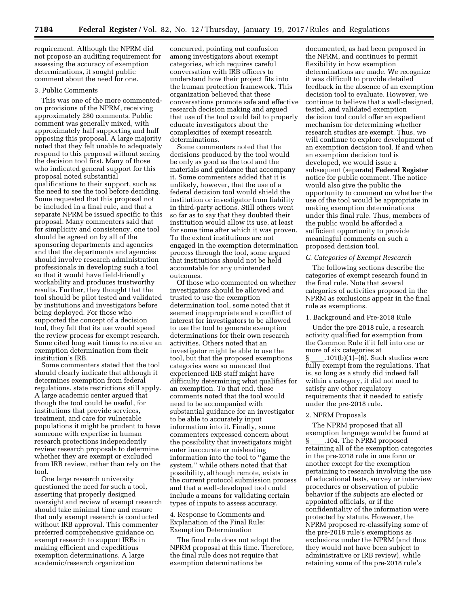requirement. Although the NPRM did not propose an auditing requirement for assessing the accuracy of exemption determinations, it sought public comment about the need for one.

# 3. Public Comments

This was one of the more commentedon provisions of the NPRM, receiving approximately 280 comments. Public comment was generally mixed, with approximately half supporting and half opposing this proposal. A large majority noted that they felt unable to adequately respond to this proposal without seeing the decision tool first. Many of those who indicated general support for this proposal noted substantial qualifications to their support, such as the need to see the tool before deciding. Some requested that this proposal not be included in a final rule, and that a separate NPRM be issued specific to this proposal. Many commenters said that for simplicity and consistency, one tool should be agreed on by all of the sponsoring departments and agencies and that the departments and agencies should involve research administration professionals in developing such a tool so that it would have field-friendly workability and produces trustworthy results. Further, they thought that the tool should be pilot tested and validated by institutions and investigators before being deployed. For those who supported the concept of a decision tool, they felt that its use would speed the review process for exempt research. Some cited long wait times to receive an exemption determination from their institution's IRB.

Some commenters stated that the tool should clearly indicate that although it determines exemption from federal regulations, state restrictions still apply. A large academic center argued that though the tool could be useful, for institutions that provide services, treatment, and care for vulnerable populations it might be prudent to have someone with expertise in human research protections independently review research proposals to determine whether they are exempt or excluded from IRB review, rather than rely on the tool.

One large research university questioned the need for such a tool, asserting that properly designed oversight and review of exempt research should take minimal time and ensure that only exempt research is conducted without IRB approval. This commenter preferred comprehensive guidance on exempt research to support IRBs in making efficient and expeditious exemption determinations. A large academic/research organization

concurred, pointing out confusion among investigators about exempt categories, which requires careful conversation with IRB officers to understand how their project fits into the human protection framework. This organization believed that these conversations promote safe and effective research decision making and argued that use of the tool could fail to properly educate investigators about the complexities of exempt research determinations.

Some commenters noted that the decisions produced by the tool would be only as good as the tool and the materials and guidance that accompany it. Some commenters added that it is unlikely, however, that the use of a federal decision tool would shield the institution or investigator from liability in third-party actions. Still others went so far as to say that they doubted their institution would allow its use, at least for some time after which it was proven. To the extent institutions are not engaged in the exemption determination process through the tool, some argued that institutions should not be held accountable for any unintended outcomes.

Of those who commented on whether investigators should be allowed and trusted to use the exemption determination tool, some noted that it seemed inappropriate and a conflict of interest for investigators to be allowed to use the tool to generate exemption determinations for their own research activities. Others noted that an investigator might be able to use the tool, but that the proposed exemptions categories were so nuanced that experienced IRB staff might have difficulty determining what qualifies for an exemption. To that end, these comments noted that the tool would need to be accompanied with substantial guidance for an investigator to be able to accurately input information into it. Finally, some commenters expressed concern about the possibility that investigators might enter inaccurate or misleading information into the tool to ''game the system,'' while others noted that that possibility, although remote, exists in the current protocol submission process and that a well-developed tool could include a means for validating certain types of inputs to assess accuracy.

# 4. Response to Comments and Explanation of the Final Rule: Exemption Determination

The final rule does not adopt the NPRM proposal at this time. Therefore, the final rule does not require that exemption determinations be

documented, as had been proposed in the NPRM, and continues to permit flexibility in how exemption determinations are made. We recognize it was difficult to provide detailed feedback in the absence of an exemption decision tool to evaluate. However, we continue to believe that a well-designed, tested, and validated exemption decision tool could offer an expedient mechanism for determining whether research studies are exempt. Thus, we will continue to explore development of an exemption decision tool. If and when an exemption decision tool is developed, we would issue a subsequent (separate) **Federal Register**  notice for public comment. The notice would also give the public the opportunity to comment on whether the use of the tool would be appropriate in making exemption determinations under this final rule. Thus, members of the public would be afforded a sufficient opportunity to provide meaningful comments on such a proposed decision tool.

#### *C. Categories of Exempt Research*

The following sections describe the categories of exempt research found in the final rule. Note that several categories of activities proposed in the NPRM as exclusions appear in the final rule as exemptions.

### 1. Background and Pre-2018 Rule

Under the pre-2018 rule, a research activity qualified for exemption from the Common Rule if it fell into one or more of six categories at  $.101(b)(1)–(6)$ . Such studies were fully exempt from the regulations. That is, so long as a study did indeed fall within a category, it did not need to satisfy any other regulatory requirements that it needed to satisfy under the pre-2018 rule.

#### 2. NPRM Proposals

The NPRM proposed that all exemption language would be found at § .104. The NPRM proposed retaining all of the exemption categories in the pre-2018 rule in one form or another except for the exemption pertaining to research involving the use of educational tests, survey or interview procedures or observation of public behavior if the subjects are elected or appointed officials, or if the confidentiality of the information were protected by statute. However, the NPRM proposed re-classifying some of the pre-2018 rule's exemptions as exclusions under the NPRM (and thus they would not have been subject to administrative or IRB review), while retaining some of the pre-2018 rule's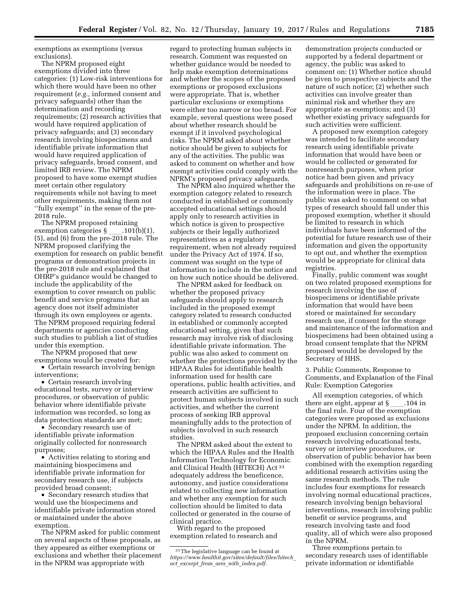exemptions as exemptions (versus exclusions).

The NPRM proposed eight exemptions divided into three categories: (1) Low-risk interventions for which there would have been no other requirement (*e.g.,* informed consent and privacy safeguards) other than the determination and recording requirements; (2) research activities that would have required application of privacy safeguards; and (3) secondary research involving biospecimens and identifiable private information that would have required application of privacy safeguards, broad consent, and limited IRB review. The NPRM proposed to have some exempt studies meet certain other regulatory requirements while not having to meet other requirements, making them not ''fully exempt'' in the sense of the pre-2018 rule.

The NPRM proposed retaining exemption categories § \_\_\_\_.101(b)(1),<br>(5), and (6) from the pre-2018 rule. The NPRM proposed clarifying the exemption for research on public benefit programs or demonstration projects in the pre-2018 rule and explained that OHRP's guidance would be changed to include the applicability of the exemption to cover research on public benefit and service programs that an agency does not itself administer through its own employees or agents. The NPRM proposed requiring federal departments or agencies conducting such studies to publish a list of studies under this exemption.

The NPRM proposed that new exemptions would be created for: • Certain research involving benign interventions;

• Certain research involving educational tests, survey or interview procedures, or observation of public behavior where identifiable private information was recorded, so long as data protection standards are met;

• Secondary research use of identifiable private information originally collected for nonresearch purposes;

• Activities relating to storing and maintaining biospecimens and identifiable private information for secondary research use, if subjects provided broad consent;

• Secondary research studies that would use the biospecimens and identifiable private information stored or maintained under the above exemption.

The NPRM asked for public comment on several aspects of these proposals, as they appeared as either exemptions or exclusions and whether their placement in the NPRM was appropriate with

regard to protecting human subjects in research. Comment was requested on whether guidance would be needed to help make exemption determinations and whether the scopes of the proposed exemptions or proposed exclusions were appropriate. That is, whether particular exclusions or exemptions were either too narrow or too broad. For example, several questions were posed about whether research should be exempt if it involved psychological risks. The NPRM asked about whether notice should be given to subjects for any of the activities. The public was asked to comment on whether and how exempt activities could comply with the NPRM's proposed privacy safeguards.

The NPRM also inquired whether the exemption category related to research conducted in established or commonly accepted educational settings should apply only to research activities in which notice is given to prospective subjects or their legally authorized representatives as a regulatory requirement, when not already required under the Privacy Act of 1974. If so, comment was sought on the type of information to include in the notice and on how such notice should be delivered.

The NPRM asked for feedback on whether the proposed privacy safeguards should apply to research included in the proposed exempt category related to research conducted in established or commonly accepted educational setting, given that such research may involve risk of disclosing identifiable private information. The public was also asked to comment on whether the protections provided by the HIPAA Rules for identifiable health information used for health care operations, public health activities, and research activities are sufficient to protect human subjects involved in such activities, and whether the current process of seeking IRB approval meaningfully adds to the protection of subjects involved in such research studies.

The NPRM asked about the extent to which the HIPAA Rules and the Health Information Technology for Economic and Clinical Health (HITECH) Act 33 adequately address the beneficence, autonomy, and justice considerations related to collecting new information and whether any exemption for such collection should be limited to data collected or generated in the course of clinical practice.

With regard to the proposed exemption related to research and

demonstration projects conducted or supported by a federal department or agency, the public was asked to comment on: (1) Whether notice should be given to prospective subjects and the nature of such notice; (2) whether such activities can involve greater than minimal risk and whether they are appropriate as exemptions; and (3) whether existing privacy safeguards for such activities were sufficient.

A proposed new exemption category was intended to facilitate secondary research using identifiable private information that would have been or would be collected or generated for nonresearch purposes, when prior notice had been given and privacy safeguards and prohibitions on re-use of the information were in place. The public was asked to comment on what types of research should fall under this proposed exemption, whether it should be limited to research in which individuals have been informed of the potential for future research use of their information and given the opportunity to opt out, and whether the exemption would be appropriate for clinical data registries.

Finally, public comment was sought on two related proposed exemptions for research involving the use of biospecimens or identifiable private information that would have been stored or maintained for secondary research use, if consent for the storage and maintenance of the information and biospecimens had been obtained using a broad consent template that the NPRM proposed would be developed by the Secretary of HHS.

3. Public Comments, Response to Comments, and Explanation of the Final Rule: Exemption Categories

All exemption categories, of which there are eight, appear at  $\S$  \_\_\_\_.104 in the final rule. Four of the exemption categories were proposed as exclusions under the NPRM. In addition, the proposed exclusion concerning certain research involving educational tests, survey or interview procedures, or observation of public behavior has been combined with the exemption regarding additional research activities using the same research methods. The rule includes four exemptions for research involving normal educational practices, research involving benign behavioral interventions, research involving public benefit or service programs, and research involving taste and food quality, all of which were also proposed in the NPRM.

Three exemptions pertain to secondary research uses of identifiable private information or identifiable

<sup>33</sup>The legislative language can be found at *[https://www.healthit.gov/sites/default/files/hitech](https://www.healthit.gov/sites/default/files/hitech_act_excerpt_from_arra_with_index.pdf)*\_ *act*\_*excerpt*\_*from*\_*arra*\_*with*\_*[index.pdf.](https://www.healthit.gov/sites/default/files/hitech_act_excerpt_from_arra_with_index.pdf)*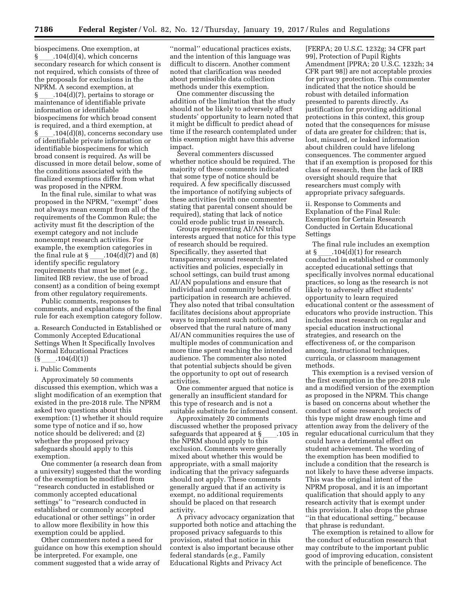biospecimens. One exemption, at § \_\_\_\_.104(d)(4), which concerns<br>secondary research for which consent is not required, which consists of three of the proposals for exclusions in the NPRM. A second exemption, at  $\S$  .104(d)(7), pertains to storage or maintenance of identifiable private information or identifiable biospecimens for which broad consent is required, and a third exemption, at § ll.104(d)(8), concerns secondary use of identifiable private information or identifiable biospecimens for which broad consent is required. As will be discussed in more detail below, some of the conditions associated with the finalized exemptions differ from what was proposed in the NPRM.

In the final rule, similar to what was proposed in the NPRM, ''exempt'' does not always mean exempt from all of the requirements of the Common Rule; the activity must fit the description of the exempt category and not include nonexempt research activities. For example, the exemption categories in the final rule at § \_\_\_\_.104(d)(7) and (8)<br>identify specific regulatory requirements that must be met (*e.g.,*  limited IRB review, the use of broad consent) as a condition of being exempt from other regulatory requirements.

Public comments, responses to comments, and explanations of the final rule for each exemption category follow.

a. Research Conducted in Established or Commonly Accepted Educational Settings When It Specifically Involves Normal Educational Practices  $(S \t 104(d)(1))$ 

#### i. Public Comments

Approximately 50 comments discussed this exemption, which was a slight modification of an exemption that existed in the pre-2018 rule. The NPRM asked two questions about this exemption: (1) whether it should require some type of notice and if so, how notice should be delivered; and (2) whether the proposed privacy safeguards should apply to this exemption.

One commenter (a research dean from a university) suggested that the wording of the exemption be modified from ''research conducted in established or commonly accepted educational settings'' to ''research conducted in established or commonly accepted educational or other settings'' in order to allow more flexibility in how this exemption could be applied.

Other commenters noted a need for guidance on how this exemption should be interpreted. For example, one comment suggested that a wide array of

''normal'' educational practices exists, and the intention of this language was difficult to discern. Another comment noted that clarification was needed about permissible data collection methods under this exemption.

One commenter discussing the addition of the limitation that the study should not be likely to adversely affect students' opportunity to learn noted that it might be difficult to predict ahead of time if the research contemplated under this exemption might have this adverse impact.

Several commenters discussed whether notice should be required. The majority of these comments indicated that some type of notice should be required. A few specifically discussed the importance of notifying subjects of these activities (with one commenter stating that parental consent should be required), stating that lack of notice could erode public trust in research.

Groups representing AI/AN tribal interests argued that notice for this type of research should be required. Specifically, they asserted that transparency around research-related activities and policies, especially in school settings, can build trust among AI/AN populations and ensure that individual and community benefits of participation in research are achieved. They also noted that tribal consultation facilitates decisions about appropriate ways to implement such notices, and observed that the rural nature of many AI/AN communities requires the use of multiple modes of communication and more time spent reaching the intended audience. The commenter also noted that potential subjects should be given the opportunity to opt out of research activities.

One commenter argued that notice is generally an insufficient standard for this type of research and is not a suitable substitute for informed consent.

Approximately 20 comments discussed whether the proposed privacy safeguards that appeared at  $\S$  \_\_\_\_\_.105 in the NPRM should apply to this exclusion. Comments were generally mixed about whether this would be appropriate, with a small majority indicating that the privacy safeguards should not apply. These comments generally argued that if an activity is exempt, no additional requirements should be placed on that research activity.

A privacy advocacy organization that supported both notice and attaching the proposed privacy safeguards to this provision, stated that notice in this context is also important because other federal standards (*e.g.,* Family Educational Rights and Privacy Act

[FERPA; 20 U.S.C. 1232g; 34 CFR part 99], Protection of Pupil Rights Amendment [PPRA; 20 U.S.C. 1232h; 34 CFR part 98]) are not acceptable proxies for privacy protection. This commenter indicated that the notice should be robust with detailed information presented to parents directly. As justification for providing additional protections in this context, this group noted that the consequences for misuse of data are greater for children; that is, lost, misused, or leaked information about children could have lifelong consequences. The commenter argued that if an exemption is proposed for this class of research, then the lack of IRB oversight should require that researchers must comply with appropriate privacy safeguards.

ii. Response to Comments and Explanation of the Final Rule: Exemption for Certain Research Conducted in Certain Educational Settings

The final rule includes an exemption  $\S$  .104(d)(1) for research at §\_\_\_\_.104(d)(1) for research<br>conducted in established or commonly accepted educational settings that specifically involves normal educational practices, so long as the research is not likely to adversely affect students' opportunity to learn required educational content or the assessment of educators who provide instruction. This includes most research on regular and special education instructional strategies, and research on the effectiveness of, or the comparison among, instructional techniques, curricula, or classroom management methods.

This exemption is a revised version of the first exemption in the pre-2018 rule and a modified version of the exemption as proposed in the NPRM. This change is based on concerns about whether the conduct of some research projects of this type might draw enough time and attention away from the delivery of the regular educational curriculum that they could have a detrimental effect on student achievement. The wording of the exemption has been modified to include a condition that the research is not likely to have these adverse impacts. This was the original intent of the NPRM proposal, and it is an important qualification that should apply to any research activity that is exempt under this provision. It also drops the phrase ''in that educational setting,'' because that phrase is redundant.

The exemption is retained to allow for the conduct of education research that may contribute to the important public good of improving education, consistent with the principle of beneficence. The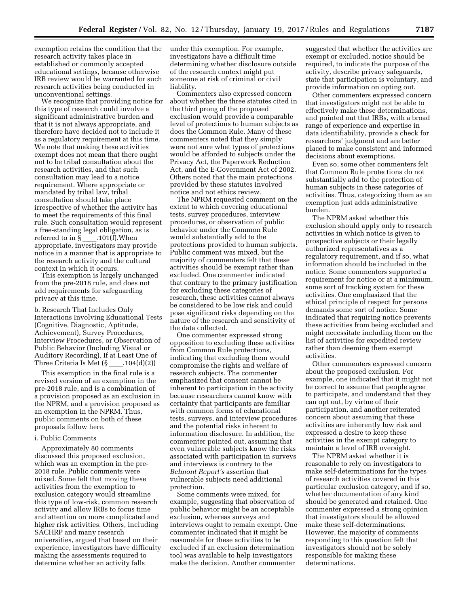exemption retains the condition that the research activity takes place in established or commonly accepted educational settings, because otherwise IRB review would be warranted for such research activities being conducted in unconventional settings.

We recognize that providing notice for this type of research could involve a significant administrative burden and that it is not always appropriate, and therefore have decided not to include it as a regulatory requirement at this time. We note that making these activities exempt does not mean that there ought not to be tribal consultation about the research activities, and that such consultation may lead to a notice requirement. Where appropriate or mandated by tribal law, tribal consultation should take place irrespective of whether the activity has to meet the requirements of this final rule. Such consultation would represent a free-standing legal obligation, as is referred to in  $\S$  .101(f). When appropriate, investigators may provide notice in a manner that is appropriate to the research activity and the cultural context in which it occurs.

This exemption is largely unchanged from the pre-2018 rule, and does not add requirements for safeguarding privacy at this time.

b. Research That Includes Only Interactions Involving Educational Tests (Cognitive, Diagnostic, Aptitude, Achievement), Survey Procedures, Interview Procedures, or Observation of Public Behavior (Including Visual or Auditory Recording), If at Least One of Three Criteria Is Met  $(S \t 104(d)(2))$ 

This exemption in the final rule is a revised version of an exemption in the pre-2018 rule, and is a combination of a provision proposed as an exclusion in the NPRM, and a provision proposed as an exemption in the NPRM. Thus, public comments on both of these proposals follow here.

#### i. Public Comments

Approximately 80 comments discussed this proposed exclusion, which was an exemption in the pre-2018 rule. Public comments were mixed. Some felt that moving these activities from the exemption to exclusion category would streamline this type of low-risk, common research activity and allow IRBs to focus time and attention on more complicated and higher risk activities. Others, including SACHRP and many research universities, argued that based on their experience, investigators have difficulty making the assessments required to determine whether an activity falls

under this exemption. For example, investigators have a difficult time determining whether disclosure outside of the research context might put someone at risk of criminal or civil liability.

Commenters also expressed concern about whether the three statutes cited in the third prong of the proposed exclusion would provide a comparable level of protections to human subjects as does the Common Rule. Many of these commenters noted that they simply were not sure what types of protections would be afforded to subjects under the Privacy Act, the Paperwork Reduction Act, and the E-Government Act of 2002. Others noted that the main protections provided by these statutes involved notice and not ethics review.

The NPRM requested comment on the extent to which covering educational tests, survey procedures, interview procedures, or observation of public behavior under the Common Rule would substantially add to the protections provided to human subjects. Public comment was mixed, but the majority of commenters felt that these activities should be exempt rather than excluded. One commenter indicated that contrary to the primary justification for excluding these categories of research, these activities cannot always be considered to be low risk and could pose significant risks depending on the nature of the research and sensitivity of the data collected.

One commenter expressed strong opposition to excluding these activities from Common Rule protections, indicating that excluding them would compromise the rights and welfare of research subjects. The commenter emphasized that consent cannot be inherent to participation in the activity because researchers cannot know with certainty that participants are familiar with common forms of educational tests, surveys, and interview procedures and the potential risks inherent to information disclosure. In addition, the commenter pointed out, assuming that even vulnerable subjects know the risks associated with participation in surveys and interviews is contrary to the *Belmont Report's* assertion that vulnerable subjects need additional protection.

Some comments were mixed, for example, suggesting that observation of public behavior might be an acceptable exclusion, whereas surveys and interviews ought to remain exempt. One commenter indicated that it might be reasonable for these activities to be excluded if an exclusion determination tool was available to help investigators make the decision. Another commenter

suggested that whether the activities are exempt or excluded, notice should be required, to indicate the purpose of the activity, describe privacy safeguards, state that participation is voluntary, and provide information on opting out.

Other commenters expressed concern that investigators might not be able to effectively make these determinations, and pointed out that IRBs, with a broad range of experience and expertise in data identifiability, provide a check for researchers' judgment and are better placed to make consistent and informed decisions about exemptions.

Even so, some other commenters felt that Common Rule protections do not substantially add to the protection of human subjects in these categories of activities. Thus, categorizing them as an exemption just adds administrative burden.

The NPRM asked whether this exclusion should apply only to research activities in which notice is given to prospective subjects or their legally authorized representatives as a regulatory requirement, and if so, what information should be included in the notice. Some commenters supported a requirement for notice or at a minimum, some sort of tracking system for these activities. One emphasized that the ethical principle of respect for persons demands some sort of notice. Some indicated that requiring notice prevents these activities from being excluded and might necessitate including them on the list of activities for expedited review rather than deeming them exempt activities.

Other commenters expressed concern about the proposed exclusion. For example, one indicated that it might not be correct to assume that people agree to participate, and understand that they can opt out, by virtue of their participation, and another reiterated concern about assuming that these activities are inherently low risk and expressed a desire to keep these activities in the exempt category to maintain a level of IRB oversight.

The NPRM asked whether it is reasonable to rely on investigators to make self-determinations for the types of research activities covered in this particular exclusion category, and if so, whether documentation of any kind should be generated and retained. One commenter expressed a strong opinion that investigators should be allowed make these self-determinations. However, the majority of comments responding to this question felt that investigators should not be solely responsible for making these determinations.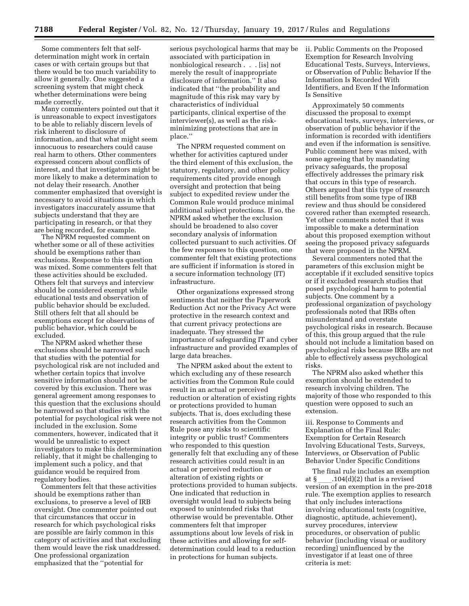Some commenters felt that selfdetermination might work in certain cases or with certain groups but that there would be too much variability to allow it generally. One suggested a screening system that might check whether determinations were being made correctly.

Many commenters pointed out that it is unreasonable to expect investigators to be able to reliably discern levels of risk inherent to disclosure of information, and that what might seem innocuous to researchers could cause real harm to others. Other commenters expressed concern about conflicts of interest, and that investigators might be more likely to make a determination to not delay their research. Another commenter emphasized that oversight is necessary to avoid situations in which investigators inaccurately assume that subjects understand that they are participating in research, or that they are being recorded, for example.

The NPRM requested comment on whether some or all of these activities should be exemptions rather than exclusions. Response to this question was mixed. Some commenters felt that these activities should be excluded. Others felt that surveys and interview should be considered exempt while educational tests and observation of public behavior should be excluded. Still others felt that all should be exemptions except for observations of public behavior, which could be excluded.

The NPRM asked whether these exclusions should be narrowed such that studies with the potential for psychological risk are not included and whether certain topics that involve sensitive information should not be covered by this exclusion. There was general agreement among responses to this question that the exclusions should be narrowed so that studies with the potential for psychological risk were not included in the exclusion. Some commenters, however, indicated that it would be unrealistic to expect investigators to make this determination reliably, that it might be challenging to implement such a policy, and that guidance would be required from regulatory bodies.

Commenters felt that these activities should be exemptions rather than exclusions, to preserve a level of IRB oversight. One commenter pointed out that circumstances that occur in research for which psychological risks are possible are fairly common in this category of activities and that excluding them would leave the risk unaddressed. One professional organization emphasized that the ''potential for

serious psychological harms that may be associated with participation in nonbiological research . . . [is] not merely the result of inappropriate disclosure of information.'' It also indicated that ''the probability and magnitude of this risk may vary by characteristics of individual participants, clinical expertise of the interviewer(s), as well as the riskminimizing protections that are in place.''

The NPRM requested comment on whether for activities captured under the third element of this exclusion, the statutory, regulatory, and other policy requirements cited provide enough oversight and protection that being subject to expedited review under the Common Rule would produce minimal additional subject protections. If so, the NPRM asked whether the exclusion should be broadened to also cover secondary analysis of information collected pursuant to such activities. Of the few responses to this question, one commenter felt that existing protections are sufficient if information is stored in a secure information technology (IT) infrastructure.

Other organizations expressed strong sentiments that neither the Paperwork Reduction Act nor the Privacy Act were protective in the research context and that current privacy protections are inadequate. They stressed the importance of safeguarding IT and cyber infrastructure and provided examples of large data breaches.

The NPRM asked about the extent to which excluding any of these research activities from the Common Rule could result in an actual or perceived reduction or alteration of existing rights or protections provided to human subjects. That is, does excluding these research activities from the Common Rule pose any risks to scientific integrity or public trust? Commenters who responded to this question generally felt that excluding any of these research activities could result in an actual or perceived reduction or alteration of existing rights or protections provided to human subjects. One indicated that reduction in oversight would lead to subjects being exposed to unintended risks that otherwise would be preventable. Other commenters felt that improper assumptions about low levels of risk in these activities and allowing for selfdetermination could lead to a reduction in protections for human subjects.

ii. Public Comments on the Proposed Exemption for Research Involving Educational Tests, Surveys, Interviews, or Observation of Public Behavior If the Information Is Recorded With Identifiers, and Even If the Information Is Sensitive

Approximately 50 comments discussed the proposal to exempt educational tests, surveys, interviews, or observation of public behavior if the information is recorded with identifiers and even if the information is sensitive. Public comment here was mixed, with some agreeing that by mandating privacy safeguards, the proposal effectively addresses the primary risk that occurs in this type of research. Others argued that this type of research still benefits from some type of IRB review and thus should be considered covered rather than exempted research. Yet other comments noted that it was impossible to make a determination about this proposed exemption without seeing the proposed privacy safeguards that were proposed in the NPRM.

Several commenters noted that the parameters of this exclusion might be acceptable if it excluded sensitive topics or if it excluded research studies that posed psychological harm to potential subjects. One comment by a professional organization of psychology professionals noted that IRBs often misunderstand and overstate psychological risks in research. Because of this, this group argued that the rule should not include a limitation based on psychological risks because IRBs are not able to effectively assess psychological risks.

The NPRM also asked whether this exemption should be extended to research involving children. The majority of those who responded to this question were opposed to such an extension.

iii. Response to Comments and Explanation of the Final Rule: Exemption for Certain Research Involving Educational Tests, Surveys, Interviews, or Observation of Public Behavior Under Specific Conditions

The final rule includes an exemption at §\_\_\_\_.104(d)(2) that is a revised<br>version of an exemption in the pre-2018 rule. The exemption applies to research that only includes interactions involving educational tests (cognitive, diagnostic, aptitude, achievement), survey procedures, interview procedures, or observation of public behavior (including visual or auditory recording) uninfluenced by the investigator if at least one of three criteria is met: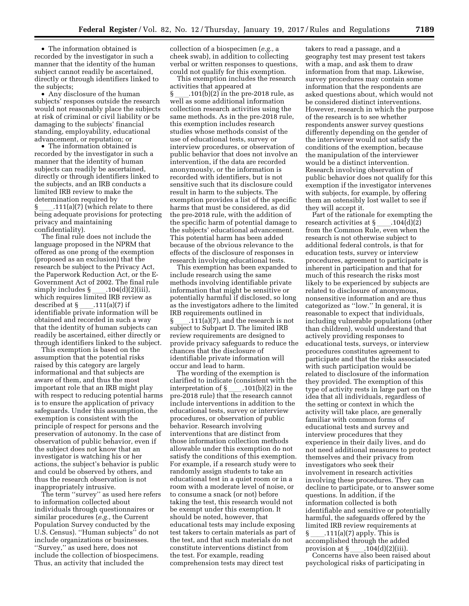• The information obtained is recorded by the investigator in such a manner that the identity of the human subject cannot readily be ascertained, directly or through identifiers linked to the subjects;

• Any disclosure of the human subjects' responses outside the research would not reasonably place the subjects at risk of criminal or civil liability or be damaging to the subjects' financial standing, employability, educational advancement, or reputation; or

• The information obtained is recorded by the investigator in such a manner that the identity of human subjects can readily be ascertained, directly or through identifiers linked to the subjects, and an IRB conducts a limited IRB review to make the determination required by

§ \_\_\_\_.111(a)(7) (which relate to there<br>being adequate provisions for protecting privacy and maintaining confidentiality).

The final rule does not include the language proposed in the NPRM that offered as one prong of the exemption (proposed as an exclusion) that the research be subject to the Privacy Act, the Paperwork Reduction Act, or the E-Government Act of 2002. The final rule simply includes § \_\_\_\_.104(d)(2)(iii),<br>which requires limited IRB review as described at § \_\_\_\_.111(a)(7) if<br>identifiable private information will be obtained and recorded in such a way that the identity of human subjects can readily be ascertained, either directly or through identifiers linked to the subject.

This exemption is based on the assumption that the potential risks raised by this category are largely informational and that subjects are aware of them, and thus the most important role that an IRB might play with respect to reducing potential harms is to ensure the application of privacy safeguards. Under this assumption, the exemption is consistent with the principle of respect for persons and the preservation of autonomy. In the case of observation of public behavior, even if the subject does not know that an investigator is watching his or her actions, the subject's behavior is public and could be observed by others, and thus the research observation is not inappropriately intrusive.

The term ''survey'' as used here refers to information collected about individuals through questionnaires or similar procedures (*e.g.,* the Current Population Survey conducted by the U.S. Census). ''Human subjects'' do not include organizations or businesses. ''Survey,'' as used here, does not include the collection of biospecimens. Thus, an activity that included the

collection of a biospecimen (*e.g.,* a cheek swab), in addition to collecting verbal or written responses to questions, could not qualify for this exemption.

This exemption includes the research activities that appeared at  $\S$  .101(b)(2) in the pre-2018 rule, as well as some additional information collection research activities using the same methods. As in the pre-2018 rule, this exemption includes research studies whose methods consist of the use of educational tests, survey or interview procedures, or observation of public behavior that does not involve an intervention, if the data are recorded anonymously, or the information is recorded with identifiers, but is not sensitive such that its disclosure could result in harm to the subjects. The exemption provides a list of the specific harms that must be considered, as did the pre-2018 rule, with the addition of the specific harm of potential damage to the subjects' educational advancement. This potential harm has been added because of the obvious relevance to the effects of the disclosure of responses in research involving educational tests.

This exemption has been expanded to include research using the same methods involving identifiable private information that might be sensitive or potentially harmful if disclosed, so long as the investigators adhere to the limited IRB requirements outlined in  $\S$  .111(a)(7), and the research is not subject to Subpart D. The limited IRB review requirements are designed to provide privacy safeguards to reduce the chances that the disclosure of identifiable private information will occur and lead to harm.

The wording of the exemption is clarified to indicate (consistent with the interpretation of  $\S$  .101(b)(2) in the pre-2018 rule) that the research cannot include interventions in addition to the educational tests, survey or interview procedures, or observation of public behavior. Research involving interventions that are distinct from those information collection methods allowable under this exemption do not satisfy the conditions of this exemption. For example, if a research study were to randomly assign students to take an educational test in a quiet room or in a room with a moderate level of noise, or to consume a snack (or not) before taking the test, this research would not be exempt under this exemption. It should be noted, however, that educational tests may include exposing test takers to certain materials as part of the test, and that such materials do not constitute interventions distinct from the test. For example, reading comprehension tests may direct test

takers to read a passage, and a geography test may present test takers with a map, and ask them to draw information from that map. Likewise, survey procedures may contain some information that the respondents are asked questions about, which would not be considered distinct interventions. However, research in which the purpose of the research is to see whether respondents answer survey questions differently depending on the gender of the interviewer would not satisfy the conditions of the exemption, because the manipulation of the interviewer would be a distinct intervention. Research involving observation of public behavior does not qualify for this exemption if the investigator intervenes with subjects, for example, by offering them an ostensibly lost wallet to see if they will accept it.

Part of the rationale for exempting the research activities at  $\S$  \_\_\_\_\_.104(d)(2) from the Common Rule, even when the research is not otherwise subject to additional federal controls, is that for education tests, survey or interview procedures, agreement to participate is inherent in participation and that for much of this research the risks most likely to be experienced by subjects are related to disclosure of anonymous, nonsensitive information and are thus categorized as ''low.'' In general, it is reasonable to expect that individuals, including vulnerable populations (other than children), would understand that actively providing responses to educational tests, surveys, or interview procedures constitutes agreement to participate and that the risks associated with such participation would be related to disclosure of the information they provided. The exemption of this type of activity rests in large part on the idea that all individuals, regardless of the setting or context in which the activity will take place, are generally familiar with common forms of educational tests and survey and interview procedures that they experience in their daily lives, and do not need additional measures to protect themselves and their privacy from investigators who seek their involvement in research activities involving these procedures. They can decline to participate, or to answer some questions. In addition, if the information collected is both identifiable and sensitive or potentially harmful, the safeguards offered by the limited IRB review requirements at  $\S$  .111(a)(7) apply. This is accomplished through the added

provision at §\_\_\_\_.104(d)(2)(iii).<br>Concerns have also been raised about psychological risks of participating in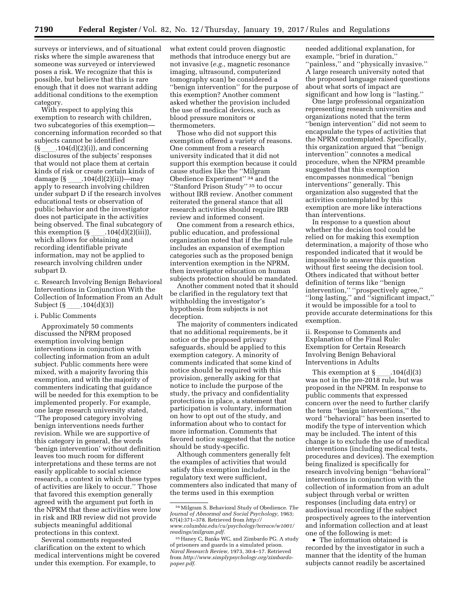surveys or interviews, and of situational risks where the simple awareness that someone was surveyed or interviewed poses a risk. We recognize that this is possible, but believe that this is rare enough that it does not warrant adding additional conditions to the exemption category.

With respect to applying this exemption to research with children, two subcategories of this exemption concerning information recorded so that subjects cannot be identified (§ \_\_\_\_.104(d)(2)(i)), and concerning<br>disclosures of the subjects' responses that would not place them at certain kinds of risk or create certain kinds of damage (§ \_\_\_\_.104(d)(2)(ii))—may<br>apply to research involving children under subpart D if the research involves educational tests or observation of public behavior and the investigator does not participate in the activities being observed. The final subcategory of<br>this exemption  $(S \t 104(d)(2)(iii)),$ this exemption (§ \_\_\_\_.104(d)(2)(iii)),<br>which allows for obtaining and recording identifiable private information, may not be applied to research involving children under subpart D.

c. Research Involving Benign Behavioral Interventions in Conjunction With the Collection of Information From an Adult Subject  $(S \t 104(d)(3))$ 

# i. Public Comments

Approximately 50 comments discussed the NPRM proposed exemption involving benign interventions in conjunction with collecting information from an adult subject. Public comments here were mixed, with a majority favoring this exemption, and with the majority of commenters indicating that guidance will be needed for this exemption to be implemented properly. For example, one large research university stated, ''The proposed category involving benign interventions needs further revision. While we are supportive of this category in general, the words 'benign intervention' without definition leaves too much room for different interpretations and these terms are not easily applicable to social science research, a context in which these types of activities are likely to occur.'' Those that favored this exemption generally agreed with the argument put forth in the NPRM that these activities were low in risk and IRB review did not provide subjects meaningful additional protections in this context.

Several comments requested clarification on the extent to which medical interventions might be covered under this exemption. For example, to

what extent could proven diagnostic methods that introduce energy but are not invasive (*e.g.,* magnetic resonance imaging, ultrasound, computerized tomography scan) be considered a ''benign intervention'' for the purpose of this exemption? Another comment asked whether the provision included the use of medical devices, such as blood pressure monitors or thermometers.

Those who did not support this exemption offered a variety of reasons. One comment from a research university indicated that it did not support this exemption because it could cause studies like the ''Milgram Obedience Experiment'' 34 and the ''Stanford Prison Study'' 35 to occur without IRB review. Another comment reiterated the general stance that all research activities should require IRB review and informed consent.

One comment from a research ethics, public education, and professional organization noted that if the final rule includes an expansion of exemption categories such as the proposed benign intervention exemption in the NPRM, then investigator education on human subjects protection should be mandated.

Another comment noted that it should be clarified in the regulatory text that withholding the investigator's hypothesis from subjects is not deception.

The majority of commenters indicated that no additional requirements, be it notice or the proposed privacy safeguards, should be applied to this exemption category. A minority of comments indicated that some kind of notice should be required with this provision, generally asking for that notice to include the purpose of the study, the privacy and confidentiality protections in place, a statement that participation is voluntary, information on how to opt out of the study, and information about who to contact for more information. Comments that favored notice suggested that the notice should be study-specific.

Although commenters generally felt the examples of activities that would satisfy this exemption included in the regulatory text were sufficient, commenters also indicated that many of the terms used in this exemption

needed additional explanation, for example, "brief in duration," ''painless,'' and ''physically invasive.'' A large research university noted that the proposed language raised questions about what sorts of impact are significant and how long is ''lasting.''

One large professional organization representing research universities and organizations noted that the term ''benign intervention'' did not seem to encapsulate the types of activities that the NPRM contemplated. Specifically, this organization argued that ''benign intervention'' connotes a medical procedure, when the NPRM preamble suggested that this exemption encompasses nonmedical ''benign interventions'' generally. This organization also suggested that the activities contemplated by this exemption are more like interactions than interventions.

In response to a question about whether the decision tool could be relied on for making this exemption determination, a majority of those who responded indicated that it would be impossible to answer this question without first seeing the decision tool. Others indicated that without better definition of terms like ''benign intervention,'' ''prospectively agree,'' ''long lasting,'' and ''significant impact,'' it would be impossible for a tool to provide accurate determinations for this exemption.

# ii. Response to Comments and Explanation of the Final Rule: Exemption for Certain Research Involving Benign Behavioral Interventions in Adults

This exemption at  $\underline{\S}$  \_\_\_.104(d)(3) was not in the pre-2018 rule, but was proposed in the NPRM. In response to public comments that expressed concern over the need to further clarify the term ''benign interventions,'' the word ''behavioral'' has been inserted to modify the type of intervention which may be included. The intent of this change is to exclude the use of medical interventions (including medical tests, procedures and devices). The exemption being finalized is specifically for research involving benign ''behavioral'' interventions in conjunction with the collection of information from an adult subject through verbal or written responses (including data entry) or audiovisual recording if the subject prospectively agrees to the intervention and information collection and at least one of the following is met:

• The information obtained is recorded by the investigator in such a manner that the identity of the human subjects cannot readily be ascertained

<sup>34</sup>Milgram S. Behavioral Study of Obedience. *The Journal of Abnormal and Social Psychology,* 1963; 67(4):371–378. Retrieved from *[http://](http://www.columbia.edu/cu/psychology/terrace/w1001/readings/milgram.pdf) [www.columbia.edu/cu/psychology/terrace/w1001/](http://www.columbia.edu/cu/psychology/terrace/w1001/readings/milgram.pdf) [readings/milgram.pdf.](http://www.columbia.edu/cu/psychology/terrace/w1001/readings/milgram.pdf)* 

<sup>35</sup>Haney C, Banks WC, and Zimbardo PG. A study of prisoners and guards in a simulated prison. *Naval Research Review,* 1973, 30:4–17. Retrieved from *[http://www.simplypsychology.org/zimbardo](http://www.simplypsychology.org/zimbardo-paper.pdf)[paper.pdf](http://www.simplypsychology.org/zimbardo-paper.pdf)*.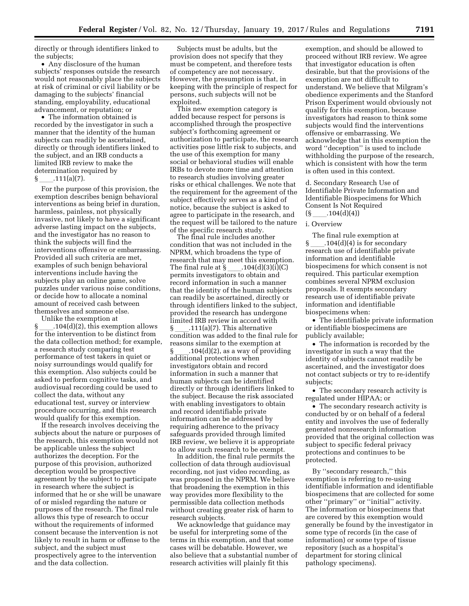directly or through identifiers linked to the subjects;

• Any disclosure of the human subjects' responses outside the research would not reasonably place the subjects at risk of criminal or civil liability or be damaging to the subjects' financial standing, employability, educational advancement, or reputation; or

• The information obtained is recorded by the investigator in such a manner that the identity of the human subjects can readily be ascertained, directly or through identifiers linked to the subject, and an IRB conducts a limited IRB review to make the determination required by  $\S$  .111(a)(7).

For the purpose of this provision, the exemption describes benign behavioral interventions as being brief in duration, harmless, painless, not physically invasive, not likely to have a significant adverse lasting impact on the subjects, and the investigator has no reason to think the subjects will find the interventions offensive or embarrassing. Provided all such criteria are met, examples of such benign behavioral interventions include having the subjects play an online game, solve puzzles under various noise conditions, or decide how to allocate a nominal amount of received cash between themselves and someone else.

Unlike the exemption at § ll.104(d)(2), this exemption allows for the intervention to be distinct from the data collection method; for example, a research study comparing test performance of test takers in quiet or noisy surroundings would qualify for this exemption. Also subjects could be asked to perform cognitive tasks, and audiovisual recording could be used to collect the data, without any educational test, survey or interview procedure occurring, and this research would qualify for this exemption.

If the research involves deceiving the subjects about the nature or purposes of the research, this exemption would not be applicable unless the subject authorizes the deception. For the purpose of this provision, authorized deception would be prospective agreement by the subject to participate in research where the subject is informed that he or she will be unaware of or misled regarding the nature or purposes of the research. The final rule allows this type of research to occur without the requirements of informed consent because the intervention is not likely to result in harm or offense to the subject, and the subject must prospectively agree to the intervention and the data collection.

Subjects must be adults, but the provision does not specify that they must be competent, and therefore tests of competency are not necessary. However, the presumption is that, in keeping with the principle of respect for persons, such subjects will not be exploited.

This new exemption category is added because respect for persons is accomplished through the prospective subject's forthcoming agreement or authorization to participate, the research activities pose little risk to subjects, and the use of this exemption for many social or behavioral studies will enable IRBs to devote more time and attention to research studies involving greater risks or ethical challenges. We note that the requirement for the agreement of the subject effectively serves as a kind of notice, because the subject is asked to agree to participate in the research, and the request will be tailored to the nature of the specific research study.

The final rule includes another condition that was not included in the NPRM, which broadens the type of research that may meet this exemption. The final rule at § \_\_\_\_.104(d)(3)(i)(C)<br>permits investigators to obtain and record information in such a manner that the identity of the human subjects can readily be ascertained, directly or through identifiers linked to the subject, provided the research has undergone limited IRB review in accord with<br>§ .111(a)(7). This alternative § \_\_\_\_.111(a)(7). This alternative<br>condition was added to the final rule for reasons similar to the exemption at

 $\S$  .104(d)(2), as a way of providing additional protections when investigators obtain and record information in such a manner that human subjects can be identified directly or through identifiers linked to the subject. Because the risk associated with enabling investigators to obtain and record identifiable private information can be addressed by requiring adherence to the privacy safeguards provided through limited IRB review, we believe it is appropriate to allow such research to be exempt.

In addition, the final rule permits the collection of data through audiovisual recording, not just video recording, as was proposed in the NPRM. We believe that broadening the exemption in this way provides more flexibility to the permissible data collection methods without creating greater risk of harm to research subjects.

We acknowledge that guidance may be useful for interpreting some of the terms in this exemption, and that some cases will be debatable. However, we also believe that a substantial number of research activities will plainly fit this

exemption, and should be allowed to proceed without IRB review. We agree that investigator education is often desirable, but that the provisions of the exemption are not difficult to understand. We believe that Milgram's obedience experiments and the Stanford Prison Experiment would obviously not qualify for this exemption, because investigators had reason to think some subjects would find the interventions offensive or embarrassing. We acknowledge that in this exemption the word ''deception'' is used to include withholding the purpose of the research, which is consistent with how the term is often used in this context.

d. Secondary Research Use of Identifiable Private Information and Identifiable Biospecimens for Which Consent Is Not Required  $(S \t 104(d)(4))$ 

#### i. Overview

The final rule exemption at  $\S$  \_\_\_\_\_.104(d)(4) is for secondary research use of identifiable private information and identifiable biospecimens for which consent is not required. This particular exemption combines several NPRM exclusion proposals. It exempts secondary research use of identifiable private information and identifiable biospecimens when:

• The identifiable private information or identifiable biospecimens are publicly available;

• The information is recorded by the investigator in such a way that the identity of subjects cannot readily be ascertained, and the investigator does not contact subjects or try to re-identify subjects;

• The secondary research activity is regulated under HIPAA; or

• The secondary research activity is conducted by or on behalf of a federal entity and involves the use of federally generated nonresearch information provided that the original collection was subject to specific federal privacy protections and continues to be protected.

By ''secondary research,'' this exemption is referring to re-using identifiable information and identifiable biospecimens that are collected for some other ''primary'' or ''initial'' activity. The information or biospecimens that are covered by this exemption would generally be found by the investigator in some type of records (in the case of information) or some type of tissue repository (such as a hospital's department for storing clinical pathology specimens).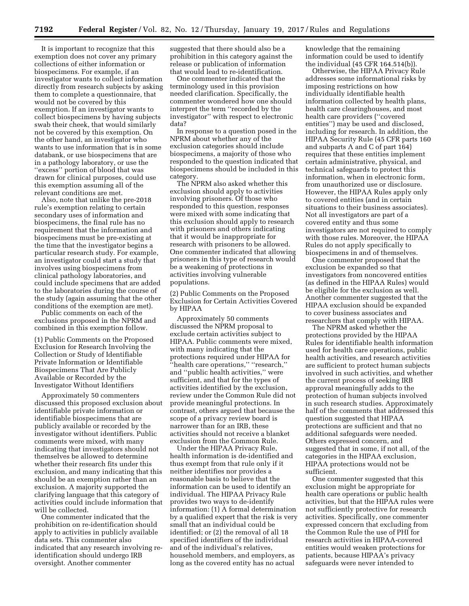It is important to recognize that this exemption does not cover any primary collections of either information or biospecimens. For example, if an investigator wants to collect information directly from research subjects by asking them to complete a questionnaire, that would not be covered by this exemption. If an investigator wants to collect biospecimens by having subjects swab their cheek, that would similarly not be covered by this exemption. On the other hand, an investigator who wants to use information that is in some databank, or use biospecimens that are in a pathology laboratory, or use the ''excess'' portion of blood that was drawn for clinical purposes, could use this exemption assuming all of the relevant conditions are met.

Also, note that unlike the pre-2018 rule's exemption relating to certain secondary uses of information and biospecimens, the final rule has no requirement that the information and biospecimens must be pre-existing at the time that the investigator begins a particular research study. For example, an investigator could start a study that involves using biospecimens from clinical pathology laboratories, and could include specimens that are added to the laboratories during the course of the study (again assuming that the other conditions of the exemption are met).

Public comments on each of the exclusions proposed in the NPRM and combined in this exemption follow.

(1) Public Comments on the Proposed Exclusion for Research Involving the Collection or Study of Identifiable Private Information or Identifiable Biospecimens That Are Publicly Available or Recorded by the Investigator Without Identifiers

Approximately 50 commenters discussed this proposed exclusion about identifiable private information or identifiable biospecimens that are publicly available or recorded by the investigator without identifiers. Public comments were mixed, with many indicating that investigators should not themselves be allowed to determine whether their research fits under this exclusion, and many indicating that this should be an exemption rather than an exclusion. A majority supported the clarifying language that this category of activities could include information that will be collected.

One commenter indicated that the prohibition on re-identification should apply to activities in publicly available data sets. This commenter also indicated that any research involving reidentification should undergo IRB oversight. Another commenter

suggested that there should also be a prohibition in this category against the release or publication of information that would lead to re-identification.

One commenter indicated that the terminology used in this provision needed clarification. Specifically, the commenter wondered how one should interpret the term ''recorded by the investigator'' with respect to electronic data?

In response to a question posed in the NPRM about whether any of the exclusion categories should include biospecimens, a majority of those who responded to the question indicated that biospecimens should be included in this category.

The NPRM also asked whether this exclusion should apply to activities involving prisoners. Of those who responded to this question, responses were mixed with some indicating that this exclusion should apply to research with prisoners and others indicating that it would be inappropriate for research with prisoners to be allowed. One commenter indicated that allowing prisoners in this type of research would be a weakening of protections in activities involving vulnerable populations.

(2) Public Comments on the Proposed Exclusion for Certain Activities Covered by HIPAA

Approximately 50 comments discussed the NPRM proposal to exclude certain activities subject to HIPAA. Public comments were mixed, with many indicating that the protections required under HIPAA for ''health care operations,'' ''research,'' and ''public health activities,'' were sufficient, and that for the types of activities identified by the exclusion, review under the Common Rule did not provide meaningful protections. In contrast, others argued that because the scope of a privacy review board is narrower than for an IRB, these activities should not receive a blanket exclusion from the Common Rule.

Under the HIPAA Privacy Rule, health information is de-identified and thus exempt from that rule only if it neither identifies nor provides a reasonable basis to believe that the information can be used to identify an individual. The HIPAA Privacy Rule provides two ways to de-identify information: (1) A formal determination by a qualified expert that the risk is very small that an individual could be identified; or (2) the removal of all 18 specified identifiers of the individual and of the individual's relatives, household members, and employers, as long as the covered entity has no actual

knowledge that the remaining information could be used to identify the individual (45 CFR 164.514(b)).

Otherwise, the HIPAA Privacy Rule addresses some informational risks by imposing restrictions on how individually identifiable health information collected by health plans, health care clearinghouses, and most health care providers (''covered entities'') may be used and disclosed, including for research. In addition, the HIPAA Security Rule (45 CFR parts 160 and subparts A and C of part 164) requires that these entities implement certain administrative, physical, and technical safeguards to protect this information, when in electronic form, from unauthorized use or disclosure. However, the HIPAA Rules apply only to covered entities (and in certain situations to their business associates). Not all investigators are part of a covered entity and thus some investigators are not required to comply with those rules. Moreover, the HIPAA Rules do not apply specifically to biospecimens in and of themselves.

One commenter proposed that the exclusion be expanded so that investigators from noncovered entities (as defined in the HIPAA Rules) would be eligible for the exclusion as well. Another commenter suggested that the HIPAA exclusion should be expanded to cover business associates and researchers that comply with HIPAA.

The NPRM asked whether the protections provided by the HIPAA Rules for identifiable health information used for health care operations, public health activities, and research activities are sufficient to protect human subjects involved in such activities, and whether the current process of seeking IRB approval meaningfully adds to the protection of human subjects involved in such research studies. Approximately half of the comments that addressed this question suggested that HIPAA protections are sufficient and that no additional safeguards were needed. Others expressed concern, and suggested that in some, if not all, of the categories in the HIPAA exclusion, HIPAA protections would not be sufficient.

One commenter suggested that this exclusion might be appropriate for health care operations or public health activities, but that the HIPAA rules were not sufficiently protective for research activities. Specifically, one commenter expressed concern that excluding from the Common Rule the use of PHI for research activities in HIPAA-covered entities would weaken protections for patients, because HIPAA's privacy safeguards were never intended to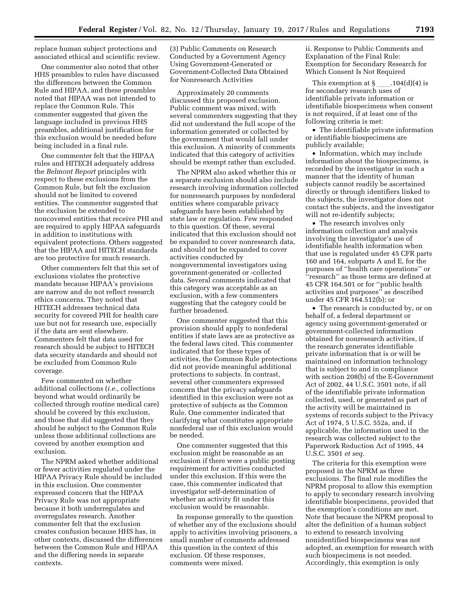replace human subject protections and associated ethical and scientific review.

One commenter also noted that other HHS preambles to rules have discussed the differences between the Common Rule and HIPAA, and these preambles noted that HIPAA was not intended to replace the Common Rule. This commenter suggested that given the language included in previous HHS preambles, additional justification for this exclusion would be needed before being included in a final rule.

One commenter felt that the HIPAA rules and HITECH adequately address the *Belmont Report* principles with respect to these exclusions from the Common Rule, but felt the exclusion should not be limited to covered entities. The commenter suggested that the exclusion be extended to noncovered entities that receive PHI and are required to apply HIPAA safeguards in addition to institutions with equivalent protections. Others suggested that the HIPAA and HITECH standards are too protective for much research.

Other commenters felt that this set of exclusions violates the protective mandate because HIPAA's provisions are narrow and do not reflect research ethics concerns. They noted that HITECH addresses technical data security for covered PHI for health care use but not for research use, especially if the data are sent elsewhere. Commenters felt that data used for research should be subject to HITECH data security standards and should not be excluded from Common Rule coverage.

Few commented on whether additional collections (*i.e.,* collections beyond what would ordinarily be collected through routine medical care) should be covered by this exclusion, and those that did suggested that they should be subject to the Common Rule unless those additional collections are covered by another exemption and exclusion.

The NPRM asked whether additional or fewer activities regulated under the HIPAA Privacy Rule should be included in this exclusion. One commenter expressed concern that the HIPAA Privacy Rule was not appropriate because it both underregulates and overregulates research. Another commenter felt that the exclusion creates confusion because HHS has, in other contexts, discussed the differences between the Common Rule and HIPAA and the differing needs in separate contexts.

(3) Public Comments on Research Conducted by a Government Agency Using Government-Generated or Government-Collected Data Obtained for Nonresearch Activities

Approximately 20 comments discussed this proposed exclusion. Public comment was mixed, with several commenters suggesting that they did not understand the full scope of the information generated or collected by the government that would fall under this exclusion. A minority of comments indicated that this category of activities should be exempt rather than excluded.

The NPRM also asked whether this or a separate exclusion should also include research involving information collected for nonresearch purposes by nonfederal entities where comparable privacy safeguards have been established by state law or regulation. Few responded to this question. Of these, several indicated that this exclusion should not be expanded to cover nonresearch data, and should not be expanded to cover activities conducted by nongovernmental investigators using government-generated or -collected data. Several comments indicated that this category was acceptable as an exclusion, with a few commenters suggesting that the category could be further broadened.

One commenter suggested that this provision should apply to nonfederal entities if state laws are as protective as the federal laws cited. This commenter indicated that for these types of activities, the Common Rule protections did not provide meaningful additional protections to subjects. In contrast, several other commenters expressed concern that the privacy safeguards identified in this exclusion were not as protective of subjects as the Common Rule. One commenter indicated that clarifying what constitutes appropriate nonfederal use of this exclusion would be needed.

One commenter suggested that this exclusion might be reasonable as an exclusion if there were a public posting requirement for activities conducted under this exclusion. If this were the case, this commenter indicated that investigator self-determination of whether an activity fit under this exclusion would be reasonable.

In response generally to the question of whether any of the exclusions should apply to activities involving prisoners, a small number of comments addressed this question in the context of this exclusion. Of these responses, comments were mixed.

ii. Response to Public Comments and Explanation of the Final Rule: Exemption for Secondary Research for Which Consent Is Not Required

This exemption at  $\sum .104(d)(4)$  is for secondary research uses of identifiable private information or identifiable biospecimens when consent is not required, if at least one of the following criteria is met:

• The identifiable private information or identifiable biospecimens are publicly available;

• Information, which may include information about the biospecimens, is recorded by the investigator in such a manner that the identity of human subjects cannot readily be ascertained directly or through identifiers linked to the subjects, the investigator does not contact the subjects, and the investigator will not re-identify subjects;

• The research involves only information collection and analysis involving the investigator's use of identifiable health information when that use is regulated under 45 CFR parts 160 and 164, subparts A and E, for the purposes of ''health care operations'' or ''research'' as those terms are defined at 45 CFR 164.501 or for ''public health activities and purposes'' as described under 45 CFR 164.512(b); or

• The research is conducted by, or on behalf of, a federal department or agency using government-generated or government-collected information obtained for nonresearch activities, if the research generates identifiable private information that is or will be maintained on information technology that is subject to and in compliance with section 208(b) of the E-Government Act of 2002, 44 U.S.C. 3501 note, if all of the identifiable private information collected, used, or generated as part of the activity will be maintained in systems of records subject to the Privacy Act of 1974, 5 U.S.C. 552a, and, if applicable, the information used in the research was collected subject to the Paperwork Reduction Act of 1995, 44 U.S.C. 3501 *et seq.* 

The criteria for this exemption were proposed in the NPRM as three exclusions. The final rule modifies the NPRM proposal to allow this exemption to apply to secondary research involving identifiable biospecimens, provided that the exemption's conditions are met. Note that because the NPRM proposal to alter the definition of a human subject to extend to research involving nonidentified biospecimens was not adopted, an exemption for research with such biospecimens is not needed. Accordingly, this exemption is only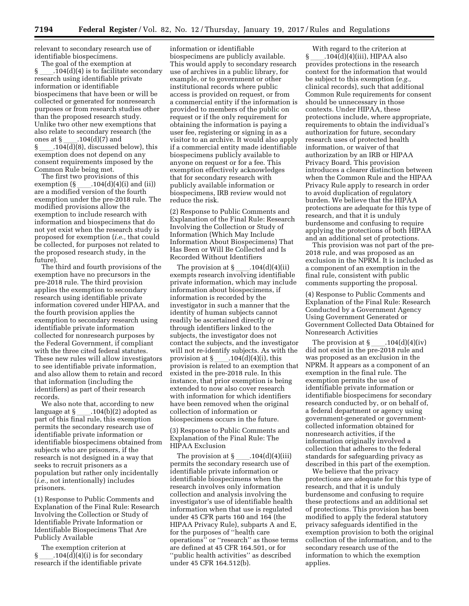relevant to secondary research use of identifiable biospecimens.

The goal of the exemption at  $.104(d)(4)$  is to facilitate secondary research using identifiable private information or identifiable biospecimens that have been or will be collected or generated for nonresearch purposes or from research studies other than the proposed research study. Unlike two other new exemptions that also relate to secondary research (the ones at  $\frac{104(d)}{104(d)}$ .104(d)(7) and<br>Subset to 104(d)(8) discussed b § \_\_\_\_.104(d)(8), discussed below), this<br>exemption does not depend on any exemption does not depend on any consent requirements imposed by the Common Rule being met.

The first two provisions of this<br>
emption  $(\S \qquad .104(d)(4)(i)$  and (ii)) exemption (§ \_\_\_\_.104(d)(4)(i) and (ii))<br>are a modified version of the fourth exemption under the pre-2018 rule. The modified provisions allow the exemption to include research with information and biospecimens that do not yet exist when the research study is proposed for exemption (*i.e.,* that could be collected, for purposes not related to the proposed research study, in the future).

The third and fourth provisions of the exemption have no precursors in the pre-2018 rule. The third provision applies the exemption to secondary research using identifiable private information covered under HIPAA, and the fourth provision applies the exemption to secondary research using identifiable private information collected for nonresearch purposes by the Federal Government, if compliant with the three cited federal statutes. These new rules will allow investigators to see identifiable private information, and also allow them to retain and record that information (including the identifiers) as part of their research records.

We also note that, according to new<br>nguage at  $\S$  .104(b)(2) adopted as language at § \_\_\_\_.104(b)(2) adopted as<br>part of this final rule, this exemption permits the secondary research use of identifiable private information or identifiable biospecimens obtained from subjects who are prisoners, if the research is not designed in a way that seeks to recruit prisoners as a population but rather only incidentally (*i.e.,* not intentionally) includes prisoners.

(1) Response to Public Comments and Explanation of the Final Rule: Research Involving the Collection or Study of Identifiable Private Information or Identifiable Biospecimens That Are Publicly Available

The exemption criterion at  $\S$  .104(d)(4)(i) is for secondary research if the identifiable private

information or identifiable biospecimens are publicly available. This would apply to secondary research use of archives in a public library, for example, or to government or other institutional records where public access is provided on request, or from a commercial entity if the information is provided to members of the public on request or if the only requirement for obtaining the information is paying a user fee, registering or signing in as a visitor to an archive. It would also apply if a commercial entity made identifiable biospecimens publicly available to anyone on request or for a fee. This exemption effectively acknowledges that for secondary research with publicly available information or biospecimens, IRB review would not reduce the risk.

(2) Response to Public Comments and Explanation of the Final Rule: Research Involving the Collection or Study of Information (Which May Include Information About Biospecimens) That Has Been or Will Be Collected and Is Recorded Without Identifiers

The provision at  $\sum .104(d)(4)(ii)$ <br>exempts research involving identifiable private information, which may include information about biospecimens, if information is recorded by the investigator in such a manner that the identity of human subjects cannot readily be ascertained directly or through identifiers linked to the subjects, the investigator does not contact the subjects, and the investigator will not re-identify subjects. As with the provision at § \_\_\_\_.104(d)(4)(i), this<br>provision is related to an exemption that existed in the pre-2018 rule. In this instance, that prior exemption is being extended to now also cover research with information for which identifiers have been removed when the original collection of information or biospecimens occurs in the future.

(3) Response to Public Comments and Explanation of the Final Rule: The HIPAA Exclusion

The provision at  $\underline{\S}$  \_\_\_.104(d)(4)(iii) permits the secondary research use of identifiable private information or identifiable biospecimens when the research involves only information collection and analysis involving the investigator's use of identifiable health information when that use is regulated under 45 CFR parts 160 and 164 (the HIPAA Privacy Rule), subparts A and E, for the purposes of ''health care operations'' or ''research'' as those terms are defined at 45 CFR 164.501, or for ''public health activities'' as described under 45 CFR 164.512(b).

With regard to the criterion at<br>.104(d)(4)(iii), HIPAA also § \_\_\_\_.104(d)(4)(iii), HIPAA also<br>provides protections in the research context for the information that would be subject to this exemption (*e.g.,*  clinical records), such that additional Common Rule requirements for consent should be unnecessary in those contexts. Under HIPAA, these protections include, where appropriate, requirements to obtain the individual's authorization for future, secondary research uses of protected health information, or waiver of that authorization by an IRB or HIPAA Privacy Board. This provision introduces a clearer distinction between when the Common Rule and the HIPAA Privacy Rule apply to research in order to avoid duplication of regulatory burden. We believe that the HIPAA protections are adequate for this type of research, and that it is unduly burdensome and confusing to require applying the protections of both HIPAA and an additional set of protections.

This provision was not part of the pre-2018 rule, and was proposed as an exclusion in the NPRM. It is included as a component of an exemption in the final rule, consistent with public comments supporting the proposal.

(4) Response to Public Comments and Explanation of the Final Rule: Research Conducted by a Government Agency Using Government Generated or Government Collected Data Obtained for Nonresearch Activities

The provision at  $\sum .104(d)(4)(iv)$  did not exist in the pre-2018 rule and was proposed as an exclusion in the NPRM. It appears as a component of an exemption in the final rule. The exemption permits the use of identifiable private information or identifiable biospecimens for secondary research conducted by, or on behalf of, a federal department or agency using government-generated or governmentcollected information obtained for nonresearch activities, if the information originally involved a collection that adheres to the federal standards for safeguarding privacy as described in this part of the exemption.

We believe that the privacy protections are adequate for this type of research, and that it is unduly burdensome and confusing to require these protections and an additional set of protections. This provision has been modified to apply the federal statutory privacy safeguards identified in the exemption provision to both the original collection of the information, and to the secondary research use of the information to which the exemption applies.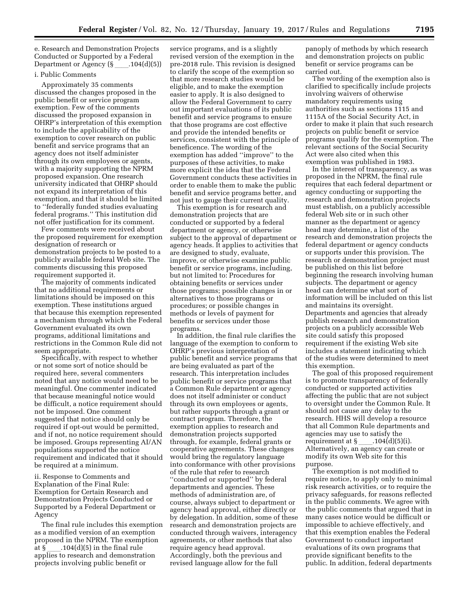e. Research and Demonstration Projects Conducted or Supported by a Federal Department or Agency  $(\S$  \_\_\_\_.104(d)(5))

# i. Public Comments

Approximately 35 comments discussed the changes proposed in the public benefit or service program exemption. Few of the comments discussed the proposed expansion in OHRP's interpretation of this exemption to include the applicability of the exemption to cover research on public benefit and service programs that an agency does not itself administer through its own employees or agents, with a majority supporting the NPRM proposed expansion. One research university indicated that OHRP should not expand its interpretation of this exemption, and that it should be limited to ''federally funded studies evaluating federal programs.'' This institution did not offer justification for its comment.

Few comments were received about the proposed requirement for exemption designation of research or demonstration projects to be posted to a publicly available federal Web site. The comments discussing this proposed requirement supported it.

The majority of comments indicated that no additional requirements or limitations should be imposed on this exemption. These institutions argued that because this exemption represented a mechanism through which the Federal Government evaluated its own programs, additional limitations and restrictions in the Common Rule did not seem appropriate.

Specifically, with respect to whether or not some sort of notice should be required here, several commenters noted that any notice would need to be meaningful. One commenter indicated that because meaningful notice would be difficult, a notice requirement should not be imposed. One comment suggested that notice should only be required if opt-out would be permitted, and if not, no notice requirement should be imposed. Groups representing AI/AN populations supported the notice requirement and indicated that it should be required at a minimum.

ii. Response to Comments and Explanation of the Final Rule: Exemption for Certain Research and Demonstration Projects Conducted or Supported by a Federal Department or Agency

The final rule includes this exemption as a modified version of an exemption proposed in the NPRM. The exemption at § \_\_\_\_.104(d)(5) in the final rule<br>applies to research and demonstration projects involving public benefit or

service programs, and is a slightly revised version of the exemption in the pre-2018 rule. This revision is designed to clarify the scope of the exemption so that more research studies would be eligible, and to make the exemption easier to apply. It is also designed to allow the Federal Government to carry out important evaluations of its public benefit and service programs to ensure that those programs are cost effective and provide the intended benefits or services, consistent with the principle of beneficence. The wording of the exemption has added ''improve'' to the purposes of these activities, to make more explicit the idea that the Federal Government conducts these activities in order to enable them to make the public benefit and service programs better, and not just to gauge their current quality.

This exemption is for research and demonstration projects that are conducted or supported by a federal department or agency, or otherwise subject to the approval of department or agency heads. It applies to activities that are designed to study, evaluate, improve, or otherwise examine public benefit or service programs, including, but not limited to: Procedures for obtaining benefits or services under those programs; possible changes in or alternatives to those programs or procedures; or possible changes in methods or levels of payment for benefits or services under those programs.

In addition, the final rule clarifies the language of the exemption to conform to OHRP's previous interpretation of public benefit and service programs that are being evaluated as part of the research. This interpretation includes public benefit or service programs that a Common Rule department or agency does not itself administer or conduct through its own employees or agents, but rather supports through a grant or contract program. Therefore, the exemption applies to research and demonstration projects supported through, for example, federal grants or cooperative agreements. These changes would bring the regulatory language into conformance with other provisions of the rule that refer to research ''conducted or supported'' by federal departments and agencies. These methods of administration are, of course, always subject to department or agency head approval, either directly or by delegation. In addition, some of these research and demonstration projects are conducted through waivers, interagency agreements, or other methods that also require agency head approval. Accordingly, both the previous and revised language allow for the full

panoply of methods by which research and demonstration projects on public benefit or service programs can be carried out.

The wording of the exemption also is clarified to specifically include projects involving waivers of otherwise mandatory requirements using authorities such as sections 1115 and 1115A of the Social Security Act, in order to make it plain that such research projects on public benefit or service programs qualify for the exemption. The relevant sections of the Social Security Act were also cited when this exemption was published in 1983.

In the interest of transparency, as was proposed in the NPRM, the final rule requires that each federal department or agency conducting or supporting the research and demonstration projects must establish, on a publicly accessible federal Web site or in such other manner as the department or agency head may determine, a list of the research and demonstration projects the federal department or agency conducts or supports under this provision. The research or demonstration project must be published on this list before beginning the research involving human subjects. The department or agency head can determine what sort of information will be included on this list and maintains its oversight. Departments and agencies that already publish research and demonstration projects on a publicly accessible Web site could satisfy this proposed requirement if the existing Web site includes a statement indicating which of the studies were determined to meet this exemption.

The goal of this proposed requirement is to promote transparency of federally conducted or supported activities affecting the public that are not subject to oversight under the Common Rule. It should not cause any delay to the research. HHS will develop a resource that all Common Rule departments and agencies may use to satisfy the requirement at § \_\_\_\_.104(d)(5)(i).<br>Alternatively, an agency can create or modify its own Web site for this purpose.

The exemption is not modified to require notice, to apply only to minimal risk research activities, or to require the privacy safeguards, for reasons reflected in the public comments. We agree with the public comments that argued that in many cases notice would be difficult or impossible to achieve effectively, and that this exemption enables the Federal Government to conduct important evaluations of its own programs that provide significant benefits to the public. In addition, federal departments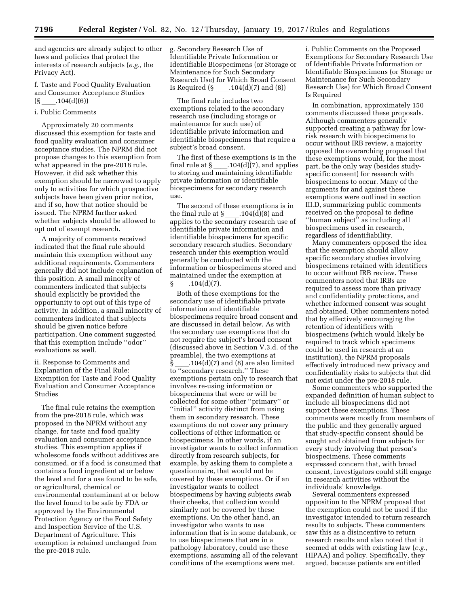and agencies are already subject to other laws and policies that protect the interests of research subjects (*e.g.,* the Privacy Act).

f. Taste and Food Quality Evaluation and Consumer Acceptance Studies  $(S \t 104(d)(6))$ 

# i. Public Comments

Approximately 20 comments discussed this exemption for taste and food quality evaluation and consumer acceptance studies. The NPRM did not propose changes to this exemption from what appeared in the pre-2018 rule. However, it did ask whether this exemption should be narrowed to apply only to activities for which prospective subjects have been given prior notice, and if so, how that notice should be issued. The NPRM further asked whether subjects should be allowed to opt out of exempt research.

A majority of comments received indicated that the final rule should maintain this exemption without any additional requirements. Commenters generally did not include explanation of this position. A small minority of commenters indicated that subjects should explicitly be provided the opportunity to opt out of this type of activity. In addition, a small minority of commenters indicated that subjects should be given notice before participation. One comment suggested that this exemption include ''odor'' evaluations as well.

ii. Response to Comments and Explanation of the Final Rule: Exemption for Taste and Food Quality Evaluation and Consumer Acceptance Studies

The final rule retains the exemption from the pre-2018 rule, which was proposed in the NPRM without any change, for taste and food quality evaluation and consumer acceptance studies. This exemption applies if wholesome foods without additives are consumed, or if a food is consumed that contains a food ingredient at or below the level and for a use found to be safe, or agricultural, chemical or environmental contaminant at or below the level found to be safe by FDA or approved by the Environmental Protection Agency or the Food Safety and Inspection Service of the U.S. Department of Agriculture. This exemption is retained unchanged from the pre-2018 rule.

g. Secondary Research Use of Identifiable Private Information or Identifiable Biospecimens (or Storage or Maintenance for Such Secondary Research Use) for Which Broad Consent Is Required  $(\S \quad .104(d)(7)$  and  $(8))$ 

The final rule includes two exemptions related to the secondary research use (including storage or maintenance for such use) of identifiable private information and identifiable biospecimens that require a subject's broad consent.

The first of these exemptions is in the final rule at § \_\_\_\_.104(d)(7), and applies<br>to storing and maintaining identifiable private information or identifiable biospecimens for secondary research use.

The second of these exemptions is in the final rule at  $\S$  \_\_\_\_.104(d)(8) and applies to the secondary research use of identifiable private information and identifiable biospecimens for specific secondary research studies. Secondary research under this exemption would generally be conducted with the information or biospecimens stored and maintained under the exemption at  $\S$  .104(d)(7).

Both of these exemptions for the secondary use of identifiable private information and identifiable biospecimens require broad consent and are discussed in detail below. As with the secondary use exemptions that do not require the subject's broad consent (discussed above in Section V.3.d. of the preamble), the two exemptions at

 $\S$  .104(d)(7) and (8) are also limited to ''secondary research.'' These exemptions pertain only to research that involves re-using information or biospecimens that were or will be collected for some other ''primary'' or ''initial'' activity distinct from using them in secondary research. These exemptions do not cover any primary collections of either information or biospecimens. In other words, if an investigator wants to collect information directly from research subjects, for example, by asking them to complete a questionnaire, that would not be covered by these exemptions. Or if an investigator wants to collect biospecimens by having subjects swab their cheeks, that collection would similarly not be covered by these exemptions. On the other hand, an investigator who wants to use information that is in some databank, or to use biospecimens that are in a pathology laboratory, could use these exemptions, assuming all of the relevant conditions of the exemptions were met.

i. Public Comments on the Proposed Exemptions for Secondary Research Use of Identifiable Private Information or Identifiable Biospecimens (or Storage or Maintenance for Such Secondary Research Use) for Which Broad Consent Is Required

In combination, approximately 150 comments discussed these proposals. Although commenters generally supported creating a pathway for lowrisk research with biospecimens to occur without IRB review, a majority opposed the overarching proposal that these exemptions would, for the most part, be the only way (besides studyspecific consent) for research with biospecimens to occur. Many of the arguments for and against these exemptions were outlined in section III.D, summarizing public comments received on the proposal to define ''human subject'' as including all biospecimens used in research, regardless of identifiability.

Many commenters opposed the idea that the exemption should allow specific secondary studies involving biospecimens retained with identifiers to occur without IRB review. These commenters noted that IRBs are required to assess more than privacy and confidentiality protections, and whether informed consent was sought and obtained. Other commenters noted that by effectively encouraging the retention of identifiers with biospecimens (which would likely be required to track which specimens could be used in research at an institution), the NPRM proposals effectively introduced new privacy and confidentiality risks to subjects that did not exist under the pre-2018 rule.

Some commenters who supported the expanded definition of human subject to include all biospecimens did not support these exemptions. These comments were mostly from members of the public and they generally argued that study-specific consent should be sought and obtained from subjects for every study involving that person's biospecimens. These comments expressed concern that, with broad consent, investigators could still engage in research activities without the individuals' knowledge.

Several commenters expressed opposition to the NPRM proposal that the exemption could not be used if the investigator intended to return research results to subjects. These commenters saw this as a disincentive to return research results and also noted that it seemed at odds with existing law (*e.g.,*  HIPAA) and policy. Specifically, they argued, because patients are entitled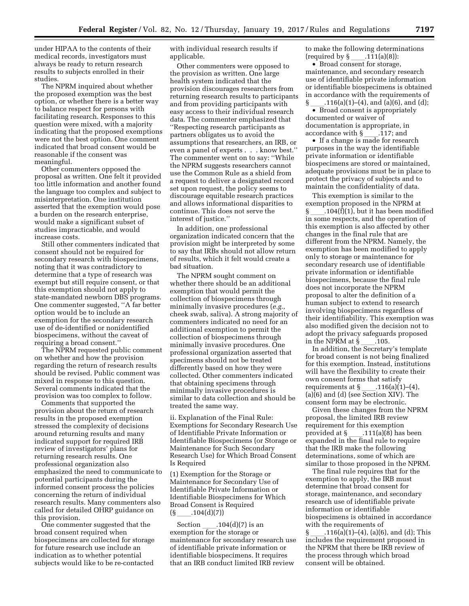under HIPAA to the contents of their medical records, investigators must always be ready to return research results to subjects enrolled in their studies.

The NPRM inquired about whether the proposed exemption was the best option, or whether there is a better way to balance respect for persons with facilitating research. Responses to this question were mixed, with a majority indicating that the proposed exemptions were not the best option. One comment indicated that broad consent would be reasonable if the consent was meaningful.

Other commenters opposed the proposal as written. One felt it provided too little information and another found the language too complex and subject to misinterpretation. One institution asserted that the exemption would pose a burden on the research enterprise, would make a significant subset of studies impracticable, and would increase costs.

Still other commenters indicated that consent should not be required for secondary research with biospecimens, noting that it was contradictory to determine that a type of research was exempt but still require consent, or that this exemption should not apply to state-mandated newborn DBS programs. One commenter suggested, ''A far better option would be to include an exemption for the secondary research use of de-identified or nonidentified biospecimens, without the caveat of requiring a broad consent.''

The NPRM requested public comment on whether and how the provision regarding the return of research results should be revised. Public comment was mixed in response to this question. Several comments indicated that the provision was too complex to follow.

Comments that supported the provision about the return of research results in the proposed exemption stressed the complexity of decisions around returning results and many indicated support for required IRB review of investigators' plans for returning research results. One professional organization also emphasized the need to communicate to potential participants during the informed consent process the policies concerning the return of individual research results. Many commenters also called for detailed OHRP guidance on this provision.

One commenter suggested that the broad consent required when biospecimens are collected for storage for future research use include an indication as to whether potential subjects would like to be re-contacted

with individual research results if applicable.

Other commenters were opposed to the provision as written. One large health system indicated that the provision discourages researchers from returning research results to participants and from providing participants with easy access to their individual research data. The commenter emphasized that ''Respecting research participants as partners obligates us to avoid the assumptions that researchers, an IRB, or even a panel of experts . . . know best.'' The commenter went on to say: ''While the NPRM suggests researchers cannot use the Common Rule as a shield from a request to deliver a designated record set upon request, the policy seems to discourage equitable research practices and allows informational disparities to continue. This does not serve the interest of justice.''

In addition, one professional organization indicated concern that the provision might be interpreted by some to say that IRBs should not allow return of results, which it felt would create a bad situation.

The NPRM sought comment on whether there should be an additional exemption that would permit the collection of biospecimens through minimally invasive procedures (*e.g.,*  cheek swab, saliva). A strong majority of commenters indicated no need for an additional exemption to permit the collection of biospecimens through minimally invasive procedures. One professional organization asserted that specimens should not be treated differently based on how they were collected. Other commenters indicated that obtaining specimens through minimally invasive procedures is similar to data collection and should be treated the same way.

ii. Explanation of the Final Rule: Exemptions for Secondary Research Use of Identifiable Private Information or Identifiable Biospecimens (or Storage or Maintenance for Such Secondary Research Use) for Which Broad Consent Is Required

(1) Exemption for the Storage or Maintenance for Secondary Use of Identifiable Private Information or Identifiable Biospecimens for Which Broad Consent is Required  $(S \t 104(d)(7))$ 

Section ll.104(d)(7) is an exemption for the storage or maintenance for secondary research use of identifiable private information or identifiable biospecimens. It requires that an IRB conduct limited IRB review

to make the following determinations (required by  $\S$  \_\_\_\_\_.111(a)(8)):

• Broad consent for storage, maintenance, and secondary research use of identifiable private information or identifiable biospecimens is obtained in accordance with the requirements of  $(116(a)(1)–(4),$  and  $(a)(6),$  and  $(d);$ 

• Broad consent is appropriately documented or waiver of documentation is appropriate, in

accordance with §\_\_\_\_.117; and<br>● If a change is made for research purposes in the way the identifiable private information or identifiable biospecimens are stored or maintained, adequate provisions must be in place to protect the privacy of subjects and to maintain the confidentiality of data.

This exemption is similar to the exemption proposed in the NPRM at  $\S$  .104(f)(1), but it has been modified in some respects, and the operation of this exemption is also affected by other changes in the final rule that are different from the NPRM. Namely, the exemption has been modified to apply only to storage or maintenance for secondary research use of identifiable private information or identifiable biospecimens, because the final rule does not incorporate the NPRM proposal to alter the definition of a human subject to extend to research involving biospecimens regardless of their identifiability. This exemption was also modified given the decision not to adopt the privacy safeguards proposed<br>in the NPRM at  $\S$  .105.

in the NPRM at §\_\_\_\_.105.<br>In addition, the Secretary's template for broad consent is not being finalized for this exemption. Instead, institutions will have the flexibility to create their own consent forms that satisfy requirements at § \_\_\_\_.116(a)(1)–(4),<br>(a)(6) and (d) (see Section XIV). The consent form may be electronic.

Given these changes from the NPRM proposal, the limited IRB review requirement for this exemption provided at § \_\_\_\_.111(a)(8) has been<br>expanded in the final rule to require that the IRB make the following determinations, some of which are similar to those proposed in the NPRM.

The final rule requires that for the exemption to apply, the IRB must determine that broad consent for storage, maintenance, and secondary research use of identifiable private information or identifiable biospecimens is obtained in accordance with the requirements of

 $.116(a)(1)–(4)$ , (a)(6), and (d); This includes the requirement proposed in the NPRM that there be IRB review of the process through which broad consent will be obtained.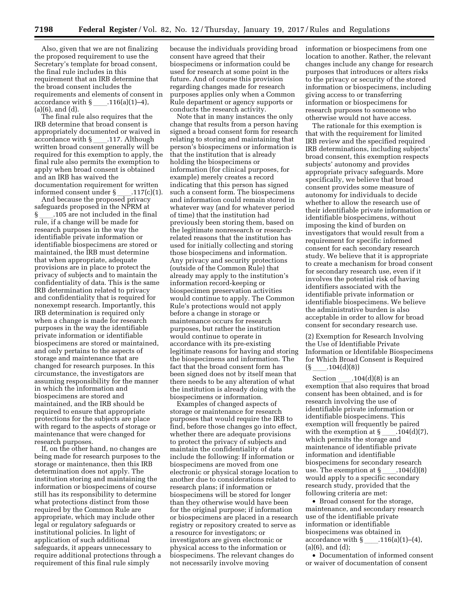Also, given that we are not finalizing the proposed requirement to use the Secretary's template for broad consent, the final rule includes in this requirement that an IRB determine that the broad consent includes the requirements and elements of consent in accordance with  $\S$  .116(a)(1)–4), (a)(6), and (d).

The final rule also requires that the IRB determine that broad consent is appropriately documented or waived in accordance with § \_\_\_\_.117. Although<br>written broad consent generally will be required for this exemption to apply, the final rule also permits the exemption to apply when broad consent is obtained and an IRB has waived the documentation requirement for written<br>informed consent under  $\S$  .117(c)(1). informed consent under § \_\_\_\_.117(c)(1).<br>And because the proposed privacy

safeguards proposed in the NPRM at § 105 are not included in the final rule, if a change will be made for research purposes in the way the identifiable private information or identifiable biospecimens are stored or maintained, the IRB must determine that when appropriate, adequate provisions are in place to protect the privacy of subjects and to maintain the confidentiality of data. This is the same IRB determination related to privacy and confidentiality that is required for nonexempt research. Importantly, this IRB determination is required only when a change is made for research purposes in the way the identifiable private information or identifiable biospecimens are stored or maintained, and only pertains to the aspects of storage and maintenance that are changed for research purposes. In this circumstance, the investigators are assuming responsibility for the manner in which the information and biospecimens are stored and maintained, and the IRB should be required to ensure that appropriate protections for the subjects are place with regard to the aspects of storage or maintenance that were changed for research purposes.

If, on the other hand, no changes are being made for research purposes to the storage or maintenance, then this IRB determination does not apply. The institution storing and maintaining the information or biospecimens of course still has its responsibility to determine what protections distinct from those required by the Common Rule are appropriate, which may include other legal or regulatory safeguards or institutional policies. In light of application of such additional safeguards, it appears unnecessary to require additional protections through a requirement of this final rule simply

because the individuals providing broad consent have agreed that their biospecimens or information could be used for research at some point in the future. And of course this provision regarding changes made for research purposes applies only when a Common Rule department or agency supports or conducts the research activity.

Note that in many instances the only change that results from a person having signed a broad consent form for research relating to storing and maintaining that person's biospecimens or information is that the institution that is already holding the biospecimens or information (for clinical purposes, for example) merely creates a record indicating that this person has signed such a consent form. The biospecimens and information could remain stored in whatever way (and for whatever period of time) that the institution had previously been storing them, based on the legitimate nonresearch or researchrelated reasons that the institution has used for initially collecting and storing those biospecimens and information. Any privacy and security protections (outside of the Common Rule) that already may apply to the institution's information record-keeping or biospecimen preservation activities would continue to apply. The Common Rule's protections would not apply before a change in storage or maintenance occurs for research purposes, but rather the institution would continue to operate in accordance with its pre-existing legitimate reasons for having and storing the biospecimens and information. The fact that the broad consent form has been signed does not by itself mean that there needs to be any alteration of what the institution is already doing with the biospecimens or information.

Examples of changed aspects of storage or maintenance for research purposes that would require the IRB to find, before those changes go into effect, whether there are adequate provisions to protect the privacy of subjects and maintain the confidentiality of data include the following: If information or biospecimens are moved from one electronic or physical storage location to another due to considerations related to research plans; if information or biospecimens will be stored for longer than they otherwise would have been for the original purpose; if information or biospecimens are placed in a research registry or repository created to serve as a resource for investigators; or investigators are given electronic or physical access to the information or biospecimens. The relevant changes do not necessarily involve moving

information or biospecimens from one location to another. Rather, the relevant changes include any change for research purposes that introduces or alters risks to the privacy or security of the stored information or biospecimens, including giving access to or transferring information or biospecimens for research purposes to someone who otherwise would not have access.

The rationale for this exemption is that with the requirement for limited IRB review and the specified required IRB determinations, including subjects' broad consent, this exemption respects subjects' autonomy and provides appropriate privacy safeguards. More specifically, we believe that broad consent provides some measure of autonomy for individuals to decide whether to allow the research use of their identifiable private information or identifiable biospecimens, without imposing the kind of burden on investigators that would result from a requirement for specific informed consent for each secondary research study. We believe that it is appropriate to create a mechanism for broad consent for secondary research use, even if it involves the potential risk of having identifiers associated with the identifiable private information or identifiable biospecimens. We believe the administrative burden is also acceptable in order to allow for broad consent for secondary research use.

(2) Exemption for Research Involving the Use of Identifiable Private Information or Identifable Biospecimens for Which Broad Consent is Required

 $(\S$  104(d)(8))<br>Section 104(d)(8) is an Section \_\_\_\_.104(d)(8) is an<br>exemption that also requires that broad consent has been obtained, and is for research involving the use of identifiable private information or identifiable biospecimens. This exemption will frequently be paired with the exemption at  $\S$  \_\_\_\_\_.104(d)(7), which permits the storage and maintenance of identifiable private information and identifiable biospecimens for secondary research use. The exemption at  $\S$  .104(d)(8) would apply to a specific secondary research study, provided that the following criteria are met:

• Broad consent for the storage, maintenance, and secondary research use of the identifiable private information or identifiable biospecimens was obtained in accordance with  $\S$  \_\_\_\_\_.116(a)(1)–(4), (a)(6), and (d);

• Documentation of informed consent or waiver of documentation of consent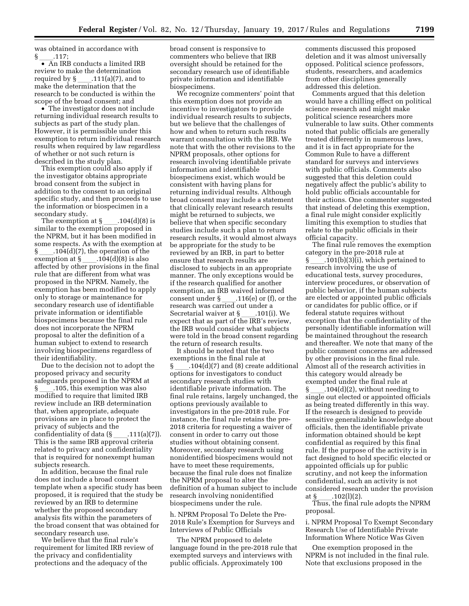was obtained in accordance with

 $\frac{\S}{\bullet}$  An IRB conducts a limited IRB review to make the determination<br>required by § .111(a)(7), and to required by § \_\_\_\_.111(a)(7), and to<br>make the determination that the research to be conducted is within the scope of the broad consent; and

• The investigator does not include returning individual research results to subjects as part of the study plan. However, it is permissible under this exemption to return individual research results when required by law regardless of whether or not such return is described in the study plan.

This exemption could also apply if the investigator obtains appropriate broad consent from the subject in addition to the consent to an original specific study, and then proceeds to use the information or biospecimen in a secondary study.

The exemption at  $\delta$  \_\_\_\_.104(d)(8) is similar to the exemption proposed in the NPRM, but it has been modified in some respects. As with the exemption at  $\S$  .104(d)(7), the operation of the exemption at  $\frac{S}{1.104}$ .104(d)(8) is also affected by other provisions in the final rule that are different from what was proposed in the NPRM. Namely, the exemption has been modified to apply only to storage or maintenance for secondary research use of identifiable private information or identifiable biospecimens because the final rule does not incorporate the NPRM proposal to alter the definition of a human subject to extend to research involving biospecimens regardless of their identifiability.

Due to the decision not to adopt the proposed privacy and security safeguards proposed in the NPRM at § \_\_\_\_.105, this exemption was also<br>modified to require that limited IRB review include an IRB determination that, when appropriate, adequate provisions are in place to protect the privacy of subjects and the confidentiality of data (§ \_\_\_\_.111(a)(7)).<br>This is the same IRB approval criteria related to privacy and confidentiality that is required for nonexempt human subjects research.

In addition, because the final rule does not include a broad consent template when a specific study has been proposed, it is required that the study be reviewed by an IRB to determine whether the proposed secondary analysis fits within the parameters of the broad consent that was obtained for secondary research use.

We believe that the final rule's requirement for limited IRB review of the privacy and confidentiality protections and the adequacy of the

broad consent is responsive to commenters who believe that IRB oversight should be retained for the secondary research use of identifiable private information and identifiable biospecimens.

We recognize commenters' point that this exemption does not provide an incentive to investigators to provide individual research results to subjects, but we believe that the challenges of how and when to return such results warrant consultation with the IRB. We note that with the other revisions to the NPRM proposals, other options for research involving identifiable private information and identifiable biospecimens exist, which would be consistent with having plans for returning individual results. Although broad consent may include a statement that clinically relevant research results might be returned to subjects, we believe that when specific secondary studies include such a plan to return research results, it would almost always be appropriate for the study to be reviewed by an IRB, in part to better ensure that research results are disclosed to subjects in an appropriate manner. The only exceptions would be if the research qualified for another exemption, an IRB waived informed consent under § \_\_\_\_.116(e) or (f), or the<br>research was carried out under a Secretarial waiver at §\_\_\_\_.101(i). We expect that as part of the IRB's review, the IRB would consider what subjects were told in the broad consent regarding the return of research results.

It should be noted that the two exemptions in the final rule at  $\S$  .104(d)(7) and (8) create additional options for investigators to conduct secondary research studies with identifiable private information. The final rule retains, largely unchanged, the options previously available to investigators in the pre-2018 rule. For instance, the final rule retains the pre-2018 criteria for requesting a waiver of consent in order to carry out those studies without obtaining consent. Moreover, secondary research using nonidentified biospecimens would not have to meet these requirements, because the final rule does not finalize the NPRM proposal to alter the definition of a human subject to include research involving nonidentified biospecimens under the rule.

h. NPRM Proposal To Delete the Pre-2018 Rule's Exemption for Surveys and Interviews of Public Officials

The NPRM proposed to delete language found in the pre-2018 rule that exempted surveys and interviews with public officials. Approximately 100

comments discussed this proposed deletion and it was almost universally opposed. Political science professors, students, researchers, and academics from other disciplines generally addressed this deletion.

Comments argued that this deletion would have a chilling effect on political science research and might make political science researchers more vulnerable to law suits. Other comments noted that public officials are generally treated differently in numerous laws, and it is in fact appropriate for the Common Rule to have a different standard for surveys and interviews with public officials. Comments also suggested that this deletion could negatively affect the public's ability to hold public officials accountable for their actions. One commenter suggested that instead of deleting this exemption, a final rule might consider explicitly limiting this exemption to studies that relate to the public officials in their official capacity.

The final rule removes the exemption category in the pre-2018 rule at  $\S$  .101(b)(3)(i), which pertained to research involving the use of educational tests, survey procedures, interview procedures, or observation of public behavior, if the human subjects are elected or appointed public officials or candidates for public office, or if federal statute requires without exception that the confidentiality of the personally identifiable information will be maintained throughout the research and thereafter. We note that many of the public comment concerns are addressed by other provisions in the final rule. Almost all of the research activities in this category would already be exempted under the final rule at  $\S$  .104(d)(2), without needing to single out elected or appointed officials as being treated differently in this way. If the research is designed to provide sensitive generalizable knowledge about officials, then the identifiable private information obtained should be kept confidential as required by this final rule. If the purpose of the activity is in fact designed to hold specific elected or appointed officials up for public scrutiny, and not keep the information confidential, such an activity is not considered research under the provision

at §\_\_\_\_\_.102(l)(2).<br>Thus, the final rule adopts the NPRM proposal.

i. NPRM Proposal To Exempt Secondary Research Use of Identifiable Private Information Where Notice Was Given

One exemption proposed in the NPRM is not included in the final rule. Note that exclusions proposed in the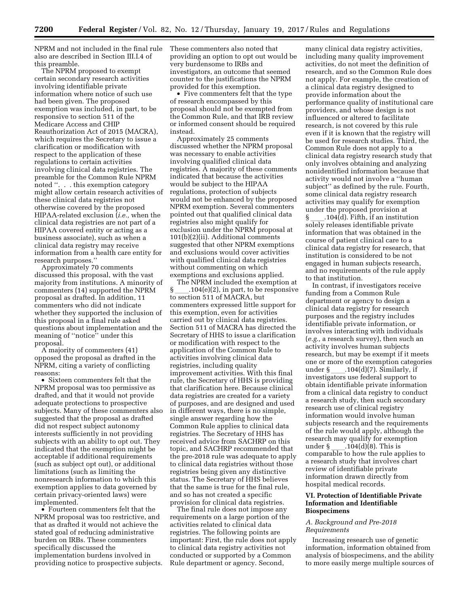NPRM and not included in the final rule also are described in Section III.I.4 of this preamble.

The NPRM proposed to exempt certain secondary research activities involving identifiable private information where notice of such use had been given. The proposed exemption was included, in part, to be responsive to section 511 of the Medicare Access and CHIP Reauthorization Act of 2015 (MACRA), which requires the Secretary to issue a clarification or modification with respect to the application of these regulations to certain activities involving clinical data registries. The preamble for the Common Rule NPRM noted ''. . . this exemption category might allow certain research activities of these clinical data registries not otherwise covered by the proposed HIPAA-related exclusion (*i.e.,* when the clinical data registries are not part of a HIPAA covered entity or acting as a business associate), such as when a clinical data registry may receive information from a health care entity for research purposes.''

Approximately 70 comments discussed this proposal, with the vast majority from institutions. A minority of commenters (14) supported the NPRM proposal as drafted. In addition, 11 commenters who did not indicate whether they supported the inclusion of this proposal in a final rule asked questions about implementation and the meaning of "notice" under this proposal.

A majority of commenters (41) opposed the proposal as drafted in the NPRM, citing a variety of conflicting reasons:

• Sixteen commenters felt that the NPRM proposal was too permissive as drafted, and that it would not provide adequate protections to prospective subjects. Many of these commenters also suggested that the proposal as drafted did not respect subject autonomy interests sufficiently in not providing subjects with an ability to opt out. They indicated that the exemption might be acceptable if additional requirements (such as subject opt out), or additional limitations (such as limiting the nonresearch information to which this exemption applies to data governed by certain privacy-oriented laws) were implemented.

• Fourteen commenters felt that the NPRM proposal was too restrictive, and that as drafted it would not achieve the stated goal of reducing administrative burden on IRBs. These commenters specifically discussed the implementation burdens involved in providing notice to prospective subjects. These commenters also noted that providing an option to opt out would be very burdensome to IRBs and investigators, an outcome that seemed counter to the justifications the NPRM provided for this exemption.

• Five commenters felt that the type of research encompassed by this proposal should not be exempted from the Common Rule, and that IRB review or informed consent should be required instead.

Approximately 25 comments discussed whether the NPRM proposal was necessary to enable activities involving qualified clinical data registries. A majority of these comments indicated that because the activities would be subject to the HIPAA regulations, protection of subjects would not be enhanced by the proposed NPRM exemption. Several commenters pointed out that qualified clinical data registries also might qualify for exclusion under the NPRM proposal at 101(b)(2)(ii). Additional comments suggested that other NPRM exemptions and exclusions would cover activities with qualified clinical data registries without commenting on which exemptions and exclusions applied.

The NPRM included the exemption at  $.104(e)(2)$ , in part, to be responsive to section 511 of MACRA, but commenters expressed little support for this exemption, even for activities carried out by clinical data registries. Section 511 of MACRA has directed the Secretary of HHS to issue a clarification or modification with respect to the application of the Common Rule to activities involving clinical data registries, including quality improvement activities. With this final rule, the Secretary of HHS is providing that clarification here. Because clinical data registries are created for a variety of purposes, and are designed and used in different ways, there is no simple, single answer regarding how the Common Rule applies to clinical data registries. The Secretary of HHS has received advice from SACHRP on this topic, and SACHRP recommended that the pre-2018 rule was adequate to apply to clinical data registries without those registries being given any distinctive status. The Secretary of HHS believes that the same is true for the final rule, and so has not created a specific provision for clinical data registries.

The final rule does not impose any requirements on a large portion of the activities related to clinical data registries. The following points are important: First, the rule does not apply to clinical data registry activities not conducted or supported by a Common Rule department or agency. Second,

many clinical data registry activities, including many quality improvement activities, do not meet the definition of research, and so the Common Rule does not apply. For example, the creation of a clinical data registry designed to provide information about the performance quality of institutional care providers, and whose design is not influenced or altered to facilitate research, is not covered by this rule even if it is known that the registry will be used for research studies. Third, the Common Rule does not apply to a clinical data registry research study that only involves obtaining and analyzing nonidentified information because that activity would not involve a ''human subject'' as defined by the rule. Fourth, some clinical data registry research activities may qualify for exemption under the proposed provision at  $\S$  .104(d). Fifth, if an institution solely releases identifiable private information that was obtained in the course of patient clinical care to a clinical data registry for research, that institution is considered to be not engaged in human subjects research, and no requirements of the rule apply to that institution.

In contrast, if investigators receive funding from a Common Rule department or agency to design a clinical data registry for research purposes and the registry includes identifiable private information, or involves interacting with individuals (*e.g.,* a research survey), then such an activity involves human subjects research, but may be exempt if it meets one or more of the exemption categories<br>under  $\S$  .104(d)(7). Similarly, if under § \_\_\_\_.104(d)(7). Similarly, if<br>investigators use federal support to obtain identifiable private information from a clinical data registry to conduct a research study, then such secondary research use of clinical registry information would involve human subjects research and the requirements of the rule would apply, although the research may qualify for exemption<br>under  $\S$  .104(d)(8). This is under § \_\_\_\_.104(d)(8). This is<br>comparable to how the rule applies to a research study that involves chart review of identifiable private information drawn directly from hospital medical records.

# **VI. Protection of Identifiable Private Information and Identifiable Biospecimens**

## *A. Background and Pre-2018 Requirements*

Increasing research use of genetic information, information obtained from analysis of biospecimens, and the ability to more easily merge multiple sources of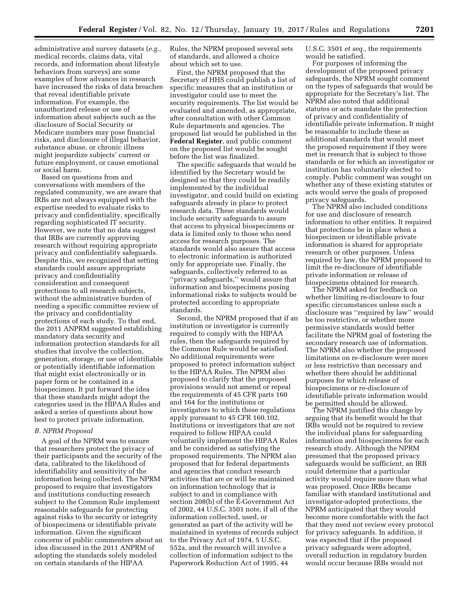administrative and survey datasets (*e.g.,*  medical records, claims data, vital records, and information about lifestyle behaviors from surveys) are some examples of how advances in research have increased the risks of data breaches that reveal identifiable private information. For example, the unauthorized release or use of information about subjects such as the disclosure of Social Security or Medicare numbers may pose financial risks, and disclosure of illegal behavior, substance abuse, or chronic illness might jeopardize subjects' current or future employment, or cause emotional or social harm.

Based on questions from and conversations with members of the regulated community, we are aware that IRBs are not always equipped with the expertise needed to evaluate risks to privacy and confidentiality, specifically regarding sophisticated IT security. However, we note that no data suggest that IRBs are currently approving research without requiring appropriate privacy and confidentiality safeguards. Despite this, we recognized that setting standards could assure appropriate privacy and confidentiality consideration and consequent protections to all research subjects, without the administrative burden of needing a specific committee review of the privacy and confidentiality protections of each study. To that end, the 2011 ANPRM suggested establishing mandatory data security and information protection standards for all studies that involve the collection, generation, storage, or use of identifiable or potentially identifiable information that might exist electronically or in paper form or be contained in a biospecimen. It put forward the idea that these standards might adopt the categories used in the HIPAA Rules and asked a series of questions about how best to protect private information.

# *B. NPRM Proposal*

A goal of the NPRM was to ensure that researchers protect the privacy of their participants and the security of the data, calibrated to the likelihood of identifiability and sensitivity of the information being collected. The NPRM proposed to require that investigators and institutions conducting research subject to the Common Rule implement reasonable safeguards for protecting against risks to the security or integrity of biospecimens or identifiable private information. Given the significant concerns of public commenters about an idea discussed in the 2011 ANPRM of adopting the standards solely modeled on certain standards of the HIPAA

Rules, the NPRM proposed several sets of standards, and allowed a choice about which set to use.

First, the NPRM proposed that the Secretary of HHS could publish a list of specific measures that an institution or investigator could use to meet the security requirements. The list would be evaluated and amended, as appropriate, after consultation with other Common Rule departments and agencies. The proposed list would be published in the **Federal Register**, and public comment on the proposed list would be sought before the list was finalized.

The specific safeguards that would be identified by the Secretary would be designed so that they could be readily implemented by the individual investigator, and could build on existing safeguards already in place to protect research data. These standards would include security safeguards to assure that access to physical biospecimens or data is limited only to those who need access for research purposes. The standards would also assure that access to electronic information is authorized only for appropriate use. Finally, the safeguards, collectively referred to as ''privacy safeguards,'' would assure that information and biospecimens posing informational risks to subjects would be protected according to appropriate standards.

Second, the NPRM proposed that if an institution or investigator is currently required to comply with the HIPAA rules, then the safeguards required by the Common Rule would be satisfied. No additional requirements were proposed to protect information subject to the HIPAA Rules. The NPRM also proposed to clarify that the proposed provisions would not amend or repeal the requirements of 45 CFR parts 160 and 164 for the institutions or investigators to which these regulations apply pursuant to 45 CFR 160.102. Institutions or investigators that are not required to follow HIPAA could voluntarily implement the HIPAA Rules and be considered as satisfying the proposed requirements. The NPRM also proposed that for federal departments and agencies that conduct research activities that are or will be maintained on information technology that is subject to and in compliance with section 208(b) of the E-Government Act of 2002, 44 U.S.C. 3501 note, if all of the information collected, used, or generated as part of the activity will be maintained in systems of records subject to the Privacy Act of 1974, 5 U.S.C. 552a, and the research will involve a collection of information subject to the Paperwork Reduction Act of 1995, 44

U.S.C. 3501 *et seq.,* the requirements would be satisfied.

For purposes of informing the development of the proposed privacy safeguards, the NPRM sought comment on the types of safeguards that would be appropriate for the Secretary's list. The NPRM also noted that additional statutes or acts mandate the protection of privacy and confidentiality of identifiable private information. It might be reasonable to include these as additional standards that would meet the proposed requirement if they were met in research that is subject to those standards or for which an investigator or institution has voluntarily elected to comply. Public comment was sought on whether any of these existing statutes or acts would serve the goals of proposed privacy safeguards.

The NPRM also included conditions for use and disclosure of research information to other entities. It required that protections be in place when a biospecimen or identifiable private information is shared for appropriate research or other purposes. Unless required by law, the NPRM proposed to limit the re-disclosure of identifiable private information or release of biospecimens obtained for research.

The NPRM asked for feedback on whether limiting re-disclosure to four specific circumstances unless such a disclosure was ''required by law'' would be too restrictive, or whether more permissive standards would better facilitate the NPRM goal of fostering the secondary research use of information. The NPRM also whether the proposed limitations on re-disclosure were more or less restrictive than necessary and whether there should be additional purposes for which release of biospecimens or re-disclosure of identifiable private information would be permitted should be allowed.

The NPRM justified this change by arguing that its benefit would be that IRBs would not be required to review the individual plans for safeguarding information and biospecimens for each research study. Although the NPRM presumed that the proposed privacy safeguards would be sufficient, an IRB could determine that a particular activity would require more than what was proposed. Once IRBs became familiar with standard institutional and investigator-adopted protections, the NPRM anticipated that they would become more comfortable with the fact that they need not review every protocol for privacy safeguards. In addition, it was expected that if the proposed privacy safeguards were adopted, overall reduction in regulatory burden would occur because IRBs would not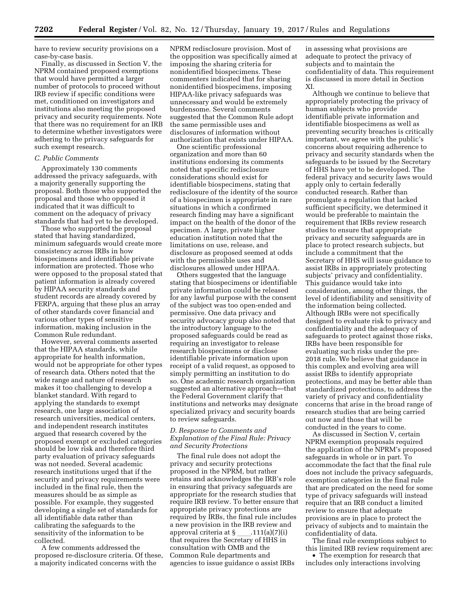have to review security provisions on a case-by-case basis.

Finally, as discussed in Section V, the NPRM contained proposed exemptions that would have permitted a larger number of protocols to proceed without IRB review if specific conditions were met, conditioned on investigators and institutions also meeting the proposed privacy and security requirements. Note that there was no requirement for an IRB to determine whether investigators were adhering to the privacy safeguards for such exempt research.

### *C. Public Comments*

Approximately 130 comments addressed the privacy safeguards, with a majority generally supporting the proposal. Both those who supported the proposal and those who opposed it indicated that it was difficult to comment on the adequacy of privacy standards that had yet to be developed.

Those who supported the proposal stated that having standardized, minimum safeguards would create more consistency across IRBs in how biospecimens and identifiable private information are protected. Those who were opposed to the proposal stated that patient information is already covered by HIPAA security standards and student records are already covered by FERPA, arguing that these plus an array of other standards cover financial and various other types of sensitive information, making inclusion in the Common Rule redundant.

However, several comments asserted that the HIPAA standards, while appropriate for health information, would not be appropriate for other types of research data. Others noted that the wide range and nature of research makes it too challenging to develop a blanket standard. With regard to applying the standards to exempt research, one large association of research universities, medical centers, and independent research institutes argued that research covered by the proposed exempt or excluded categories should be low risk and therefore third party evaluation of privacy safeguards was not needed. Several academic research institutions urged that if the security and privacy requirements were included in the final rule, then the measures should be as simple as possible. For example, they suggested developing a single set of standards for all identifiable data rather than calibrating the safeguards to the sensitivity of the information to be collected.

A few comments addressed the proposed re-disclosure criteria. Of these, a majority indicated concerns with the

NPRM redisclosure provision. Most of the opposition was specifically aimed at imposing the sharing criteria for nonidentified biospecimens. These commenters indicated that for sharing nonidentified biospecimens, imposing HIPAA-like privacy safeguards was unnecessary and would be extremely burdensome. Several comments suggested that the Common Rule adopt the same permissible uses and disclosures of information without authorization that exists under HIPAA.

One scientific professional organization and more than 60 institutions endorsing its comments noted that specific redisclosure considerations should exist for identifiable biospecimens, stating that redisclosure of the identity of the source of a biospecimen is appropriate in rare situations in which a confirmed research finding may have a significant impact on the health of the donor of the specimen. A large, private higher education institution noted that the limitations on use, release, and disclosure as proposed seemed at odds with the permissible uses and disclosures allowed under HIPAA.

Others suggested that the language stating that biospecimens or identifiable private information could be released for any lawful purpose with the consent of the subject was too open-ended and permissive. One data privacy and security advocacy group also noted that the introductory language to the proposed safeguards could be read as requiring an investigator to release research biospecimens or disclose identifiable private information upon receipt of a valid request, as opposed to simply permitting an institution to do so. One academic research organization suggested an alternative approach—that the Federal Government clarify that institutions and networks may designate specialized privacy and security boards to review safeguards.

# *D. Response to Comments and Explanation of the Final Rule: Privacy and Security Protections*

The final rule does not adopt the privacy and security protections proposed in the NPRM, but rather retains and acknowledges the IRB's role in ensuring that privacy safeguards are appropriate for the research studies that require IRB review. To better ensure that appropriate privacy protections are required by IRBs, the final rule includes a new provision in the IRB review and approval criteria at §\_\_\_\_.111(a)(7)(i)<br>that requires the Secretary of HHS in consultation with OMB and the Common Rule departments and agencies to issue guidance o assist IRBs

in assessing what provisions are adequate to protect the privacy of subjects and to maintain the confidentiality of data. This requirement is discussed in more detail in Section XI.

Although we continue to believe that appropriately protecting the privacy of human subjects who provide identifiable private information and identifiable biospecimens as well as preventing security breaches is critically important, we agree with the public's concerns about requiring adherence to privacy and security standards when the safeguards to be issued by the Secretary of HHS have yet to be developed. The federal privacy and security laws would apply only to certain federally conducted research. Rather than promulgate a regulation that lacked sufficient specificity, we determined it would be preferable to maintain the requirement that IRBs review research studies to ensure that appropriate privacy and security safeguards are in place to protect research subjects, but include a commitment that the Secretary of HHS will issue guidance to assist IRBs in appropriately protecting subjects' privacy and confidentiality. This guidance would take into consideration, among other things, the level of identifiability and sensitivity of the information being collected. Although IRBs were not specifically designed to evaluate risk to privacy and confidentiality and the adequacy of safeguards to protect against those risks, IRBs have been responsible for evaluating such risks under the pre-2018 rule. We believe that guidance in this complex and evolving area will assist IRBs to identify appropriate protections, and may be better able than standardized protections, to address the variety of privacy and confidentiality concerns that arise in the broad range of research studies that are being carried out now and those that will be conducted in the years to come.

As discussed in Section V, certain NPRM exemption proposals required the application of the NPRM's proposed safeguards in whole or in part. To accommodate the fact that the final rule does not include the privacy safeguards, exemption categories in the final rule that are predicated on the need for some type of privacy safeguards will instead require that an IRB conduct a limited review to ensure that adequate provisions are in place to protect the privacy of subjects and to maintain the confidentiality of data.

The final rule exemptions subject to this limited IRB review requirement are:

• The exemption for research that includes only interactions involving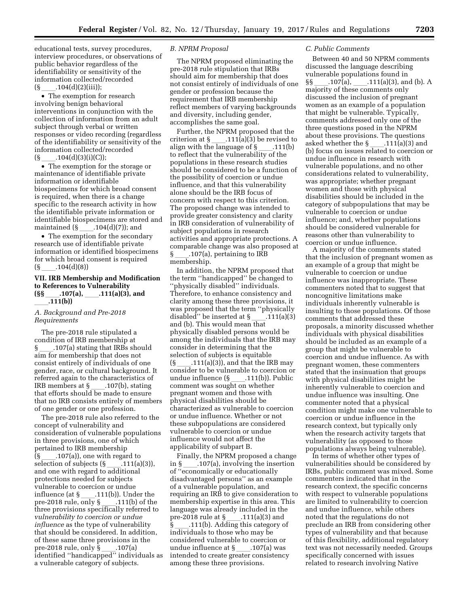educational tests, survey procedures, interview procedures, or observations of public behavior regardless of the identifiability or sensitivity of the information collected/recorded  $(\S$  .104(d)(2)(iii));

• The exemption for research involving benign behavioral interventions in conjunction with the collection of information from an adult subject through verbal or written responses or video recording (regardless of the identifiability or sensitivity of the information collected/recorded  $(S \t104(d)(3)(i)(C));$ 

• The exemption for the storage or maintenance of identifiable private information or identifiable biospecimens for which broad consent is required, when there is a change specific to the research activity in how the identifiable private information or identifiable biospecimens are stored and maintained (§ \_\_\_\_.104(d)(7)); and<br>• The exemption for the secondary

research use of identifiable private information or identified biospecimens for which broad consent is required  $(S \t 104(d)(8))$ 

# **VII. IRB Membership and Modification to References to Vulnerability (§§** ll**.107(a),** ll**.111(a)(3), and**  ll**.111(b))**

### *A. Background and Pre-2018 Requirements*

The pre-2018 rule stipulated a condition of IRB membership at § ll.107(a) stating that IRBs should aim for membership that does not consist entirely of individuals of one gender, race, or cultural background. It referred again to the characteristics of<br>IRB members at § .107(b), stating IRB members at §\_\_\_\_.107(b), stating<br>that efforts should be made to ensure that no IRB consists entirely of members of one gender or one profession.

The pre-2018 rule also referred to the concept of vulnerability and consideration of vulnerable populations in three provisions, one of which pertained to IRB membership  $(\S$  \_\_\_\_.107(a)), one with regard to<br>selection of subjects  $(\S$  \_\_\_\_\_.111(a)(3)), selection of subjects (§ \_\_\_\_.111(a)(3)),<br>and one with regard to additional protections needed for subjects vulnerable to coercion or undue influence (at  $\S$  \_\_\_\_\_. 111(b)). Under the pre-2018 rule, only  $\S$  .111(b) of the pre-2018 rule, only § \_\_\_\_.111(b) of the<br>three provisions specifically referred to *vulnerability to coercion or undue influence* as the type of vulnerability that should be considered. In addition, of these same three provisions in the pre-2018 rule, only § \_\_\_\_.107(a)<br>identified ''handicapped'' individuals as a vulnerable category of subjects.

### *B. NPRM Proposal*

The NPRM proposed eliminating the pre-2018 rule stipulation that IRBs should aim for membership that does not consist entirely of individuals of one gender or profession because the requirement that IRB membership reflect members of varying backgrounds and diversity, including gender, accomplishes the same goal.

Further, the NPRM proposed that the criterion at  $\underline{\S}$  . 111(a)(3) be revised to<br>align with the language of  $\underline{\S}$  . 111(b) align with the language of  $\S$ to reflect that the vulnerability of the populations in these research studies should be considered to be a function of the possibility of coercion or undue influence, and that this vulnerability alone should be the IRB focus of concern with respect to this criterion. The proposed change was intended to provide greater consistency and clarity in IRB consideration of vulnerability of subject populations in research activities and appropriate protections. A comparable change was also proposed at  $\S$  \_\_\_\_\_.107(a), pertaining to IRB membership.

In addition, the NPRM proposed that the term ''handicapped'' be changed to ''physically disabled'' individuals. Therefore, to enhance consistency and clarity among these three provisions, it was proposed that the term ''physically disabled" be inserted at  $\S$ . 111(a)(3) and (b). This would mean that physically disabled persons would be among the individuals that the IRB may consider in determining that the selection of subjects is equitable  $(\S$  .111(a)(3)), and that the IRB may consider to be vulnerable to coercion or<br>undue influence (§ 111(b)). Public undue influence (§ \_\_\_\_.111(b)). Public<br>comment was sought on whether pregnant women and those with physical disabilities should be characterized as vulnerable to coercion or undue influence. Whether or not these subpopulations are considered vulnerable to coercion or undue influence would not affect the applicability of subpart B.

Finally, the NPRM proposed a change in  $\S$  .107(a), involving the insertion of ''economically or educationally disadvantaged persons'' as an example of a vulnerable population, and requiring an IRB to give consideration to membership expertise in this area. This language was already included in the<br>pre-2018 rule at  $\S$  .111(a)(3) and pre-2018 rule at §\_\_\_\_.111(a)(3) and<br>§ 111(b) Adding this category o § \_\_\_\_.111(b). Adding this category of<br>individuals to those who may be individuals to those who may be considered vulnerable to coercion or<br>undue influence at § \_\_\_.107(a) was undue influence at § \_\_\_\_.107(a) was<br>intended to create greater consistency among these three provisions.

### *C. Public Comments*

Between 40 and 50 NPRM comments discussed the language describing vulnerable populations found in §§ \_\_\_\_.107(a), \_\_\_\_.111(a)(3), and (b). A<br>majority of these comments only discussed the inclusion of pregnant women as an example of a population that might be vulnerable. Typically, comments addressed only one of the three questions posed in the NPRM about these provisions. The questions asked whether the §\_\_\_\_.111(a)(3) and<br>(b) focus on issues related to coercion or undue influence in research with vulnerable populations, and no other considerations related to vulnerability, was appropriate; whether pregnant women and those with physical disabilities should be included in the category of subpopulations that may be vulnerable to coercion or undue influence; and, whether populations should be considered vulnerable for reasons other than vulnerability to coercion or undue influence.

A majority of the comments stated that the inclusion of pregnant women as an example of a group that might be vulnerable to coercion or undue influence was inappropriate. These commenters noted that to suggest that noncognitive limitations make individuals inherently vulnerable is insulting to those populations. Of those comments that addressed these proposals, a minority discussed whether individuals with physical disabilities should be included as an example of a group that might be vulnerable to coercion and undue influence. As with pregnant women, these commenters stated that the insinuation that groups with physical disabilities might be inherently vulnerable to coercion and undue influence was insulting. One commenter noted that a physical condition might make one vulnerable to coercion or undue influence in the research context, but typically only when the research activity targets that vulnerability (as opposed to those populations always being vulnerable).

In terms of whether other types of vulnerabilities should be considered by IRBs, public comment was mixed. Some commenters indicated that in the research context, the specific concerns with respect to vulnerable populations are limited to vulnerability to coercion and undue influence, while others noted that the regulations do not preclude an IRB from considering other types of vulnerability and that because of this flexibility, additional regulatory text was not necessarily needed. Groups specifically concerned with issues related to research involving Native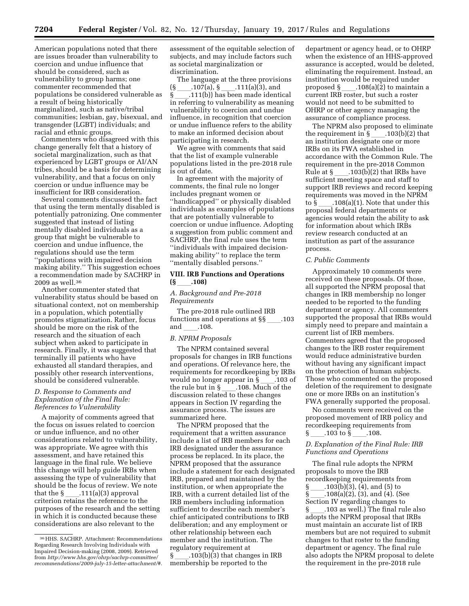American populations noted that there are issues broader than vulnerability to coercion and undue influence that should be considered, such as vulnerability to group harms; one commenter recommended that populations be considered vulnerable as a result of being historically marginalized, such as native/tribal communities; lesbian, gay, bisexual, and transgender (LGBT) individuals; and racial and ethnic groups.

Commenters who disagreed with this change generally felt that a history of societal marginalization, such as that experienced by LGBT groups or AI/AN tribes, should be a basis for determining vulnerability, and that a focus on only coercion or undue influence may be insufficient for IRB consideration.

Several comments discussed the fact that using the term mentally disabled is potentially patronizing. One commenter suggested that instead of listing mentally disabled individuals as a group that might be vulnerable to coercion and undue influence, the regulations should use the term ''populations with impaired decision making ability.'' This suggestion echoes a recommendation made by SACHRP in 2009 as well.36

Another commenter stated that vulnerability status should be based on situational context, not on membership in a population, which potentially promotes stigmatization. Rather, focus should be more on the risk of the research and the situation of each subject when asked to participate in research. Finally, it was suggested that terminally ill patients who have exhausted all standard therapies, and possibly other research interventions, should be considered vulnerable.

# *D. Response to Comments and Explanation of the Final Rule: References to Vulnerability*

A majority of comments agreed that the focus on issues related to coercion or undue influence, and no other considerations related to vulnerability, was appropriate. We agree with this assessment, and have retained this language in the final rule. We believe this change will help guide IRBs when assessing the type of vulnerability that should be the focus of review. We note that the  $\S$  .111(a)(3) approval criterion retains the reference to the purposes of the research and the setting in which it is conducted because these considerations are also relevant to the

assessment of the equitable selection of subjects, and may include factors such as societal marginalization or discrimination.

The language at the three provisions<br>  $107(a), \S$   $111(a)(3),$  and (§ \_\_\_\_\_.107(a), § \_\_\_\_.111(a)(3), and<br>§ \_\_\_\_\_\_111(b)) has been made identi § \_\_\_\_.111(b)) has been made identical<br>in referring to vulnerability as meaning in referring to vulnerability as meaning vulnerability to coercion and undue influence, in recognition that coercion or undue influence refers to the ability to make an informed decision about participating in research.

We agree with comments that said that the list of example vulnerable populations listed in the pre-2018 rule is out of date.

In agreement with the majority of comments, the final rule no longer includes pregnant women or ''handicapped'' or physically disabled individuals as examples of populations that are potentially vulnerable to coercion or undue influence. Adopting a suggestion from public comment and SACHRP, the final rule uses the term ''individuals with impaired decisionmaking ability'' to replace the term ''mentally disabled persons.''

### **VIII. IRB Functions and Operations (§** ll**.108)**

# *A. Background and Pre-2018 Requirements*

The pre-2018 rule outlined IRB functions and operations at  $\S\S$  \_\_\_\_.103 and .108.

#### *B. NPRM Proposals*

The NPRM contained several proposals for changes in IRB functions and operations. Of relevance here, the requirements for recordkeeping by IRBs would no longer appear in  $\S$  103 of<br>the rule but in  $\S$  108. Much of the the rule but in §\_\_\_\_.108. Much of the<br>discussion related to these changes appears in Section IV regarding the assurance process. The issues are summarized here.

The NPRM proposed that the requirement that a written assurance include a list of IRB members for each IRB designated under the assurance process be replaced. In its place, the NPRM proposed that the assurance include a statement for each designated IRB, prepared and maintained by the institution, or when appropriate the IRB, with a current detailed list of the IRB members including information sufficient to describe each member's chief anticipated contributions to IRB deliberation; and any employment or other relationship between each member and the institution. The regulatory requirement at

 $\S$  .103(b)(3) that changes in IRB membership be reported to the

department or agency head, or to OHRP when the existence of an HHS-approved assurance is accepted, would be deleted, eliminating the requirement. Instead, an institution would be required under<br>proposed  $\S$  .108(a)(2) to maintain a proposed § \_\_\_\_.108(a)(2) to maintain a<br>current IRB roster, but such a roster would not need to be submitted to OHRP or other agency managing the assurance of compliance process.

The NPRM also proposed to eliminate the requirement in  $\S$  \_\_\_\_\_.103(b)(2) that an institution designate one or more IRBs on its FWA established in accordance with the Common Rule. The requirement in the pre-2018 Common<br>Rule at § .103(b)(2) that IRBs have Rule at § \_\_\_\_.103(b)(2) that IRBs have<br>sufficient meeting space and staff to support IRB reviews and record keeping requirements was moved in the NPRM to  $\S$  \_\_\_\_\_.108(a)(1). Note that under this proposal federal departments or agencies would retain the ability to ask for information about which IRBs review research conducted at an institution as part of the assurance process.

### *C. Public Comments*

Approximately 10 comments were received on these proposals. Of those, all supported the NPRM proposal that changes in IRB membership no longer needed to be reported to the funding department or agency. All commenters supported the proposal that IRBs would simply need to prepare and maintain a current list of IRB members. Commenters agreed that the proposed changes to the IRB roster requirement would reduce administrative burden without having any significant impact on the protection of human subjects. Those who commented on the proposed deletion of the requirement to designate one or more IRBs on an institution's FWA generally supported the proposal.

No comments were received on the proposed movement of IRB policy and recordkeeping requirements from

# $_{.}103$  to  $\S$   $_{.}108$ .

# *D. Explanation of the Final Rule: IRB Functions and Operations*

The final rule adopts the NPRM proposals to move the IRB recordkeeping requirements from § \_\_\_\_\_.103(b)(3), (4), and (5) to<br>§ \_\_\_\_\_.108(a)(2), (3), and (4), (S § ll.108(a)(2), (3), and (4). (See Section IV regarding changes to § \_\_\_\_.103 as well.) The final rule also adopts the NPRM proposal that IRBs must maintain an accurate list of IRB members but are not required to submit changes to that roster to the funding department or agency. The final rule also adopts the NPRM proposal to delete the requirement in the pre-2018 rule

<sup>36</sup>HHS. SACHRP. Attachment: Recommendations Regarding Research Involving Individuals with Impaired Decision-making (2008, 2009). Retrieved from *[http://www.hhs.gov/ohrp/sachrp-committee/](http://www.hhs.gov/ohrp/sachrp-committee/recommendations/2009-july-15-letter-attachment/#) [recommendations/2009-july-15-letter-attachment/#](http://www.hhs.gov/ohrp/sachrp-committee/recommendations/2009-july-15-letter-attachment/#)*.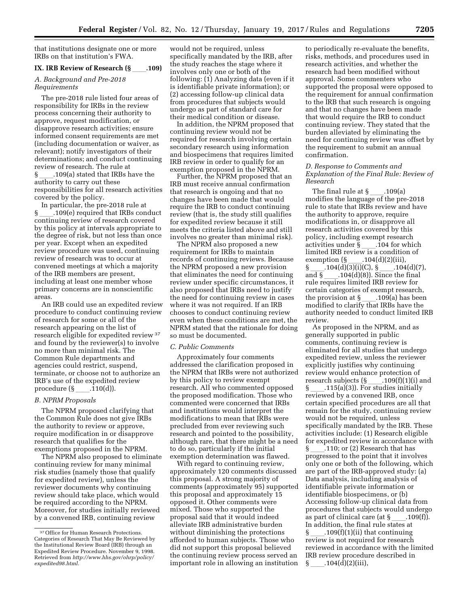that institutions designate one or more IRBs on that institution's FWA.

### **IX. IRB Review of Research (§** 109)

### *A. Background and Pre-2018 Requirements*

The pre-2018 rule listed four areas of responsibility for IRBs in the review process concerning their authority to approve, request modification, or disapprove research activities; ensure informed consent requirements are met (including documentation or waiver, as relevant); notify investigators of their determinations; and conduct continuing review of research. The rule at § 109(a) stated that IRBs have the authority to carry out these responsibilities for all research activities covered by the policy.

In particular, the pre-2018 rule at § ll.109(e) required that IRBs conduct continuing review of research covered by this policy at intervals appropriate to the degree of risk, but not less than once per year. Except when an expedited review procedure was used, continuing review of research was to occur at convened meetings at which a majority of the IRB members are present, including at least one member whose primary concerns are in nonscientific areas.

An IRB could use an expedited review procedure to conduct continuing review of research for some or all of the research appearing on the list of research eligible for expedited review 37 and found by the reviewer(s) to involve no more than minimal risk. The Common Rule departments and agencies could restrict, suspend, terminate, or choose not to authorize an IRB's use of the expedited review procedure  $(\S$  .110(d)).

### *B. NPRM Proposals*

The NPRM proposed clarifying that the Common Rule does not give IRBs the authority to review or approve, require modification in or disapprove research that qualifies for the exemptions proposed in the NPRM.

The NPRM also proposed to eliminate continuing review for many minimal risk studies (namely those that qualify for expedited review), unless the reviewer documents why continuing review should take place, which would be required according to the NPRM. Moreover, for studies initially reviewed by a convened IRB, continuing review

would not be required, unless specifically mandated by the IRB, after the study reaches the stage where it involves only one or both of the following: (1) Analyzing data (even if it is identifiable private information); or (2) accessing follow-up clinical data from procedures that subjects would undergo as part of standard care for their medical condition or disease.

In addition, the NPRM proposed that continuing review would not be required for research involving certain secondary research using information and biospecimens that requires limited IRB review in order to qualify for an exemption proposed in the NPRM.

Further, the NPRM proposed that an IRB must receive annual confirmation that research is ongoing and that no changes have been made that would require the IRB to conduct continuing review (that is, the study still qualifies for expedited review because it still meets the criteria listed above and still involves no greater than minimal risk).

The NPRM also proposed a new requirement for IRBs to maintain records of continuing reviews. Because the NPRM proposed a new provision that eliminates the need for continuing review under specific circumstances, it also proposed that IRBs need to justify the need for continuing review in cases where it was not required. If an IRB chooses to conduct continuing review even when these conditions are met, the NPRM stated that the rationale for doing so must be documented.

### *C. Public Comments*

Approximately four comments addressed the clarification proposed in the NPRM that IRBs were not authorized by this policy to review exempt research. All who commented opposed the proposed modification. Those who commented were concerned that IRBs and institutions would interpret the modifications to mean that IRBs were precluded from ever reviewing such research and pointed to the possibility, although rare, that there might be a need to do so, particularly if the initial exemption determination was flawed.

With regard to continuing review, approximately 120 comments discussed this proposal. A strong majority of comments (approximately 95) supported this proposal and approximately 15 opposed it. Other comments were mixed. Those who supported the proposal said that it would indeed alleviate IRB administrative burden without diminishing the protections afforded to human subjects. Those who did not support this proposal believed the continuing review process served an important role in allowing an institution

to periodically re-evaluate the benefits, risks, methods, and procedures used in research activities, and whether the research had been modified without approval. Some commenters who supported the proposal were opposed to the requirement for annual confirmation to the IRB that such research is ongoing and that no changes have been made that would require the IRB to conduct continuing review. They stated that the burden alleviated by eliminating the need for continuing review was offset by the requirement to submit an annual confirmation.

# *D. Response to Comments and Explanation of the Final Rule: Review of Research*

The final rule at  $\S$  \_\_\_\_.109(a)<br>modifies the language of the pre-2018 rule to state that IRBs review and have the authority to approve, require modifications in, or disapprove all research activities covered by this policy, including exempt research<br>activities under § 104 for which activities under §\_\_\_\_.104 for which<br>limited IRB review is a condition of exemption  $(\S_1, 104(d)(2)(iii),$ <br> $\S_1, 104(d)(3)(i)(c),$   $\S_1, 104(d)(7),$ and  $\sqrt{\frac{8}{5}}$  . 104(d)(8)). Since the final and § \_\_\_\_.104(d)(8)). Since the final<br>rule requires limited IRB review for certain categories of exempt research, the provision at § \_\_\_\_.109(a) has been<br>modified to clarify that IRBs have the authority needed to conduct limited IRB review.

As proposed in the NPRM, and as generally supported in public comments, continuing review is eliminated for all studies that undergo expedited review, unless the reviewer explicitly justifies why continuing review would enhance protection of<br>research subjects  $(\S$  .109(f)(1)(i) a research subjects (§ \_\_\_\_.109(f)(1)(i) and<br>§ 115(a)(3)) For studies initially § \_\_\_\_.115(a)(3)). For studies initially<br>reviewed by a convened IRB\_once reviewed by a convened IRB, once certain specified procedures are all that remain for the study, continuing review would not be required, unless specifically mandated by the IRB. These activities include: (1) Research eligible for expedited review in accordance with  $\S$  \_\_\_\_\_.110; or (2) Research that has progressed to the point that it involves only one or both of the following, which are part of the IRB-approved study: (a) Data analysis, including analysis of identifiable private information or identifiable biospecimens, or (b) Accessing follow-up clinical data from procedures that subjects would undergo as part of clinical care (at  $\S$  .109(f)). In addition, the final rule states at  $\S$  .109(f)(1)(ii) that continuing review is not required for research reviewed in accordance with the limited IRB review procedure described in  $\S$  .104(d)(2)(iii),

<sup>&</sup>lt;sup>37</sup> Office for Human Research Protections. Categories of Research That May Be Reviewed by the Institutional Review Board (IRB) through an Expedited Review Procedure. November 9, 1998. Retrieved from *[http://www.hhs.gov/ohrp/policy/](http://www.hhs.gov/ohrp/policy/expedited98.html)  [expedited98.html.](http://www.hhs.gov/ohrp/policy/expedited98.html)*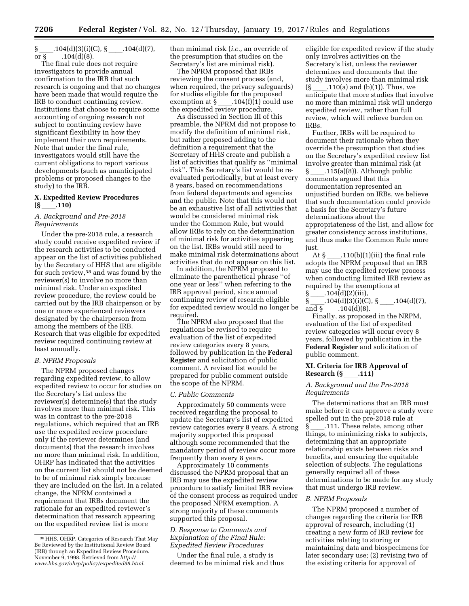$\frac{\S}{\S}$  .104(d)(3)(i)(C),  $\S$  .104(d)(7), or  $\S$  .104(d)(8). or §\_\_\_\_.104(d)(8).<br>The final rule does not require

investigators to provide annual confirmation to the IRB that such research is ongoing and that no changes have been made that would require the IRB to conduct continuing review. Institutions that choose to require some accounting of ongoing research not subject to continuing review have significant flexibility in how they implement their own requirements. Note that under the final rule, investigators would still have the current obligations to report various developments (such as unanticipated problems or proposed changes to the study) to the IRB.

# **X. Expedited Review Procedures**   $(S \t 110)$

### *A. Background and Pre-2018 Requirements*

Under the pre-2018 rule, a research study could receive expedited review if the research activities to be conducted appear on the list of activities published by the Secretary of HHS that are eligible for such review,38 and was found by the reviewer(s) to involve no more than minimal risk. Under an expedited review procedure, the review could be carried out by the IRB chairperson or by one or more experienced reviewers designated by the chairperson from among the members of the IRB. Research that was eligible for expedited review required continuing review at least annually.

# *B. NPRM Proposals*

The NPRM proposed changes regarding expedited review, to allow expedited review to occur for studies on the Secretary's list unless the reviewer(s) determine(s) that the study involves more than minimal risk. This was in contrast to the pre-2018 regulations, which required that an IRB use the expedited review procedure only if the reviewer determines (and documents) that the research involves no more than minimal risk. In addition, OHRP has indicated that the activities on the current list should not be deemed to be of minimal risk simply because they are included on the list. In a related change, the NPRM contained a requirement that IRBs document the rationale for an expedited reviewer's determination that research appearing on the expedited review list is more

than minimal risk (*i.e.,* an override of the presumption that studies on the Secretary's list are minimal risk).

The NPRM proposed that IRBs reviewing the consent process (and, when required, the privacy safeguards) for studies eligible for the proposed exemption at § \_\_\_\_.104(f)(1) could use<br>the expedited review procedure.

As discussed in Section III of this preamble, the NPRM did not propose to modify the definition of minimal risk, but rather proposed adding to the definition a requirement that the Secretary of HHS create and publish a list of activities that qualify as ''minimal risk''. This Secretary's list would be reevaluated periodically, but at least every 8 years, based on recommendations from federal departments and agencies and the public. Note that this would not be an exhaustive list of all activities that would be considered minimal risk under the Common Rule, but would allow IRBs to rely on the determination of minimal risk for activities appearing on the list. IRBs would still need to make minimal risk determinations about activities that do not appear on this list.

In addition, the NPRM proposed to eliminate the parenthetical phrase ''of one year or less'' when referring to the IRB approval period, since annual continuing review of research eligible for expedited review would no longer be required.

The NPRM also proposed that the regulations be revised to require evaluation of the list of expedited review categories every 8 years, followed by publication in the **Federal Register** and solicitation of public comment. A revised list would be prepared for public comment outside the scope of the NPRM.

#### *C. Public Comments*

Approximately 50 comments were received regarding the proposal to update the Secretary's list of expedited review categories every 8 years. A strong majority supported this proposal although some recommended that the mandatory period of review occur more frequently than every 8 years.

Approximately 10 comments discussed the NPRM proposal that an IRB may use the expedited review procedure to satisfy limited IRB review of the consent process as required under the proposed NPRM exemption. A strong majority of these comments supported this proposal.

### *D. Response to Comments and Explanation of the Final Rule: Expedited Review Procedures*

Under the final rule, a study is deemed to be minimal risk and thus

eligible for expedited review if the study only involves activities on the Secretary's list, unless the reviewer determines and documents that the study involves more than minimal risk  $(\S$  \_\_\_\_\_.110(a) and (b)(1)). Thus, we anticipate that more studies that involve no more than minimal risk will undergo expedited review, rather than full review, which will relieve burden on IRBs.

Further, IRBs will be required to document their rationale when they override the presumption that studies on the Secretary's expedited review list involve greater than minimal risk (at  $\S$  .115(a)(8)). Although public comments argued that this documentation represented an unjustified burden on IRBs, we believe that such documentation could provide a basis for the Secretary's future determinations about the appropriateness of the list, and allow for greater consistency across institutions, and thus make the Common Rule more just.

At § \_\_\_\_.110(b)(1)(iii) the final rule<br>adopts the NPRM proposal that an IRB may use the expedited review process when conducting limited IRB review as required by the exemptions at  $\S$  .104(d)(2)(iii),

§ ll.104(d)(2)(iii),

 $\frac{\S}{\text{and } \S}$ .104(d)(3)(i)(C),  $\S$  \_\_\_\_.104(d)(7), and  $\S$ . 104(d)(8).

and § \_\_\_\_.104(d)(8).<br>Finally, as proposed in the NRPM, evaluation of the list of expedited review categories will occur every 8 years, followed by publication in the **Federal Register** and solicitation of public comment.

# **XI. Criteria for IRB Approval of Research (§**ll**.111)**

#### *A. Background and the Pre-2018 Requirements*

The determinations that an IRB must make before it can approve a study were spelled out in the pre-2018 rule at § \_\_\_\_.111. These relate, among other<br>things, to minimizing risks to subjects, determining that an appropriate relationship exists between risks and benefits, and ensuring the equitable selection of subjects. The regulations generally required all of these determinations to be made for any study that must undergo IRB review.

#### *B. NPRM Proposals*

The NPRM proposed a number of changes regarding the criteria for IRB approval of research, including (1) creating a new form of IRB review for activities relating to storing or maintaining data and biospecimens for later secondary use; (2) revising two of the existing criteria for approval of

<sup>38</sup>HHS. OHRP. Categories of Research That May Be Reviewed by the Institutional Review Board (IRB) through an Expedited Review Procedure. November 9, 1998. Retrieved from *[http://](http://www.hhs.gov/ohrp/policy/expedited98.html) [www.hhs.gov/ohrp/policy/expedited98.html](http://www.hhs.gov/ohrp/policy/expedited98.html)*.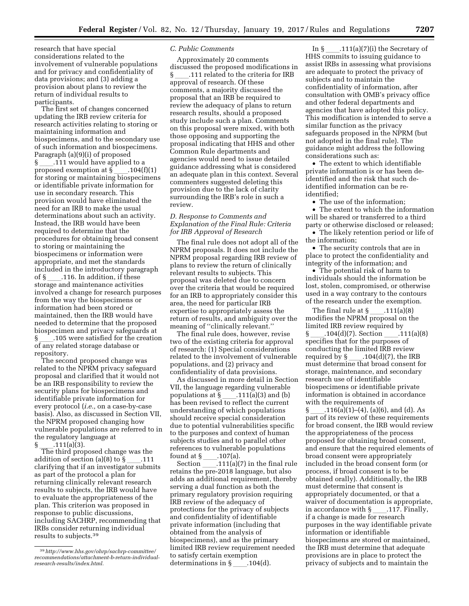research that have special considerations related to the involvement of vulnerable populations and for privacy and confidentiality of data provisions; and (3) adding a provision about plans to review the return of individual results to participants.

The first set of changes concerned updating the IRB review criteria for research activities relating to storing or maintaining information and biospecimens, and to the secondary use of such information and biospecimens. Paragraph (a)(9)(i) of proposed  $\frac{\S}{\text{proposed}}$  exemption at  $\S$  . 104(f)(1) proposed exemption at §\_\_\_\_.104(f)(1)<br>for storing or maintaining biospecimens or identifiable private information for use in secondary research. This provision would have eliminated the need for an IRB to make the usual determinations about such an activity. Instead, the IRB would have been required to determine that the procedures for obtaining broad consent to storing or maintaining the biospecimens or information were appropriate, and met the standards included in the introductory paragraph<br>of § 116. In addition, if these of §\_\_\_\_.116. In addition, if these<br>storage and maintenance activities involved a change for research purposes from the way the biospecimens or information had been stored or maintained, then the IRB would have needed to determine that the proposed biospecimen and privacy safeguards at § ll.105 were satisfied for the creation of any related storage database or repository.

The second proposed change was related to the NPRM privacy safeguard proposal and clarified that it would not be an IRB responsibility to review the security plans for biospecimens and identifiable private information for every protocol (*i.e.,* on a case-by-case basis). Also, as discussed in Section VII, the NPRM proposed changing how vulnerable populations are referred to in the regulatory language at

 $\frac{\S}{\S}$  \_\_\_.111(a)(3).<br>The third proposed change was the addition of section (a)(8) to §\_\_\_\_.111<br>clarifying that if an investigator submits as part of the protocol a plan for returning clinically relevant research results to subjects, the IRB would have to evaluate the appropriateness of the plan. This criterion was proposed in response to public discussions, including SACHRP, recommending that IRBs consider returning individual results to subjects.39

# *C. Public Comments*

Approximately 20 comments discussed the proposed modifications in<br>§ .111 related to the criteria for IRB § ll.111 related to the criteria for IRB approval of research. Of these comments, a majority discussed the proposal that an IRB be required to review the adequacy of plans to return research results, should a proposed study include such a plan. Comments on this proposal were mixed, with both those opposing and supporting the proposal indicating that HHS and other Common Rule departments and agencies would need to issue detailed guidance addressing what is considered an adequate plan in this context. Several commenters suggested deleting this provision due to the lack of clarity surrounding the IRB's role in such a review.

# *D. Response to Comments and Explanation of the Final Rule: Criteria for IRB Approval of Research*

The final rule does not adopt all of the NPRM proposals. It does not include the NPRM proposal regarding IRB review of plans to review the return of clinically relevant results to subjects. This proposal was deleted due to concern over the criteria that would be required for an IRB to appropriately consider this area, the need for particular IRB expertise to appropriately assess the return of results, and ambiguity over the meaning of ''clinically relevant.''

The final rule does, however, revise two of the existing criteria for approval of research: (1) Special considerations related to the involvement of vulnerable populations, and (2) privacy and confidentiality of data provisions.

As discussed in more detail in Section VII, the language regarding vulnerable populations at §\_\_\_\_.111(a)(3) and (b)<br>has been revised to reflect the current understanding of which populations should receive special consideration due to potential vulnerabilities specific to the purposes and context of human subjects studies and to parallel other references to vulnerable populations

found at  $\frac{\gamma}{\gamma}$  .107(a).<br>Section .111(a)(7) in the final rule Section ll.111(a)(7) in the final rule retains the pre-2018 language, but also adds an additional requirement, thereby serving a dual function as both the primary regulatory provision requiring IRB review of the adequacy of protections for the privacy of subjects and confidentiality of identifiable private information (including that obtained from the analysis of biospecimens), and as the primary limited IRB review requirement needed to satisfy certain exemption determinations in  $\S$  .104(d).

In  $\S$  . 111(a)(7)(i) the Secretary of HHS commits to issuing guidance to assist IRBs in assessing what provisions are adequate to protect the privacy of subjects and to maintain the confidentiality of information, after consultation with OMB's privacy office and other federal departments and agencies that have adopted this policy. This modification is intended to serve a similar function as the privacy safeguards proposed in the NPRM (but not adopted in the final rule). The guidance might address the following considerations such as:

• The extent to which identifiable private information is or has been deidentified and the risk that such deidentified information can be reidentified;

• The use of the information;

• The extent to which the information will be shared or transferred to a third party or otherwise disclosed or released;

• The likely retention period or life of the information;

• The security controls that are in place to protect the confidentiality and integrity of the information; and

• The potential risk of harm to individuals should the information be lost, stolen, compromised, or otherwise used in a way contrary to the contours of the research under the exemption.

The final rule at  $\S$  \_\_\_\_\_.111(a)(8) modifies the NPRM proposal on the limited IRB review required by § \_\_\_\_.104(d)(7). Section \_\_\_\_.111(a)(8)<br>specifies that for the purposes of conducting the limited IRB review required by § \_\_\_\_.104(d)(7), the IRB<br>must determine that broad consent for storage, maintenance, and secondary research use of identifiable biospecimens or identifiable private information is obtained in accordance with the requirements of

 $\S$  .116(a)(1)–(4), (a)(6), and (d). As part of its review of these requirements for broad consent, the IRB would review the appropriateness of the process proposed for obtaining broad consent, and ensure that the required elements of broad consent were appropriately included in the broad consent form (or process, if broad consent is to be obtained orally). Additionally, the IRB must determine that consent is appropriately documented, or that a waiver of documentation is appropriate,<br>in accordance with  $\S$  \_\_\_\_\_.117. Finally, in accordance with §\_\_\_\_.117. Finally,<br>if a change is made for research purposes in the way identifiable private information or identifiable biospecimens are stored or maintained, the IRB must determine that adequate provisions are in place to protect the privacy of subjects and to maintain the

<sup>39</sup>*[http://www.hhs.gov/ohrp/sachrp-committee/](http://www.hhs.gov/ohrp/sachrp-committee/recommendations/attachment-b-return-individual-research-results/index.html)  [recommendations/attachment-b-return-individual](http://www.hhs.gov/ohrp/sachrp-committee/recommendations/attachment-b-return-individual-research-results/index.html)[research-results/index.html.](http://www.hhs.gov/ohrp/sachrp-committee/recommendations/attachment-b-return-individual-research-results/index.html)*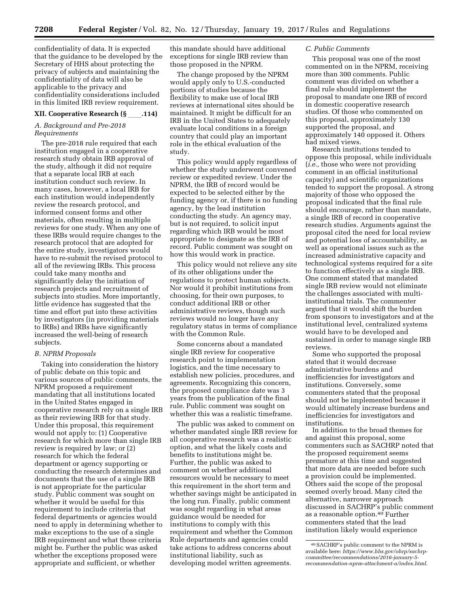confidentiality of data. It is expected that the guidance to be developed by the Secretary of HHS about protecting the privacy of subjects and maintaining the confidentiality of data will also be applicable to the privacy and confidentiality considerations included in this limited IRB review requirement.

### **XII. Cooperative Research (§ \_\_\_\_.114)**

# *A. Background and Pre-2018 Requirements*

The pre-2018 rule required that each institution engaged in a cooperative research study obtain IRB approval of the study, although it did not require that a separate local IRB at each institution conduct such review. In many cases, however, a local IRB for each institution would independently review the research protocol, and informed consent forms and other materials, often resulting in multiple reviews for one study. When any one of these IRBs would require changes to the research protocol that are adopted for the entire study, investigators would have to re-submit the revised protocol to all of the reviewing IRBs. This process could take many months and significantly delay the initiation of research projects and recruitment of subjects into studies. More importantly, little evidence has suggested that the time and effort put into these activities by investigators (in providing materials to IRBs) and IRBs have significantly increased the well-being of research subjects.

### *B. NPRM Proposals*

Taking into consideration the history of public debate on this topic and various sources of public comments, the NPRM proposed a requirement mandating that all institutions located in the United States engaged in cooperative research rely on a single IRB as their reviewing IRB for that study. Under this proposal, this requirement would not apply to: (1) Cooperative research for which more than single IRB review is required by law; or (2) research for which the federal department or agency supporting or conducting the research determines and documents that the use of a single IRB is not appropriate for the particular study. Public comment was sought on whether it would be useful for this requirement to include criteria that federal departments or agencies would need to apply in determining whether to make exceptions to the use of a single IRB requirement and what those criteria might be. Further the public was asked whether the exceptions proposed were appropriate and sufficient, or whether

this mandate should have additional exceptions for single IRB review than those proposed in the NPRM.

The change proposed by the NPRM would apply only to U.S.-conducted portions of studies because the flexibility to make use of local IRB reviews at international sites should be maintained. It might be difficult for an IRB in the United States to adequately evaluate local conditions in a foreign country that could play an important role in the ethical evaluation of the study.

This policy would apply regardless of whether the study underwent convened review or expedited review. Under the NPRM, the IRB of record would be expected to be selected either by the funding agency or, if there is no funding agency, by the lead institution conducting the study. An agency may, but is not required, to solicit input regarding which IRB would be most appropriate to designate as the IRB of record. Public comment was sought on how this would work in practice.

This policy would not relieve any site of its other obligations under the regulations to protect human subjects. Nor would it prohibit institutions from choosing, for their own purposes, to conduct additional IRB or other administrative reviews, though such reviews would no longer have any regulatory status in terms of compliance with the Common Rule.

Some concerns about a mandated single IRB review for cooperative research point to implementation logistics, and the time necessary to establish new policies, procedures, and agreements. Recognizing this concern, the proposed compliance date was 3 years from the publication of the final rule. Public comment was sought on whether this was a realistic timeframe.

The public was asked to comment on whether mandated single IRB review for all cooperative research was a realistic option, and what the likely costs and benefits to institutions might be. Further, the public was asked to comment on whether additional resources would be necessary to meet this requirement in the short term and whether savings might be anticipated in the long run. Finally, public comment was sought regarding in what areas guidance would be needed for institutions to comply with this requirement and whether the Common Rule departments and agencies could take actions to address concerns about institutional liability, such as developing model written agreements.

### *C. Public Comments*

This proposal was one of the most commented on in the NPRM, receiving more than 300 comments. Public comment was divided on whether a final rule should implement the proposal to mandate one IRB of record in domestic cooperative research studies. Of those who commented on this proposal, approximately 130 supported the proposal, and approximately 140 opposed it. Others had mixed views.

Research institutions tended to oppose this proposal, while individuals (*i.e.,* those who were not providing comment in an official institutional capacity) and scientific organizations tended to support the proposal. A strong majority of those who opposed the proposal indicated that the final rule should encourage, rather than mandate, a single IRB of record in cooperative research studies. Arguments against the proposal cited the need for local review and potential loss of accountability, as well as operational issues such as the increased administrative capacity and technological systems required for a site to function effectively as a single IRB. One comment stated that mandated single IRB review would not eliminate the challenges associated with multiinstitutional trials. The commenter argued that it would shift the burden from sponsors to investigators and at the institutional level, centralized systems would have to be developed and sustained in order to manage single IRB reviews.

Some who supported the proposal stated that it would decrease administrative burdens and inefficiencies for investigators and institutions. Conversely, some commenters stated that the proposal should not be implemented because it would ultimately increase burdens and inefficiencies for investigators and institutions.

In addition to the broad themes for and against this proposal, some commenters such as SACHRP noted that the proposed requirement seems premature at this time and suggested that more data are needed before such a provision could be implemented. Others said the scope of the proposal seemed overly broad. Many cited the alternative, narrower approach discussed in SACHRP's public comment as a reasonable option.40 Further commenters stated that the lead institution likely would experience

<sup>40</sup>SACHRP's public comment to the NPRM is available here: *[https://www.hhs.gov/ohrp/sachrp](https://www.hhs.gov/ohrp/sachrp-committee/recommendations/2016-january-5-recommendation-nprm-attachment-a/index.html)[committee/recommendations/2016-january-5](https://www.hhs.gov/ohrp/sachrp-committee/recommendations/2016-january-5-recommendation-nprm-attachment-a/index.html) [recommendation-nprm-attachment-a/index.html](https://www.hhs.gov/ohrp/sachrp-committee/recommendations/2016-january-5-recommendation-nprm-attachment-a/index.html)*.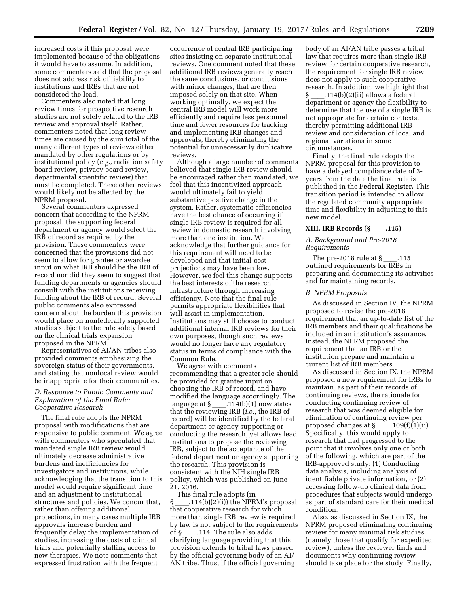increased costs if this proposal were implemented because of the obligations it would have to assume. In addition, some commenters said that the proposal does not address risk of liability to institutions and IRBs that are not considered the lead.

Commenters also noted that long review times for prospective research studies are not solely related to the IRB review and approval itself. Rather, commenters noted that long review times are caused by the sum total of the many different types of reviews either mandated by other regulations or by institutional policy (*e.g.,* radiation safety board review, privacy board review, departmental scientific review) that must be completed. These other reviews would likely not be affected by the NPRM proposal.

Several commenters expressed concern that according to the NPRM proposal, the supporting federal department or agency would select the IRB of record as required by the provision. These commenters were concerned that the provisions did not seem to allow for grantee or awardee input on what IRB should be the IRB of record nor did they seem to suggest that funding departments or agencies should consult with the institutions receiving funding about the IRB of record. Several public comments also expressed concern about the burden this provision would place on nonfederally supported studies subject to the rule solely based on the clinical trials expansion proposed in the NPRM.

Representatives of AI/AN tribes also provided comments emphasizing the sovereign status of their governments, and stating that nonlocal review would be inappropriate for their communities.

### *D. Response to Public Comments and Explanation of the Final Rule: Cooperative Research*

The final rule adopts the NPRM proposal with modifications that are responsive to public comment. We agree with commenters who speculated that mandated single IRB review would ultimately decrease administrative burdens and inefficiencies for investigators and institutions, while acknowledging that the transition to this model would require significant time and an adjustment to institutional structures and policies. We concur that, rather than offering additional protections, in many cases multiple IRB approvals increase burden and frequently delay the implementation of studies, increasing the costs of clinical trials and potentially stalling access to new therapies. We note comments that expressed frustration with the frequent

occurrence of central IRB participating sites insisting on separate institutional reviews. One comment noted that these additional IRB reviews generally reach the same conclusions, or conclusions with minor changes, that are then imposed solely on that site. When working optimally, we expect the central IRB model will work more efficiently and require less personnel time and fewer resources for tracking and implementing IRB changes and approvals, thereby eliminating the potential for unnecessarily duplicative reviews.

Although a large number of comments believed that single IRB review should be encouraged rather than mandated, we feel that this incentivized approach would ultimately fail to yield substantive positive change in the system. Rather, systematic efficiencies have the best chance of occurring if single IRB review is required for all review in domestic research involving more than one institution. We acknowledge that further guidance for this requirement will need to be developed and that initial cost projections may have been low. However, we feel this change supports the best interests of the research infrastructure through increasing efficiency. Note that the final rule permits appropriate flexibilities that will assist in implementation. Institutions may still choose to conduct additional internal IRB reviews for their own purposes, though such reviews would no longer have any regulatory status in terms of compliance with the Common Rule.

We agree with comments recommending that a greater role should be provided for grantee input on choosing the IRB of record, and have modified the language accordingly. The language at  $\S$  \_\_\_\_\_.114(b)(1) now states language at § \_\_\_\_.114(b)(1) now states<br>that the reviewing IRB (*i.e.,* the IRB of record) will be identified by the federal department or agency supporting or conducting the research, yet allows lead institutions to propose the reviewing IRB, subject to the acceptance of the federal department or agency supporting the research. This provision is consistent with the NIH single IRB policy, which was published on June 21, 2016.

This final rule adopts (in § ll.114(b)(2)(i)) the NPRM's proposal that cooperative research for which more than single IRB review is required by law is not subject to the requirements of § \_\_\_\_.114. The rule also adds<br>clarifying language providing that this provision extends to tribal laws passed by the official governing body of an AI/ AN tribe. Thus, if the official governing

body of an AI/AN tribe passes a tribal law that requires more than single IRB review for certain cooperative research, the requirement for single IRB review does not apply to such cooperative research. In addition, we highlight that § \_\_\_\_.114(b)(2)(ii) allows a federal<br>department or agency the flexibility to determine that the use of a single IRB is not appropriate for certain contexts, thereby permitting additional IRB review and consideration of local and regional variations in some circumstances.

Finally, the final rule adopts the NPRM proposal for this provision to have a delayed compliance date of 3 years from the date the final rule is published in the **Federal Register.** This transition period is intended to allow the regulated community appropriate time and flexibility in adjusting to this new model.

### **XIII. IRB Records** (§ 115)

# *A. Background and Pre-2018 Requirements*

The pre-2018 rule at  $\S$  \_\_\_\_.115 outlined requirements for IRBs in preparing and documenting its activities and for maintaining records.

### *B. NPRM Proposals*

As discussed in Section IV, the NPRM proposed to revise the pre-2018 requirement that an up-to-date list of the IRB members and their qualifications be included in an institution's assurance. Instead, the NPRM proposed the requirement that an IRB or the institution prepare and maintain a current list of IRB members.

As discussed in Section IX, the NPRM proposed a new requirement for IRBs to maintain, as part of their records of continuing reviews, the rationale for conducting continuing review of research that was deemed eligible for elimination of continuing review per proposed changes at § \_\_\_\_.109(f)(1)(ii).<br>Specifically, this would apply to research that had progressed to the point that it involves only one or both of the following, which are part of the IRB-approved study: (1) Conducting data analysis, including analysis of identifiable private information, or (2) accessing follow-up clinical data from procedures that subjects would undergo as part of standard care for their medical condition.

Also, as discussed in Section IX, the NPRM proposed eliminating continuing review for many minimal risk studies (namely those that qualify for expedited review), unless the reviewer finds and documents why continuing review should take place for the study. Finally,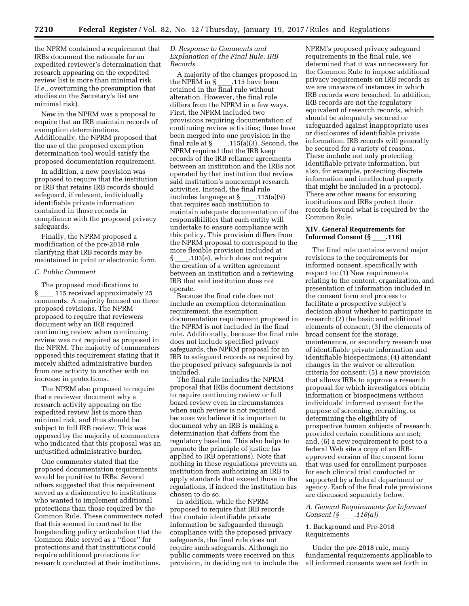the NPRM contained a requirement that IRBs document the rationale for an expedited reviewer's determination that research appearing on the expedited review list is more than minimal risk (*i.e.,* overturning the presumption that studies on the Secretary's list are minimal risk).

New in the NPRM was a proposal to require that an IRB maintain records of exemption determinations. Additionally, the NPRM proposed that the use of the proposed exemption determination tool would satisfy the proposed documentation requirement.

In addition, a new provision was proposed to require that the institution or IRB that retains IRB records should safeguard, if relevant, individually identifiable private information contained in those records in compliance with the proposed privacy safeguards.

Finally, the NPRM proposed a modification of the pre-2018 rule clarifying that IRB records may be maintained in print or electronic form.

### *C. Public Comment*

The proposed modifications to § ll.115 received approximately 25 comments. A majority focused on three proposed revisions. The NPRM proposed to require that reviewers document why an IRB required continuing review when continuing review was not required as proposed in the NPRM. The majority of commenters opposed this requirement stating that it merely shifted administrative burden from one activity to another with no increase in protections.

The NPRM also proposed to require that a reviewer document why a research activity appearing on the expedited review list is more than minimal risk, and thus should be subject to full IRB review. This was opposed by the majority of commenters who indicated that this proposal was an unjustified administrative burden.

One commenter stated that the proposed documentation requirements would be punitive to IRBs. Several others suggested that this requirement served as a disincentive to institutions who wanted to implement additional protections than those required by the Common Rule. These commenters noted that this seemed in contrast to the longstanding policy articulation that the Common Rule served as a ''floor'' for protections and that institutions could require additional protections for research conducted at their institutions.

# *D. Response to Comments and Explanation of the Final Rule: IRB Records*

A majority of the changes proposed in the NPRM in §\_\_\_\_.115 have been<br>retained in the final rule without alteration. However, the final rule differs from the NPRM in a few ways. First, the NPRM included two provisions requiring documentation of continuing review activities; these have been merged into one provision in the final rule at § \_\_\_\_.115(a)(3). Second, the<br>NPRM required that the IRB keep records of the IRB reliance agreements between an institution and the IRBs not operated by that institution that review said institution's nonexempt research activities. Instead, the final rule includes language at §\_\_\_\_.115(a)(9)<br>that requires each institution to maintain adequate documentation of the responsibilities that each entity will undertake to ensure compliance with this policy. This provision differs from the NPRM proposal to correspond to the more flexible provision included at § ll.103(e), which does not require the creation of a written agreement between an institution and a reviewing IRB that said institution does not operate.

Because the final rule does not include an exemption determination requirement, the exemption documentation requirement proposed in the NPRM is not included in the final rule. Additionally, because the final rule does not include specified privacy safeguards, the NPRM proposal for an IRB to safeguard records as required by the proposed privacy safeguards is not included.

The final rule includes the NPRM proposal that IRBs document decisions to require continuing review or full board review even in circumstances when such review is not required because we believe it is important to document why an IRB is making a determination that differs from the regulatory baseline. This also helps to promote the principle of justice (as applied to IRB operations). Note that nothing in these regulations prevents an institution from authorizing an IRB to apply standards that exceed those in the regulations, if indeed the institution has chosen to do so.

In addition, while the NPRM proposed to require that IRB records that contain identifiable private information be safeguarded through compliance with the proposed privacy safeguards, the final rule does not require such safeguards. Although no public comments were received on this provision, in deciding not to include the NPRM's proposed privacy safeguard requirements in the final rule, we determined that it was unnecessary for the Common Rule to impose additional privacy requirements on IRB records as we are unaware of instances in which IRB records were breached. In addition, IRB records are not the regulatory equivalent of research records, which should be adequately secured or safeguarded against inappropriate uses or disclosures of identifiable private information. IRB records will generally be secured for a variety of reasons. These include not only protecting identifiable private information, but also, for example, protecting discrete information and intellectual property that might be included in a protocol. There are other means for ensuring institutions and IRBs protect their records beyond what is required by the Common Rule.

### **XIV. General Requirements for Informed Consent (§** 116)

The final rule contains several major revisions to the requirements for informed consent, specifically with respect to: (1) New requirements relating to the content, organization, and presentation of information included in the consent form and process to facilitate a prospective subject's decision about whether to participate in research; (2) the basic and additional elements of consent; (3) the elements of broad consent for the storage, maintenance, or secondary research use of identifiable private information and identifiable biospecimens; (4) attendant changes in the waiver or alteration criteria for consent; (5) a new provision that allows IRBs to approve a research proposal for which investigators obtain information or biospecimens without individuals' informed consent for the purpose of screening, recruiting, or determining the eligibility of prospective human subjects of research, provided certain conditions are met; and, (6) a new requirement to post to a federal Web site a copy of an IRBapproved version of the consent form that was used for enrollment purposes for each clinical trial conducted or supported by a federal department or agency. Each of the final rule provisions are discussed separately below.

# *A. General Requirements for Informed Consent (§* .116(a))

### 1. Background and Pre-2018 Requirements

Under the pre-2018 rule, many fundamental requirements applicable to all informed consents were set forth in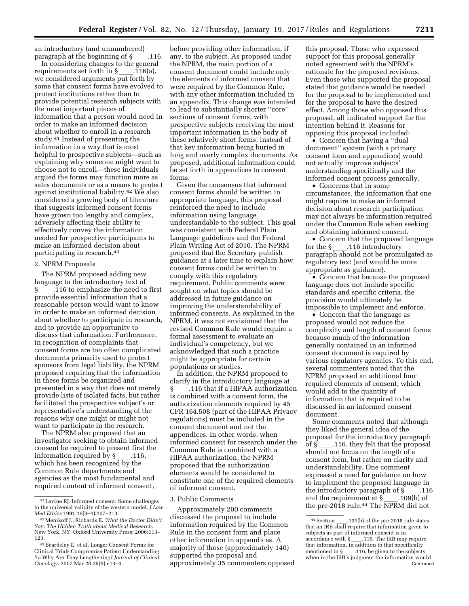an introductory (and unnumbered) paragraph at the beginning of  $\S$ . 116.

In considering changes to the general requirements set forth in § \_\_\_\_.116(a),<br>we considered arguments put forth by some that consent forms have evolved to protect institutions rather than to provide potential research subjects with the most important pieces of information that a person would need in order to make an informed decision about whether to enroll in a research study.41 Instead of presenting the information in a way that is most helpful to prospective subjects—such as explaining why someone might want to choose not to enroll—these individuals argued the forms may function more as sales documents or as a means to protect against institutional liability.<sup>42</sup> We also considered a growing body of literature that suggests informed consent forms have grown too lengthy and complex, adversely affecting their ability to effectively convey the information needed for prospective participants to make an informed decision about participating in research.<sup>43</sup>

# 2. NPRM Proposals

The NPRM proposed adding new language to the introductory text of § ll.116 to emphasize the need to first provide essential information that a reasonable person would want to know in order to make an informed decision about whether to participate in research, and to provide an opportunity to discuss that information. Furthermore, in recognition of complaints that consent forms are too often complicated documents primarily used to protect sponsors from legal liability, the NPRM proposed requiring that the information in these forms be organized and presented in a way that does not merely provide lists of isolated facts, but rather facilitated the prospective subject's or representative's understanding of the reasons why one might or might not want to participate in the research.

The NPRM also proposed that an investigator seeking to obtain informed consent be required to present first the information required by § \_\_\_\_.116,<br>which has been recognized by the Common Rule departments and agencies as the most fundamental and required content of informed consent,

before providing other information, if any, to the subject. As proposed under the NPRM, the main portion of a consent document could include only the elements of informed consent that were required by the Common Rule, with any other information included in an appendix. This change was intended to lead to substantially shorter ''core'' sections of consent forms, with prospective subjects receiving the most important information in the body of these relatively short forms, instead of that key information being buried in long and overly complex documents. As proposed, additional information could be set forth in appendices to consent forms.

Given the consensus that informed consent forms should be written in appropriate language, this proposal reinforced the need to include information using language understandable to the subject. This goal was consistent with Federal Plain Language guidelines and the Federal Plain Writing Act of 2010. The NPRM proposed that the Secretary publish guidance at a later time to explain how consent forms could be written to comply with this regulatory requirement. Public comments were sought on what topics should be addressed in future guidance on improving the understandability of informed consents. As explained in the NPRM, it was not envisioned that the revised Common Rule would require a formal assessment to evaluate an individual's competency, but we acknowledged that such a practice might be appropriate for certain populations or studies.

In addition, the NPRM proposed to clarify in the introductory language at § ll.116 that if a HIPAA authorization is combined with a consent form, the authorization elements required by 45 CFR 164.508 (part of the HIPAA Privacy regulations) must be included in the consent document and not the appendices. In other words, when informed consent for research under the Common Rule is combined with a HIPAA authorization, the NPRM proposed that the authorization elements would be considered to constitute one of the required elements of informed consent.

### 3. Public Comments

Approximately 200 comments discussed the proposal to include information required by the Common Rule in the consent form and place other information in appendices. A majority of those (approximately 140) supported the proposal and approximately 35 commenters opposed

this proposal. Those who expressed support for this proposal generally noted agreement with the NPRM's rationale for the proposed revisions. Even those who supported the proposal stated that guidance would be needed for the proposal to be implemented and for the proposal to have the desired effect. Among those who opposed this proposal, all indicated support for the intention behind it. Reasons for opposing this proposal included:

• Concern that having a ''dual document'' system (with a primary consent form and appendices) would not actually improve subjects' understanding specifically and the informed consent process generally.

• Concerns that in some circumstances, the information that one might require to make an informed decision about research participation may not always be information required under the Common Rule when seeking and obtaining informed consent.

• Concern that the proposed language for the § \_\_\_\_.116 introductory<br>paragraph should not be promulgated as regulatory text (and would be more appropriate as guidance).

• Concern that because the proposed language does not include specific standards and specific criteria, the provision would ultimately be impossible to implement and enforce.

• Concern that the language as proposed would not reduce the complexity and length of consent forms because much of the information generally contained in an informed consent document is required by various regulatory agencies. To this end, several commenters noted that the NPRM proposed an additional four required elements of consent, which would add to the quantity of information that is required to be discussed in an informed consent document.

Some comments noted that although they liked the general idea of the proposal for the introductory paragraph of  $\S$  .116, they felt that the proposal should not focus on the length of a consent form, but rather on clarity and understandability. One comment expressed a need for guidance on how to implement the proposed language in the introductory paragraph of  $\S$  \_\_\_\_.116<br>and the requirement at  $\S$  .109(b) of and the requirement at §\_\_\_\_.109(b) of<br>the pre-2018 rule.<sup>44</sup> The NPRM did not

<sup>41</sup>Levine RJ. Informed consent: Some challenges to the universal validity of the western model. *J Law Med Ethics* 1991;19(3–4):207–213.

<sup>42</sup>Menikoff J., Richards E. *What the Doctor Didn't Say: The Hidden Truth about Medical Research.*  New York, NY: Oxford University Press; 2006:113– 123.

<sup>43</sup>Beardsley E. et al. Longer Consent Forms for Clinical Trials Compromise Patient Understanding: So Why Are They Lengthening? *Journal of Clinical Oncology.* 2007 Mar 20;25(9):e13–4.

<sup>&</sup>lt;sup>44</sup> Section \_\_\_\_\_.109(b) of the pre-2018 rule states that an IRB shall require that information given to subjects as part of informed consent is in<br>accordance with §\_\_\_\_\_.116. The IRB may require accordance with §\_\_\_\_.116. The IRB may require<br>that information, in addition to that specifically mentioned in §\_\_\_\_.116, be given to the subjects when in the IRB's judgment the information would Continued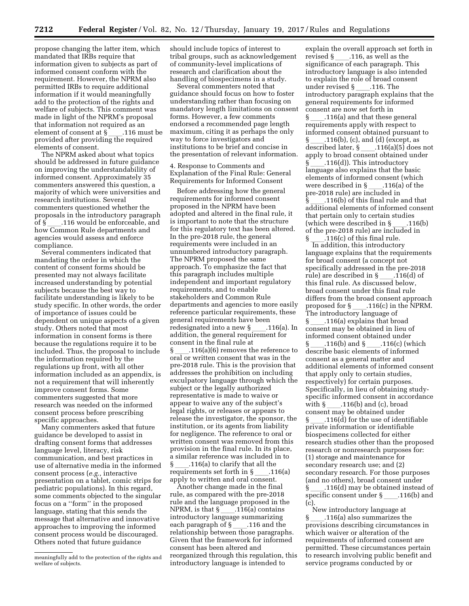propose changing the latter item, which mandated that IRBs require that information given to subjects as part of informed consent conform with the requirement. However, the NPRM also permitted IRBs to require additional information if it would meaningfully add to the protection of the rights and welfare of subjects. This comment was made in light of the NPRM's proposal that information not required as an element of consent at §\_\_\_\_.116 must be<br>provided after providing the required elements of consent.

The NPRM asked about what topics should be addressed in future guidance on improving the understandability of informed consent. Approximately 35 commenters answered this question, a majority of which were universities and research institutions. Several commenters questioned whether the proposals in the introductory paragraph of § 116 would be enforceable, and how Common Rule departments and agencies would assess and enforce compliance.

Several commenters indicated that mandating the order in which the content of consent forms should be presented may not always facilitate increased understanding by potential subjects because the best way to facilitate understanding is likely to be study specific. In other words, the order of importance of issues could be dependent on unique aspects of a given study. Others noted that most information in consent forms is there because the regulations require it to be included. Thus, the proposal to include the information required by the regulations up front, with all other information included as an appendix, is not a requirement that will inherently improve consent forms. Some commenters suggested that more research was needed on the informed consent process before prescribing specific approaches.

Many commenters asked that future guidance be developed to assist in drafting consent forms that addresses language level, literacy, risk communication, and best practices in use of alternative media in the informed consent process (*e.g.,* interactive presentation on a tablet, comic strips for pediatric populations). In this regard, some comments objected to the singular focus on a ''form'' in the proposed language, stating that this sends the message that alternative and innovative approaches to improving the informed consent process would be discouraged. Others noted that future guidance

should include topics of interest to tribal groups, such as acknowledgement of community-level implications of research and clarification about the handling of biospecimens in a study.

Several commenters noted that guidance should focus on how to foster understanding rather than focusing on mandatory length limitations on consent forms. However, a few comments endorsed a recommended page length maximum, citing it as perhaps the only way to force investigators and institutions to be brief and concise in the presentation of relevant information.

4. Response to Comments and Explanation of the Final Rule: General Requirements for Informed Consent

Before addressing how the general requirements for informed consent proposed in the NPRM have been adopted and altered in the final rule, it is important to note that the structure for this regulatory text has been altered. In the pre-2018 rule, the general requirements were included in an unnumbered introductory paragraph. The NPRM proposed the same approach. To emphasize the fact that this paragraph includes multiple independent and important regulatory requirements, and to enable stakeholders and Common Rule departments and agencies to more easily reference particular requirements, these general requirements have been<br>redesignated into a new § 116(a). In redesignated into a new § \_\_\_\_.116(a). In<br>addition, the general requirement for consent in the final rule at

§ 116(a)(6) removes the reference to oral or written consent that was in the pre-2018 rule. This is the provision that addresses the prohibition on including exculpatory language through which the subject or the legally authorized representative is made to waive or appear to waive any of the subject's legal rights, or releases or appears to release the investigator, the sponsor, the institution, or its agents from liability for negligence. The reference to oral or written consent was removed from this provision in the final rule. In its place, a similar reference was included in to  $\S$  116(a) to clarify that all the requirements set forth in  $\S$  116(a) requirements set forth in  $\S$ apply to written and oral consent.

Another change made in the final rule, as compared with the pre-2018 rule and the language proposed in the<br>NPRM, is that §\_\_\_\_.116(a) contains NPRM, is that §\_\_\_\_.116(a) contains<br>introductory language summarizing each paragraph of §\_\_\_\_.116 and the<br>relationship between those paragraphs. Given that the framework for informed consent has been altered and reorganized through this regulation, this introductory language is intended to

explain the overall approach set forth in revised §<sub>11116</sub>, as well as the significance of each paragraph. This introductory language is also intended to explain the role of broad consent under revised  $\S$  .116. The introductory paragraph explains that the general requirements for informed consent are now set forth in § \_\_\_\_.116(a) and that these general<br>requirements apply with respect to informed consent obtained pursuant to  $\S$  .116(b), (c), and (d) (except, as<br>described later,  $\S$  .116(a)(5) does not described later, § \_\_\_\_.116(a)(5) does not<br>apply to broad consent obtained under § \_\_\_\_.116(d)). This introductory<br>language also explains that the basic elements of informed consent (which were described in §\_\_\_\_.116(a) of the<br>pre-2018 rule) are included in § ll.116(b) of this final rule and that additional elements of informed consent that pertain only to certain studies (which were described in §\_\_\_\_.116(b)<br>of the pre-2018 rule) are included in  $\S$  \_\_\_\_\_.116(c) of this final rule.

In addition, this introductory language explains that the requirements for broad consent (a concept not specifically addressed in the pre-2018 rule) are described in §\_\_\_\_.116(d) of<br>this final rule. As discussed below, broad consent under this final rule differs from the broad consent approach proposed for § \_\_\_\_.116(c) in the NPRM.<br>The introductory language of § ll.116(a) explains that broad consent may be obtained in lieu of informed consent obtained under<br>§ .116(b) and § .116(c) (which § \_\_\_\_.116(b) and § \_\_\_\_.116(c) (which<br>describe basic elements of informed consent as a general matter and additional elements of informed consent that apply only to certain studies, respectively) for certain purposes. Specifically, in lieu of obtaining studyspecific informed consent in accordance with §\_\_\_\_.116(b) and (c), broad<br>consent may be obtained under § ll.116(d) for the use of identifiable private information or identifiable biospecimens collected for either research studies other than the proposed research or nonresearch purposes for: (1) storage and maintenance for secondary research use; and (2) secondary research. For those purposes (and no others), broad consent under § 116(d) may be obtained instead of specific consent under  $\S$  .116(b) and (c).

New introductory language at § ll.116(a) also summarizes the provisions describing circumstances in which waiver or alteration of the requirements of informed consent are permitted. These circumstances pertain to research involving public benefit and service programs conducted by or

meaningfully add to the protection of the rights and welfare of subjects.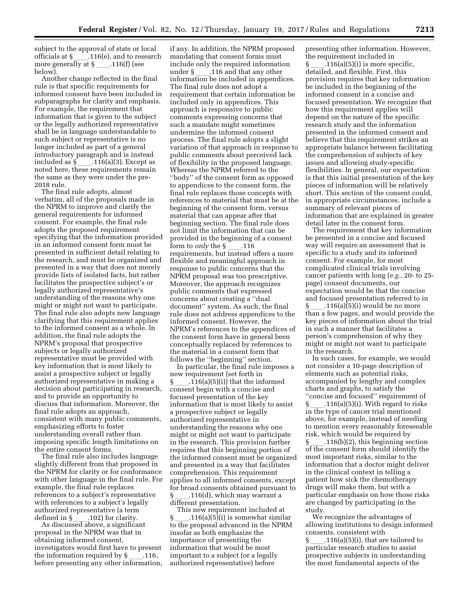subject to the approval of state or local officials at §\_\_\_\_.116(e), and to research<br>more generally at \$\_\_\_\_\_\_116(f) (see more generally at §\_\_\_\_.116(f) (see<br>below) below).

Another change reflected in the final rule is that specific requirements for informed consent have been included in subparagraphs for clarity and emphasis. For example, the requirement that information that is given to the subject or the legally authorized representative shall be in language understandable to such subject or representative is no longer included as part of a general introductory paragraph and is instead<br>included as §\_\_\_\_.116(a)(3). Except as included as § \_\_\_\_.116(a)(3). Except as<br>noted here, these requirements remain the same as they were under the pre-2018 rule.

The final rule adopts, almost verbatim, all of the proposals made in the NPRM to improve and clarify the general requirements for informed consent. For example, the final rule adopts the proposed requirement specifying that the information provided in an informed consent form must be presented in sufficient detail relating to the research, and must be organized and presented in a way that does not merely provide lists of isolated facts, but rather facilitates the prospective subject's or legally authorized representative's understanding of the reasons why one might or might not want to participate. The final rule also adopts new language clarifying that this requirement applies to the informed consent as a whole. In addition, the final rule adopts the NPRM's proposal that prospective subjects or legally authorized representative must be provided with key information that is most likely to assist a prospective subject or legally authorized representative in making a decision about participating in research, and to provide an opportunity to discuss that information. Moreover, the final rule adopts an approach, consistent with many public comments, emphasizing efforts to foster understanding overall rather than imposing specific length limitations on the entire consent forms.

The final rule also includes language slightly different from that proposed in the NPRM for clarity or for conformance with other language in the final rule. For example, the final rule replaces references to a subject's representative with references to a subject's legally authorized representative (a term defined in §\_\_\_\_.102) for clarity.<br>As discussed above, a significant

proposal in the NPRM was that in obtaining informed consent, investigators would first have to present the information required by §\_\_\_\_.116,<br>before presenting any other information,

if any. In addition, the NPRM proposed mandating that consent forms must include only the required information under § \_\_\_\_.116 and that any other<br>information be included in appendices. The final rule does not adopt a requirement that certain information be included only in appendices. This approach is responsive to public comments expressing concerns that such a mandate might sometimes undermine the informed consent process. The final rule adopts a slight variation of that approach in response to public comments about perceived lack of flexibility in the proposed language. Whereas the NPRM referred to the ''body'' of the consent form as opposed to appendices to the consent form, the final rule replaces those concepts with references to material that must be at the beginning of the consent form, versus material that can appear after that beginning section. The final rule does not limit the information that can be provided in the beginning of a consent form to *only* the § \_\_\_\_.116<br>requirements, but instead offers a more flexible and meaningful approach in response to public concerns that the NPRM proposal was too prescriptive. Moreover, the approach recognizes public comments that expressed concerns about creating a ''dual document'' system. As such, the final rule does not address appendices to the informed consent. However, the NPRM's references to the appendices of the consent form have in general been conceptually replaced by references to the material in a consent form that follows the ''beginning'' section.

In particular, the final rule imposes a new requirement (set forth in  $\S$  .116(a)(5)(i)) that the informed consent begin with a concise and focused presentation of the key information that is most likely to assist a prospective subject or legally authorized representative in understanding the reasons why one might or might not want to participate in the research. This provision further requires that this beginning portion of the informed consent must be organized and presented in a way that facilitates comprehension. This requirement applies to all informed consents, except for broad consents obtained pursuant to § ll.116(d), which may warrant a different presentation.

This new requirement included at  $\S$  .116(a)(5)(i) is somewhat similar to the proposal advanced in the NPRM insofar as both emphasize the importance of presenting the information that would be most important to a subject (or a legally authorized representative) before

presenting other information. However, the requirement included in

 $.116(a)(5)(i)$  is more specific, detailed, and flexible. First, this provision requires that key information be included in the beginning of the informed consent in a concise and focused presentation. We recognize that how this requirement applies will depend on the nature of the specific research study and the information presented in the informed consent and believe that this requirement strikes an appropriate balance between facilitating the comprehension of subjects of key issues and allowing study-specific flexibilities. In general, our expectation is that this initial presentation of the key pieces of information will be relatively short. This section of the consent could, in appropriate circumstances, include a summary of relevant pieces of information that are explained in greater detail later in the consent form.

The requirement that key information be presented in a concise and focused way will require an assessment that is specific to a study and its informed consent. For example, for most complicated clinical trials involving cancer patients with long (*e.g.,* 20- to 25 page) consent documents, our expectation would be that the concise and focused presentation referred to in  $.116(a)(5)(i)$  would be no more than a few pages, and would provide the key pieces of information about the trial

in such a manner that facilitates a person's comprehension of why they might or might not want to participate in the research.

In such cases, for example, we would not consider a 10-page description of elements such as potential risks, accompanied by lengthy and complex charts and graphs, to satisfy the ''concise and focused'' requirement of  $\S$  .116(a)(5)(i). With regard to risks in the type of cancer trial mentioned above, for example, instead of needing to mention every reasonably foreseeable risk, which would be required by  $\S$  .116(b)(2), this beginning section of the consent form should identify the most important risks, similar to the information that a doctor might deliver in the clinical context in telling a patient how sick the chemotherapy drugs will make them, but with a particular emphasis on how those risks are changed by participating in the study.

We recognize the advantages of allowing institutions to design informed consents, consistent with  $\S$  .116(a)(5)(i), that are tailored to particular research studies to assist prospective subjects in understanding the most fundamental aspects of the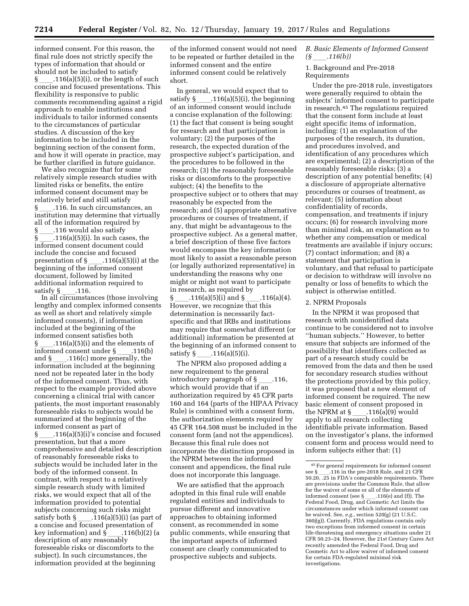informed consent. For this reason, the final rule does not strictly specify the types of information that should or should not be included to satisfy

 $.116(a)(5)(i)$ , or the length of such concise and focused presentations. This flexibility is responsive to public comments recommending against a rigid approach to enable institutions and individuals to tailor informed consents to the circumstances of particular studies. A discussion of the key information to be included in the beginning section of the consent form, and how it will operate in practice, may be further clarified in future guidance.

We also recognize that for some relatively simple research studies with limited risks or benefits, the entire informed consent document may be relatively brief and still satisfy § ll.116. In such circumstances, an institution may determine that virtually

all of the information required by § ll.116 would also satisfy  $.116(a)(5)(i)$ . In such cases, the informed consent document could include the concise and focused presentation of § \_\_\_\_.116(a)(5)(i) at the<br>beginning of the informed consent document, followed by limited additional information required to

satisfy § \_\_\_\_.116.<br>In all circumstances (those involving lengthy and complex informed consents as well as short and relatively simple informed consents), if information included at the beginning of the informed consent satisfies both  $\frac{\S}{\text{informed consent under } \S}$  .116(a)(5)(i) and the elements of informed consent under  $\S$  \_\_\_.116(b)<br>and  $\S$  .116(c) more generally, the and § \_\_\_\_.116(c) more generally, the<br>information included at the beginning need not be repeated later in the body of the informed consent. Thus, with respect to the example provided above concerning a clinical trial with cancer patients, the most important reasonably foreseeable risks to subjects would be summarized at the beginning of the informed consent as part of

 $\S$  .116(a)(5)(i)'s concise and focused presentation, but that a more comprehensive and detailed description of reasonably foreseeable risks to subjects would be included later in the body of the informed consent. In contrast, with respect to a relatively simple research study with limited risks, we would expect that all of the information provided to potential subjects concerning such risks might satisfy both § \_\_\_\_.116(a)(5)(i) (as part of<br>a concise and focused presentation of key information) and  $\S$ . 116(b)(2) (a description of any reasonably foreseeable risks or discomforts to the subject). In such circumstances, the information provided at the beginning

of the informed consent would not need to be repeated or further detailed in the informed consent and the entire informed consent could be relatively short.

In general, we would expect that to satisfy § \_\_\_\_.116(a)(5)(i), the beginning<br>of an informed consent would include a concise explanation of the following: (1) the fact that consent is being sought for research and that participation is voluntary; (2) the purposes of the research, the expected duration of the prospective subject's participation, and the procedures to be followed in the research; (3) the reasonably foreseeable risks or discomforts to the prospective subject; (4) the benefits to the prospective subject or to others that may reasonably be expected from the research; and (5) appropriate alternative procedures or courses of treatment, if any, that might be advantageous to the prospective subject. As a general matter, a brief description of these five factors would encompass the key information most likely to assist a reasonable person (or legally authorized representative) in understanding the reasons why one might or might not want to participate in research, as required by

§ \_\_\_\_.116(a)(5)(i) and § \_\_\_\_.116(a)(4).<br>However, we recognize that this determination is necessarily factspecific and that IRBs and institutions may require that somewhat different (or additional) information be presented at the beginning of an informed consent to satisfy  $\S$  .116(a)(5)(i).

The NPRM also proposed adding a new requirement to the general introductory paragraph of  $\S$  .116, which would provide that if an authorization required by 45 CFR parts 160 and 164 (parts of the HIPAA Privacy Rule) is combined with a consent form, the authorization elements required by 45 CFR 164.508 must be included in the consent form (and not the appendices). Because this final rule does not incorporate the distinction proposed in the NPRM between the informed consent and appendices, the final rule does not incorporate this language.

We are satisfied that the approach adopted in this final rule will enable regulated entities and individuals to pursue different and innovative approaches to obtaining informed consent, as recommended in some public comments, while ensuring that the important aspects of informed consent are clearly communicated to prospective subjects and subjects.

*B. Basic Elements of Informed Consent (§* \_\_\_\_*.116(b))* 

1. Background and Pre-2018 Requirements

Under the pre-2018 rule, investigators were generally required to obtain the subjects' informed consent to participate in research.45 The regulations required that the consent form include at least eight specific items of information, including: (1) an explanation of the purposes of the research, its duration, and procedures involved, and identification of any procedures which are experimental; (2) a description of the reasonably foreseeable risks; (3) a description of any potential benefits; (4) a disclosure of appropriate alternative procedures or courses of treatment, as relevant; (5) information about confidentiality of records, compensation, and treatments if injury occurs; (6) for research involving more than minimal risk, an explanation as to whether any compensation or medical treatments are available if injury occurs; (7) contact information; and (8) a statement that participation is voluntary, and that refusal to participate or decision to withdraw will involve no penalty or loss of benefits to which the subject is otherwise entitled.

### 2. NPRM Proposals

In the NPRM it was proposed that research with nonidentified data continue to be considered not to involve ''human subjects.'' However, to better ensure that subjects are informed of the possibility that identifiers collected as part of a research study could be removed from the data and then be used for secondary research studies without the protections provided by this policy, it was proposed that a new element of informed consent be required. The new basic element of consent proposed in the NPRM at §\_\_\_\_.116(a)(9) would<br>apply to all research collecting identifiable private information. Based on the investigator's plans, the informed consent form and process would need to inform subjects either that: (1)

<sup>45</sup>For general requirements for informed consent see §\_\_\_\_\_.116 in the pre-2018 Rule, and 21 CFR 50.20, .25 in FDA's comparable requirements. There are provisions under the Common Rule, that allow for the waiver of some or all of the elements of informed consent (see § \_\_\_\_.116(e) and (f)). The<br>Federal Food, Drug, and Cosmetic Act limits the circumstances under which informed consent can be waived. See, *e.g.,* section 520(g) (21 U.S.C. 360j(g)). Currently, FDA regulations contain only two exceptions from informed consent in certain life-threatening and emergency situations under 21 CFR 50.23–24. However, the 21st Century Cures Act recently amended the Federal Food, Drug and Cosmetic Act to allow waiver of informed consent for certain FDA-regulated minimal risk investigations.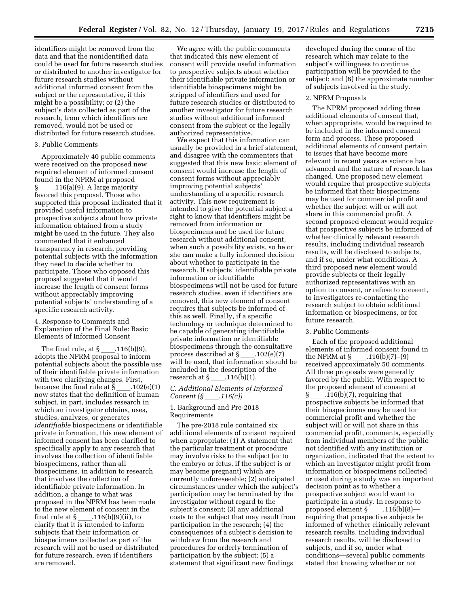identifiers might be removed from the data and that the nonidentified data could be used for future research studies or distributed to another investigator for future research studies without additional informed consent from the subject or the representative, if this might be a possibility; or (2) the subject's data collected as part of the research, from which identifiers are removed, would not be used or distributed for future research studies.

#### 3. Public Comments

Approximately 40 public comments were received on the proposed new required element of informed consent found in the NPRM at proposed § ll.116(a)(9). A large majority favored this proposal. Those who supported this proposal indicated that it provided useful information to prospective subjects about how private information obtained from a study might be used in the future. They also commented that it enhanced transparency in research, providing potential subjects with the information they need to decide whether to participate. Those who opposed this proposal suggested that it would increase the length of consent forms without appreciably improving potential subjects' understanding of a specific research activity.

# 4. Response to Comments and Explanation of the Final Rule: Basic Elements of Informed Consent

The final rule, at  $\S$  \_\_\_\_.116(b)(9), adopts the NPRM proposal to inform potential subjects about the possible use of their identifiable private information with two clarifying changes. First, because the final rule at §\_\_\_\_.102(e)(1)<br>now states that the definition of human subject, in part, includes research in which an investigator obtains, uses, studies, analyzes, or generates *identifiable* biospecimens or identifiable private information, this new element of informed consent has been clarified to specifically apply to any research that involves the collection of identifiable biospecimens, rather than all biospecimens, in addition to research that involves the collection of identifiable private information. In addition, a change to what was proposed in the NPRM has been made to the new element of consent in the final rule at  $\S$  .116(b)(9)(ii), to clarify that it is intended to inform subjects that their information or biospecimens collected as part of the research will not be used or distributed for future research, even if identifiers are removed.

We agree with the public comments that indicated this new element of consent will provide useful information to prospective subjects about whether their identifiable private information or identifiable biospecimens might be stripped of identifiers and used for future research studies or distributed to another investigator for future research studies without additional informed consent from the subject or the legally authorized representative.

We expect that this information can usually be provided in a brief statement, and disagree with the commenters that suggested that this new basic element of consent would increase the length of consent forms without appreciably improving potential subjects' understanding of a specific research activity. This new requirement is intended to give the potential subject a right to know that identifiers might be removed from information or biospecimens and be used for future research without additional consent, when such a possibility exists, so he or she can make a fully informed decision about whether to participate in the research. If subjects' identifiable private information or identifiable biospecimens will not be used for future research studies, even if identifiers are removed, this new element of consent requires that subjects be informed of this as well. Finally, if a specific technology or technique determined to be capable of generating identifiable private information or identifiable biospecimens through the consultative process described at §\_\_\_\_.102(e)(7)<br>will be used, that information should be included in the description of the research at  $\frac{16}{3}$  .116(b)(1). research at §

# *C. Additional Elements of Informed Consent* (§<sub>*\_\_\_\_\_</sub>.116(c))*</sub>

# 1. Background and Pre-2018 Requirements

The pre-2018 rule contained six additional elements of consent required when appropriate: (1) A statement that the particular treatment or procedure may involve risks to the subject (or to the embryo or fetus, if the subject is or may become pregnant) which are currently unforeseeable; (2) anticipated circumstances under which the subject's participation may be terminated by the investigator without regard to the subject's consent; (3) any additional costs to the subject that may result from participation in the research; (4) the consequences of a subject's decision to withdraw from the research and procedures for orderly termination of participation by the subject; (5) a statement that significant new findings

developed during the course of the research which may relate to the subject's willingness to continue participation will be provided to the subject; and (6) the approximate number of subjects involved in the study.

#### 2. NPRM Proposals

The NPRM proposed adding three additional elements of consent that, when appropriate, would be required to be included in the informed consent form and process. These proposed additional elements of consent pertain to issues that have become more relevant in recent years as science has advanced and the nature of research has changed. One proposed new element would require that prospective subjects be informed that their biospecimens may be used for commercial profit and whether the subject will or will not share in this commercial profit. A second proposed element would require that prospective subjects be informed of whether clinically relevant research results, including individual research results, will be disclosed to subjects, and if so, under what conditions. A third proposed new element would provide subjects or their legally authorized representatives with an option to consent, or refuse to consent, to investigators re-contacting the research subject to obtain additional information or biospecimens, or for future research.

#### 3. Public Comments

Each of the proposed additional elements of informed consent found in the NPRM at § \_\_\_\_.116(b)(7)–(9)<br>received approximately 50 comments. All three proposals were generally favored by the public. With respect to the proposed element of consent at  $.116(b)(7)$ , requiring that prospective subjects be informed that their biospecimens may be used for commercial profit and whether the subject will or will not share in this commercial profit, comments, especially from individual members of the public not identified with any institution or organization, indicated that the extent to which an investigator might profit from information or biospecimens collected or used during a study was an important decision point as to whether a prospective subject would want to participate in a study. In response to<br>proposed element  $\S$  \_\_\_\_\_.116(b)(8) proposed element § \_\_\_\_.116(b)(8)—<br>requiring that prospective subjects be informed of whether clinically relevant research results, including individual research results, will be disclosed to subjects, and if so, under what conditions—several public comments stated that knowing whether or not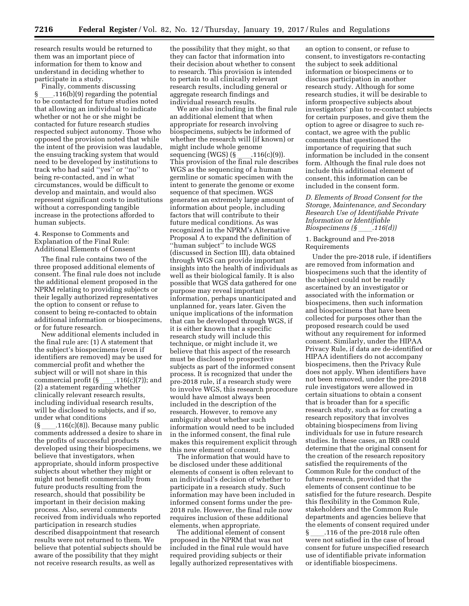research results would be returned to them was an important piece of information for them to know and understand in deciding whether to participate in a study.

Finally, comments discussing § \_\_\_\_.116(b)(9) regarding the potential<br>to be contacted for future studies noted that allowing an individual to indicate whether or not he or she might be contacted for future research studies respected subject autonomy. Those who opposed the provision noted that while the intent of the provision was laudable, the ensuing tracking system that would need to be developed by institutions to track who had said ''yes'' or ''no'' to being re-contacted, and in what circumstances, would be difficult to develop and maintain, and would also represent significant costs to institutions without a corresponding tangible increase in the protections afforded to human subjects.

4. Response to Comments and Explanation of the Final Rule: Additional Elements of Consent

The final rule contains two of the three proposed additional elements of consent. The final rule does not include the additional element proposed in the NPRM relating to providing subjects or their legally authorized representatives the option to consent or refuse to consent to being re-contacted to obtain additional information or biospecimens, or for future research.

New additional elements included in the final rule are: (1) A statement that the subject's biospecimens (even if identifiers are removed) may be used for commercial profit and whether the subject will or will not share in this<br>commercial profit  $(\S$  \_\_\_\_\_.116(c)(7)); and commercial profit (§ \_\_\_\_.116(c)(7)); and<br>(2) a statement regarding whether clinically relevant research results, including individual research results, will be disclosed to subjects, and if so, under what conditions  $(S \t 116(c)(8))$ . Because many public comments addressed a desire to share in the profits of successful products developed using their biospecimens, we believe that investigators, when appropriate, should inform prospective subjects about whether they might or might not benefit commercially from future products resulting from the research, should that possibility be important in their decision making process. Also, several comments received from individuals who reported participation in research studies described disappointment that research results were not returned to them. We believe that potential subjects should be aware of the possibility that they might not receive research results, as well as

the possibility that they might, so that they can factor that information into their decision about whether to consent to research. This provision is intended to pertain to all clinically relevant research results, including general or aggregate research findings and individual research results.

We are also including in the final rule an additional element that when appropriate for research involving biospecimens, subjects be informed of whether the research will (if known) or might include whole genome sequencing (WGS) (§ \_\_\_\_.116(c)(9)).<br>This provision of the final rule describes WGS as the sequencing of a human germline or somatic specimen with the intent to generate the genome or exome sequence of that specimen. WGS generates an extremely large amount of information about people, including factors that will contribute to their future medical conditions. As was recognized in the NPRM's Alternative Proposal A to expand the definition of ''human subject'' to include WGS (discussed in Section III), data obtained through WGS can provide important insights into the health of individuals as well as their biological family. It is also possible that WGS data gathered for one purpose may reveal important information, perhaps unanticipated and unplanned for, years later. Given the unique implications of the information that can be developed through WGS, if it is either known that a specific research study will include this technique, or might include it, we believe that this aspect of the research must be disclosed to prospective subjects as part of the informed consent process. It is recognized that under the pre-2018 rule, if a research study were to involve WGS, this research procedure would have almost always been included in the description of the research. However, to remove any ambiguity about whether such information would need to be included in the informed consent, the final rule makes this requirement explicit through this new element of consent.

The information that would have to be disclosed under these additional elements of consent is often relevant to an individual's decision of whether to participate in a research study. Such information may have been included in informed consent forms under the pre-2018 rule. However, the final rule now requires inclusion of these additional elements, when appropriate.

The additional element of consent proposed in the NPRM that was not included in the final rule would have required providing subjects or their legally authorized representatives with an option to consent, or refuse to consent, to investigators re-contacting the subject to seek additional information or biospecimens or to discuss participation in another research study. Although for some research studies, it will be desirable to inform prospective subjects about investigators' plan to re-contact subjects for certain purposes, and give them the option to agree or disagree to such recontact, we agree with the public comments that questioned the importance of requiring that such information be included in the consent form. Although the final rule does not include this additional element of consent, this information can be included in the consent form.

*D. Elements of Broad Consent for the Storage, Maintenance, and Secondary Research Use of Identifiable Private Information or Identifiable Biospecimens (§* .116(d))

# 1. Background and Pre-2018 Requirements

Under the pre-2018 rule, if identifiers are removed from information and biospecimens such that the identity of the subject could not be readily ascertained by an investigator or associated with the information or biospecimens, then such information and biospecimens that have been collected for purposes other than the proposed research could be used without any requirement for informed consent. Similarly, under the HIPAA Privacy Rule, if data are de-identified or HIPAA identifiers do not accompany biospecimens, then the Privacy Rule does not apply. When identifiers have not been removed, under the pre-2018 rule investigators were allowed in certain situations to obtain a consent that is broader than for a specific research study, such as for creating a research repository that involves obtaining biospecimens from living individuals for use in future research studies. In these cases, an IRB could determine that the original consent for the creation of the research repository satisfied the requirements of the Common Rule for the conduct of the future research, provided that the elements of consent continue to be satisfied for the future research. Despite this flexibility in the Common Rule, stakeholders and the Common Rule departments and agencies believe that the elements of consent required under § ll.116 of the pre-2018 rule often were not satisfied in the case of broad consent for future unspecified research use of identifiable private information or identifiable biospecimens.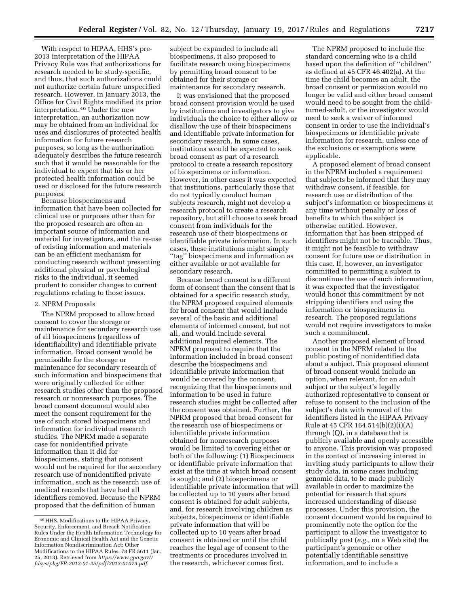With respect to HIPAA, HHS's pre-2013 interpretation of the HIPAA Privacy Rule was that authorizations for research needed to be study-specific, and thus, that such authorizations could not authorize certain future unspecified research. However, in January 2013, the Office for Civil Rights modified its prior interpretation.46 Under the new interpretation, an authorization now may be obtained from an individual for uses and disclosures of protected health information for future research purposes, so long as the authorization adequately describes the future research such that it would be reasonable for the individual to expect that his or her protected health information could be used or disclosed for the future research purposes.

Because biospecimens and information that have been collected for clinical use or purposes other than for the proposed research are often an important source of information and material for investigators, and the re-use of existing information and materials can be an efficient mechanism for conducting research without presenting additional physical or psychological risks to the individual, it seemed prudent to consider changes to current regulations relating to those issues.

#### 2. NPRM Proposals

The NPRM proposed to allow broad consent to cover the storage or maintenance for secondary research use of all biospecimens (regardless of identifiability) and identifiable private information. Broad consent would be permissible for the storage or maintenance for secondary research of such information and biospecimens that were originally collected for either research studies other than the proposed research or nonresearch purposes. The broad consent document would also meet the consent requirement for the use of such stored biospecimens and information for individual research studies. The NPRM made a separate case for nonidentified private information than it did for biospecimens, stating that consent would not be required for the secondary research use of nonidentified private information, such as the research use of medical records that have had all identifiers removed. Because the NPRM proposed that the definition of human

subject be expanded to include all biospecimens, it also proposed to facilitate research using biospecimens by permitting broad consent to be obtained for their storage or maintenance for secondary research.

It was envisioned that the proposed broad consent provision would be used by institutions and investigators to give individuals the choice to either allow or disallow the use of their biospecimens and identifiable private information for secondary research. In some cases, institutions would be expected to seek broad consent as part of a research protocol to create a research repository of biospecimens or information. However, in other cases it was expected that institutions, particularly those that do not typically conduct human subjects research, might not develop a research protocol to create a research repository, but still choose to seek broad consent from individuals for the research use of their biospecimens or identifiable private information. In such cases, these institutions might simply ''tag'' biospecimens and information as either available or not available for secondary research.

Because broad consent is a different form of consent than the consent that is obtained for a specific research study, the NPRM proposed required elements for broad consent that would include several of the basic and additional elements of informed consent, but not all, and would include several additional required elements. The NPRM proposed to require that the information included in broad consent describe the biospecimens and identifiable private information that would be covered by the consent, recognizing that the biospecimens and information to be used in future research studies might be collected after the consent was obtained. Further, the NPRM proposed that broad consent for the research use of biospecimens or identifiable private information obtained for nonresearch purposes would be limited to covering either or both of the following: (1) Biospecimens or identifiable private information that exist at the time at which broad consent is sought; and (2) biospecimens or identifiable private information that will be collected up to 10 years after broad consent is obtained for adult subjects, and, for research involving children as subjects, biospecimens or identifiable private information that will be collected up to 10 years after broad consent is obtained or until the child reaches the legal age of consent to the treatments or procedures involved in the research, whichever comes first.

The NPRM proposed to include the standard concerning who is a child based upon the definition of ''children'' as defined at 45 CFR 46.402(a). At the time the child becomes an adult, the broad consent or permission would no longer be valid and either broad consent would need to be sought from the childturned-adult, or the investigator would need to seek a waiver of informed consent in order to use the individual's biospecimens or identifiable private information for research, unless one of the exclusions or exemptions were applicable.

A proposed element of broad consent in the NPRM included a requirement that subjects be informed that they may withdraw consent, if feasible, for research use or distribution of the subject's information or biospecimens at any time without penalty or loss of benefits to which the subject is otherwise entitled. However, information that has been stripped of identifiers might not be traceable. Thus, it might not be feasible to withdraw consent for future use or distribution in this case. If, however, an investigator committed to permitting a subject to discontinue the use of such information, it was expected that the investigator would honor this commitment by not stripping identifiers and using the information or biospecimens in research. The proposed regulations would not require investigators to make such a commitment.

Another proposed element of broad consent in the NPRM related to the public posting of nonidentified data about a subject. This proposed element of broad consent would include an option, when relevant, for an adult subject or the subject's legally authorized representative to consent or refuse to consent to the inclusion of the subject's data with removal of the identifiers listed in the HIPAA Privacy Rule at 45 CFR 164.514(b)(2)(i)(A) through (Q), in a database that is publicly available and openly accessible to anyone. This provision was proposed in the context of increasing interest in inviting study participants to allow their study data, in some cases including genomic data, to be made publicly available in order to maximize the potential for research that spurs increased understanding of disease processes. Under this provision, the consent document would be required to prominently note the option for the participant to allow the investigator to publically post (*e.g.,* on a Web site) the participant's genomic or other potentially identifiable sensitive information, and to include a

<sup>46</sup>HHS. Modifications to the HIPAA Privacy, Security, Enforcement, and Breach Notification Rules Under the Health Information Technology for Economic and Clinical Health Act and the Genetic Information Nondiscrimination Act; Other Modifications to the HIPAA Rules. 78 FR 5611 (Jan. 25, 2013). Retrieved from *[https://www.gpo.gov//](https://www.gpo.gov//fdsys/pkg/FR-2013-01-25/pdf/2013-01073.pdf)  [fdsys/pkg/FR-2013-01-25/pdf/2013-01073.pdf.](https://www.gpo.gov//fdsys/pkg/FR-2013-01-25/pdf/2013-01073.pdf)*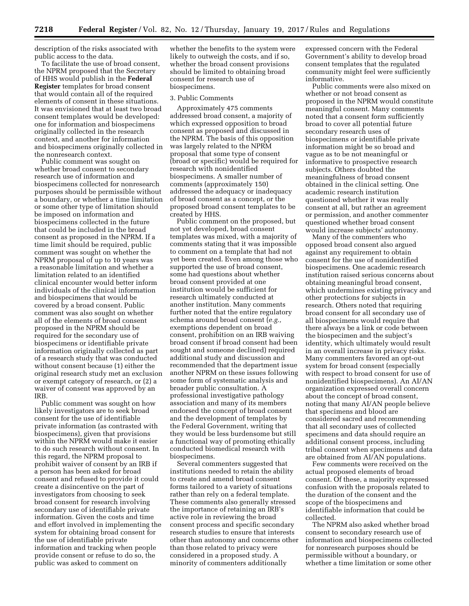description of the risks associated with public access to the data.

To facilitate the use of broad consent, the NPRM proposed that the Secretary of HHS would publish in the **Federal Register** templates for broad consent that would contain all of the required elements of consent in these situations. It was envisioned that at least two broad consent templates would be developed: one for information and biospecimens originally collected in the research context, and another for information and biospecimens originally collected in the nonresearch context.

Public comment was sought on whether broad consent to secondary research use of information and biospecimens collected for nonresearch purposes should be permissible without a boundary, or whether a time limitation or some other type of limitation should be imposed on information and biospecimens collected in the future that could be included in the broad consent as proposed in the NPRM. If a time limit should be required, public comment was sought on whether the NPRM proposal of up to 10 years was a reasonable limitation and whether a limitation related to an identified clinical encounter would better inform individuals of the clinical information and biospecimens that would be covered by a broad consent. Public comment was also sought on whether all of the elements of broad consent proposed in the NPRM should be required for the secondary use of biospecimens or identifiable private information originally collected as part of a research study that was conducted without consent because (1) either the original research study met an exclusion or exempt category of research, or (2) a waiver of consent was approved by an IRB.

Public comment was sought on how likely investigators are to seek broad consent for the use of identifiable private information (as contrasted with biospecimens), given that provisions within the NPRM would make it easier to do such research without consent. In this regard, the NPRM proposal to prohibit waiver of consent by an IRB if a person has been asked for broad consent and refused to provide it could create a disincentive on the part of investigators from choosing to seek broad consent for research involving secondary use of identifiable private information. Given the costs and time and effort involved in implementing the system for obtaining broad consent for the use of identifiable private information and tracking when people provide consent or refuse to do so, the public was asked to comment on

whether the benefits to the system were likely to outweigh the costs, and if so, whether the broad consent provisions should be limited to obtaining broad consent for research use of biospecimens.

#### 3. Public Comments

Approximately 475 comments addressed broad consent, a majority of which expressed opposition to broad consent as proposed and discussed in the NPRM. The basis of this opposition was largely related to the NPRM proposal that some type of consent (broad or specific) would be required for research with nonidentified biospecimens. A smaller number of comments (approximately 150) addressed the adequacy or inadequacy of broad consent as a concept, or the proposed broad consent templates to be created by HHS.

Public comment on the proposed, but not yet developed, broad consent templates was mixed, with a majority of comments stating that it was impossible to comment on a template that had not yet been created. Even among those who supported the use of broad consent, some had questions about whether broad consent provided at one institution would be sufficient for research ultimately conducted at another institution. Many comments further noted that the entire regulatory schema around broad consent (*e.g.,*  exemptions dependent on broad consent, prohibition on an IRB waiving broad consent if broad consent had been sought and someone declined) required additional study and discussion and recommended that the department issue another NPRM on these issues following some form of systematic analysis and broader public consultation. A professional investigative pathology association and many of its members endorsed the concept of broad consent and the development of templates by the Federal Government, writing that they would be less burdensome but still a functional way of promoting ethically conducted biomedical research with biospecimens.

Several commenters suggested that institutions needed to retain the ability to create and amend broad consent forms tailored to a variety of situations rather than rely on a federal template. These comments also generally stressed the importance of retaining an IRB's active role in reviewing the broad consent process and specific secondary research studies to ensure that interests other than autonomy and concerns other than those related to privacy were considered in a proposed study. A minority of commenters additionally

expressed concern with the Federal Government's ability to develop broad consent templates that the regulated community might feel were sufficiently informative.

Public comments were also mixed on whether or not broad consent as proposed in the NPRM would constitute meaningful consent. Many comments noted that a consent form sufficiently broad to cover all potential future secondary research uses of biospecimens or identifiable private information might be so broad and vague as to be not meaningful or informative to prospective research subjects. Others doubted the meaningfulness of broad consent obtained in the clinical setting. One academic research institution questioned whether it was really consent at all, but rather an agreement or permission, and another commenter questioned whether broad consent would increase subjects' autonomy.

Many of the commenters who opposed broad consent also argued against any requirement to obtain consent for the use of nonidentified biospecimens. One academic research institution raised serious concerns about obtaining meaningful broad consent, which undermines existing privacy and other protections for subjects in research. Others noted that requiring broad consent for all secondary use of all biospecimens would require that there always be a link or code between the biospecimen and the subject's identity, which ultimately would result in an overall increase in privacy risks. Many commenters favored an opt-out system for broad consent (especially with respect to broad consent for use of nonidentified biospecimens). An AI/AN organization expressed overall concern about the concept of broad consent, noting that many AI/AN people believe that specimens and blood are considered sacred and recommending that all secondary uses of collected specimens and data should require an additional consent process, including tribal consent when specimens and data are obtained from AI/AN populations.

Few comments were received on the actual proposed elements of broad consent. Of these, a majority expressed confusion with the proposals related to the duration of the consent and the scope of the biospecimens and identifiable information that could be collected.

The NPRM also asked whether broad consent to secondary research use of information and biospecimens collected for nonresearch purposes should be permissible without a boundary, or whether a time limitation or some other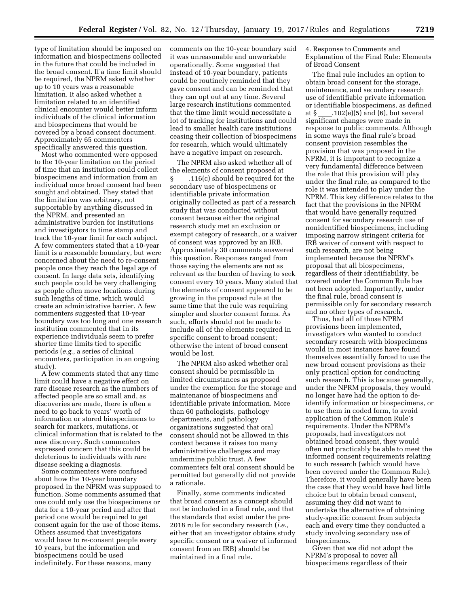type of limitation should be imposed on information and biospecimens collected in the future that could be included in the broad consent. If a time limit should be required, the NPRM asked whether up to 10 years was a reasonable limitation. It also asked whether a limitation related to an identified clinical encounter would better inform individuals of the clinical information and biospecimens that would be covered by a broad consent document. Approximately 65 commenters specifically answered this question.

Most who commented were opposed to the 10-year limitation on the period of time that an institution could collect biospecimens and information from an individual once broad consent had been sought and obtained. They stated that the limitation was arbitrary, not supportable by anything discussed in the NPRM, and presented an administrative burden for institutions and investigators to time stamp and track the 10-year limit for each subject. A few commenters stated that a 10-year limit is a reasonable boundary, but were concerned about the need to re-consent people once they reach the legal age of consent. In large data sets, identifying such people could be very challenging as people often move locations during such lengths of time, which would create an administrative barrier. A few commenters suggested that 10-year boundary was too long and one research institution commented that in its experience individuals seem to prefer shorter time limits tied to specific periods (*e.g.,* a series of clinical encounters, participation in an ongoing study).

A few comments stated that any time limit could have a negative effect on rare disease research as the numbers of affected people are so small and, as discoveries are made, there is often a need to go back to years' worth of information or stored biospecimens to search for markers, mutations, or clinical information that is related to the new discovery. Such commenters expressed concern that this could be deleterious to individuals with rare disease seeking a diagnosis.

Some commenters were confused about how the 10-year boundary proposed in the NPRM was supposed to function. Some comments assumed that one could only use the biospecimens or data for a 10-year period and after that period one would be required to get consent again for the use of those items. Others assumed that investigators would have to re-consent people every 10 years, but the information and biospecimens could be used indefinitely. For these reasons, many

comments on the 10-year boundary said it was unreasonable and unworkable operationally. Some suggested that instead of 10-year boundary, patients could be routinely reminded that they gave consent and can be reminded that they can opt out at any time. Several large research institutions commented that the time limit would necessitate a lot of tracking for institutions and could lead to smaller health care institutions ceasing their collection of biospecimens for research, which would ultimately have a negative impact on research.

The NPRM also asked whether all of the elements of consent proposed at  $\S$  .116(c) should be required for the secondary use of biospecimens or identifiable private information originally collected as part of a research study that was conducted without consent because either the original research study met an exclusion or exempt category of research, or a waiver of consent was approved by an IRB. Approximately 30 comments answered this question. Responses ranged from those saying the elements are not as relevant as the burden of having to seek consent every 10 years. Many stated that the elements of consent appeared to be growing in the proposed rule at the same time that the rule was requiring simpler and shorter consent forms. As such, efforts should not be made to include all of the elements required in specific consent to broad consent; otherwise the intent of broad consent would be lost.

The NPRM also asked whether oral consent should be permissible in limited circumstances as proposed under the exemption for the storage and maintenance of biospecimens and identifiable private information. More than 60 pathologists, pathology departments, and pathology organizations suggested that oral consent should not be allowed in this context because it raises too many administrative challenges and may undermine public trust. A few commenters felt oral consent should be permitted but generally did not provide a rationale.

Finally, some comments indicated that broad consent as a concept should not be included in a final rule, and that the standards that exist under the pre-2018 rule for secondary research (*i.e.,*  either that an investigator obtains study specific consent or a waiver of informed consent from an IRB) should be maintained in a final rule.

4. Response to Comments and Explanation of the Final Rule: Elements of Broad Consent

The final rule includes an option to obtain broad consent for the storage, maintenance, and secondary research use of identifiable private information or identifiable biospecimens, as defined at  $\S$  .102(e)(5) and (6), but several significant changes were made in response to public comments. Although in some ways the final rule's broad consent provision resembles the provision that was proposed in the NPRM, it is important to recognize a very fundamental difference between the role that this provision will play under the final rule, as compared to the role it was intended to play under the NPRM. This key difference relates to the fact that the provisions in the NPRM that would have generally required consent for secondary research use of nonidentified biospecimens, including imposing narrow stringent criteria for IRB waiver of consent with respect to such research, are not being implemented because the NPRM's proposal that all biospecimens, regardless of their identifiability, be covered under the Common Rule has not been adopted. Importantly, under the final rule, broad consent is permissible only for secondary research and no other types of research.

Thus, had all of those NPRM provisions been implemented, investigators who wanted to conduct secondary research with biospecimens would in most instances have found themselves essentially forced to use the new broad consent provisions as their only practical option for conducting such research. This is because generally, under the NPRM proposals, they would no longer have had the option to deidentify information or biospecimens, or to use them in coded form, to avoid application of the Common Rule's requirements. Under the NPRM's proposals, had investigators not obtained broad consent, they would often not practicably be able to meet the informed consent requirements relating to such research (which would have been covered under the Common Rule). Therefore, it would generally have been the case that they would have had little choice but to obtain broad consent, assuming they did not want to undertake the alternative of obtaining study-specific consent from subjects each and every time they conducted a study involving secondary use of biospecimens.

Given that we did not adopt the NPRM's proposal to cover all biospecimens regardless of their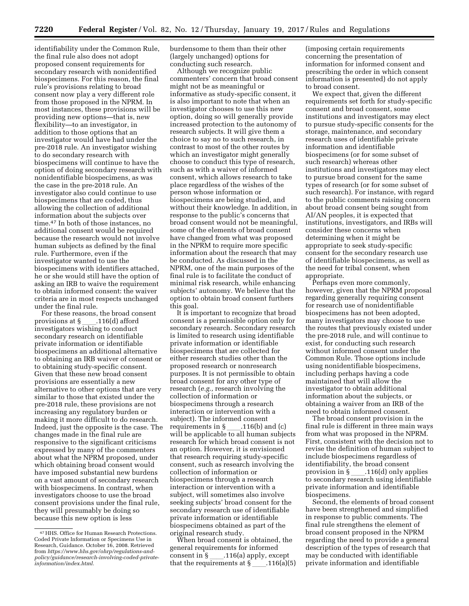identifiability under the Common Rule, the final rule also does not adopt proposed consent requirements for secondary research with nonidentified biospecimens. For this reason, the final rule's provisions relating to broad consent now play a very different role from those proposed in the NPRM. In most instances, these provisions will be providing new options—that is, new flexibility—to an investigator, in addition to those options that an investigator would have had under the pre-2018 rule. An investigator wishing to do secondary research with biospecimens will continue to have the option of doing secondary research with nonidentifiable biospecimens, as was the case in the pre-2018 rule. An investigator also could continue to use biospecimens that are coded, thus allowing the collection of additional information about the subjects over time.47 In both of those instances, no additional consent would be required because the research would not involve human subjects as defined by the final rule. Furthermore, even if the investigator wanted to use the biospecimens with identifiers attached, he or she would still have the option of asking an IRB to waive the requirement to obtain informed consent: the waiver criteria are in most respects unchanged under the final rule.

For these reasons, the broad consent provisions at §\_\_\_\_.116(d) afford<br>investigators wishing to conduct secondary research on identifiable private information or identifiable biospecimens an additional alternative to obtaining an IRB waiver of consent or to obtaining study-specific consent. Given that these new broad consent provisions are essentially a new alternative to other options that are very similar to those that existed under the pre-2018 rule, these provisions are not increasing any regulatory burden or making it more difficult to do research. Indeed, just the opposite is the case. The changes made in the final rule are responsive to the significant criticisms expressed by many of the commenters about what the NPRM proposed, under which obtaining broad consent would have imposed substantial new burdens on a vast amount of secondary research with biospecimens. In contrast, when investigators choose to use the broad consent provisions under the final rule, they will presumably be doing so because this new option is less

burdensome to them than their other (largely unchanged) options for conducting such research.

Although we recognize public commenters' concern that broad consent might not be as meaningful or informative as study-specific consent, it is also important to note that when an investigator chooses to use this new option, doing so will generally provide increased protection to the autonomy of research subjects. It will give them a choice to say no to such research, in contrast to most of the other routes by which an investigator might generally choose to conduct this type of research, such as with a waiver of informed consent, which allows research to take place regardless of the wishes of the person whose information or biospecimens are being studied, and without their knowledge. In addition, in response to the public's concerns that broad consent would not be meaningful, some of the elements of broad consent have changed from what was proposed in the NPRM to require more specific information about the research that may be conducted. As discussed in the NPRM, one of the main purposes of the final rule is to facilitate the conduct of minimal risk research, while enhancing subjects' autonomy. We believe that the option to obtain broad consent furthers this goal.

It is important to recognize that broad consent is a permissible option only for secondary research. Secondary research is limited to research using identifiable private information or identifiable biospecimens that are collected for either research studies other than the proposed research or nonresearch purposes. It is not permissible to obtain broad consent for any other type of research (*e.g.,* research involving the collection of information or biospecimens through a research interaction or intervention with a subject). The informed consent<br>requirements in § .116(b) as requirements in § \_\_\_\_.116(b) and (c)<br>will be applicable to all human subjects research for which broad consent is not an option. However, it is envisioned that research requiring study-specific consent, such as research involving the collection of information or biospecimens through a research interaction or intervention with a subject, will sometimes also involve seeking subjects' broad consent for the secondary research use of identifiable private information or identifiable biospecimens obtained as part of the original research study.

When broad consent is obtained, the general requirements for informed consent in § \_\_\_\_.116(a) apply, except<br>that the requirements at \$ \_\_\_\_\_\_116(a)(! that the requirements at  $\S$  \_\_\_\_\_.116(a)(5)

(imposing certain requirements concerning the presentation of information for informed consent and prescribing the order in which consent information is presented) do not apply to broad consent.

We expect that, given the different requirements set forth for study-specific consent and broad consent, some institutions and investigators may elect to pursue study-specific consents for the storage, maintenance, and secondary research uses of identifiable private information and identifiable biospecimens (or for some subset of such research) whereas other institutions and investigators may elect to pursue broad consent for the same types of research (or for some subset of such research). For instance, with regard to the public comments raising concern about broad consent being sought from AI/AN peoples, it is expected that institutions, investigators, and IRBs will consider these concerns when determining when it might be appropriate to seek study-specific consent for the secondary research use of identifiable biospecimens, as well as the need for tribal consent, when appropriate.

Perhaps even more commonly, however, given that the NPRM proposal regarding generally requiring consent for research use of nonidentifiable biospecimens has not been adopted, many investigators may choose to use the routes that previously existed under the pre-2018 rule, and will continue to exist, for conducting such research without informed consent under the Common Rule. Those options include using nonidentifiable biospecimens, including perhaps having a code maintained that will allow the investigator to obtain additional information about the subjects, or obtaining a waiver from an IRB of the need to obtain informed consent.

The broad consent provision in the final rule is different in three main ways from what was proposed in the NPRM. First, consistent with the decision not to revise the definition of human subject to include biospecimens regardless of identifiability, the broad consent provision in  $\S$  .116(d) only applies to secondary research using identifiable private information and identifiable biospecimens.

Second, the elements of broad consent have been strengthened and simplified in response to public comments. The final rule strengthens the element of broad consent proposed in the NPRM regarding the need to provide a general description of the types of research that may be conducted with identifiable private information and identifiable

<sup>47</sup>HHS. Office for Human Research Protections. Coded Private Information or Specimens Use in Research, Guidance. October 16, 2008. Retrieved from *[https://www.hhs.gov/ohrp/regulations-and](https://www.hhs.gov/ohrp/regulations-and-policy/guidance/research-involving-coded-private-information/index.html)[policy/guidance/research-involving-coded-private](https://www.hhs.gov/ohrp/regulations-and-policy/guidance/research-involving-coded-private-information/index.html)[information/index.html.](https://www.hhs.gov/ohrp/regulations-and-policy/guidance/research-involving-coded-private-information/index.html)*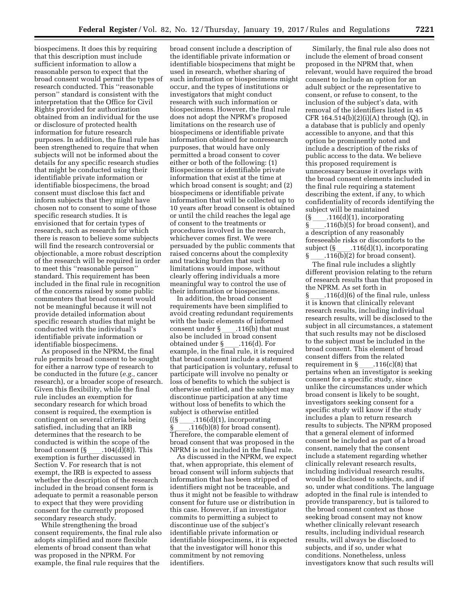biospecimens. It does this by requiring that this description must include sufficient information to allow a reasonable person to expect that the broad consent would permit the types of research conducted. This ''reasonable person'' standard is consistent with the interpretation that the Office for Civil Rights provided for authorization obtained from an individual for the use or disclosure of protected health information for future research purposes. In addition, the final rule has been strengthened to require that when subjects will not be informed about the details for any specific research studies that might be conducted using their identifiable private information or identifiable biospecimens, the broad consent must disclose this fact and inform subjects that they might have chosen not to consent to some of those specific research studies. It is envisioned that for certain types of research, such as research for which there is reason to believe some subjects will find the research controversial or objectionable, a more robust description of the research will be required in order to meet this ''reasonable person'' standard. This requirement has been included in the final rule in recognition of the concerns raised by some public commenters that broad consent would not be meaningful because it will not provide detailed information about specific research studies that might be conducted with the individual's identifiable private information or identifiable biospecimens.

As proposed in the NPRM, the final rule permits broad consent to be sought for either a narrow type of research to be conducted in the future (*e.g.,* cancer research), or a broader scope of research. Given this flexibility, while the final rule includes an exemption for secondary research for which broad consent is required, the exemption is contingent on several criteria being satisfied, including that an IRB determines that the research to be conducted is within the scope of the broad consent (§ \_\_\_\_.104(d)(8)). This<br>exemption is further discussed in Section V. For research that is not exempt, the IRB is expected to assess whether the description of the research included in the broad consent form is adequate to permit a reasonable person to expect that they were providing consent for the currently proposed secondary research study.

While strengthening the broad consent requirements, the final rule also adopts simplified and more flexible elements of broad consent than what was proposed in the NPRM. For example, the final rule requires that the

broad consent include a description of the identifiable private information or identifiable biospecimens that might be used in research, whether sharing of such information or biospecimens might occur, and the types of institutions or investigators that might conduct research with such information or biospecimens. However, the final rule does not adopt the NPRM's proposed limitations on the research use of biospecimens or identifiable private information obtained for nonresearch purposes, that would have only permitted a broad consent to cover either or both of the following: (1) Biospecimens or identifiable private information that exist at the time at which broad consent is sought; and (2) biospecimens or identifiable private information that will be collected up to 10 years after broad consent is obtained or until the child reaches the legal age of consent to the treatments or procedures involved in the research, whichever comes first. We were persuaded by the public comments that raised concerns about the complexity and tracking burden that such limitations would impose, without clearly offering individuals a more meaningful way to control the use of their information or biospecimens.

In addition, the broad consent requirements have been simplified to avoid creating redundant requirements with the basic elements of informed consent under §\_\_\_\_.116(b) that must<br>also be included in broad consent obtained under § \_\_\_\_.116(d). For<br>example, in the final rule, it is required that broad consent include a statement that participation is voluntary, refusal to participate will involve no penalty or loss of benefits to which the subject is otherwise entitled, and the subject may discontinue participation at any time without loss of benefits to which the subject is otherwise entitled  $((\S$  .116(d)(1), incorporating  $.116(b)(8)$  for broad consent).

Therefore, the comparable element of broad consent that was proposed in the NPRM is not included in the final rule.

As discussed in the NPRM, we expect that, when appropriate, this element of broad consent will inform subjects that information that has been stripped of identifiers might not be traceable, and thus it might not be feasible to withdraw consent for future use or distribution in this case. However, if an investigator commits to permitting a subject to discontinue use of the subject's identifiable private information or identifiable biospecimens, it is expected that the investigator will honor this commitment by not removing identifiers.

Similarly, the final rule also does not include the element of broad consent proposed in the NPRM that, when relevant, would have required the broad consent to include an option for an adult subject or the representative to consent, or refuse to consent, to the inclusion of the subject's data, with removal of the identifiers listed in 45 CFR 164.514(b)(2)(i)(A) through (Q), in a database that is publicly and openly accessible to anyone, and that this option be prominently noted and include a description of the risks of public access to the data. We believe this proposed requirement is unnecessary because it overlaps with the broad consent elements included in the final rule requiring a statement describing the extent, if any, to which confidentiality of records identifying the subject will be maintained

 $(\S$  . 116(d)(1), incorporating<br>S . 116(b)(5) for broad conse § ll.116(b)(5) for broad consent), and a description of any reasonably foreseeable risks or discomforts to the subject (§ll.116(d)(1), incorporating  $.116(b)(2)$  for broad consent).

The final rule includes a slightly different provision relating to the return of research results than that proposed in the NPRM. As set forth in

 $\S$  .116(d)(6) of the final rule, unless it is known that clinically relevant research results, including individual research results, will be disclosed to the subject in all circumstances, a statement that such results may not be disclosed to the subject must be included in the broad consent. This element of broad consent differs from the related<br>requirement in  $\S$  \_\_\_\_\_.116(c)(8) that requirement in §\_\_\_\_.116(c)(8) that<br>pertains when an investigator is seeking consent for a specific study, since unlike the circumstances under which broad consent is likely to be sought, investigators seeking consent for a specific study will know if the study includes a plan to return research results to subjects. The NPRM proposed that a general element of informed consent be included as part of a broad consent, namely that the consent include a statement regarding whether clinically relevant research results, including individual research results, would be disclosed to subjects, and if so, under what conditions. The language adopted in the final rule is intended to provide transparency, but is tailored to the broad consent context as those seeking broad consent may not know whether clinically relevant research results, including individual research results, will always be disclosed to subjects, and if so, under what conditions. Nonetheless, unless investigators know that such results will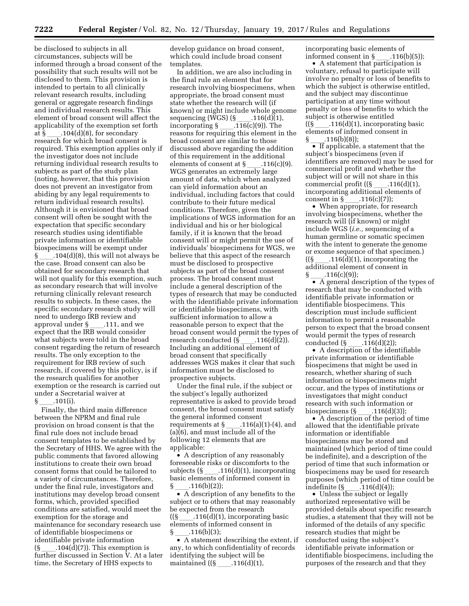be disclosed to subjects in all circumstances, subjects will be informed through a broad consent of the possibility that such results will not be disclosed to them. This provision is intended to pertain to all clinically relevant research results, including general or aggregate research findings and individual research results. This element of broad consent will affect the applicability of the exemption set forth at  $\S$  .104(d)(8), for secondary research for which broad consent is required. This exemption applies only if the investigator does not include returning individual research results to subjects as part of the study plan (noting, however, that this provision does not prevent an investigator from abiding by any legal requirements to return individual research results). Although it is envisioned that broad consent will often be sought with the expectation that specific secondary research studies using identifiable private information or identifiable biospecimens will be exempt under

 $\S$  .104(d)(8), this will not always be the case. Broad consent can also be obtained for secondary research that will not qualify for this exemption, such as secondary research that will involve returning clinically relevant research results to subjects. In these cases, the specific secondary research study will need to undergo IRB review and approval under § \_\_\_\_.111, and we<br>expect that the IRB would consider what subjects were told in the broad consent regarding the return of research results. The only exception to the requirement for IRB review of such research, if covered by this policy, is if the research qualifies for another exemption or the research is carried out under a Secretarial waiver at  $\S$  \_\_\_\_\_. 101(i).

Finally, the third main difference between the NPRM and final rule provision on broad consent is that the final rule does not include broad consent templates to be established by the Secretary of HHS. We agree with the public comments that favored allowing institutions to create their own broad consent forms that could be tailored to a variety of circumstances. Therefore, under the final rule, investigators and institutions may develop broad consent forms, which, provided specified conditions are satisfied, would meet the exemption for the storage and maintenance for secondary research use of identifiable biospecimens or identifiable private information<br>(§ .104(d)(7)). This exemption is

(§ \_\_\_\_.104(d)(7)). This exemption is<br>further discussed in Section V. At a later time, the Secretary of HHS expects to

develop guidance on broad consent, which could include broad consent templates.

In addition, we are also including in the final rule an element that for research involving biospecimens, when appropriate, the broad consent must state whether the research will (if known) or might include whole genome sequencing (WGS)  $(\S$  \_\_\_.116(d)(1),<br>incorporating  $\S$  \_\_\_\_.116(c)(9)). The incorporating § \_\_\_\_.116(c)(9)). The<br>reasons for requiring this element in the broad consent are similar to those discussed above regarding the addition of this requirement in the additional elements of consent at § \_\_\_\_.116(c)(9).<br>WGS generates an extremely large amount of data, which when analyzed can yield information about an individual, including factors that could contribute to their future medical conditions. Therefore, given the implications of WGS information for an individual and his or her biological family, if it is known that the broad consent will or might permit the use of individuals' biospecimens for WGS, we believe that this aspect of the research must be disclosed to prospective subjects as part of the broad consent process. The broad consent must include a general description of the types of research that may be conducted with the identifiable private information or identifiable biospecimens, with sufficient information to allow a reasonable person to expect that the broad consent would permit the types of<br>research conducted  $(S \t 116(d)(2))$ . research conducted (§ \_\_\_\_.116(d)(2)).<br>Including an additional element of broad consent that specifically addresses WGS makes it clear that such information must be disclosed to prospective subjects.

Under the final rule, if the subject or the subject's legally authorized representative is asked to provide broad consent, the broad consent must satisfy the general informed consent<br>requirements at § .116(a)( requirements at § \_\_\_\_.116(a)(1)-(4), and<br>(a)(6), and must include all of the following 12 elements that are applicable:

• A description of any reasonably foreseeable risks or discomforts to the subjects (§ \_\_\_\_.116(d)(1), incorporating<br>basic elements of informed consent in  $.116(b)(2);$ 

• A description of any benefits to the subject or to others that may reasonably be expected from the research  $((\S \t116(d)(1), \text{incorporating basic})$ elements of informed consent in

 $\frac{\S}{\bullet}$  .116(b)(3);<br> $\bullet$  A statement describing the extent, if any, to which confidentiality of records identifying the subject will be maintained  $((\S \t 116(d)(1),$ 

incorporating basic elements of informed consent in  $\S$  \_\_\_.116(b)(5));

• A statement that participation is voluntary, refusal to participate will involve no penalty or loss of benefits to which the subject is otherwise entitled, and the subject may discontinue participation at any time without penalty or loss of benefits to which the subject is otherwise entitled  $((\S \t116(d)(1), \text{incorporating basic})$ elements of informed consent in

 $\frac{\S}{\bullet}$  .116(b)(8));<br> $\bullet$  If applicable, a statement that the subject's biospecimens (even if identifiers are removed) may be used for commercial profit and whether the subject will or will not share in this commercial profit ((§ \_\_\_\_.116(d)(1),<br>incorporating additional elements of

consent in  $\sum_{n=1}$  (c)(7));<br>• When appropriate, for research involving biospecimens, whether the research will (if known) or might include WGS (*i.e.,* sequencing of a human germline or somatic specimen with the intent to generate the genome or exome sequence of that specimen.)  $((\S \t116(d)(1), \text{incorporating the})$ additional element of consent in

 $\frac{\S}{\bullet}$   $\frac{116(c)(9)}{4}$ ; A general description of the types of research that may be conducted with identifiable private information or identifiable biospecimens. This description must include sufficient information to permit a reasonable person to expect that the broad consent would permit the types of research

conducted  $(\S$  \_\_\_\_.116(d)(2));<br>• A description of the identifiable private information or identifiable biospecimens that might be used in research, whether sharing of such information or biospecimens might occur, and the types of institutions or investigators that might conduct research with such information or

biospecimens  $(\S$  \_\_\_\_.116(d)(3));<br>• A description of the period of time allowed that the identifiable private information or identifiable biospecimens may be stored and maintained (which period of time could be indefinite), and a description of the period of time that such information or biospecimens may be used for research purposes (which period of time could be

indefinite  $(\S_1, \ldots, 116(d)(4));$ <br>• Unless the subject or legally authorized representative will be provided details about specific research studies, a statement that they will not be informed of the details of any specific research studies that might be conducted using the subject's identifiable private information or identifiable biospecimens, including the purposes of the research and that they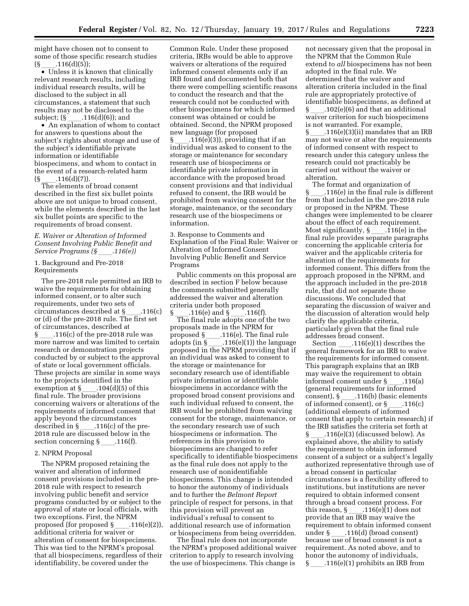might have chosen not to consent to some of those specific research studies (§ \_\_\_\_.116(d)(5));<br>• Unless it is known that clinically

relevant research results, including individual research results, will be disclosed to the subject in all circumstances, a statement that such results may not be disclosed to the subject;  $(\S_$  \_\_\_\_.116(d)(6)); and

subject; (§ \_\_\_\_.116(d)(6)); and<br>• An explanation of whom to contact for answers to questions about the subject's rights about storage and use of the subject's identifiable private information or identifiable biospecimens, and whom to contact in the event of a research-related harm  $(\S_{\text{me}}.116(d)(7)).$  The elements of broad consent

described in the first six bullet points above are not unique to broad consent, while the elements described in the last six bullet points are specific to the requirements of broad consent.

# *E. Waiver or Alteration of Informed Consent Involving Public Benefit and Service Programs* (§ 116(e))

## 1. Background and Pre-2018 Requirements

The pre-2018 rule permitted an IRB to waive the requirements for obtaining informed consent, or to alter such requirements, under two sets of circumstances described at § \_\_\_\_.116(c)<br>or (d) of the pre-2018 rule. The first set of circumstances, described at § \_\_\_\_.116(c) of the pre-2018 rule was<br>more narrow and was limited to certain research or demonstration projects conducted by or subject to the approval of state or local government officials. These projects are similar in some ways to the projects identified in the exemption at  $\S$  .104(d)(5) of this final rule. The broader provisions concerning waivers or alterations of the requirements of informed consent that apply beyond the circumstances<br>described in §  $116(c)$  of the described in §\_\_\_\_.116(c) of the pre-<br>2018 rule are discussed below in the section concerning  $\S$  \_\_\_\_\_.116(f).

#### 2. NPRM Proposal

The NPRM proposed retaining the waiver and alteration of informed consent provisions included in the pre-2018 rule with respect to research involving public benefit and service programs conducted by or subject to the approval of state or local officials, with two exceptions. First, the NPRM proposed (for proposed  $\S$  \_\_\_\_.116(e)(2)), additional criteria for waiver or alteration of consent for biospecimens. This was tied to the NPRM's proposal that all biospecimens, regardless of their identifiability, be covered under the

Common Rule. Under these proposed criteria, IRBs would be able to approve waivers or alterations of the required informed consent elements only if an IRB found and documented both that there were compelling scientific reasons to conduct the research and that the research could not be conducted with other biospecimens for which informed consent was obtained or could be obtained. Second, the NPRM proposed new language (for proposed

 $(116(e)(3))$ , providing that if an individual was asked to consent to the storage or maintenance for secondary research use of biospecimens or identifiable private information in accordance with the proposed broad consent provisions and that individual refused to consent, the IRB would be prohibited from waiving consent for the storage, maintenance, or the secondary research use of the biospecimens or information.

3. Response to Comments and Explanation of the Final Rule: Waiver or Alteration of Informed Consent Involving Public Benefit and Service Programs

Public comments on this proposal are described in section F below because the comments submitted generally addressed the waiver and alteration criteria under both proposed

§ ll.116(e) and § ll.116(f). The final rule adopts one of the two proposals made in the NPRM for proposed  $\S$  \_\_\_\_.116(e). The final rule<br>adopts (in  $\S$  .116(e)(1)) the language adopts (in § \_\_\_\_.116(e)(1)) the language<br>proposed in the NPRM providing that if an individual was asked to consent to the storage or maintenance for secondary research use of identifiable private information or identifiable biospecimens in accordance with the proposed broad consent provisions and such individual refused to consent, the IRB would be prohibited from waiving consent for the storage, maintenance, or the secondary research use of such biospecimens or information. The references in this provision to biospecimens are changed to refer specifically to identifiable biospecimens as the final rule does not apply to the research use of nonidentifiable biospecimens. This change is intended to honor the autonomy of individuals and to further the *Belmont Report*  principle of respect for persons, in that this provision will prevent an individual's refusal to consent to additional research use of information or biospecimens from being overridden.

The final rule does not incorporate the NPRM's proposed additional waiver criterion to apply to research involving the use of biospecimens. This change is

not necessary given that the proposal in the NPRM that the Common Rule extend to *all* biospecimens has not been adopted in the final rule. We determined that the waiver and alteration criteria included in the final rule are appropriately protective of identifiable biospecimens, as defined at  $\S$  .102(e)(6) and that an additional waiver criterion for such biospecimens is not warranted. For example,  $\S$  .116(e)(3)(ii) mandates that an IRB may not waive or alter the requirements of informed consent with respect to research under this category unless the research could not practicably be carried out without the waiver or alteration.

The format and organization of<br>.116(e) in the final rule is different § \_\_\_\_.116(e) in the final rule is different<br>from that included in the pre-2018 rule or proposed in the NPRM. These changes were implemented to be clearer about the effect of each requirement. Most significantly,  $\S$  .116(e) in the final rule provides separate paragraphs concerning the applicable criteria for waiver and the applicable criteria for alteration of the requirements for informed consent. This differs from the approach proposed in the NPRM, and the approach included in the pre-2018 rule, that did not separate those discussions. We concluded that separating the discussion of waiver and the discussion of alteration would help clarify the applicable criteria, particularly given that the final rule

addresses broad consent.<br>Section 116(e)(1) describes the Section ll.116(e)(1) describes the general framework for an IRB to waive the requirements for informed consent. This paragraph explains that an IRB may waive the requirement to obtain informed consent under § \_\_\_\_.116(a)<br>(general requirements for informed consent),  $\S$  . 116(b) (basic elements<br>of informed consent), or  $\S$  . 116(c) of informed consent), or §\_\_\_\_.116(c)<br>(additional elements of informed consent that apply to certain research) if the IRB satisfies the criteria set forth at  $\S$  .116(e)(3) (discussed below). As explained above, the ability to satisfy the requirement to obtain informed consent of a subject or a subject's legally authorized representative through use of a broad consent in particular circumstances is a flexibility offered to institutions, but institutions are never required to obtain informed consent through a broad consent process. For this reason, § \_\_\_\_.116(e)(1) does not<br>provide that an IRB may waive the requirement to obtain informed consent under § \_\_\_\_.116(d) (broad consent)<br>because use of broad consent is not a requirement. As noted above, and to honor the autonomy of individuals,  $\S$  .116(e)(1) prohibits an IRB from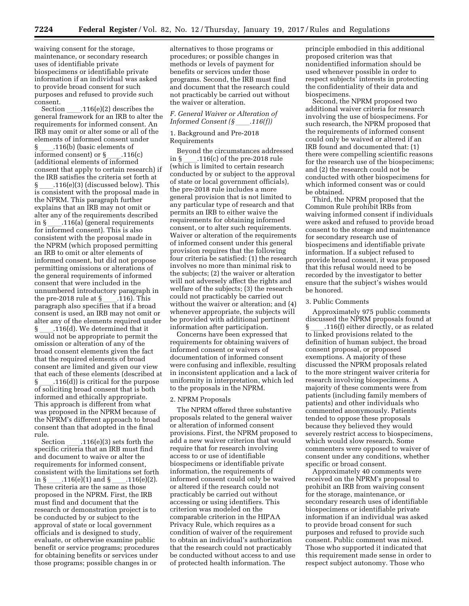waiving consent for the storage, maintenance, or secondary research uses of identifiable private biospecimens or identifiable private information if an individual was asked to provide broad consent for such purposes and refused to provide such consent.

Section ll.116(e)(2) describes the general framework for an IRB to alter the requirements for informed consent. An IRB may omit or alter some or all of the elements of informed consent under  $\S$  .116(b) (basic elements of<br>informed consent) or  $\S$  .116(c) informed consent) or §\_\_\_\_.116(c)<br>(additional elements of informed consent that apply to certain research) if the IRB satisfies the criteria set forth at § \_\_\_\_.116(e)(3) (discussed below). This<br>is consistent with the proposal made in the NPRM. This paragraph further explains that an IRB may not omit or alter any of the requirements described in §\_\_\_\_\_.116(a) (general requirements for informed consent). This is also consistent with the proposal made in the NPRM (which proposed permitting an IRB to omit or alter elements of informed consent, but did not propose permitting omissions or alterations of the general requirements of informed consent that were included in the unnumbered introductory paragraph in the pre-2018 rule at §\_\_\_\_.116). This<br>paragraph also specifies that if a broad consent is used, an IRB may not omit or alter any of the elements required under § .116(d). We determined that it would not be appropriate to permit the omission or alteration of any of the broad consent elements given the fact that the required elements of broad consent are limited and given our view that each of these elements (described at  $(116(d))$  is critical for the purpose of soliciting broad consent that is both informed and ethically appropriate. This approach is different from what was proposed in the NPRM because of the NPRM's different approach to broad consent than that adopted in the final

rule.<br>Section Section \_\_\_\_.116(e)(3) sets forth the specific criteria that an IRB must find and document to waive or alter the requirements for informed consent, consistent with the limitations set forth in § \_\_\_\_.116(e)(1) and § \_\_\_\_.116(e)(2).<br>These criteria are the same as those proposed in the NPRM. First, the IRB must find and document that the research or demonstration project is to be conducted by or subject to the approval of state or local government officials and is designed to study, evaluate, or otherwise examine public benefit or service programs; procedures for obtaining benefits or services under those programs; possible changes in or

alternatives to those programs or procedures; or possible changes in methods or levels of payment for benefits or services under those programs. Second, the IRB must find and document that the research could not practicably be carried out without the waiver or alteration.

# *F. General Waiver or Alteration of Informed Consent (§* \_\_\_\_.116(f))

1. Background and Pre-2018 Requirements

Beyond the circumstances addressed in §\_\_\_\_.116(c) of the pre-2018 rule<br>(which is limited to certain research conducted by or subject to the approval of state or local government officials), the pre-2018 rule includes a more general provision that is not limited to any particular type of research and that permits an IRB to either waive the requirements for obtaining informed consent, or to alter such requirements. Waiver or alteration of the requirements of informed consent under this general provision requires that the following four criteria be satisfied: (1) the research involves no more than minimal risk to the subjects; (2) the waiver or alteration will not adversely affect the rights and welfare of the subjects; (3) the research could not practicably be carried out without the waiver or alteration; and (4) whenever appropriate, the subjects will be provided with additional pertinent information after participation.

Concerns have been expressed that requirements for obtaining waivers of informed consent or waivers of documentation of informed consent were confusing and inflexible, resulting in inconsistent application and a lack of uniformity in interpretation, which led to the proposals in the NPRM.

#### 2. NPRM Proposals

The NPRM offered three substantive proposals related to the general waiver or alteration of informed consent provisions. First, the NPRM proposed to add a new waiver criterion that would require that for research involving access to or use of identifiable biospecimens or identifiable private information, the requirements of informed consent could only be waived or altered if the research could not practicably be carried out without accessing or using identifiers. This criterion was modeled on the comparable criterion in the HIPAA Privacy Rule, which requires as a condition of waiver of the requirement to obtain an individual's authorization that the research could not practicably be conducted without access to and use of protected health information. The

principle embodied in this additional proposed criterion was that nonidentified information should be used whenever possible in order to respect subjects' interests in protecting the confidentiality of their data and biospecimens.

Second, the NPRM proposed two additional waiver criteria for research involving the use of biospecimens. For such research, the NPRM proposed that the requirements of informed consent could only be waived or altered if an IRB found and documented that: (1) there were compelling scientific reasons for the research use of the biospecimens; and (2) the research could not be conducted with other biospecimens for which informed consent was or could be obtained.

Third, the NPRM proposed that the Common Rule prohibit IRBs from waiving informed consent if individuals were asked and refused to provide broad consent to the storage and maintenance for secondary research use of biospecimens and identifiable private information. If a subject refused to provide broad consent, it was proposed that this refusal would need to be recorded by the investigator to better ensure that the subject's wishes would be honored.

#### 3. Public Comments

Approximately 975 public comments discussed the NPRM proposals found at § 116(f) either directly, or as related to linked provisions related to the definition of human subject, the broad consent proposal, or proposed exemptions. A majority of these discussed the NPRM proposals related to the more stringent waiver criteria for research involving biospecimens. A majority of these comments were from patients (including family members of patients) and other individuals who commented anonymously. Patients tended to oppose these proposals because they believed they would severely restrict access to biospecimens, which would slow research. Some commenters were opposed to waiver of consent under any conditions, whether specific or broad consent.

Approximately 40 comments were received on the NPRM's proposal to prohibit an IRB from waiving consent for the storage, maintenance, or secondary research uses of identifiable biospecimens or identifiable private information if an individual was asked to provide broad consent for such purposes and refused to provide such consent. Public comment was mixed. Those who supported it indicated that this requirement made sense in order to respect subject autonomy. Those who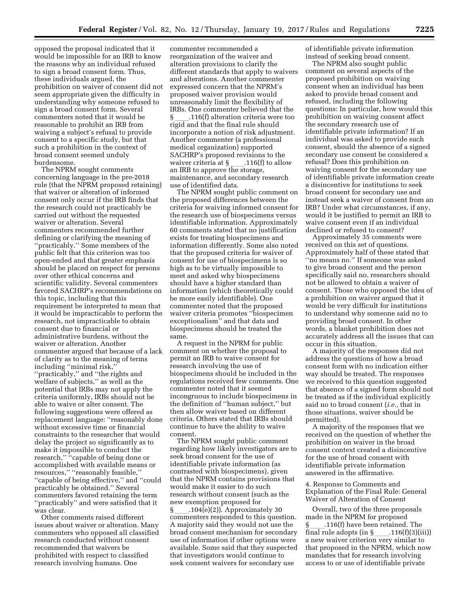opposed the proposal indicated that it would be impossible for an IRB to know the reasons why an individual refused to sign a broad consent form. Thus, these individuals argued, the prohibition on waiver of consent did not seem appropriate given the difficulty in understanding why someone refused to sign a broad consent form. Several commenters noted that it would be reasonable to prohibit an IRB from waiving a subject's refusal to provide consent to a specific study, but that such a prohibition in the context of broad consent seemed unduly burdensome.

The NPRM sought comments concerning language in the pre-2018 rule (that the NPRM proposed retaining) that waiver or alteration of informed consent only occur if the IRB finds that the research could not practicably be carried out without the requested waiver or alteration. Several commenters recommended further defining or clarifying the meaning of ''practicably.'' Some members of the public felt that this criterion was too open-ended and that greater emphasis should be placed on respect for persons over other ethical concerns and scientific validity. Several commenters favored SACHRP's recommendations on this topic, including that this requirement be interpreted to mean that it would be impracticable to perform the research, not impracticable to obtain consent due to financial or administrative burdens, without the waiver or alteration. Another commenter argued that because of a lack of clarity as to the meaning of terms including ''minimal risk,'' ''practicably,'' and ''the rights and welfare of subjects,'' as well as the potential that IRBs may not apply the criteria uniformly, IRBs should not be able to waive or alter consent. The following suggestions were offered as replacement language: ''reasonably done without excessive time or financial constraints to the researcher that would delay the project so significantly as to make it impossible to conduct the research," "capable of being done or accomplished with available means or resources,'' ''reasonably feasible,'' ''capable of being effective,'' and ''could practicably be obtained.'' Several commenters favored retaining the term ''practicably'' and were satisfied that it was clear.

Other comments raised different issues about waiver or alteration. Many commenters who opposed all classified research conducted without consent recommended that waivers be prohibited with respect to classified research involving humans. One

commenter recommended a reorganization of the waiver and alteration provisions to clarify the different standards that apply to waivers and alterations. Another commenter expressed concern that the NPRM's proposed waiver provision would unreasonably limit the flexibility of IRBs. One commenter believed that the § 116(f) alteration criteria were too rigid and that the final rule should incorporate a notion of risk adjustment. Another commenter (a professional medical organization) supported SACHRP's proposed revisions to the<br>waiver criteria at § .116(f) to allow waiver criteria at §\_\_\_\_.116(f) to allow<br>an IRB to approve the storage, maintenance, and secondary research use of identified data.

The NPRM sought public comment on the proposed differences between the criteria for waiving informed consent for the research use of biospecimens versus identifiable information. Approximately 60 comments stated that no justification exists for treating biospecimens and information differently. Some also noted that the proposed criteria for waiver of consent for use of biospecimens is so high as to be virtually impossible to meet and asked why biospecimens should have a higher standard than information (which theoretically could be more easily identifiable). One commenter noted that the proposed waiver criteria promotes ''biospecimen exceptionalism'' and that data and biospecimens should be treated the same.

A request in the NPRM for public comment on whether the proposal to permit an IRB to waive consent for research involving the use of biospecimens should be included in the regulations received few comments. One commenter noted that it seemed incongruous to include biospecimens in the definition of ''human subject,'' but then allow waiver based on different criteria. Others stated that IRBs should continue to have the ability to waive consent.

The NPRM sought public comment regarding how likely investigators are to seek broad consent for the use of identifiable private information (as contrasted with biospecimens), given that the NPRM contains provisions that would make it easier to do such research without consent (such as the new exemption proposed for  $\S$  .104(e)(2)). Approximately 30 commenters responded to this question. A majority said they would not use the broad consent mechanism for secondary use of information if other options were available. Some said that they suspected that investigators would continue to seek consent waivers for secondary use

of identifiable private information instead of seeking broad consent.

The NPRM also sought public comment on several aspects of the proposed prohibition on waiving consent when an individual has been asked to provide broad consent and refused, including the following questions: In particular, how would this prohibition on waiving consent affect the secondary research use of identifiable private information? If an individual was asked to provide such consent, should the absence of a signed secondary use consent be considered a refusal? Does this prohibition on waiving consent for the secondary use of identifiable private information create a disincentive for institutions to seek broad consent for secondary use and instead seek a waiver of consent from an IRB? Under what circumstances, if any, would it be justified to permit an IRB to waive consent even if an individual declined or refused to consent?

Approximately 35 comments were received on this set of questions. Approximately half of these stated that ''no means no.'' If someone was asked to give broad consent and the person specifically said no, researchers should not be allowed to obtain a waiver of consent. Those who opposed the idea of a prohibition on waiver argued that it would be very difficult for institutions to understand why someone said no to providing broad consent. In other words, a blanket prohibition does not accurately address all the issues that can occur in this situation.

A majority of the responses did not address the questions of how a broad consent form with no indication either way should be treated. The responses we received to this question suggested that absence of a signed form should not be treated as if the individual explicitly said no to broad consent (*i.e.,* that in those situations, waiver should be permitted).

A majority of the responses that we received on the question of whether the prohibition on waiver in the broad consent context created a disincentive for the use of broad consent with identifiable private information answered in the affirmative.

4. Response to Comments and Explanation of the Final Rule: General Waiver of Alteration of Consent

Overall, two of the three proposals made in the NPRM for proposed § ll.116(f) have been retained. The final rule adopts (in  $\S$ . 116(f)(3)(iii)) a new waiver criterion very similar to that proposed in the NPRM, which now mandates that for research involving access to or use of identifiable private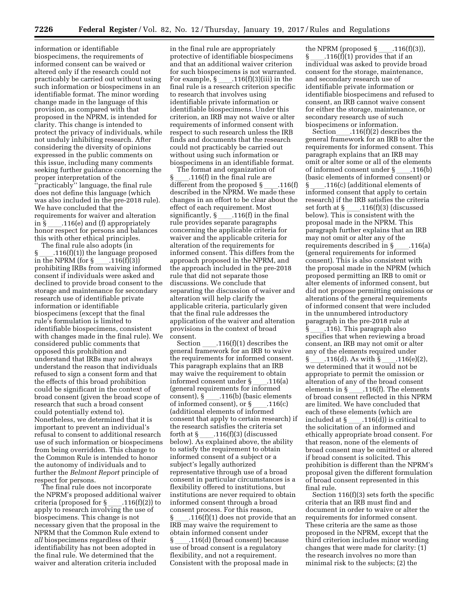information or identifiable biospecimens, the requirements of informed consent can be waived or altered only if the research could not practicably be carried out without using such information or biospecimens in an identifiable format. The minor wording change made in the language of this provision, as compared with that proposed in the NPRM, is intended for clarity. This change is intended to protect the privacy of individuals, while not unduly inhibiting research. After considering the diversity of opinions expressed in the public comments on this issue, including many comments seeking further guidance concerning the proper interpretation of the 'practicably" language, the final rule does not define this language (which was also included in the pre-2018 rule). We have concluded that the requirements for waiver and alteration in § \_\_\_\_.116(e) and (f) appropriately<br>honor respect for persons and balances this with other ethical principles.

The final rule also adopts (in § ll.116(f)(1)) the language proposed in the NPRM (for §\_\_\_\_.116(f)(3))<br>prohibiting IRBs from waiving informed consent if individuals were asked and declined to provide broad consent to the storage and maintenance for secondary research use of identifiable private information or identifiable biospecimens (except that the final rule's formulation is limited to identifiable biospecimens, consistent with changes made in the final rule). We considered public comments that opposed this prohibition and understand that IRBs may not always understand the reason that individuals refused to sign a consent form and that the effects of this broad prohibition could be significant in the context of broad consent (given the broad scope of research that such a broad consent could potentially extend to). Nonetheless, we determined that it is important to prevent an individual's refusal to consent to additional research use of such information or biospecimens from being overridden. This change to the Common Rule is intended to honor the autonomy of individuals and to further the *Belmont Report* principle of respect for persons.

The final rule does not incorporate the NPRM's proposed additional waiver criteria (proposed for § \_\_\_\_.116(f)(2)) to<br>apply to research involving the use of biospecimens. This change is not necessary given that the proposal in the NPRM that the Common Rule extend to *all* biospecimens regardless of their identifiability has not been adopted in the final rule. We determined that the waiver and alteration criteria included

in the final rule are appropriately protective of identifiable biospecimens and that an additional waiver criterion for such biospecimens is not warranted. For example, § \_\_\_\_.116(f)(3)(iii) in the<br>final rule is a research criterion specific to research that involves using identifiable private information or identifiable biospecimens. Under this criterion, an IRB may not waive or alter requirements of informed consent with respect to such research unless the IRB finds and documents that the research could not practicably be carried out without using such information or biospecimens in an identifiable format. The format and organization of

 $\S$  .116(f) in the final rule are different from the proposed  $\S$ different from the proposed §\_\_\_\_.116(f)<br>described in the NPRM. We made these changes in an effort to be clear about the effect of each requirement. Most significantly, § \_\_\_\_.116(f) in the final<br>rule provides separate paragraphs concerning the applicable criteria for waiver and the applicable criteria for alteration of the requirements for informed consent. This differs from the approach proposed in the NPRM, and the approach included in the pre-2018 rule that did not separate those discussions. We conclude that separating the discussion of waiver and alteration will help clarify the applicable criteria, particularly given that the final rule addresses the application of the waiver and alteration provisions in the context of broad consent.

Section ll.116(f)(1) describes the general framework for an IRB to waive the requirements for informed consent. This paragraph explains that an IRB may waive the requirement to obtain informed consent under § \_\_\_\_.116(a)<br>(general requirements for informed consent),  $\S$  .116(b) (basic elements<br>of informed consent), or  $\S$  .116(c) of informed consent), or §\_\_\_\_.116(c)<br>(additional elements of informed consent that apply to certain research) if the research satisfies the criteria set forth at § \_\_\_\_.116(f)(3) (discussed<br>below). As explained above, the ability to satisfy the requirement to obtain informed consent of a subject or a subject's legally authorized representative through use of a broad consent in particular circumstances is a flexibility offered to institutions, but institutions are never required to obtain informed consent through a broad consent process. For this reason,  $.116(f)(1)$  does not provide that an IRB may waive the requirement to obtain informed consent under § ll.116(d) (broad consent) because use of broad consent is a regulatory flexibility, and not a requirement. Consistent with the proposal made in

the NPRM (proposed  $\S$  \_\_\_\_. 116(f)(3)),<br> $\S$  .116(f)(1) provides that if an  $.116(f)(1)$  provides that if an individual was asked to provide broad consent for the storage, maintenance, and secondary research use of identifiable private information or identifiable biospecimens and refused to consent, an IRB cannot waive consent for either the storage, maintenance, or secondary research use of such biospecimens or information.

Sectionll.116(f)(2) describes the general framework for an IRB to alter the requirements for informed consent. This paragraph explains that an IRB may omit or alter some or all of the elements of informed consent under §\_\_\_\_.116(b)<br>(basic elements of informed consent) or § \_\_\_\_.116(c) (additional elements of<br>informed consent that apply to certain research) if the IRB satisfies the criteria set forth at §\_\_\_\_.116(f)(3) (discussed<br>below). This is consistent with the proposal made in the NPRM. This paragraph further explains that an IRB may not omit or alter any of the requirements described in §\_\_\_\_.116(a)<br>(general requirements for informed consent). This is also consistent with the proposal made in the NPRM (which proposed permitting an IRB to omit or alter elements of informed consent, but did not propose permitting omissions or alterations of the general requirements of informed consent that were included in the unnumbered introductory paragraph in the pre-2018 rule at § ll.116). This paragraph also specifies that when reviewing a broad consent, an IRB may not omit or alter any of the elements required under  $\S$  \_\_\_\_.116(d). As with  $\S$  \_\_\_\_.116(e)(2), we determined that it would not be appropriate to permit the omission or alteration of any of the broad consent elements in  $\S$  .116(f). The elements of broad consent reflected in this NPRM are limited. We have concluded that each of these elements (which are<br>included at § .116(d)) is critical to included at § \_\_\_\_.116(d)) is critical to<br>the solicitation of an informed and ethically appropriate broad consent. For that reason, none of the elements of broad consent may be omitted or altered if broad consent is solicited. This prohibition is different than the NPRM's proposal given the different formulation of broad consent represented in this final rule.

Section 116(f)(3) sets forth the specific criteria that an IRB must find and document in order to waive or alter the requirements for informed consent. These criteria are the same as those proposed in the NPRM, except that the third criterion includes minor wording changes that were made for clarity: (1) the research involves no more than minimal risk to the subjects; (2) the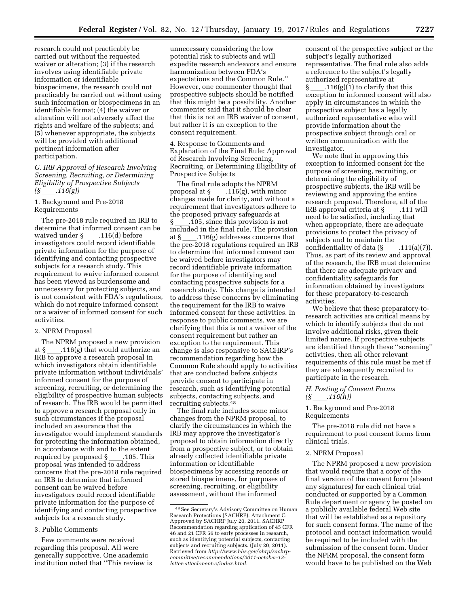research could not practicably be carried out without the requested waiver or alteration; (3) if the research involves using identifiable private information or identifiable biospecimens, the research could not practicably be carried out without using such information or biospecimens in an identifiable format; (4) the waiver or alteration will not adversely affect the rights and welfare of the subjects; and (5) whenever appropriate, the subjects will be provided with additional pertinent information after participation.

*G. IRB Approval of Research Involving Screening, Recruiting, or Determining Eligibility of Prospective Subjects (§* ll*.116(g))* 

1. Background and Pre-2018 Requirements

The pre-2018 rule required an IRB to determine that informed consent can be waived under § \_\_\_\_.116(d) before<br>investigators could record identifiable private information for the purpose of identifying and contacting prospective subjects for a research study. This requirement to waive informed consent has been viewed as burdensome and unnecessary for protecting subjects, and is not consistent with FDA's regulations, which do not require informed consent or a waiver of informed consent for such activities.

# 2. NPRM Proposal

The NPRM proposed a new provision at  $\S$  .116(g) that would authorize an IRB to approve a research proposal in which investigators obtain identifiable private information without individuals' informed consent for the purpose of screening, recruiting, or determining the eligibility of prospective human subjects of research. The IRB would be permitted to approve a research proposal only in such circumstances if the proposal included an assurance that the investigator would implement standards for protecting the information obtained, in accordance with and to the extent required by proposed § \_\_\_\_.105. This<br>proposal was intended to address concerns that the pre-2018 rule required an IRB to determine that informed consent can be waived before investigators could record identifiable private information for the purpose of identifying and contacting prospective subjects for a research study.

## 3. Public Comments

Few comments were received regarding this proposal. All were generally supportive. One academic institution noted that ''This review is

unnecessary considering the low potential risk to subjects and will expedite research endeavors and ensure harmonization between FDA's expectations and the Common Rule.'' However, one commenter thought that prospective subjects should be notified that this might be a possibility. Another commenter said that it should be clear that this is not an IRB waiver of consent, but rather it is an exception to the consent requirement.

4. Response to Comments and Explanation of the Final Rule: Approval of Research Involving Screening, Recruiting, or Determining Eligibility of Prospective Subjects

The final rule adopts the NPRM proposal at § \_\_\_\_.116(g), with minor<br>changes made for clarity, and without a requirement that investigators adhere to the proposed privacy safeguards at § 105, since this provision is not included in the final rule. The provision at §\_\_\_\_.116(g) addresses concerns that<br>the pre-2018 regulations required an IRB to determine that informed consent can be waived before investigators may record identifiable private information for the purpose of identifying and contacting prospective subjects for a research study. This change is intended to address these concerns by eliminating the requirement for the IRB to waive informed consent for these activities. In response to public comments, we are clarifying that this is not a waiver of the consent requirement but rather an exception to the requirement. This change is also responsive to SACHRP's recommendation regarding how the Common Rule should apply to activities that are conducted before subjects provide consent to participate in research, such as identifying potential subjects, contacting subjects, and recruiting subjects.48

The final rule includes some minor changes from the NPRM proposal, to clarify the circumstances in which the IRB may approve the investigator's proposal to obtain information directly from a prospective subject, or to obtain already collected identifiable private information or identifiable biospecimens by accessing records or stored biospecimens, for purposes of screening, recruiting, or eligibility assessment, without the informed

consent of the prospective subject or the subject's legally authorized representative. The final rule also adds a reference to the subject's legally authorized representative at

 $.116(g)(1)$  to clarify that this exception to informed consent will also apply in circumstances in which the prospective subject has a legally authorized representative who will provide information about the prospective subject through oral or written communication with the investigator.

We note that in approving this exception to informed consent for the purpose of screening, recruiting, or determining the eligibility of prospective subjects, the IRB will be reviewing and approving the entire research proposal. Therefore, all of the IRB approval criteria at  $\S$ .111 will need to be satisfied, including that when appropriate, there are adequate provisions to protect the privacy of subjects and to maintain the confidentiality of data (§ \_\_\_\_.111(a)(7)).<br>Thus, as part of its review and approval of the research, the IRB must determine that there are adequate privacy and confidentiality safeguards for information obtained by investigators for these preparatory-to-research activities.

We believe that these preparatory-toresearch activities are critical means by which to identify subjects that do not involve additional risks, given their limited nature. If prospective subjects are identified through these ''screening'' activities, then all other relevant requirements of this rule must be met if they are subsequently recruited to participate in the research.

#### *H. Posting of Consent Forms (§* ll*.116(h))*

# 1. Background and Pre-2018 Requirements

The pre-2018 rule did not have a requirement to post consent forms from clinical trials.

#### 2. NPRM Proposal

The NPRM proposed a new provision that would require that a copy of the final version of the consent form (absent any signatures) for each clinical trial conducted or supported by a Common Rule department or agency be posted on a publicly available federal Web site that will be established as a repository for such consent forms. The name of the protocol and contact information would be required to be included with the submission of the consent form. Under the NPRM proposal, the consent form would have to be published on the Web

<sup>48</sup>See Secretary's Advisory Committee on Human Research Protections (SACHRP). Attachment C: Approved by SACHRP July 20, 2011. SACHRP Recommendation regarding application of 45 CFR 46 and 21 CFR 56 to early processes in research, such as identifying potential subjects, contacting subjects and recruiting subjects. (July 20, 2011). Retrieved from *[http://www.hhs.gov/ohrp/sachrp](http://www.hhs.gov/ohrp/sachrp-committee/recommendations/2011-october-13-letter-attachment-c/index.html)[committee/recommendations/2011-october-13](http://www.hhs.gov/ohrp/sachrp-committee/recommendations/2011-october-13-letter-attachment-c/index.html) [letter-attachment-c/index.html.](http://www.hhs.gov/ohrp/sachrp-committee/recommendations/2011-october-13-letter-attachment-c/index.html)*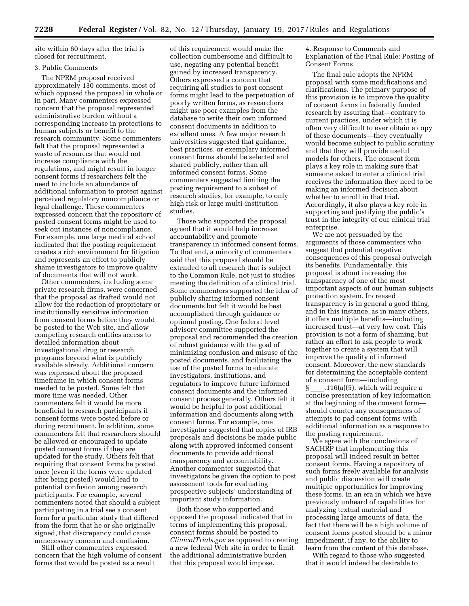site within 60 days after the trial is closed for recruitment.

# 3. Public Comments

The NPRM proposal received approximately 130 comments, most of which opposed the proposal in whole or in part. Many commenters expressed concern that the proposal represented administrative burden without a corresponding increase in protections to human subjects or benefit to the research community. Some commenters felt that the proposal represented a waste of resources that would not increase compliance with the regulations, and might result in longer consent forms if researchers felt the need to include an abundance of additional information to protect against perceived regulatory noncompliance or legal challenge. These commenters expressed concern that the repository of posted consent forms might be used to seek out instances of noncompliance. For example, one large medical school indicated that the posting requirement creates a rich environment for litigation and represents an effort to publicly shame investigators to improve quality of documents that will not work.

Other commenters, including some private research firms, were concerned that the proposal as drafted would not allow for the redaction of proprietary or institutionally sensitive information from consent forms before they would be posted to the Web site, and allow competing research entities access to detailed information about investigational drug or research programs beyond what is publicly available already. Additional concern was expressed about the proposed timeframe in which consent forms needed to be posted. Some felt that more time was needed. Other commenters felt it would be more beneficial to research participants if consent forms were posted before or during recruitment. In addition, some commenters felt that researchers should be allowed or encouraged to update posted consent forms if they are updated for the study. Others felt that requiring that consent forms be posted once (even if the forms were updated after being posted) would lead to potential confusion among research participants. For example, several commenters noted that should a subject participating in a trial see a consent form for a particular study that differed from the form that he or she originally signed, that discrepancy could cause unnecessary concern and confusion.

Still other commenters expressed concern that the high volume of consent forms that would be posted as a result

of this requirement would make the collection cumbersome and difficult to use, negating any potential benefit gained by increased transparency. Others expressed a concern that requiring all studies to post consent forms might lead to the perpetuation of poorly written forms, as researchers might use poor examples from the database to write their own informed consent documents in addition to excellent ones. A few major research universities suggested that guidance, best practices, or exemplary informed consent forms should be selected and shared publicly, rather than all informed consent forms. Some commenters suggested limiting the posting requirement to a subset of research studies, for example, to only high risk or large multi-institution studies.

Those who supported the proposal agreed that it would help increase accountability and promote transparency in informed consent forms. To that end, a minority of commenters said that this proposal should be extended to all research that is subject to the Common Rule, not just to studies meeting the definition of a clinical trial. Some commenters supported the idea of publicly sharing informed consent documents but felt it would be best accomplished through guidance or optional posting. One federal level advisory committee supported the proposal and recommended the creation of robust guidance with the goal of minimizing confusion and misuse of the posted documents, and facilitating the use of the posted forms to educate investigators, institutions, and regulators to improve future informed consent documents and the informed consent process generally. Others felt it would be helpful to post additional information and documents along with consent forms. For example, one investigator suggested that copies of IRB proposals and decisions be made public along with approved informed consent documents to provide additional transparency and accountability. Another commenter suggested that investigators be given the option to post assessment tools for evaluating prospective subjects' understanding of important study information.

Both those who supported and opposed the proposal indicated that in terms of implementing this proposal, consent forms should be posted to *ClinicalTrials.gov* as opposed to creating a new federal Web site in order to limit the additional administrative burden that this proposal would impose.

4. Response to Comments and Explanation of the Final Rule: Posting of Consent Forms

The final rule adopts the NPRM proposal with some modifications and clarifications. The primary purpose of this provision is to improve the quality of consent forms in federally funded research by assuring that—contrary to current practices, under which it is often very difficult to ever obtain a copy of these documents—they eventually would become subject to public scrutiny and that they will provide useful models for others. The consent form plays a key role in making sure that someone asked to enter a clinical trial receives the information they need to be making an informed decision about whether to enroll in that trial. Accordingly, it also plays a key role in supporting and justifying the public's trust in the integrity of our clinical trial enterprise.

We are not persuaded by the arguments of those commenters who suggest that potential negative consequences of this proposal outweigh its benefits. Fundamentally, this proposal is about increasing the transparency of one of the most important aspects of our human subjects protection system. Increased transparency is in general a good thing, and in this instance, as in many others, it offers multiple benefits—including increased trust—at very low cost. This provision is not a form of shaming, but rather an effort to ask people to work together to create a system that will improve the quality of informed consent. Moreover, the new standards for determining the acceptable content of a consent form—including

 $\S$  .116(a)(5), which will require a concise presentation of key information at the beginning of the consent form should counter any consequences of attempts to pad consent forms with additional information as a response to the posting requirement.

We agree with the conclusions of SACHRP that implementing this proposal will indeed result in better consent forms. Having a repository of such forms freely available for analysis and public discussion will create multiple opportunities for improving these forms. In an era in which we have previously unheard of capabilities for analyzing textual material and processing large amounts of data, the fact that there will be a high volume of consent forms posted should be a minor impediment, if any, to the ability to learn from the content of this database.

With regard to those who suggested that it would indeed be desirable to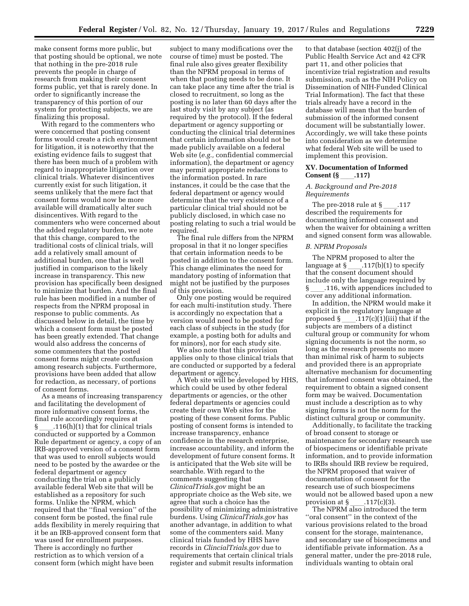make consent forms more public, but that posting should be optional, we note that nothing in the pre-2018 rule prevents the people in charge of research from making their consent forms public, yet that is rarely done. In order to significantly increase the transparency of this portion of our system for protecting subjects, we are finalizing this proposal.

With regard to the commenters who were concerned that posting consent forms would create a rich environment for litigation, it is noteworthy that the existing evidence fails to suggest that there has been much of a problem with regard to inappropriate litigation over clinical trials. Whatever disincentives currently exist for such litigation, it seems unlikely that the mere fact that consent forms would now be more available will dramatically alter such disincentives. With regard to the commenters who were concerned about the added regulatory burden, we note that this change, compared to the traditional costs of clinical trials, will add a relatively small amount of additional burden, one that is well justified in comparison to the likely increase in transparency. This new provision has specifically been designed to minimize that burden. And the final rule has been modified in a number of respects from the NPRM proposal in response to public comments. As discussed below in detail, the time by which a consent form must be posted has been greatly extended. That change would also address the concerns of some commenters that the posted consent forms might create confusion among research subjects. Furthermore, provisions have been added that allow for redaction, as necessary, of portions of consent forms.

As a means of increasing transparency and facilitating the development of more informative consent forms, the final rule accordingly requires at<br>§ .116(h)(1) that for clinical trials § \_\_\_\_.116(h)(1) that for clinical trials<br>conducted or supported by a Common Rule department or agency, a copy of an IRB-approved version of a consent form that was used to enroll subjects would need to be posted by the awardee or the federal department or agency conducting the trial on a publicly available federal Web site that will be established as a repository for such forms. Unlike the NPRM, which required that the ''final version'' of the consent form be posted, the final rule adds flexibility in merely requiring that it be an IRB-approved consent form that was used for enrollment purposes. There is accordingly no further restriction as to which version of a consent form (which might have been

subject to many modifications over the course of time) must be posted. The final rule also gives greater flexibility than the NPRM proposal in terms of when that posting needs to be done. It can take place any time after the trial is closed to recruitment, so long as the posting is no later than 60 days after the last study visit by any subject (as required by the protocol). If the federal department or agency supporting or conducting the clinical trial determines that certain information should not be made publicly available on a federal Web site (*e.g.,* confidential commercial information), the department or agency may permit appropriate redactions to the information posted. In rare instances, it could be the case that the federal department or agency would determine that the very existence of a particular clinical trial should not be publicly disclosed, in which case no posting relating to such a trial would be required.

The final rule differs from the NPRM proposal in that it no longer specifies that certain information needs to be posted in addition to the consent form. This change eliminates the need for mandatory posting of information that might not be justified by the purposes of this provision.

Only one posting would be required for each multi-institution study. There is accordingly no expectation that a version would need to be posted for each class of subjects in the study (for example, a posting both for adults and for minors), nor for each study site.

We also note that this provision applies only to those clinical trials that are conducted or supported by a federal department or agency.

A Web site will be developed by HHS, which could be used by other federal departments or agencies, or the other federal departments or agencies could create their own Web sites for the posting of these consent forms. Public posting of consent forms is intended to increase transparency, enhance confidence in the research enterprise, increase accountability, and inform the development of future consent forms. It is anticipated that the Web site will be searchable. With regard to the comments suggesting that *ClinicalTrials.gov* might be an appropriate choice as the Web site, we agree that such a choice has the possibility of minimizing administrative burdens. Using *ClinicalTrials.gov* has another advantage, in addition to what some of the commenters said. Many clinical trials funded by HHS have records in *ClincialTrials.gov* due to requirements that certain clinical trials register and submit results information

to that database (section 402(j) of the Public Health Service Act and 42 CFR part 11, and other policies that incentivize trial registration and results submission, such as the NIH Policy on Dissemination of NIH-Funded Clinical Trial Information). The fact that these trials already have a record in the database will mean that the burden of submission of the informed consent document will be substantially lower. Accordingly, we will take these points into consideration as we determine what federal Web site will be used to implement this provision.

## **XV. Documentation of Informed Consent (§**ll**.117)**

# *A. Background and Pre-2018 Requirements*

The pre-2018 rule at  $\S$  \_\_\_\_\_.117 described the requirements for documenting informed consent and when the waiver for obtaining a written and signed consent form was allowable.

#### *B. NPRM Proposals*

The NPRM proposed to alter the language at § \_\_\_\_.117(b)(1) to specify<br>that the consent document should include only the language required by § ll.116, with appendices included to cover any additional information.

In addition, the NPRM would make it explicit in the regulatory language at proposed § \_\_\_\_.117(c)(1)(iii) that if the<br>subjects are members of a distinct cultural group or community for whom signing documents is not the norm, so long as the research presents no more than minimal risk of harm to subjects and provided there is an appropriate alternative mechanism for documenting that informed consent was obtained, the requirement to obtain a signed consent form may be waived. Documentation must include a description as to why signing forms is not the norm for the distinct cultural group or community.

Additionally, to facilitate the tracking of broad consent to storage or maintenance for secondary research use of biospecimens or identifiable private information, and to provide information to IRBs should IRB review be required, the NPRM proposed that waiver of documentation of consent for the research use of such biospecimens would not be allowed based upon a new

provision at § \_\_\_\_.117(c)(3).<br>The NPRM also introduced the term "oral consent" in the context of the various provisions related to the broad consent for the storage, maintenance, and secondary use of biospecimens and identifiable private information. As a general matter, under the pre-2018 rule, individuals wanting to obtain oral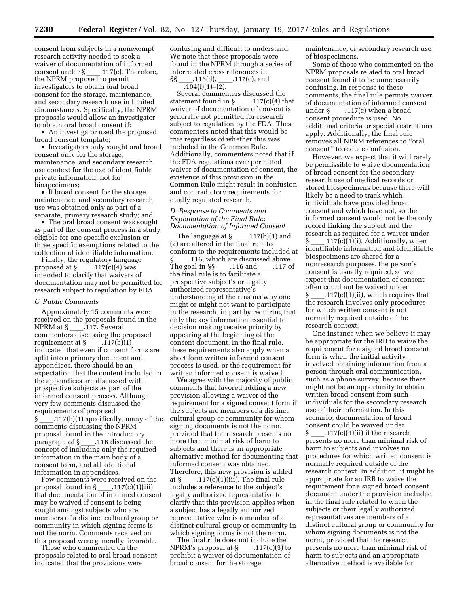consent from subjects in a nonexempt research activity needed to seek a waiver of documentation of informed consent under § \_\_\_\_.117(c). Therefore,<br>the NPRM proposed to permit investigators to obtain oral broad consent for the storage, maintenance, and secondary research use in limited circumstances. Specifically, the NPRM proposals would allow an investigator to obtain oral broad consent if:

• An investigator used the proposed broad consent template;

• Investigators only sought oral broad consent only for the storage, maintenance, and secondary research use context for the use of identifiable private information, not for biospecimens;

• If broad consent for the storage, maintenance, and secondary research use was obtained only as part of a separate, primary research study; and

• The oral broad consent was sought as part of the consent process in a study eligible for one specific exclusion or three specific exemptions related to the collection of identifiable information.

Finally, the regulatory language proposed at § \_\_\_\_.117(c)(4) was<br>intended to clarify that waivers of documentation may not be permitted for research subject to regulation by FDA.

#### *C. Public Comments*

Approximately 15 comments were received on the proposals found in the<br>NPRM at § .117. Several NPRM at § \_\_\_\_.117. Several<br>commenters discussing the proposed requirement at §\_\_\_\_.117(b)(1)<br>indicated that even if consent forms are split into a primary document and appendices, there should be an expectation that the content included in the appendices are discussed with prospective subjects as part of the informed consent process. Although very few comments discussed the requirements of proposed § ll.117(b)(1) specifically, many of the comments discussing the NPRM proposal found in the introductory paragraph of §\_\_\_\_.116 discussed the<br>concept of including only the required information in the main body of a consent form, and all additional information in appendices.

Few comments were received on the proposal found in §\_\_\_\_.117(c)(1)(iii)<br>that documentation of informed consent may be waived if consent is being sought amongst subjects who are members of a distinct cultural group or community in which signing forms is not the norm. Comments received on this proposal were generally favorable.

Those who commented on the proposals related to oral broad consent indicated that the provisions were

confusing and difficult to understand. We note that these proposals were found in the NPRM through a series of interrelated cross references in  $\frac{\$}{\$}\frac{116(d)}{104(f)(1-(2))}$ .117(c), and

 $\frac{104(f)(1)-(2)}{3}$ . Several commenters discussed the statement found in §\_\_\_\_.117(c)(4) that<br>waiver of documentation of consent is generally not permitted for research subject to regulation by the FDA. These commenters noted that this would be true regardless of whether this was included in the Common Rule. Additionally, commenters noted that if the FDA regulations ever permitted waiver of documentation of consent, the existence of this provision in the Common Rule might result in confusion and contradictory requirements for dually regulated research.

#### *D. Response to Comments and Explanation of the Final Rule: Documentation of Informed Consent*

The language at  $\S$  \_\_\_\_.117(b)(1) and (2) are altered in the final rule to conform to the requirements included at  $\S$  .116, which are discussed above.<br>The goal in  $\S$  .116 and .117 of The goal in §§ \_\_\_\_.116 and \_\_\_\_\_.117 of<br>the final rule is to facilitate a prospective subject's or legally authorized representative's understanding of the reasons why one might or might not want to participate in the research, in part by requiring that only the key information essential to decision making receive priority by appearing at the beginning of the consent document. In the final rule, these requirements also apply when a short form written informed consent process is used, or the requirement for written informed consent is waived.

We agree with the majority of public comments that favored adding a new provision allowing a waiver of the requirement for a signed consent form if the subjects are members of a distinct cultural group or community for whom signing documents is not the norm, provided that the research presents no more than minimal risk of harm to subjects and there is an appropriate alternative method for documenting that informed consent was obtained. Therefore, this new provision is added at § \_\_\_\_.117(c)(1)(iii). The final rule<br>includes a reference to the subject's legally authorized representative to clarify that this provision applies when a subject has a legally authorized representative who is a member of a distinct cultural group or community in which signing forms is not the norm.

The final rule does not include the NPRM's proposal at § \_\_\_\_.117(c)(3) to<br>prohibit a waiver of documentation of broad consent for the storage,

maintenance, or secondary research use of biospecimens.

Some of those who commented on the NPRM proposals related to oral broad consent found it to be unnecessarily confusing. In response to these comments, the final rule permits waiver of documentation of informed consent under § \_\_\_\_.117(c) when a broad<br>consent procedure is used. No additional criteria or special restrictions apply. Additionally, the final rule removes all NPRM references to ''oral consent'' to reduce confusion.

However, we expect that it will rarely be permissible to waive documentation of broad consent for the secondary research use of medical records or stored biospecimens because there will likely be a need to track which individuals have provided broad consent and which have not, so the informed consent would not be the only record linking the subject and the research as required for a waiver under  $.117(c)(1)(i)$ . Additionally, when identifiable information and identifiable biospecimens are shared for a nonresearch purposes, the person's consent is usually required, so we expect that documentation of consent often could not be waived under  $\S$  \_\_\_\_\_.117(c)(1)(ii), which requires that

the research involves only procedures for which written consent is not normally required outside of the research context.

One instance when we believe it may be appropriate for the IRB to waive the requirement for a signed broad consent form is when the initial activity involved obtaining information from a person through oral communication, such as a phone survey, because there might not be an opportunity to obtain written broad consent from such individuals for the secondary research use of their information. In this scenario, documentation of broad consent could be waived under  $\S$  \_\_\_\_\_.117(c)(1)(ii) if the research presents no more than minimal risk of harm to subjects and involves no procedures for which written consent is normally required outside of the research context. In addition, it might be appropriate for an IRB to waive the requirement for a signed broad consent document under the provision included in the final rule related to when the subjects or their legally authorized representatives are members of a distinct cultural group or community for whom signing documents is not the norm, provided that the research presents no more than minimal risk of harm to subjects and an appropriate alternative method is available for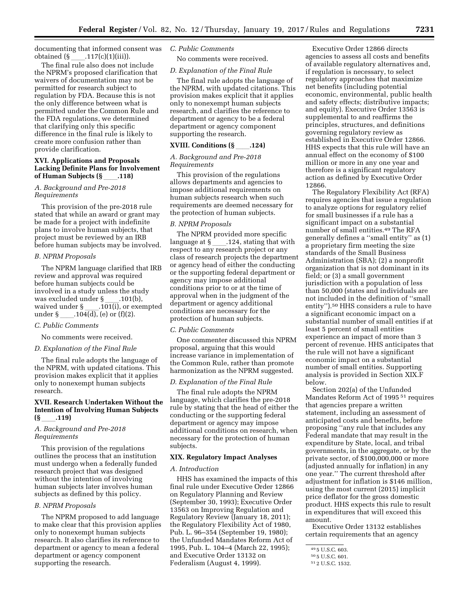documenting that informed consent was obtained  $(\S$  \_\_\_\_\_.117(c)(1)(iii)).

The final rule also does not include the NPRM's proposed clarification that waivers of documentation may not be permitted for research subject to regulation by FDA. Because this is not the only difference between what is permitted under the Common Rule and the FDA regulations, we determined that clarifying only this specific difference in the final rule is likely to create more confusion rather than provide clarification.

# **XVI. Applications and Proposals Lacking Definite Plans for Involvement of Human Subjects (§**ll**.118)**

#### *A. Background and Pre-2018 Requirements*

This provision of the pre-2018 rule stated that while an award or grant may be made for a project with indefinite plans to involve human subjects, that project must be reviewed by an IRB before human subjects may be involved.

## *B. NPRM Proposals*

The NPRM language clarified that IRB review and approval was required before human subjects could be involved in a study unless the study<br>was excluded under § 101(b), was excluded under §ll.101(b), waived under § ll.101(i), or exempted  $.104(d)$ , (e) or (f)(2).

#### *C. Public Comments*

No comments were received.

## *D. Explanation of the Final Rule*

The final rule adopts the language of the NPRM, with updated citations. This provision makes explicit that it applies only to nonexempt human subjects research.

# **XVII. Research Undertaken Without the Intention of Involving Human Subjects (§** ll**.119)**

## *A. Background and Pre-2018 Requirements*

This provision of the regulations outlines the process that an institution must undergo when a federally funded research project that was designed without the intention of involving human subjects later involves human subjects as defined by this policy.

# *B. NPRM Proposals*

The NPRM proposed to add language to make clear that this provision applies only to nonexempt human subjects research. It also clarifies its reference to department or agency to mean a federal department or agency component supporting the research.

# *C. Public Comments*

# No comments were received.

## *D. Explanation of the Final Rule*

The final rule adopts the language of the NPRM, with updated citations. This provision makes explicit that it applies only to nonexempt human subjects research, and clarifies the reference to department or agency to be a federal department or agency component supporting the research.

## **XVIII.** Conditions (§ \_\_\_\_.124)

*A. Background and Pre-2018 Requirements* 

This provision of the regulations allows departments and agencies to impose additional requirements on human subjects research when such requirements are deemed necessary for the protection of human subjects.

#### *B. NPRM Proposals*

The NPRM provided more specific language at  $\S$  \_\_\_\_\_. 124, stating that with respect to any research project or any class of research projects the department or agency head of either the conducting or the supporting federal department or agency may impose additional conditions prior to or at the time of approval when in the judgment of the department or agency additional conditions are necessary for the protection of human subjects.

## *C. Public Comments*

One commenter discussed this NPRM proposal, arguing that this would increase variance in implementation of the Common Rule, rather than promote harmonization as the NPRM suggested.

## *D. Explanation of the Final Rule*

The final rule adopts the NPRM language, which clarifies the pre-2018 rule by stating that the head of either the conducting or the supporting federal department or agency may impose additional conditions on research, when necessary for the protection of human subjects.

#### **XIX. Regulatory Impact Analyses**

#### *A. Introduction*

HHS has examined the impacts of this final rule under Executive Order 12866 on Regulatory Planning and Review (September 30, 1993); Executive Order 13563 on Improving Regulation and Regulatory Review (January 18, 2011); the Regulatory Flexibility Act of 1980, Pub. L. 96–354 (September 19, 1980); the Unfunded Mandates Reform Act of 1995, Pub. L. 104–4 (March 22, 1995); and Executive Order 13132 on Federalism (August 4, 1999).

Executive Order 12866 directs agencies to assess all costs and benefits of available regulatory alternatives and, if regulation is necessary, to select regulatory approaches that maximize net benefits (including potential economic, environmental, public health and safety effects; distributive impacts; and equity). Executive Order 13563 is supplemental to and reaffirms the principles, structures, and definitions governing regulatory review as established in Executive Order 12866. HHS expects that this rule will have an annual effect on the economy of \$100 million or more in any one year and therefore is a significant regulatory action as defined by Executive Order 12866.

The Regulatory Flexibility Act (RFA) requires agencies that issue a regulation to analyze options for regulatory relief for small businesses if a rule has a significant impact on a substantial number of small entities.49 The RFA generally defines a ''small entity'' as (1) a proprietary firm meeting the size standards of the Small Business Administration (SBA); (2) a nonprofit organization that is not dominant in its field; or (3) a small government jurisdiction with a population of less than 50,000 (states and individuals are not included in the definition of ''small entity'').50 HHS considers a rule to have a significant economic impact on a substantial number of small entities if at least 5 percent of small entities experience an impact of more than 3 percent of revenue. HHS anticipates that the rule will not have a significant economic impact on a substantial number of small entities. Supporting analysis is provided in Section XIX.F below.

Section 202(a) of the Unfunded Mandates Reform Act of 1995 51 requires that agencies prepare a written statement, including an assessment of anticipated costs and benefits, before proposing ''any rule that includes any Federal mandate that may result in the expenditure by State, local, and tribal governments, in the aggregate, or by the private sector, of \$100,000,000 or more (adjusted annually for inflation) in any one year.'' The current threshold after adjustment for inflation is \$146 million, using the most current (2015) implicit price deflator for the gross domestic product. HHS expects this rule to result in expenditures that will exceed this amount.

Executive Order 13132 establishes certain requirements that an agency

<sup>49</sup> 5 U.S.C. 603.

<sup>50</sup> 5 U.S.C. 601.

<sup>51</sup> 2 U.S.C. 1532.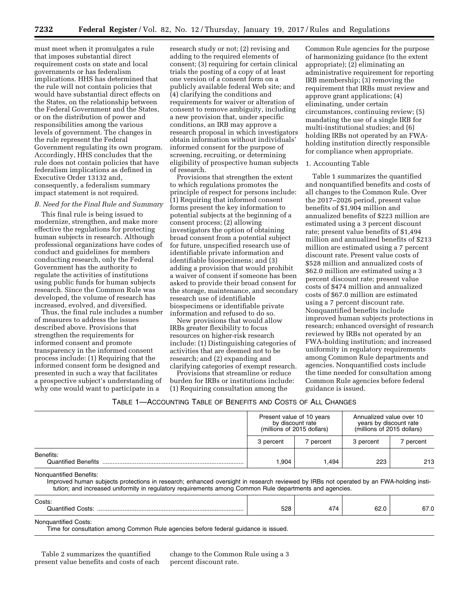must meet when it promulgates a rule that imposes substantial direct requirement costs on state and local governments or has federalism implications. HHS has determined that the rule will not contain policies that would have substantial direct effects on the States, on the relationship between the Federal Government and the States, or on the distribution of power and responsibilities among the various levels of government. The changes in the rule represent the Federal Government regulating its own program. Accordingly, HHS concludes that the rule does not contain policies that have federalism implications as defined in Executive Order 13132 and, consequently, a federalism summary impact statement is not required.

#### *B. Need for the Final Rule and Summary*

This final rule is being issued to modernize, strengthen, and make more effective the regulations for protecting human subjects in research. Although professional organizations have codes of conduct and guidelines for members conducting research, only the Federal Government has the authority to regulate the activities of institutions using public funds for human subjects research. Since the Common Rule was developed, the volume of research has increased, evolved, and diversified.

Thus, the final rule includes a number of measures to address the issues described above. Provisions that strengthen the requirements for informed consent and promote transparency in the informed consent process include: (1) Requiring that the informed consent form be designed and presented in such a way that facilitates a prospective subject's understanding of why one would want to participate in a

research study or not; (2) revising and adding to the required elements of consent; (3) requiring for certain clinical trials the posting of a copy of at least one version of a consent form on a publicly available federal Web site; and (4) clarifying the conditions and requirements for waiver or alteration of consent to remove ambiguity, including a new provision that, under specific conditions, an IRB may approve a research proposal in which investigators obtain information without individuals' informed consent for the purpose of screening, recruiting, or determining eligibility of prospective human subjects of research.

Provisions that strengthen the extent to which regulations promotes the principle of respect for persons include: (1) Requiring that informed consent forms present the key information to potential subjects at the beginning of a consent process; (2) allowing investigators the option of obtaining broad consent from a potential subject for future, unspecified research use of identifiable private information and identifiable biospecimens; and (3) adding a provision that would prohibit a waiver of consent if someone has been asked to provide their broad consent for the storage, maintenance, and secondary research use of identifiable biospecimens or identifiable private information and refused to do so.

New provisions that would allow IRBs greater flexibility to focus resources on higher-risk research include: (1) Distinguishing categories of activities that are deemed not to be research; and (2) expanding and clarifying categories of exempt research.

Provisions that streamline or reduce burden for IRBs or institutions include: (1) Requiring consultation among the

Common Rule agencies for the purpose of harmonizing guidance (to the extent appropriate); (2) eliminating an administrative requirement for reporting IRB membership; (3) removing the requirement that IRBs must review and approve grant applications; (4) eliminating, under certain circumstances, continuing review; (5) mandating the use of a single IRB for multi-institutional studies; and (6) holding IRBs not operated by an FWAholding institution directly responsible for compliance when appropriate.

#### 1. Accounting Table

Table 1 summarizes the quantified and nonquantified benefits and costs of all changes to the Common Rule. Over the 2017–2026 period, present value benefits of \$1,904 million and annualized benefits of \$223 million are estimated using a 3 percent discount rate; present value benefits of \$1,494 million and annualized benefits of \$213 million are estimated using a 7 percent discount rate. Present value costs of \$528 million and annualized costs of \$62.0 million are estimated using a 3 percent discount rate; present value costs of \$474 million and annualized costs of \$67.0 million are estimated using a 7 percent discount rate. Nonquantified benefits include improved human subjects protections in research; enhanced oversight of research reviewed by IRBs not operated by an FWA-holding institution; and increased uniformity in regulatory requirements among Common Rule departments and agencies. Nonquantified costs include the time needed for consultation among Common Rule agencies before federal guidance is issued.

| TABLE 1—ACCOUNTING TABLE OF BENEFITS AND COSTS OF ALL CHANGES |  |  |
|---------------------------------------------------------------|--|--|
|---------------------------------------------------------------|--|--|

|                                         | Present value of 10 years<br>by discount rate<br>(millions of 2015 dollars) |           | Annualized value over 10<br>years by discount rate<br>(millions of 2015 dollars) |           |
|-----------------------------------------|-----------------------------------------------------------------------------|-----------|----------------------------------------------------------------------------------|-----------|
|                                         | 3 percent                                                                   | ' percent | 3 percent                                                                        | ' percent |
| Benefits:<br><b>Quantified Benefits</b> | 1.904                                                                       | 1.494     | 223                                                                              | 213       |

Nonquantified Benefits:

Improved human subjects protections in research; enhanced oversight in research reviewed by IRBs not operated by an FWA-holding institution; and increased uniformity in regulatory requirements among Common Rule departments and agencies.

| Costs:<br> | EOC | 02.U |  |
|------------|-----|------|--|
|            |     |      |  |

#### Nonquantified Costs:

Time for consultation among Common Rule agencies before federal guidance is issued.

Table 2 summarizes the quantified present value benefits and costs of each change to the Common Rule using a 3 percent discount rate.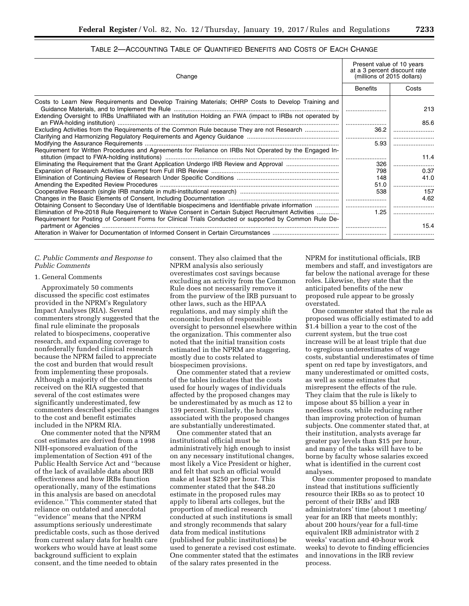| TABLE 2-ACCOUNTING TABLE OF QUANTIFIED BENEFITS AND COSTS OF EACH CHANGE |
|--------------------------------------------------------------------------|
|--------------------------------------------------------------------------|

| Change                                                                                                                                                                                                        |                 | Present value of 10 years<br>at a 3 percent discount rate<br>(millions of 2015 dollars) |  |
|---------------------------------------------------------------------------------------------------------------------------------------------------------------------------------------------------------------|-----------------|-----------------------------------------------------------------------------------------|--|
|                                                                                                                                                                                                               | <b>Benefits</b> | Costs                                                                                   |  |
| Costs to Learn New Requirements and Develop Training Materials; OHRP Costs to Develop Training and                                                                                                            |                 | 213                                                                                     |  |
| Extending Oversight to IRBs Unaffiliated with an Institution Holding an FWA (impact to IRBs not operated by                                                                                                   |                 | 85.6                                                                                    |  |
| Excluding Activities from the Requirements of the Common Rule because They are not Research                                                                                                                   | 36.2            |                                                                                         |  |
| Requirement for Written Procedures and Agreements for Reliance on IRBs Not Operated by the Engaged In-                                                                                                        | 5.93            |                                                                                         |  |
|                                                                                                                                                                                                               |                 | 11.4                                                                                    |  |
|                                                                                                                                                                                                               | 326<br>798      | 0.37                                                                                    |  |
|                                                                                                                                                                                                               | 148<br>51.0     | 41.0                                                                                    |  |
|                                                                                                                                                                                                               | 538             | 157                                                                                     |  |
| Obtaining Consent to Secondary Use of Identifiable biospecimens and Identifiable private information                                                                                                          |                 | 4.62                                                                                    |  |
| Elimination of Pre-2018 Rule Requirement to Waive Consent in Certain Subject Recruitment Activities<br>Requirement for Posting of Consent Forms for Clinical Trials Conducted or supported by Common Rule De- | 1.25            |                                                                                         |  |
|                                                                                                                                                                                                               |                 | 15.4                                                                                    |  |

## *C. Public Comments and Response to Public Comments*

## 1. General Comments

Approximately 50 comments discussed the specific cost estimates provided in the NPRM's Regulatory Impact Analyses (RIA). Several commenters strongly suggested that the final rule eliminate the proposals related to biospecimens, cooperative research, and expanding coverage to nonfederally funded clinical research because the NPRM failed to appreciate the cost and burden that would result from implementing these proposals. Although a majority of the comments received on the RIA suggested that several of the cost estimates were significantly underestimated, few commenters described specific changes to the cost and benefit estimates included in the NPRM RIA.

One commenter noted that the NPRM cost estimates are derived from a 1998 NIH-sponsored evaluation of the implementation of Section 491 of the Public Health Service Act and ''because of the lack of available data about IRB effectiveness and how IRBs function operationally, many of the estimations in this analysis are based on anecdotal evidence.'' This commenter stated that reliance on outdated and anecdotal ''evidence'' means that the NPRM assumptions seriously underestimate predictable costs, such as those derived from current salary data for health care workers who would have at least some background sufficient to explain consent, and the time needed to obtain

consent. They also claimed that the NPRM analysis also seriously overestimates cost savings because excluding an activity from the Common Rule does not necessarily remove it from the purview of the IRB pursuant to other laws, such as the HIPAA regulations, and may simply shift the economic burden of responsible oversight to personnel elsewhere within the organization. This commenter also noted that the initial transition costs estimated in the NPRM are staggering, mostly due to costs related to biospecimen provisions.

One commenter stated that a review of the tables indicates that the costs used for hourly wages of individuals affected by the proposed changes may be underestimated by as much as 12 to 139 percent. Similarly, the hours associated with the proposed changes are substantially underestimated.

One commenter stated that an institutional official must be administratively high enough to insist on any necessary institutional changes, most likely a Vice President or higher, and felt that such an official would make at least \$250 per hour. This commenter stated that the \$48.20 estimate in the proposed rules may apply to liberal arts colleges, but the proportion of medical research conducted at such institutions is small and strongly recommends that salary data from medical institutions (published for public institutions) be used to generate a revised cost estimate. One commenter stated that the estimates of the salary rates presented in the

NPRM for institutional officials, IRB members and staff, and investigators are far below the national average for these roles. Likewise, they state that the anticipated benefits of the new proposed rule appear to be grossly overstated.

One commenter stated that the rule as proposed was officially estimated to add \$1.4 billion a year to the cost of the current system, but the true cost increase will be at least triple that due to egregious underestimates of wage costs, substantial underestimates of time spent on red tape by investigators, and many underestimated or omitted costs, as well as some estimates that misrepresent the effects of the rule. They claim that the rule is likely to impose about \$5 billion a year in needless costs, while reducing rather than improving protection of human subjects. One commenter stated that, at their institution, analysts average far greater pay levels than \$15 per hour, and many of the tasks will have to be borne by faculty whose salaries exceed what is identified in the current cost analyses.

One commenter proposed to mandate instead that institutions sufficiently resource their IRBs so as to protect 10 percent of their IRBs' and IRB administrators' time (about 1 meeting/ year for an IRB that meets monthly; about 200 hours/year for a full-time equivalent IRB administrator with 2 weeks' vacation and 40-hour work weeks) to devote to finding efficiencies and innovations in the IRB review process.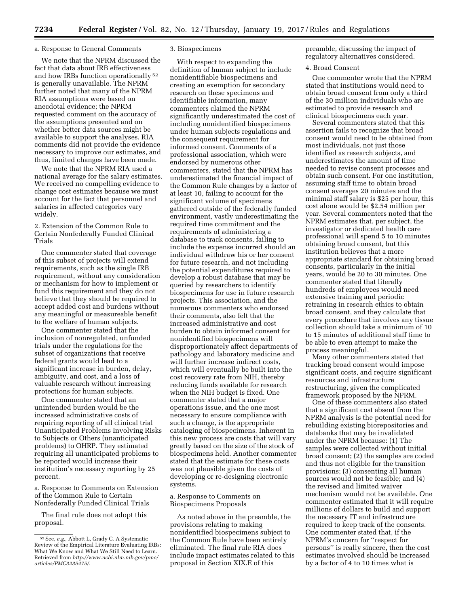#### a. Response to General Comments

We note that the NPRM discussed the fact that data about IRB effectiveness and how IRBs function operationally 52 is generally unavailable. The NPRM further noted that many of the NPRM RIA assumptions were based on anecdotal evidence; the NPRM requested comment on the accuracy of the assumptions presented and on whether better data sources might be available to support the analyses. RIA comments did not provide the evidence necessary to improve our estimates, and thus, limited changes have been made.

We note that the NPRM RIA used a national average for the salary estimates. We received no compelling evidence to change cost estimates because we must account for the fact that personnel and salaries in affected categories vary widely.

2. Extension of the Common Rule to Certain Nonfederally Funded Clinical Trials

One commenter stated that coverage of this subset of projects will extend requirements, such as the single IRB requirement, without any consideration or mechanism for how to implement or fund this requirement and they do not believe that they should be required to accept added cost and burdens without any meaningful or measureable benefit to the welfare of human subjects.

One commenter stated that the inclusion of nonregulated, unfunded trials under the regulations for the subset of organizations that receive federal grants would lead to a significant increase in burden, delay, ambiguity, and cost, and a loss of valuable research without increasing protections for human subjects.

One commenter stated that an unintended burden would be the increased administrative costs of requiring reporting of all clinical trial Unanticipated Problems Involving Risks to Subjects or Others (unanticipated problems) to OHRP. They estimated requiring all unanticipated problems to be reported would increase their institution's necessary reporting by 25 percent.

a. Response to Comments on Extension of the Common Rule to Certain Nonfederally Funded Clinical Trials

The final rule does not adopt this proposal.

#### 3. Biospecimens

With respect to expanding the definition of human subject to include nonidentifiable biospecimens and creating an exemption for secondary research on these specimens and identifiable information, many commenters claimed the NPRM significantly underestimated the cost of including nonidentified biospecimens under human subjects regulations and the consequent requirement for informed consent. Comments of a professional association, which were endorsed by numerous other commenters, stated that the NPRM has underestimated the financial impact of the Common Rule changes by a factor of at least 10, failing to account for the significant volume of specimens gathered outside of the federally funded environment, vastly underestimating the required time commitment and the requirements of administering a database to track consents, failing to include the expense incurred should an individual withdraw his or her consent for future research, and not including the potential expenditures required to develop a robust database that may be queried by researchers to identify biospecimens for use in future research projects. This association, and the numerous commenters who endorsed their comments, also felt that the increased administrative and cost burden to obtain informed consent for nonidentified biospecimens will disproportionately affect departments of pathology and laboratory medicine and will further increase indirect costs, which will eventually be built into the cost recovery rate from NIH, thereby reducing funds available for research when the NIH budget is fixed. One commenter stated that a major operations issue, and the one most necessary to ensure compliance with such a change, is the appropriate cataloging of biospecimens. Inherent in this new process are costs that will vary greatly based on the size of the stock of biospecimens held. Another commenter stated that the estimate for these costs was not plausible given the costs of developing or re-designing electronic systems.

a. Response to Comments on Biospecimens Proposals

As noted above in the preamble, the provisions relating to making nonidentified biospecimens subject to the Common Rule have been entirely eliminated. The final rule RIA does include impact estimates related to this proposal in Section XIX.E of this

preamble, discussing the impact of regulatory alternatives considered.

# 4. Broad Consent

One commenter wrote that the NPRM stated that institutions would need to obtain broad consent from only a third of the 30 million individuals who are estimated to provide research and clinical biospecimens each year.

Several commenters stated that this assertion fails to recognize that broad consent would need to be obtained from most individuals, not just those identified as research subjects, and underestimates the amount of time needed to revise consent processes and obtain such consent. For one institution, assuming staff time to obtain broad consent averages 20 minutes and the minimal staff salary is \$25 per hour, this cost alone would be \$2.54 million per year. Several commenters noted that the NPRM estimates that, per subject, the investigator or dedicated health care professional will spend 5 to 10 minutes obtaining broad consent, but this institution believes that a more appropriate standard for obtaining broad consents, particularly in the initial years, would be 20 to 30 minutes. One commenter stated that literally hundreds of employees would need extensive training and periodic retraining in research ethics to obtain broad consent, and they calculate that every procedure that involves any tissue collection should take a minimum of 10 to 15 minutes of additional staff time to be able to even attempt to make the process meaningful.

Many other commenters stated that tracking broad consent would impose significant costs, and require significant resources and infrastructure restructuring, given the complicated framework proposed by the NPRM.

One of these commenters also stated that a significant cost absent from the NPRM analysis is the potential need for rebuilding existing biorepositories and databanks that may be invalidated under the NPRM because: (1) The samples were collected without initial broad consent; (2) the samples are coded and thus not eligible for the transition provisions; (3) consenting all human sources would not be feasible; and (4) the revised and limited waiver mechanism would not be available. One commenter estimated that it will require millions of dollars to build and support the necessary IT and infrastructure required to keep track of the consents. One commenter stated that, if the NPRM's concern for ''respect for persons'' is really sincere, then the cost estimates involved should be increased by a factor of 4 to 10 times what is

<sup>52</sup>See, *e.g.,* Abbott L, Grady C. A Systematic Review of the Empirical Literature Evaluating IRBs: What We Know and What We Still Need to Learn. Retrieved from *[http://www.ncbi.nlm.nih.gov/pmc/](http://www.ncbi.nlm.nih.gov/pmc/articles/PMC3235475/)  [articles/PMC3235475/](http://www.ncbi.nlm.nih.gov/pmc/articles/PMC3235475/)*.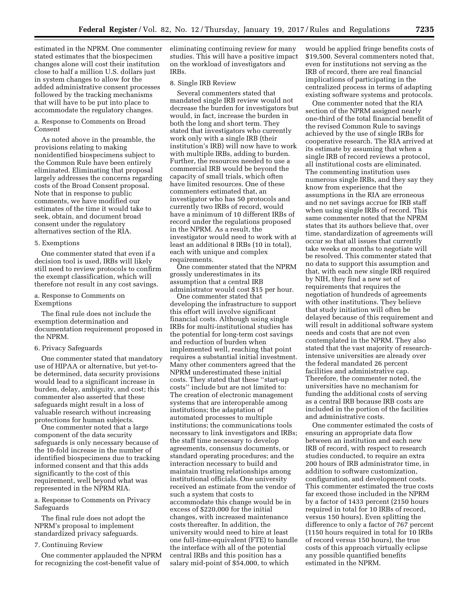estimated in the NPRM. One commenter stated estimates that the biospecimen changes alone will cost their institution close to half a million U.S. dollars just in system changes to allow for the added administrative consent processes followed by the tracking mechanisms that will have to be put into place to accommodate the regulatory changes.

a. Response to Comments on Broad Consent

As noted above in the preamble, the provisions relating to making nonidentified biospecimens subject to the Common Rule have been entirely eliminated. Eliminating that proposal largely addresses the concerns regarding costs of the Broad Consent proposal. Note that in response to public comments, we have modified our estimates of the time it would take to seek, obtain, and document broad consent under the regulatory alternatives section of the RIA.

#### 5. Exemptions

One commenter stated that even if a decision tool is used, IRBs will likely still need to review protocols to confirm the exempt classification, which will therefore not result in any cost savings.

### a. Response to Comments on Exemptions

The final rule does not include the exemption determination and documentation requirement proposed in the NPRM.

#### 6. Privacy Safeguards

One commenter stated that mandatory use of HIPAA or alternative, but yet-tobe determined, data security provisions would lead to a significant increase in burden, delay, ambiguity, and cost; this commenter also asserted that these safeguards might result in a loss of valuable research without increasing protections for human subjects.

One commenter noted that a large component of the data security safeguards is only necessary because of the 10-fold increase in the number of identified biospecimens due to tracking informed consent and that this adds significantly to the cost of this requirement, well beyond what was represented in the NPRM RIA.

a. Response to Comments on Privacy Safeguards

The final rule does not adopt the NPRM's proposal to implement standardized privacy safeguards.

# 7. Continuing Review

One commenter applauded the NPRM for recognizing the cost-benefit value of

eliminating continuing review for many studies. This will have a positive impact on the workload of investigators and IRBs.

#### 8. Single IRB Review

Several commenters stated that mandated single IRB review would not decrease the burden for investigators but would, in fact, increase the burden in both the long and short term. They stated that investigators who currently work only with a single IRB (their institution's IRB) will now have to work with multiple IRBs, adding to burden. Further, the resources needed to use a commercial IRB would be beyond the capacity of small trials, which often have limited resources. One of these commenters estimated that, an investigator who has 50 protocols and currently two IRBs of record, would have a minimum of 10 different IRBs of record under the regulations proposed in the NPRM. As a result, the investigator would need to work with at least an additional 8 IRBs (10 in total), each with unique and complex requirements.

One commenter stated that the NPRM grossly underestimates in its assumption that a central IRB administrator would cost \$15 per hour.

One commenter stated that developing the infrastructure to support this effort will involve significant financial costs. Although using single IRBs for multi-institutional studies has the potential for long-term cost savings and reduction of burden when implemented well, reaching that point requires a substantial initial investment. Many other commenters agreed that the NPRM underestimated these initial costs. They stated that these ''start-up costs'' include but are not limited to: The creation of electronic management systems that are interoperable among institutions; the adaptation of automated processes to multiple institutions; the communications tools necessary to link investigators and IRBs; the staff time necessary to develop agreements, consensus documents, or standard operating procedures; and the interaction necessary to build and maintain trusting relationships among institutional officials. One university received an estimate from the vendor of such a system that costs to accommodate this change would be in excess of \$220,000 for the initial changes, with increased maintenance costs thereafter. In addition, the university would need to hire at least one full-time-equivalent (FTE) to handle the interface with all of the potential central IRBs and this position has a salary mid-point of \$54,000, to which

would be applied fringe benefits costs of \$19,500. Several commenters noted that, even for institutions not serving as the IRB of record, there are real financial implications of participating in the centralized process in terms of adapting existing software systems and protocols.

One commenter noted that the RIA section of the NPRM assigned nearly one-third of the total financial benefit of the revised Common Rule to savings achieved by the use of single IRBs for cooperative research. The RIA arrived at its estimate by assuming that when a single IRB of record reviews a protocol, all institutional costs are eliminated. The commenting institution uses numerous single IRBs, and they say they know from experience that the assumptions in the RIA are erroneous and no net savings accrue for IRB staff when using single IRBs of record. This same commenter noted that the NPRM states that its authors believe that, over time, standardization of agreements will occur so that all issues that currently take weeks or months to negotiate will be resolved. This commenter stated that no data to support this assumption and that, with each new single IRB required by NIH, they find a new set of requirements that requires the negotiation of hundreds of agreements with other institutions. They believe that study initiation will often be delayed because of this requirement and will result in additional software system needs and costs that are not even contemplated in the NPRM. They also stated that the vast majority of researchintensive universities are already over the federal mandated 26 percent facilities and administrative cap. Therefore, the commenter noted, the universities have no mechanism for funding the additional costs of serving as a central IRB because IRB costs are included in the portion of the facilities and administrative costs.

One commenter estimated the costs of ensuring an appropriate data flow between an institution and each new IRB of record, with respect to research studies conducted, to require an extra 200 hours of IRB administrator time, in addition to software customization, configuration, and development costs. This commenter estimated the true costs far exceed those included in the NPRM by a factor of 1433 percent (2150 hours required in total for 10 IRBs of record, versus 150 hours). Even splitting the difference to only a factor of 767 percent (1150 hours required in total for 10 IRBs of record versus 150 hours), the true costs of this approach virtually eclipse any possible quantified benefits estimated in the NPRM.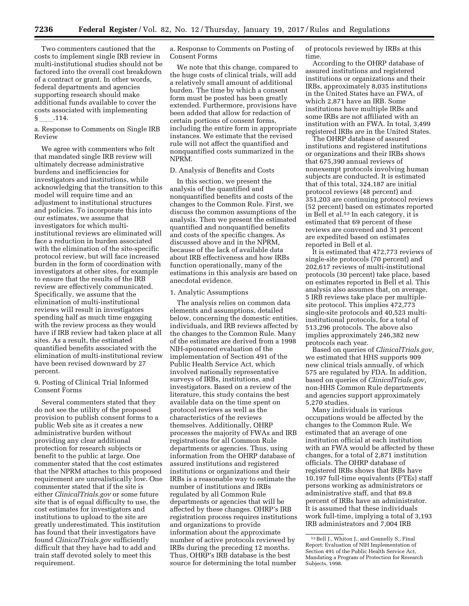Two commenters cautioned that the costs to implement single IRB review in multi-institutional studies should not be factored into the overall cost breakdown of a contract or grant. In other words, federal departments and agencies supporting research should make additional funds available to cover the costs associated with implementing  $\S$  .114.

a. Response to Comments on Single IRB Review

We agree with commenters who felt that mandated single IRB review will ultimately decrease administrative burdens and inefficiencies for investigators and institutions, while acknowledging that the transition to this model will require time and an adjustment to institutional structures and policies. To incorporate this into our estimates, we assume that investigators for which multiinstitutional reviews are eliminated will face a reduction in burden associated with the elimination of the site-specific protocol review, but will face increased burden in the form of coordination with investigators at other sites, for example to ensure that the results of the IRB review are effectively communicated. Specifically, we assume that the elimination of multi-institutional reviews will result in investigators spending half as much time engaging with the review process as they would have if IRB review had taken place at all sites. As a result, the estimated quantified benefits associated with the elimination of multi-institutional review have been revised downward by 27 percent.

## 9. Posting of Clinical Trial Informed Consent Forms

Several commenters stated that they do not see the utility of the proposed provision to publish consent forms to a public Web site as it creates a new administrative burden without providing any clear additional protection for research subjects or benefit to the public at large. One commenter stated that the cost estimates that the NPRM attaches to this proposed requirement are unrealistically low. One commenter stated that if the site is either *ClinicalTrials.gov* or some future site that is of equal difficulty to use, the cost estimates for investigators and institutions to upload to the site are greatly underestimated. This institution has found that their investigators have found *ClinicalTrials.gov* sufficiently difficult that they have had to add and train staff devoted solely to meet this requirement.

a. Response to Comments on Posting of Consent Forms

We note that this change, compared to the huge costs of clinical trials, will add a relatively small amount of additional burden. The time by which a consent form must be posted has been greatly extended. Furthermore, provisions have been added that allow for redaction of certain portions of consent forms, including the entire form in appropriate instances. We estimate that the revised rule will not affect the quantified and nonquantified costs summarized in the NPRM.

#### D. Analysis of Benefits and Costs

In this section, we present the analysis of the quantified and nonquantified benefits and costs of the changes to the Common Rule. First, we discuss the common assumptions of the analysis. Then we present the estimated quantified and nonquantified benefits and costs of the specific changes. As discussed above and in the NPRM, because of the lack of available data about IRB effectiveness and how IRBs function operationally, many of the estimations in this analysis are based on anecdotal evidence.

#### 1. Analytic Assumptions

The analysis relies on common data elements and assumptions, detailed below, concerning the domestic entities, individuals, and IRB reviews affected by the changes to the Common Rule. Many of the estimates are derived from a 1998 NIH-sponsored evaluation of the implementation of Section 491 of the Public Health Service Act, which involved nationally representative surveys of IRBs, institutions, and investigators. Based on a review of the literature, this study contains the best available data on the time spent on protocol reviews as well as the characteristics of the reviews themselves. Additionally, OHRP processes the majority of FWAs and IRB registrations for all Common Rule departments or agencies. Thus, using information from the OHRP database of assured institutions and registered institutions or organizations and their IRBs is a reasonable way to estimate the number of institutions and IRBs regulated by all Common Rule departments or agencies that will be affected by these changes. OHRP's IRB registration process requires institutions and organizations to provide information about the approximate number of active protocols reviewed by IRBs during the preceding 12 months. Thus, OHRP's IRB database is the best source for determining the total number

of protocols reviewed by IRBs at this time.

According to the OHRP database of assured institutions and registered institutions or organizations and their IRBs, approximately 8,035 institutions in the United States have an FWA, of which 2,871 have an IRB. Some institutions have multiple IRBs and some IRBs are not affiliated with an institution with an FWA. In total, 3,499 registered IRBs are in the United States.

The OHRP database of assured institutions and registered institutions or organizations and their IRBs shows that 675,390 annual reviews of nonexempt protocols involving human subjects are conducted. It is estimated that of this total, 324,187 are initial protocol reviews (48 percent) and 351,203 are continuing protocol reviews (52 percent) based on estimates reported in Bell et al.53 In each category, it is estimated that 69 percent of these reviews are convened and 31 percent are expedited based on estimates reported in Bell et al.

It is estimated that 472,773 reviews of single-site protocols (70 percent) and 202,617 reviews of multi-institutional protocols (30 percent) take place, based on estimates reported in Bell et al. This analysis also assumes that, on average, 5 IRB reviews take place per multiplesite protocol. This implies 472,773 single-site protocols and 40,523 multiinstitutional protocols, for a total of 513,296 protocols. The above also implies approximately 246,382 new protocols each year.

Based on queries of *ClinicalTrials.gov,*  we estimated that HHS supports 909 new clinical trials annually, of which 575 are regulated by FDA. In addition, based on queries of *ClinicalTrials.gov,*  non-HHS Common Rule departments and agencies support approximately 5,270 studies.

Many individuals in various occupations would be affected by the changes to the Common Rule. We estimated that an average of one institution official at each institution with an FWA would be affected by these changes, for a total of 2,871 institution officials. The OHRP database of registered IRBs shows that IRBs have 10,197 full-time equivalents (FTEs) staff persons working as administrators or administrative staff, and that 89.8 percent of IRBs have an administrator. It is assumed that these individuals work full-time, implying a total of 3,193 IRB administrators and 7,004 IRB

<sup>53</sup>Bell J., Whiton J., and Connelly S., Final Report: Evaluation of NIH Implementation of Section 491 of the Public Health Service Act, Mandating a Program of Protection for Research Subjects, 1998.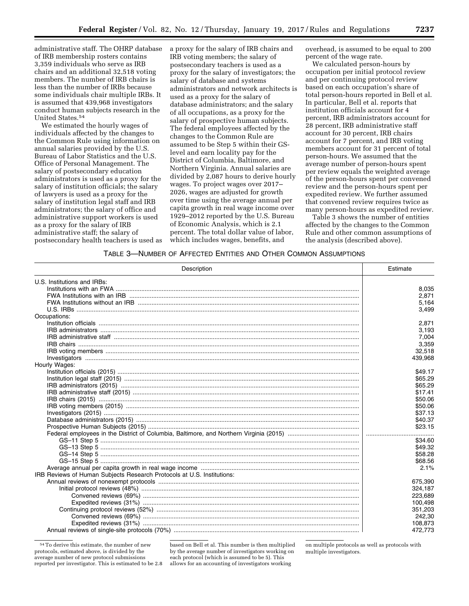administrative staff. The OHRP database of IRB membership rosters contains 3,359 individuals who serve as IRB chairs and an additional 32,518 voting members. The number of IRB chairs is less than the number of IRBs because some individuals chair multiple IRBs. It is assumed that 439,968 investigators conduct human subjects research in the United States.54

We estimated the hourly wages of individuals affected by the changes to the Common Rule using information on annual salaries provided by the U.S. Bureau of Labor Statistics and the U.S. Office of Personal Management. The salary of postsecondary education administrators is used as a proxy for the salary of institution officials; the salary of lawyers is used as a proxy for the salary of institution legal staff and IRB administrators; the salary of office and administrative support workers is used as a proxy for the salary of IRB administrative staff; the salary of postsecondary health teachers is used as a proxy for the salary of IRB chairs and IRB voting members; the salary of postsecondary teachers is used as a proxy for the salary of investigators; the salary of database and systems administrators and network architects is used as a proxy for the salary of database administrators; and the salary of all occupations, as a proxy for the salary of prospective human subjects. The federal employees affected by the changes to the Common Rule are assumed to be Step 5 within their GSlevel and earn locality pay for the District of Columbia, Baltimore, and Northern Virginia. Annual salaries are divided by 2,087 hours to derive hourly wages. To project wages over 2017– 2026, wages are adjusted for growth over time using the average annual per capita growth in real wage income over 1929–2012 reported by the U.S. Bureau of Economic Analysis, which is 2.1 percent. The total dollar value of labor, which includes wages, benefits, and

overhead, is assumed to be equal to 200 percent of the wage rate.

We calculated person-hours by occupation per initial protocol review and per continuing protocol review based on each occupation's share of total person-hours reported in Bell et al. In particular, Bell et al. reports that institution officials account for 4 percent, IRB administrators account for 28 percent, IRB administrative staff account for 30 percent, IRB chairs account for 7 percent, and IRB voting members account for 31 percent of total person-hours. We assumed that the average number of person-hours spent per review equals the weighted average of the person-hours spent per convened review and the person-hours spent per expedited review. We further assumed that convened review requires twice as many person-hours as expedited review.

Table 3 shows the number of entities affected by the changes to the Common Rule and other common assumptions of the analysis (described above).

#### TABLE 3—NUMBER OF AFFECTED ENTITIES AND OTHER COMMON ASSUMPTIONS

| Description                                                            | Estimate |
|------------------------------------------------------------------------|----------|
| U.S. Institutions and IRBs:                                            |          |
|                                                                        | 8.035    |
|                                                                        | 2,871    |
|                                                                        | 5,164    |
|                                                                        | 3.499    |
| Occupations:                                                           |          |
|                                                                        | 2.871    |
|                                                                        | 3,193    |
|                                                                        | 7,004    |
|                                                                        | 3,359    |
|                                                                        | 32,518   |
|                                                                        | 439,968  |
| Hourly Wages:                                                          |          |
|                                                                        | \$49.17  |
|                                                                        | \$65.29  |
|                                                                        | \$65.29  |
|                                                                        | \$17.41  |
|                                                                        | \$50.06  |
|                                                                        | \$50.06  |
|                                                                        | \$37.13  |
|                                                                        | \$40.37  |
|                                                                        | \$23.15  |
|                                                                        |          |
|                                                                        | \$34.60  |
|                                                                        | \$49.32  |
|                                                                        | \$58.28  |
|                                                                        | \$68.56  |
|                                                                        | 2.1%     |
| IRB Reviews of Human Subjects Research Protocols at U.S. Institutions: |          |
|                                                                        | 675,390  |
|                                                                        | 324,187  |
|                                                                        | 223,689  |
|                                                                        | 100,498  |
|                                                                        | 351,203  |
|                                                                        | 242,30   |
|                                                                        | 108,873  |
|                                                                        | 472,773  |

54To derive this estimate, the number of new protocols, estimated above, is divided by the average number of new protocol submissions reported per investigator. This is estimated to be 2.8

based on Bell et al. This number is then multiplied by the average number of investigators working on each protocol (which is assumed to be 5). This allows for an accounting of investigators working

on multiple protocols as well as protocols with multiple investigators.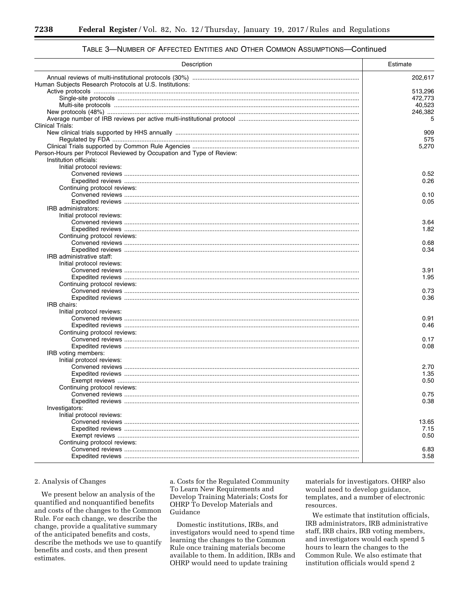# TABLE 3—NUMBER OF AFFECTED ENTITIES AND OTHER COMMON ASSUMPTIONS—Continued

| Description                                                          | Estimate |
|----------------------------------------------------------------------|----------|
|                                                                      | 202,617  |
| Human Subjects Research Protocols at U.S. Institutions:              |          |
|                                                                      | 513,296  |
|                                                                      | 472,773  |
|                                                                      | 40.523   |
|                                                                      | 246,382  |
| Clinical Trials:                                                     | 5        |
|                                                                      | 909      |
|                                                                      | 575      |
|                                                                      | 5,270    |
| Person-Hours per Protocol Reviewed by Occupation and Type of Review: |          |
| Institution officials:                                               |          |
|                                                                      |          |
| Initial protocol reviews:                                            |          |
|                                                                      | 0.52     |
|                                                                      | 0.26     |
| Continuing protocol reviews:                                         |          |
|                                                                      | 0.10     |
|                                                                      | 0.05     |
| IRB administrators:                                                  |          |
| Initial protocol reviews:                                            |          |
|                                                                      | 3.64     |
|                                                                      | 1.82     |
| Continuing protocol reviews:                                         |          |
|                                                                      | 0.68     |
|                                                                      | 0.34     |
| IRB administrative staff:                                            |          |
| Initial protocol reviews:                                            |          |
|                                                                      | 3.91     |
|                                                                      | 1.95     |
| Continuing protocol reviews:                                         |          |
|                                                                      | 0.73     |
|                                                                      | 0.36     |
| IRB chairs:                                                          |          |
| Initial protocol reviews:                                            |          |
|                                                                      | 0.91     |
|                                                                      | 0.46     |
| Continuing protocol reviews:                                         |          |
|                                                                      | 0.17     |
|                                                                      | 0.08     |
| IRB voting members:                                                  |          |
| Initial protocol reviews:                                            |          |
|                                                                      | 2.70     |
|                                                                      | 1.35     |
|                                                                      | 0.50     |
| Continuing protocol reviews:                                         |          |
|                                                                      | 0.75     |
|                                                                      | 0.38     |
| Investigators:                                                       |          |
| Initial protocol reviews:                                            |          |
|                                                                      | 13.65    |
|                                                                      | 7.15     |
|                                                                      | 0.50     |
| Continuing protocol reviews:                                         |          |
|                                                                      | 6.83     |
|                                                                      | 3.58     |
|                                                                      |          |

## 2. Analysis of Changes

We present below an analysis of the quantified and nonquantified benefits and costs of the changes to the Common Rule. For each change, we describe the change, provide a qualitative summary of the anticipated benefits and costs, describe the methods we use to quantify benefits and costs, and then present estimates.

a. Costs for the Regulated Community To Learn New Requirements and Develop Training Materials; Costs for OHRP To Develop Materials and Guidance

Domestic institutions, IRBs, and investigators would need to spend time learning the changes to the Common Rule once training materials become available to them. In addition, IRBs and OHRP would need to update training

materials for investigators. OHRP also would need to develop guidance, templates, and a number of electronic resources.

We estimate that institution officials, IRB administrators, IRB administrative staff, IRB chairs, IRB voting members, and investigators would each spend 5 hours to learn the changes to the Common Rule. We also estimate that institution officials would spend 2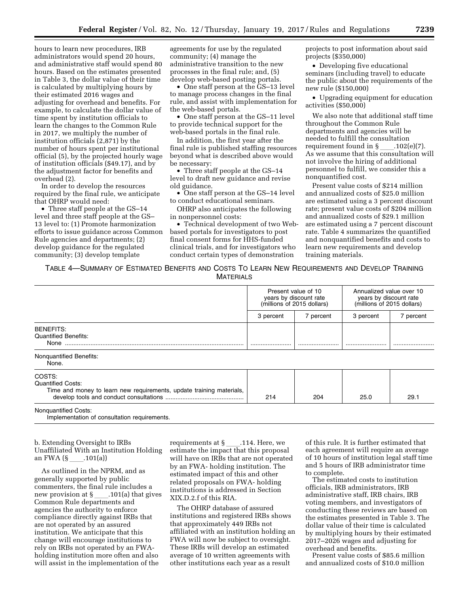hours to learn new procedures, IRB administrators would spend 20 hours, and administrative staff would spend 80 hours. Based on the estimates presented in Table 3, the dollar value of their time is calculated by multiplying hours by their estimated 2016 wages and adjusting for overhead and benefits. For example, to calculate the dollar value of time spent by institution officials to learn the changes to the Common Rule in 2017, we multiply the number of institution officials (2,871) by the number of hours spent per institutional official (5), by the projected hourly wage of institution officials (\$49.17), and by the adjustment factor for benefits and overhead (2).

In order to develop the resources required by the final rule, we anticipate that OHRP would need:

• Three staff people at the GS–14 level and three staff people at the GS– 13 level to: (1) Promote harmonization efforts to issue guidance across Common Rule agencies and departments; (2) develop guidance for the regulated community; (3) develop template

agreements for use by the regulated community; (4) manage the administrative transition to the new processes in the final rule; and, (5) develop web-based posting portals.

• One staff person at the GS-13 level to manage process changes in the final rule, and assist with implementation for the web-based portals.

• One staff person at the GS–11 level to provide technical support for the web-based portals in the final rule.

In addition, the first year after the final rule is published staffing resources beyond what is described above would be necessary:

• Three staff people at the GS-14 level to draft new guidance and revise old guidance.

• One staff person at the GS–14 level to conduct educational seminars.

OHRP also anticipates the following in nonpersonnel costs:

• Technical development of two Webbased portals for investigators to post final consent forms for HHS-funded clinical trials, and for investigators who conduct certain types of demonstration

projects to post information about said projects (\$350,000)

• Developing five educational seminars (including travel) to educate the public about the requirements of the new rule (\$150,000)

• Upgrading equipment for education activities (\$50,000)

We also note that additional staff time throughout the Common Rule departments and agencies will be needed to fulfill the consultation requirement found in §\_\_\_\_.102(e)(7).<br>As we assume that this consultation will not involve the hiring of additional personnel to fulfill, we consider this a nonquantified cost.

Present value costs of \$214 million and annualized costs of \$25.0 million are estimated using a 3 percent discount rate; present value costs of \$204 million and annualized costs of \$29.1 million are estimated using a 7 percent discount rate. Table 4 summarizes the quantified and nonquantified benefits and costs to learn new requirements and develop training materials.

TABLE 4—SUMMARY OF ESTIMATED BENEFITS AND COSTS TO LEARN NEW REQUIREMENTS AND DEVELOP TRAINING **MATERIALS** 

|                                                  | Present value of 10<br>years by discount rate<br>(millions of 2015 dollars) |           | Annualized value over 10<br>years by discount rate<br>(millions of 2015 dollars) |           |
|--------------------------------------------------|-----------------------------------------------------------------------------|-----------|----------------------------------------------------------------------------------|-----------|
|                                                  | 3 percent                                                                   | 7 percent | 3 percent                                                                        | 7 percent |
| BENEFITS:<br><b>Quantified Benefits:</b><br>None |                                                                             |           |                                                                                  |           |
| Nonquantified Benefits:<br>None.                 |                                                                             |           |                                                                                  |           |
| $\sim$ $\sim$ $\sim$                             |                                                                             |           |                                                                                  |           |

| Nonguantified Costs:                                                                             |     |     |      |      |
|--------------------------------------------------------------------------------------------------|-----|-----|------|------|
| <b>Quantified Costs:</b><br>Time and money to learn new requirements, update training materials, | 214 | 204 | 25.0 | 29.1 |
| COSTS:                                                                                           |     |     |      |      |

Implementation of consultation requirements.

# b. Extending Oversight to IRBs Unaffiliated With an Institution Holding an FWA  $(\S$  .101(a))

As outlined in the NPRM, and as generally supported by public commenters, the final rule includes a new provision at  $\S$ . 101(a) that gives Common Rule departments and agencies the authority to enforce compliance directly against IRBs that are not operated by an assured institution. We anticipate that this change will encourage institutions to rely on IRBs not operated by an FWAholding institution more often and also will assist in the implementation of the

requirements at § \_\_\_\_.114. Here, we<br>estimate the impact that this proposal will have on IRBs that are not operated by an FWA- holding institution. The estimated impact of this and other related proposals on FWA- holding institutions is addressed in Section XIX.D.2.f of this RIA.

The OHRP database of assured institutions and registered IRBs shows that approximately 449 IRBs not affiliated with an institution holding an FWA will now be subject to oversight. These IRBs will develop an estimated average of 10 written agreements with other institutions each year as a result

of this rule. It is further estimated that each agreement will require an average of 10 hours of institution legal staff time and 5 hours of IRB administrator time to complete.

The estimated costs to institution officials, IRB administrators, IRB administrative staff, IRB chairs, IRB voting members, and investigators of conducting these reviews are based on the estimates presented in Table 3. The dollar value of their time is calculated by multiplying hours by their estimated 2017–2026 wages and adjusting for overhead and benefits.

Present value costs of \$85.6 million and annualized costs of \$10.0 million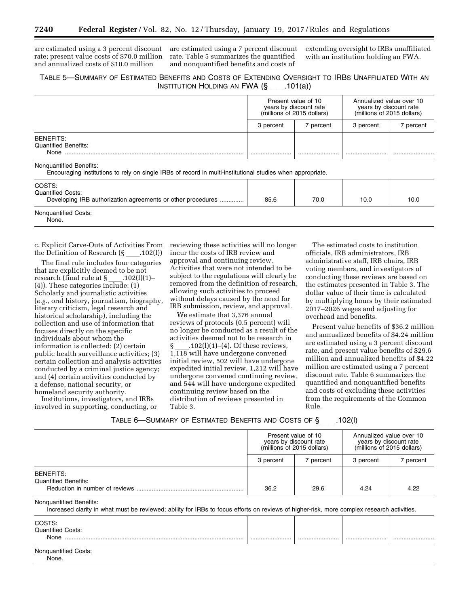are estimated using a 3 percent discount rate; present value costs of \$70.0 million and annualized costs of \$10.0 million

are estimated using a 7 percent discount rate. Table 5 summarizes the quantified and nonquantified benefits and costs of

extending oversight to IRBs unaffiliated with an institution holding an FWA.

# TABLE 5—SUMMARY OF ESTIMATED BENEFITS AND COSTS OF EXTENDING OVERSIGHT TO IRBS UNAFFILIATED WITH AN INSTITUTION HOLDING AN FWA  $(\S$  101(a))

|                                                                                                                                       | Present value of 10<br>years by discount rate<br>(millions of 2015 dollars) |           | Annualized value over 10<br>years by discount rate<br>(millions of 2015 dollars) |           |  |
|---------------------------------------------------------------------------------------------------------------------------------------|-----------------------------------------------------------------------------|-----------|----------------------------------------------------------------------------------|-----------|--|
|                                                                                                                                       | 3 percent                                                                   | 7 percent | 3 percent                                                                        | 7 percent |  |
| <b>BENEFITS:</b><br><b>Quantified Benefits:</b><br>None                                                                               |                                                                             |           |                                                                                  |           |  |
| Nonguantified Benefits:<br>Encouraging institutions to rely on single IRBs of record in multi-institutional studies when appropriate. |                                                                             |           |                                                                                  |           |  |
| COSTS:<br><b>Quantified Costs:</b><br>Developing IRB authorization agreements or other procedures                                     | 85.6                                                                        | 70.0      | 10.0                                                                             | 10.0      |  |
| <b>Nonquantified Costs:</b><br>None.                                                                                                  |                                                                             |           |                                                                                  |           |  |

c. Explicit Carve-Outs of Activities From the Definition of Research  $(S \t 102(1))$ 

The final rule includes four categories that are explicitly deemed to be not<br>research (final rule at § .102(l)(1 research (final rule at § \_\_\_\_.102(l)(1)–<br>(4)). These categories include: (1) Scholarly and journalistic activities (*e.g.,* oral history, journalism, biography, literary criticism, legal research and historical scholarship), including the collection and use of information that focuses directly on the specific individuals about whom the information is collected; (2) certain public health surveillance activities; (3) certain collection and analysis activities conducted by a criminal justice agency; and (4) certain activities conducted by a defense, national security, or homeland security authority.

Institutions, investigators, and IRBs involved in supporting, conducting, or reviewing these activities will no longer incur the costs of IRB review and approval and continuing review. Activities that were not intended to be subject to the regulations will clearly be removed from the definition of research, allowing such activities to proceed without delays caused by the need for IRB submission, review, and approval.

We estimate that 3,376 annual reviews of protocols (0.5 percent) will no longer be conducted as a result of the activities deemed not to be research in  $\S$  .102(l)(1)–(4). Of these reviews, § \_\_\_\_.102(l)(1)–(4). Of these reviews,<br>1,118 will have undergone convened initial review, 502 will have undergone expedited initial review, 1,212 will have undergone convened continuing review, and 544 will have undergone expedited continuing review based on the distribution of reviews presented in Table 3.

The estimated costs to institution officials, IRB administrators, IRB administrative staff, IRB chairs, IRB voting members, and investigators of conducting these reviews are based on the estimates presented in Table 3. The dollar value of their time is calculated by multiplying hours by their estimated 2017–2026 wages and adjusting for overhead and benefits.

Present value benefits of \$36.2 million and annualized benefits of \$4.24 million are estimated using a 3 percent discount rate, and present value benefits of \$29.6 million and annualized benefits of \$4.22 million are estimated using a 7 percent discount rate. Table 6 summarizes the quantified and nonquantified benefits and costs of excluding these activities from the requirements of the Common Rule.

| TABLE 6—SUMMARY OF ESTIMATED BENEFITS AND COSTS OF $\S$ |  | .102(l) |
|---------------------------------------------------------|--|---------|
|                                                         |  |         |

|                                                                                                                                                                       | Present value of 10<br>years by discount rate<br>(millions of 2015 dollars) |           | Annualized value over 10<br>years by discount rate<br>(millions of 2015 dollars) |           |
|-----------------------------------------------------------------------------------------------------------------------------------------------------------------------|-----------------------------------------------------------------------------|-----------|----------------------------------------------------------------------------------|-----------|
|                                                                                                                                                                       | 3 percent                                                                   | 7 percent | 3 percent                                                                        | 7 percent |
| <b>BENEFITS:</b>                                                                                                                                                      |                                                                             |           |                                                                                  |           |
| <b>Quantified Benefits:</b>                                                                                                                                           |                                                                             |           |                                                                                  |           |
|                                                                                                                                                                       | 36.2                                                                        | 29.6      | 4.24                                                                             | 4.22      |
| Nonquantified Benefits:<br>Increased clarity in what must be reviewed; ability for IRBs to focus efforts on reviews of higher-risk, more complex research activities. |                                                                             |           |                                                                                  |           |
| COSTS:                                                                                                                                                                |                                                                             |           |                                                                                  |           |
| Quantified Costs:                                                                                                                                                     |                                                                             |           |                                                                                  |           |
| None                                                                                                                                                                  |                                                                             |           |                                                                                  |           |
| <b>Nonquantified Costs:</b>                                                                                                                                           |                                                                             |           |                                                                                  |           |
| None.                                                                                                                                                                 |                                                                             |           |                                                                                  |           |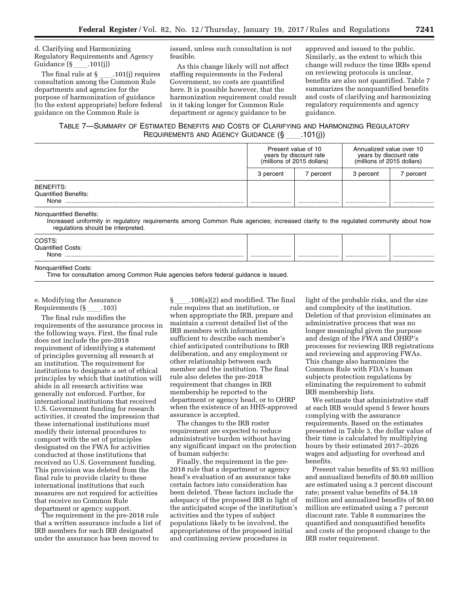d. Clarifying and Harmonizing Regulatory Requirements and Agency

Guidance  $(\S_\_1.101(j))$ <br>The final rule at  $\S_\_1.01(j)$  requires The final rule at  $\S$  \_\_\_\_.101(j) requires consultation among the Common Rule departments and agencies for the purpose of harmonization of guidance (to the extent appropriate) before federal guidance on the Common Rule is

issued, unless such consultation is not feasible.

As this change likely will not affect staffing requirements in the Federal Government, no costs are quantified here. It is possible however, that the harmonization requirement could result in it taking longer for Common Rule department or agency guidance to be

approved and issued to the public. Similarly, as the extent to which this change will reduce the time IRBs spend on reviewing protocols is unclear, benefits are also not quantified. Table 7 summarizes the nonquantified benefits and costs of clarifying and harmonizing regulatory requirements and agency guidance.

TABLE 7—SUMMARY OF ESTIMATED BENEFITS AND COSTS OF CLARIFYING AND HARMONIZING REGULATORY REQUIREMENTS AND AGENCY GUIDANCE  $(\S$  . 101(j))

|                                                         |           | Present value of 10<br>years by discount rate<br>(millions of 2015 dollars) | Annualized value over 10<br>years by discount rate<br>(millions of 2015 dollars) |         |
|---------------------------------------------------------|-----------|-----------------------------------------------------------------------------|----------------------------------------------------------------------------------|---------|
|                                                         | 3 percent | 7 percent                                                                   | 3 percent                                                                        | percent |
| BENEFITS:<br><b>Quantified Benefits:</b><br><b>None</b> |           |                                                                             |                                                                                  |         |

Nonquantified Benefits:

Increased uniformity in regulatory requirements among Common Rule agencies; increased clarity to the regulated community about how regulations should be interpreted.

| COSTS                |      |  |
|----------------------|------|--|
| Quantified<br>Costs: |      |  |
| None                 | <br> |  |
|                      |      |  |

## Nonquantified Costs:

Time for consultation among Common Rule agencies before federal guidance is issued.

#### e. Modifying the Assurance Requirements  $(S \t 103)$

The final rule modifies the requirements of the assurance process in the following ways. First, the final rule does not include the pre-2018 requirement of identifying a statement of principles governing all research at an institution. The requirement for institutions to designate a set of ethical principles by which that institution will abide in all research activities was generally not enforced. Further, for international institutions that received U.S. Government funding for research activities, it created the impression that these international institutions must modify their internal procedures to comport with the set of principles designated on the FWA for activities conducted at those institutions that received no U.S. Government funding. This provision was deleted from the final rule to provide clarity to these international institutions that such measures are not required for activities that receive no Common Rule department or agency support.

The requirement in the pre-2018 rule that a written assurance include a list of IRB members for each IRB designated under the assurance has been moved to

 $\S$  .108(a)(2) and modified. The final rule requires that an institution, or when appropriate the IRB, prepare and maintain a current detailed list of the IRB members with information sufficient to describe each member's chief anticipated contributions to IRB deliberation, and any employment or other relationship between each member and the institution. The final rule also deletes the pre-2018 requirement that changes in IRB membership be reported to the department or agency head, or to OHRP when the existence of an HHS-approved assurance is accepted.

The changes to the IRB roster requirement are expected to reduce administrative burden without having any significant impact on the protection of human subjects:

Finally, the requirement in the pre-2018 rule that a department or agency head's evaluation of an assurance take certain factors into consideration has been deleted. These factors include the adequacy of the proposed IRB in light of the anticipated scope of the institution's activities and the types of subject populations likely to be involved, the appropriateness of the proposed initial and continuing review procedures in

light of the probable risks, and the size and complexity of the institution. Deletion of that provision eliminates an administrative process that was no longer meaningful given the purpose and design of the FWA and OHRP's processes for reviewing IRB registrations and reviewing and approving FWAs. This change also harmonizes the Common Rule with FDA's human subjects protection regulations by eliminating the requirement to submit IRB membership lists.

We estimate that administrative staff at each IRB would spend 5 fewer hours complying with the assurance requirements. Based on the estimates presented in Table 3, the dollar value of their time is calculated by multiplying hours by their estimated 2017–2026 wages and adjusting for overhead and benefits.

Present value benefits of \$5.93 million and annualized benefits of \$0.69 million are estimated using a 3 percent discount rate; present value benefits of \$4.18 million and annualized benefits of \$0.60 million are estimated using a 7 percent discount rate. Table 8 summarizes the quantified and nonquantified benefits and costs of the proposed change to the IRB roster requirement.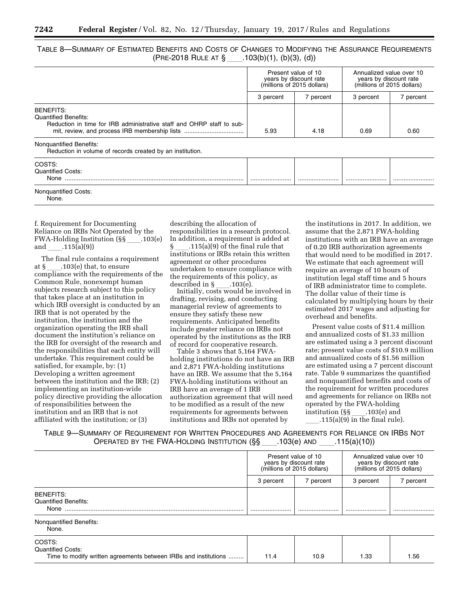TABLE 8—SUMMARY OF ESTIMATED BENEFITS AND COSTS OF CHANGES TO MODIFYING THE ASSURANCE REQUIREMENTS (PRE-2018 RULE AT  $\S$  .103(b)(1), (b)(3), (d))

|                                                                                                                          | Present value of 10<br>years by discount rate<br>(millions of 2015 dollars) |           | Annualized value over 10<br>years by discount rate<br>(millions of 2015 dollars) |           |
|--------------------------------------------------------------------------------------------------------------------------|-----------------------------------------------------------------------------|-----------|----------------------------------------------------------------------------------|-----------|
|                                                                                                                          | 3 percent                                                                   | 7 percent | 3 percent                                                                        | 7 percent |
| <b>BENEFITS:</b><br><b>Quantified Benefits:</b><br>Reduction in time for IRB administrative staff and OHRP staff to sub- | 5.93                                                                        | 4.18      | 0.69                                                                             | 0.60      |
| Nonquantified Benefits:<br>Reduction in volume of records created by an institution.                                     |                                                                             |           |                                                                                  |           |
| COSTS:<br><b>Quantified Costs:</b><br>None                                                                               |                                                                             |           |                                                                                  |           |
| <b>Nonquantified Costs:</b><br>None.                                                                                     |                                                                             |           |                                                                                  |           |

f. Requirement for Documenting Reliance on IRBs Not Operated by the FWA-Holding Institution  $(S\ S_\_$ .103(e) and  $.115(a)(9)$ 

The final rule contains a requirement at § \_\_\_\_.103(e) that, to ensure<br>compliance with the requirements of the Common Rule, nonexempt human subjects research subject to this policy that takes place at an institution in which IRB oversight is conducted by an IRB that is not operated by the institution, the institution and the organization operating the IRB shall document the institution's reliance on the IRB for oversight of the research and the responsibilities that each entity will undertake. This requirement could be satisfied, for example, by: (1) Developing a written agreement between the institution and the IRB; (2) implementing an institution-wide policy directive providing the allocation of responsibilities between the institution and an IRB that is not affiliated with the institution; or (3)

describing the allocation of responsibilities in a research protocol. In addition, a requirement is added at  $\S$  .115(a)(9) of the final rule that § \_\_\_\_.115(a)(9) of the final rule that<br>institutions or IRBs retain this written agreement or other procedures undertaken to ensure compliance with the requirements of this policy, as

described in §\_\_\_\_.103(e).<br>Initially, costs would be involved in drafting, revising, and conducting managerial review of agreements to ensure they satisfy these new requirements. Anticipated benefits include greater reliance on IRBs not operated by the institutions as the IRB of record for cooperative research.

Table 3 shows that 5,164 FWAholding institutions do not have an IRB and 2,871 FWA-holding institutions have an IRB. We assume that the 5,164 FWA-holding institutions without an IRB have an average of 1 IRB authorization agreement that will need to be modified as a result of the new requirements for agreements between institutions and IRBs not operated by

the institutions in 2017. In addition, we assume that the 2,871 FWA-holding institutions with an IRB have an average of 0.20 IRB authorization agreements that would need to be modified in 2017. We estimate that each agreement will require an average of 10 hours of institution legal staff time and 5 hours of IRB administrator time to complete. The dollar value of their time is calculated by multiplying hours by their estimated 2017 wages and adjusting for overhead and benefits.

Present value costs of \$11.4 million and annualized costs of \$1.33 million are estimated using a 3 percent discount rate; present value costs of \$10.9 million and annualized costs of \$1.56 million are estimated using a 7 percent discount rate. Table 9 summarizes the quantified and nonquantified benefits and costs of the requirement for written procedures and agreements for reliance on IRBs not operated by the FWA-holding institution (§§ \_\_\_\_.103(e) and<br>115(a)(9) in the final rule)  $\frac{1}{115(a)(9)}$  in the final rule).

TABLE 9—SUMMARY OF REQUIREMENT FOR WRITTEN PROCEDURES AND AGREEMENTS FOR RELIANCE ON IRBS NOT OPERATED BY THE FWA-HOLDING INSTITUTION  $(\S_{\S}$  .103(e) AND .115(a)(10))

|                                                                                                       |           | Present value of 10<br>years by discount rate<br>(millions of 2015 dollars) | Annualized value over 10<br>years by discount rate<br>(millions of 2015 dollars) |           |
|-------------------------------------------------------------------------------------------------------|-----------|-----------------------------------------------------------------------------|----------------------------------------------------------------------------------|-----------|
|                                                                                                       | 3 percent | 7 percent                                                                   | 3 percent                                                                        | 7 percent |
| <b>BENEFITS:</b><br><b>Quantified Benefits:</b><br>None                                               |           |                                                                             |                                                                                  |           |
| Nonguantified Benefits:<br>None.                                                                      |           |                                                                             |                                                                                  |           |
| COSTS:<br><b>Quantified Costs:</b><br>Time to modify written agreements between IRBs and institutions | 11.4      | 10.9                                                                        | 1.33                                                                             | 1.56      |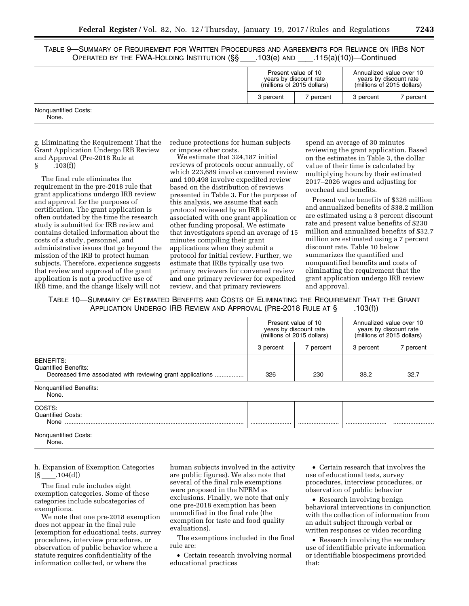TABLE 9—SUMMARY OF REQUIREMENT FOR WRITTEN PROCEDURES AND AGREEMENTS FOR RELIANCE ON IRBS NOT OPERATED BY THE FWA-HOLDING INSTITUTION  $(\S_{\S}$  .103(e) AND .115(a)(10))—Continued

|                               |           | Present value of 10<br>years by discount rate<br>(millions of 2015 dollars) | Annualized value over 10<br>years by discount rate<br>(millions of 2015 dollars) |         |
|-------------------------------|-----------|-----------------------------------------------------------------------------|----------------------------------------------------------------------------------|---------|
|                               | 3 percent | <sup>7</sup> percent                                                        | 3 percent                                                                        | percent |
| Nonguantified Costs:<br>None. |           |                                                                             |                                                                                  |         |

g. Eliminating the Requirement That the Grant Application Undergo IRB Review and Approval (Pre-2018 Rule at  $\S$  \_\_\_\_\_\_. 103(f))

The final rule eliminates the requirement in the pre-2018 rule that grant applications undergo IRB review and approval for the purposes of certification. The grant application is often outdated by the time the research study is submitted for IRB review and contains detailed information about the costs of a study, personnel, and administrative issues that go beyond the mission of the IRB to protect human subjects. Therefore, experience suggests that review and approval of the grant application is not a productive use of IRB time, and the change likely will not

reduce protections for human subjects or impose other costs.

We estimate that 324,187 initial reviews of protocols occur annually, of which 223,689 involve convened review and 100,498 involve expedited review based on the distribution of reviews presented in Table 3. For the purpose of this analysis, we assume that each protocol reviewed by an IRB is associated with one grant application or other funding proposal. We estimate that investigators spend an average of 15 minutes compiling their grant applications when they submit a protocol for initial review. Further, we estimate that IRBs typically use two primary reviewers for convened review and one primary reviewer for expedited review, and that primary reviewers

spend an average of 30 minutes reviewing the grant application. Based on the estimates in Table 3, the dollar value of their time is calculated by multiplying hours by their estimated 2017–2026 wages and adjusting for overhead and benefits.

Present value benefits of \$326 million and annualized benefits of \$38.2 million are estimated using a 3 percent discount rate and present value benefits of \$230 million and annualized benefits of \$32.7 million are estimated using a 7 percent discount rate. Table 10 below summarizes the quantified and nonquantified benefits and costs of eliminating the requirement that the grant application undergo IRB review and approval.

TABLE 10—SUMMARY OF ESTIMATED BENEFITS AND COSTS OF ELIMINATING THE REQUIREMENT THAT THE GRANT APPLICATION UNDERGO IRB REVIEW AND APPROVAL (PRE-2018 RULE AT § 103(f))

|                                                 | Present value of 10<br>years by discount rate<br>(millions of 2015 dollars) |           | Annualized value over 10<br>years by discount rate<br>(millions of 2015 dollars) |           |
|-------------------------------------------------|-----------------------------------------------------------------------------|-----------|----------------------------------------------------------------------------------|-----------|
|                                                 | 3 percent                                                                   | 7 percent | 3 percent                                                                        | 7 percent |
| <b>BENEFITS:</b><br><b>Quantified Benefits:</b> | 326                                                                         | 230       | 38.2                                                                             | 32.7      |
| Nonquantified Benefits:<br>None.                |                                                                             |           |                                                                                  |           |
| COSTS:<br><b>Quantified Costs:</b><br>None      |                                                                             |           |                                                                                  |           |
| <b>Nonquantified Costs:</b><br>None.            |                                                                             |           |                                                                                  |           |

h. Expansion of Exemption Categories  $(S_1 104(d))$ 

The final rule includes eight exemption categories. Some of these categories include subcategories of exemptions.

We note that one pre-2018 exemption does not appear in the final rule (exemption for educational tests, survey procedures, interview procedures, or observation of public behavior where a statute requires confidentiality of the information collected, or where the

human subjects involved in the activity are public figures). We also note that several of the final rule exemptions were proposed in the NPRM as exclusions. Finally, we note that only one pre-2018 exemption has been unmodified in the final rule (the exemption for taste and food quality evaluations).

The exemptions included in the final rule are:

• Certain research involving normal educational practices

• Certain research that involves the use of educational tests, survey procedures, interview procedures, or observation of public behavior

• Research involving benign behavioral interventions in conjunction with the collection of information from an adult subject through verbal or written responses or video recording

• Research involving the secondary use of identifiable private information or identifiable biospecimens provided that: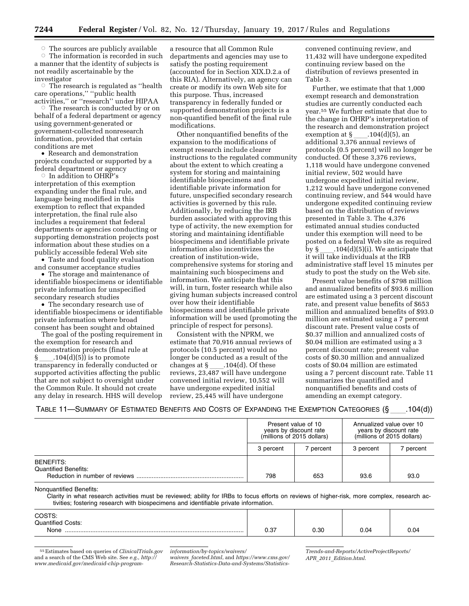$\circ$  The sources are publicly available  $\bigcirc$  The information is recorded in such a manner that the identity of subjects is not readily ascertainable by the investigator

 $\circ$  The research is regulated as "health care operations,'' ''public health

activities,'' or ''research'' under HIPAA Æ The research is conducted by or on behalf of a federal department or agency using government-generated or government-collected nonresearch information, provided that certain conditions are met

• Research and demonstration projects conducted or supported by a federal department or agency

 $\circ$  In addition to OHRP's interpretation of this exemption expanding under the final rule, and language being modified in this exemption to reflect that expanded interpretation, the final rule also includes a requirement that federal departments or agencies conducting or supporting demonstration projects post information about these studies on a publicly accessible federal Web site

• Taste and food quality evaluation and consumer acceptance studies

• The storage and maintenance of identifiable biospecimens or identifiable private information for unspecified secondary research studies

• The secondary research use of identifiable biospecimens or identifiable private information where broad consent has been sought and obtained

The goal of the posting requirement in the exemption for research and demonstration projects (final rule at § \_\_\_\_.104(d)(5)) is to promote<br>transparency in federally conducted or supported activities affecting the public that are not subject to oversight under the Common Rule. It should not create any delay in research. HHS will develop

a resource that all Common Rule departments and agencies may use to satisfy the posting requirement (accounted for in Section XIX.D.2.a of this RIA). Alternatively, an agency can create or modify its own Web site for this purpose. Thus, increased transparency in federally funded or supported demonstration projects is a non-quantified benefit of the final rule modifications.

Other nonquantified benefits of the expansion to the modifications of exempt research include clearer instructions to the regulated community about the extent to which creating a system for storing and maintaining identifiable biospecimens and identifiable private information for future, unspecified secondary research activities is governed by this rule. Additionally, by reducing the IRB burden associated with approving this type of activity, the new exemption for storing and maintaining identifiable biospecimens and identifiable private information also incentivizes the creation of institution-wide, comprehensive systems for storing and maintaining such biospecimens and information. We anticipate that this will, in turn, foster research while also giving human subjects increased control over how their identifiable biospecimens and identifiable private information will be used (promoting the principle of respect for persons).

Consistent with the NPRM, we estimate that 70,916 annual reviews of protocols (10.5 percent) would no longer be conducted as a result of the changes at § \_\_\_\_.104(d). Of these<br>reviews, 23,487 will have undergone convened initial review, 10,552 will have undergone expedited initial review, 25,445 will have undergone

convened continuing review, and 11,432 will have undergone expedited continuing review based on the distribution of reviews presented in Table 3.

Further, we estimate that that 1,000 exempt research and demonstration studies are currently conducted each year.55 We further estimate that due to the change in OHRP's interpretation of the research and demonstration project exemption at §\_\_\_\_.104(d)(5), an<br>additional 3,376 annual reviews of protocols (0.5 percent) will no longer be conducted. Of these 3,376 reviews, 1,118 would have undergone convened initial review, 502 would have undergone expedited initial review, 1,212 would have undergone convened continuing review, and 544 would have undergone expedited continuing review based on the distribution of reviews presented in Table 3. The 4,376 estimated annual studies conducted under this exemption will need to be posted on a federal Web site as required by  $\S$  .104(d)(5)(i). We anticipate that it will take individuals at the IRB administrative staff level 15 minutes per study to post the study on the Web site.

Present value benefits of \$798 million and annualized benefits of \$93.6 million are estimated using a 3 percent discount rate, and present value benefits of \$653 million and annualized benefits of \$93.0 million are estimated using a 7 percent discount rate. Present value costs of \$0.37 million and annualized costs of \$0.04 million are estimated using a 3 percent discount rate; present value costs of \$0.30 million and annualized costs of \$0.04 million are estimated using a 7 percent discount rate. Table 11 summarizes the quantified and nonquantified benefits and costs of amending an exempt category.

TABLE 11—SUMMARY OF ESTIMATED BENEFITS AND COSTS OF EXPANDING THE EXEMPTION CATEGORIES (§ ll.104(d))

|                                          |           | Present value of 10<br>years by discount rate<br>(millions of 2015 dollars) | Annualized value over 10<br>years by discount rate<br>(millions of 2015 dollars) |           |
|------------------------------------------|-----------|-----------------------------------------------------------------------------|----------------------------------------------------------------------------------|-----------|
|                                          | 3 percent | ' percent                                                                   | 3 percent                                                                        | 7 percent |
| BENEFITS:<br><b>Quantified Benefits:</b> | 798       | 653                                                                         | 93.6                                                                             | 93.0      |

Nonquantified Benefits:

Clarity in what research activities must be reviewed; ability for IRBs to focus efforts on reviews of higher-risk, more complex, research activities; fostering research with biospecimens and identifiable private information.

| coc.                  |        |               |      |      |
|-----------------------|--------|---------------|------|------|
| Quantified<br>Costs:  | $\sim$ | $\sim$        |      |      |
| None<br>$\sim$ $\sim$ | ,ט.ט   | טט.ע<br>$  -$ | 0.04 | 0.04 |

<sup>55</sup>Estimates based on queries of *ClinicalTrials.gov*  and a search of the CMS Web site. See *e.g., [http://](http://www.medicaid.gov/medicaid-chip-program-information/by-topics/waivers/waivers_faceted.html)  [www.medicaid.gov/medicaid-chip-program-](http://www.medicaid.gov/medicaid-chip-program-information/by-topics/waivers/waivers_faceted.html)*

*waivers*\_*[faceted.html](http://www.medicaid.gov/medicaid-chip-program-information/by-topics/waivers/waivers_faceted.html)*, and *[https://www.cms.gov/](https://www.cms.gov/Research-Statistics-Data-and-Systems/Statistics-Trends-and-Reports/ActiveProjectReports/APR_2011_Edition.html) [Research-Statistics-Data-and-Systems/Statistics-](https://www.cms.gov/Research-Statistics-Data-and-Systems/Statistics-Trends-and-Reports/ActiveProjectReports/APR_2011_Edition.html)* *[Trends-and-Reports/ActiveProjectReports/](https://www.cms.gov/Research-Statistics-Data-and-Systems/Statistics-Trends-and-Reports/ActiveProjectReports/APR_2011_Edition.html)  APR*\_*2011*\_*[Edition.html](https://www.cms.gov/Research-Statistics-Data-and-Systems/Statistics-Trends-and-Reports/ActiveProjectReports/APR_2011_Edition.html)*.

*[information/by-topics/waivers/](http://www.medicaid.gov/medicaid-chip-program-information/by-topics/waivers/waivers_faceted.html)*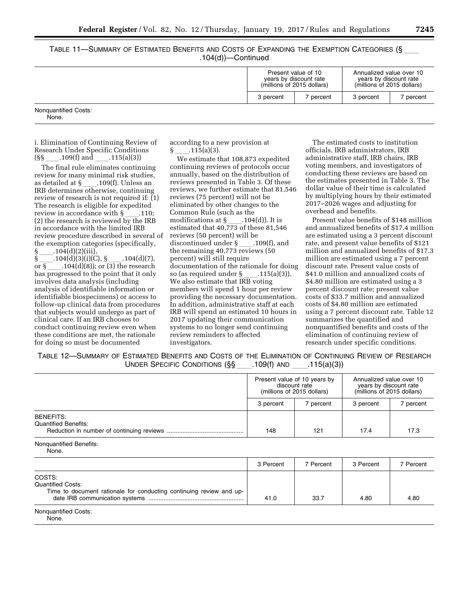TABLE 11—SUMMARY OF ESTIMATED BENEFITS AND COSTS OF EXPANDING THE EXEMPTION CATEGORIES (§ .104(d))—Continued

|                               |           | Present value of 10<br>years by discount rate<br>(millions of 2015 dollars) | Annualized value over 10<br>years by discount rate<br>(millions of 2015 dollars) |           |
|-------------------------------|-----------|-----------------------------------------------------------------------------|----------------------------------------------------------------------------------|-----------|
|                               | 3 percent | ' percent                                                                   | 3 percent                                                                        | ' percent |
| Nonquantified Costs:<br>None. |           |                                                                             |                                                                                  |           |

i. Elimination of Continuing Review of Research Under Specific Conditions  $(S\$ \_1.109(f) and  $_1.115(a)(3)$ 

The final rule eliminates continuing review for many minimal risk studies,<br>as detailed at  $\S$ \_\_\_\_.109(f). Unless an as detailed at § \_\_\_\_.109(f). Unless an<br>IRB determines otherwise, continuing review of research is not required if: (1) The research is eligible for expedited review in accordance with  $\S$ . 110; (2) the research is reviewed by the IRB in accordance with the limited IRB review procedure described in several of the exemption categories (specifically,  $\S$  \_\_\_\_, 104(d)(2)(iii), § ll.104(d)(2)(iii),  $\S$  \_\_\_\_, 104(d)(3)(i)(C),  $\S$  \_\_\_\_, 104(d)(7),<br>or  $\S$  \_\_\_\_\_104(d)(8)); or (3) the research or  $\S_{\text{max}}$ .104(d)(8)); or (3) the research<br>has progressed to the point that it only has progressed to the point that it only involves data analysis (including

analysis of identifiable information or identifiable biospecimens) or access to follow-up clinical data from procedures that subjects would undergo as part of clinical care. If an IRB chooses to conduct continuing review even when these conditions are met, the rationale for doing so must be documented

according to a new provision at  $\S$  \_\_\_\_\_\_.115(a)(3).

We estimate that 108,873 expedited continuing reviews of protocols occur annually, based on the distribution of reviews presented in Table 3. Of these reviews, we further estimate that 81,546 reviews (75 percent) will not be eliminated by other changes to the Common Rule (such as the modifications at § \_\_\_\_.104(d)). It is<br>estimated that 40,773 of these 81,546 reviews (50 percent) will be<br>discontinued under §\_\_\_\_\_.1 discontinued under § \_\_\_\_.109(f), and<br>the remaining 40,773 reviews (50 percent) will still require documentation of the rationale for doing so (as required under §\_\_\_\_.115(a)(3)).<br>We also estimate that IRB voting members will spend 1 hour per review providing the necessary documentation. In addition, administrative staff at each IRB will spend an estimated 10 hours in 2017 updating their communication systems to no longer send continuing review reminders to affected investigators.

The estimated costs to institution officials, IRB administrators, IRB administrative staff, IRB chairs, IRB voting members, and investigators of conducting these reviews are based on the estimates presented in Table 3. The dollar value of their time is calculated by multiplying hours by their estimated 2017–2026 wages and adjusting for overhead and benefits.

Present value benefits of \$148 million and annualized benefits of \$17.4 million are estimated using a 3 percent discount rate, and present value benefits of \$121 million and annualized benefits of \$17.3 million are estimated using a 7 percent discount rate. Present value costs of \$41.0 million and annualized costs of \$4.80 million are estimated using a 3 percent discount rate; present value costs of \$33.7 million and annualized costs of \$4.80 million are estimated using a 7 percent discount rate. Table 12 summarizes the quantified and nonquantified benefits and costs of the elimination of continuing review of research under specific conditions.

TABLE 12—SUMMARY OF ESTIMATED BENEFITS AND COSTS OF THE ELIMINATION OF CONTINUING REVIEW OF RESEARCH UNDER SPECIFIC CONDITIONS (§§ ll.109(f) AND ll.115(a)(3))

|                                   |           | Present value of 10 years by<br>discount rate<br>(millions of 2015 dollars) |           | Annualized value over 10<br>years by discount rate<br>(millions of 2015 dollars) |  |
|-----------------------------------|-----------|-----------------------------------------------------------------------------|-----------|----------------------------------------------------------------------------------|--|
|                                   | 3 percent | 7 percent                                                                   | 3 percent | ' percent                                                                        |  |
| BENEFITS:<br>Quantified Benefits: | 148       | 121                                                                         | 17.4      | 17.3                                                                             |  |
| Nonquantified Benefits:<br>None.  |           |                                                                             |           |                                                                                  |  |

|                                                                                                           | 3 Percent | 7 Percent | 3 Percent | 7 Percent |
|-----------------------------------------------------------------------------------------------------------|-----------|-----------|-----------|-----------|
| COSTS:<br><b>Quantified Costs:</b><br>Time to document rationale for conducting continuing review and up- | 41.0      | 33.7      | 4.80      | 4.80      |
| Nonguantified Costs:<br>None.                                                                             |           |           |           |           |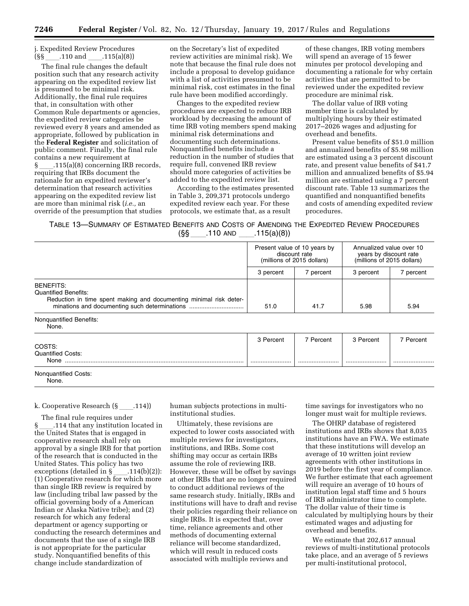j. Expedited Review Procedures<br>(§§\_\_\_\_\_.110 and \_\_\_\_\_.115(a)(8))  $110$  and  $115(a)(8)$ 

The final rule changes the default position such that any research activity appearing on the expedited review list is presumed to be minimal risk. Additionally, the final rule requires that, in consultation with other Common Rule departments or agencies, the expedited review categories be reviewed every 8 years and amended as appropriate, followed by publication in the **Federal Register** and solicitation of public comment. Finally, the final rule contains a new requirement at § .115(a)(8) concerning IRB records, requiring that IRBs document the rationale for an expedited reviewer's determination that research activities appearing on the expedited review list are more than minimal risk (*i.e.,* an override of the presumption that studies

on the Secretary's list of expedited review activities are minimal risk). We note that because the final rule does not include a proposal to develop guidance with a list of activities presumed to be minimal risk, cost estimates in the final rule have been modified accordingly.

Changes to the expedited review procedures are expected to reduce IRB workload by decreasing the amount of time IRB voting members spend making minimal risk determinations and documenting such determinations. Nonquantified benefits include a reduction in the number of studies that require full, convened IRB review should more categories of activities be added to the expedited review list.

According to the estimates presented in Table 3, 209,371 protocols undergo expedited review each year. For these protocols, we estimate that, as a result

of these changes, IRB voting members will spend an average of 15 fewer minutes per protocol developing and documenting a rationale for why certain activities that are permitted to be reviewed under the expedited review procedure are minimal risk.

The dollar value of IRB voting member time is calculated by multiplying hours by their estimated 2017–2026 wages and adjusting for overhead and benefits.

Present value benefits of \$51.0 million and annualized benefits of \$5.98 million are estimated using a 3 percent discount rate, and present value benefits of \$41.7 million and annualized benefits of \$5.94 million are estimated using a 7 percent discount rate. Table 13 summarizes the quantified and nonquantified benefits and costs of amending expedited review procedures.

# TABLE 13—SUMMARY OF ESTIMATED BENEFITS AND COSTS OF AMENDING THE EXPEDITED REVIEW PROCEDURES  $(S\$  .110 AND .115(a)(8))

|                                                                                                                                                                 | Present value of 10 years by<br>discount rate<br>(millions of 2015 dollars) |           | Annualized value over 10<br>years by discount rate<br>(millions of 2015 dollars) |           |
|-----------------------------------------------------------------------------------------------------------------------------------------------------------------|-----------------------------------------------------------------------------|-----------|----------------------------------------------------------------------------------|-----------|
|                                                                                                                                                                 | 3 percent                                                                   | 7 percent | 3 percent                                                                        | 7 percent |
| BENEFITS:<br><b>Quantified Benefits:</b><br>Reduction in time spent making and documenting minimal risk deter-<br>minations and documenting such determinations | 51.0                                                                        | 41.7      | 5.98                                                                             | 5.94      |
| Nonquantified Benefits:<br>None.                                                                                                                                |                                                                             |           |                                                                                  |           |
| COSTS:<br><b>Quantified Costs:</b><br>None                                                                                                                      | 3 Percent                                                                   | 7 Percent | 3 Percent                                                                        | 7 Percent |
| <b>Nonguantified Costs:</b>                                                                                                                                     |                                                                             |           |                                                                                  |           |

None.

k. Cooperative Research (§ 114))

The final rule requires under § ll.114 that any institution located in the United States that is engaged in cooperative research shall rely on approval by a single IRB for that portion of the research that is conducted in the United States. This policy has two<br>exceptions (detailed in §\_\_\_\_.114( exceptions (detailed in §\_\_\_\_.114(b)(2)):<br>(1) Cooperative research for which more than single IRB review is required by law (including tribal law passed by the official governing body of a American Indian or Alaska Native tribe); and (2) research for which any federal department or agency supporting or conducting the research determines and documents that the use of a single IRB is not appropriate for the particular study. Nonquantified benefits of this change include standardization of

human subjects protections in multiinstitutional studies.

Ultimately, these revisions are expected to lower costs associated with multiple reviews for investigators, institutions, and IRBs. Some cost shifting may occur as certain IRBs assume the role of reviewing IRB. However, these will be offset by savings at other IRBs that are no longer required to conduct additional reviews of the same research study. Initially, IRBs and institutions will have to draft and revise their policies regarding their reliance on single IRBs. It is expected that, over time, reliance agreements and other methods of documenting external reliance will become standardized, which will result in reduced costs associated with multiple reviews and

time savings for investigators who no longer must wait for multiple reviews.

The OHRP database of registered institutions and IRBs shows that 8,035 institutions have an FWA. We estimate that these institutions will develop an average of 10 written joint review agreements with other institutions in 2019 before the first year of compliance. We further estimate that each agreement will require an average of 10 hours of institution legal staff time and 5 hours of IRB administrator time to complete. The dollar value of their time is calculated by multiplying hours by their estimated wages and adjusting for overhead and benefits.

We estimate that 202,617 annual reviews of multi-institutional protocols take place, and an average of 5 reviews per multi-institutional protocol,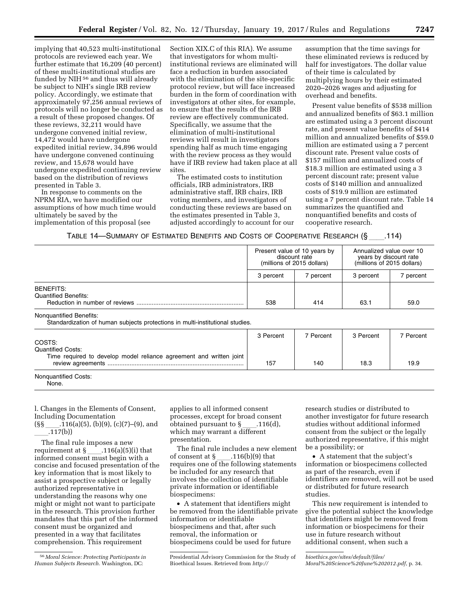implying that 40,523 multi-institutional protocols are reviewed each year. We further estimate that 16,209 (40 percent) of these multi-institutional studies are funded by NIH 56 and thus will already be subject to NIH's single IRB review policy. Accordingly, we estimate that approximately 97,256 annual reviews of protocols will no longer be conducted as a result of these proposed changes. Of these reviews, 32,211 would have undergone convened initial review, 14,472 would have undergone expedited initial review, 34,896 would have undergone convened continuing review, and 15,678 would have undergone expedited continuing review based on the distribution of reviews presented in Table 3.

In response to comments on the NPRM RIA, we have modified our assumptions of how much time would ultimately be saved by the implementation of this proposal (see

Section XIX.C of this RIA). We assume that investigators for whom multiinstitutional reviews are eliminated will face a reduction in burden associated with the elimination of the site-specific protocol review, but will face increased burden in the form of coordination with investigators at other sites, for example, to ensure that the results of the IRB review are effectively communicated. Specifically, we assume that the elimination of multi-institutional reviews will result in investigators spending half as much time engaging with the review process as they would have if IRB review had taken place at all sites.

The estimated costs to institution officials, IRB administrators, IRB administrative staff, IRB chairs, IRB voting members, and investigators of conducting these reviews are based on the estimates presented in Table 3, adjusted accordingly to account for our

assumption that the time savings for these eliminated reviews is reduced by half for investigators. The dollar value of their time is calculated by multiplying hours by their estimated 2020–2026 wages and adjusting for overhead and benefits.

Present value benefits of \$538 million and annualized benefits of \$63.1 million are estimated using a 3 percent discount rate, and present value benefits of \$414 million and annualized benefits of \$59.0 million are estimated using a 7 percent discount rate. Present value costs of \$157 million and annualized costs of \$18.3 million are estimated using a 3 percent discount rate; present value costs of \$140 million and annualized costs of \$19.9 million are estimated using a 7 percent discount rate. Table 14 summarizes the quantified and nonquantified benefits and costs of cooperative research.

TABLE 14—SUMMARY OF ESTIMATED BENEFITS AND COSTS OF COOPERATIVE RESEARCH (§ 114)

|                                                                                                                 | Present value of 10 years by<br>discount rate<br>(millions of 2015 dollars)<br>3 percent<br>7 percent |           | Annualized value over 10<br>years by discount rate<br>(millions of 2015 dollars) |           |
|-----------------------------------------------------------------------------------------------------------------|-------------------------------------------------------------------------------------------------------|-----------|----------------------------------------------------------------------------------|-----------|
|                                                                                                                 |                                                                                                       |           | 3 percent                                                                        | 7 percent |
| BENEFITS:<br><b>Quantified Benefits:</b>                                                                        | 538                                                                                                   | 414       | 63.1                                                                             | 59.0      |
| <b>Nonguantified Benefits:</b><br>Standardization of human subjects protections in multi-institutional studies. |                                                                                                       |           |                                                                                  |           |
| COSTS:<br><b>Quantified Costs:</b><br>Time required to develop model reliance agreement and written joint       | 3 Percent                                                                                             | 7 Percent | 3 Percent                                                                        | 7 Percent |
|                                                                                                                 | 157                                                                                                   | 140       | 18.3                                                                             | 19.9      |
|                                                                                                                 |                                                                                                       |           |                                                                                  |           |

Nonquantified Costs:

None.

l. Changes in the Elements of Consent, Including Documentation

 $(\S\$  .116(a)(5), (b)(9), (c)(7)–(9), and ll.117(b))

The final rule imposes a new requirement at § \_\_\_\_.116(a)(5)(i) that<br>informed consent must begin with a concise and focused presentation of the key information that is most likely to assist a prospective subject or legally authorized representative in understanding the reasons why one might or might not want to participate in the research. This provision further mandates that this part of the informed consent must be organized and presented in a way that facilitates comprehension. This requirement

applies to all informed consent processes, except for broad consent obtained pursuant to §\_\_\_.116(d),<br>which may warrant a different presentation.

The final rule includes a new element of consent at § \_\_\_\_.116(b)(9) that<br>requires one of the following statements be included for any research that involves the collection of identifiable private information or identifiable biospecimens:

• A statement that identifiers might be removed from the identifiable private information or identifiable biospecimens and that, after such removal, the information or biospecimens could be used for future

research studies or distributed to another investigator for future research studies without additional informed consent from the subject or the legally authorized representative, if this might be a possibility; or

• A statement that the subject's information or biospecimens collected as part of the research, even if identifiers are removed, will not be used or distributed for future research studies.

This new requirement is intended to give the potential subject the knowledge that identifiers might be removed from information or biospecimens for their use in future research without additional consent, when such a

*[bioethics.gov/sites/default/files/](http://bioethics.gov/sites/default/files/Moral%20Science%20June%202012.pdf) [Moral%20Science%20June%202012.pdf](http://bioethics.gov/sites/default/files/Moral%20Science%20June%202012.pdf)*, p. 34.

<sup>56</sup> *Moral Science: Protecting Participants in Human Subjects Research.* Washington, DC:

Presidential Advisory Commission for the Study of Bioethical Issues. Retrieved from *[http://](http://bioethics.gov/sites/default/files/Moral%20Science%20June%202012.pdf)*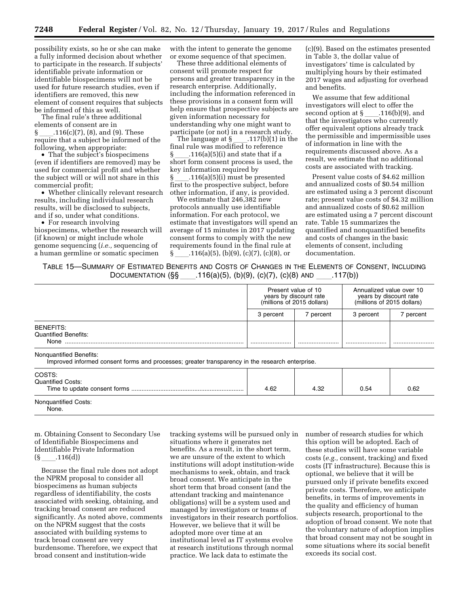possibility exists, so he or she can make a fully informed decision about whether to participate in the research. If subjects' identifiable private information or identifiable biospecimens will not be used for future research studies, even if identifiers are removed, this new element of consent requires that subjects be informed of this as well.

The final rule's three additional elements of consent are in  $\S$  \_\_\_\_\_\_. 116(c)(7), (8), and (9). These require that a subject be informed of the following, when appropriate:

• That the subject's biospecimens (even if identifiers are removed) may be used for commercial profit and whether the subject will or will not share in this commercial profit;

• Whether clinically relevant research results, including individual research results, will be disclosed to subjects, and if so, under what conditions.

• For research involving biospecimens, whether the research will (if known) or might include whole genome sequencing (*i.e.,* sequencing of a human germline or somatic specimen

with the intent to generate the genome or exome sequence of that specimen.

These three additional elements of consent will promote respect for persons and greater transparency in the research enterprise. Additionally, including the information referenced in these provisions in a consent form will help ensure that prospective subjects are given information necessary for understanding why one might want to participate (or not) in a research study.<br>The language at § .117(b)(1) in the

The language at  $\S$  \_\_\_\_.117(b)(1) in the final rule was modified to reference § \_\_\_\_.116(a)(5)(i) and state that if a<br>short form consent process is used, the key information required by  $.116(a)(5)(i)$  must be presented first to the prospective subject, before

other information, if any, is provided. We estimate that 246,382 new

protocols annually use identifiable information. For each protocol, we estimate that investigators will spend an average of 15 minutes in 2017 updating consent forms to comply with the new requirements found in the final rule at  $\S$  .116(a)(5), (b)(9), (c)(7), (c)(8), or

(c)(9). Based on the estimates presented in Table 3, the dollar value of investigators' time is calculated by multiplying hours by their estimated 2017 wages and adjusting for overhead and benefits.

We assume that few additional investigators will elect to offer the second option at  $\S$  .116(b)(9), and that the investigators who currently offer equivalent options already track the permissible and impermissible uses of information in line with the requirements discussed above. As a result, we estimate that no additional costs are associated with tracking.

Present value costs of \$4.62 million and annualized costs of \$0.54 million are estimated using a 3 percent discount rate; present value costs of \$4.32 million and annualized costs of \$0.62 million are estimated using a 7 percent discount rate. Table 15 summarizes the quantified and nonquantified benefits and costs of changes in the basic elements of consent, including documentation.

TABLE 15—SUMMARY OF ESTIMATED BENEFITS AND COSTS OF CHANGES IN THE ELEMENTS OF CONSENT, INCLUDING DOCUMENTATION  $(\S\S$  .116(a)(5), (b)(9), (c)(7), (c)(8) AND .117(b))

|                                                                                                                            |           | Present value of 10<br>years by discount rate<br>(millions of 2015 dollars) | Annualized value over 10<br>years by discount rate<br>(millions of 2015 dollars) |           |
|----------------------------------------------------------------------------------------------------------------------------|-----------|-----------------------------------------------------------------------------|----------------------------------------------------------------------------------|-----------|
|                                                                                                                            | 3 percent | 7 percent                                                                   | 3 percent                                                                        | ' percent |
| BENEFITS:<br><b>Quantified Benefits:</b><br>None                                                                           |           |                                                                             |                                                                                  |           |
| Nonguantified Benefits:<br>Improved informed consent forms and processes; greater transparency in the research enterprise. |           |                                                                             |                                                                                  |           |

| COSTS:<br><b>Quantified Costs:</b> | 4.62 | 4.32 | 0.54 | 0.62 |
|------------------------------------|------|------|------|------|
|                                    |      |      |      |      |
| Nonguantified Costs:<br>None.      |      |      |      |      |

m. Obtaining Consent to Secondary Use of Identifiable Biospecimens and Identifiable Private Information  $(S \t116(d))$ 

Because the final rule does not adopt the NPRM proposal to consider all biospecimens as human subjects regardless of identifiability, the costs associated with seeking, obtaining, and tracking broad consent are reduced significantly. As noted above, comments on the NPRM suggest that the costs associated with building systems to track broad consent are very burdensome. Therefore, we expect that broad consent and institution-wide

tracking systems will be pursued only in situations where it generates net benefits. As a result, in the short term, we are unsure of the extent to which institutions will adopt institution-wide mechanisms to seek, obtain, and track broad consent. We anticipate in the short term that broad consent (and the attendant tracking and maintenance obligations) will be a system used and managed by investigators or teams of investigators in their research portfolios. However, we believe that it will be adopted more over time at an institutional level as IT systems evolve at research institutions through normal practice. We lack data to estimate the

number of research studies for which this option will be adopted. Each of these studies will have some variable costs (*e.g.,* consent, tracking) and fixed costs (IT infrastructure). Because this is optional, we believe that it will be pursued only if private benefits exceed private costs. Therefore, we anticipate benefits, in terms of improvements in the quality and efficiency of human subjects research, proportional to the adoption of broad consent. We note that the voluntary nature of adoption implies that broad consent may not be sought in some situations where its social benefit exceeds its social cost.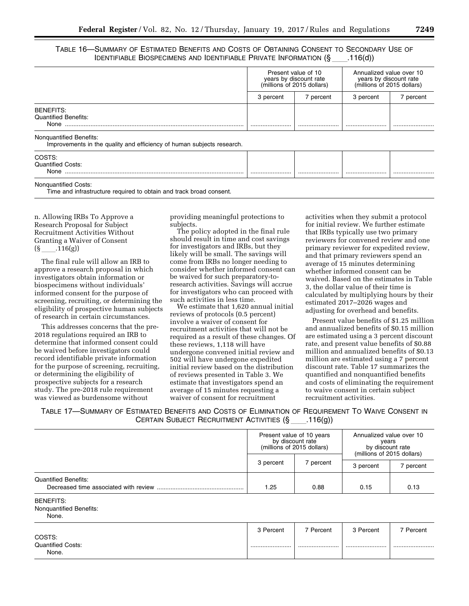TABLE 16—SUMMARY OF ESTIMATED BENEFITS AND COSTS OF OBTAINING CONSENT TO SECONDARY USE OF IDENTIFIABLE BIOSPECIMENS AND IDENTIFIABLE PRIVATE INFORMATION (§ 116(d))

|                                                                                                   |  | Present value of 10<br>years by discount rate<br>(millions of 2015 dollars) | Annualized value over 10<br>years by discount rate<br>(millions of 2015 dollars) |  |
|---------------------------------------------------------------------------------------------------|--|-----------------------------------------------------------------------------|----------------------------------------------------------------------------------|--|
| 3 percent<br>7 percent                                                                            |  | 3 percent                                                                   | 7 percent                                                                        |  |
| <b>BENEFITS:</b><br><b>Quantified Benefits:</b><br>None                                           |  |                                                                             |                                                                                  |  |
| Nonguantified Benefits:<br>Improvements in the quality and efficiency of human subjects research. |  |                                                                             |                                                                                  |  |
| COSTS:<br><b>Quantified Costs:</b><br>None                                                        |  |                                                                             |                                                                                  |  |
| Nonguantified Contar                                                                              |  |                                                                             |                                                                                  |  |

Nonquantified Costs:

Time and infrastructure required to obtain and track broad consent.

n. Allowing IRBs To Approve a Research Proposal for Subject Recruitment Activities Without Granting a Waiver of Consent  $(\S$  .116(g))

The final rule will allow an IRB to approve a research proposal in which investigators obtain information or biospecimens without individuals' informed consent for the purpose of screening, recruiting, or determining the eligibility of prospective human subjects of research in certain circumstances.

This addresses concerns that the pre-2018 regulations required an IRB to determine that informed consent could be waived before investigators could record identifiable private information for the purpose of screening, recruiting, or determining the eligibility of prospective subjects for a research study. The pre-2018 rule requirement was viewed as burdensome without

providing meaningful protections to subjects.

The policy adopted in the final rule should result in time and cost savings for investigators and IRBs, but they likely will be small. The savings will come from IRBs no longer needing to consider whether informed consent can be waived for such preparatory-toresearch activities. Savings will accrue for investigators who can proceed with such activities in less time.

We estimate that 1,620 annual initial reviews of protocols (0.5 percent) involve a waiver of consent for recruitment activities that will not be required as a result of these changes. Of these reviews, 1,118 will have undergone convened initial review and 502 will have undergone expedited initial review based on the distribution of reviews presented in Table 3. We estimate that investigators spend an average of 15 minutes requesting a waiver of consent for recruitment

activities when they submit a protocol for initial review. We further estimate that IRBs typically use two primary reviewers for convened review and one primary reviewer for expedited review, and that primary reviewers spend an average of 15 minutes determining whether informed consent can be waived. Based on the estimates in Table 3, the dollar value of their time is calculated by multiplying hours by their estimated 2017–2026 wages and adjusting for overhead and benefits.

Present value benefits of \$1.25 million and annualized benefits of \$0.15 million are estimated using a 3 percent discount rate, and present value benefits of \$0.88 million and annualized benefits of \$0.13 million are estimated using a 7 percent discount rate. Table 17 summarizes the quantified and nonquantified benefits and costs of eliminating the requirement to waive consent in certain subject recruitment activities.

TABLE 17—SUMMARY OF ESTIMATED BENEFITS AND COSTS OF ELIMINATION OF REQUIREMENT TO WAIVE CONSENT IN CERTAIN SUBJECT RECRUITMENT ACTIVITIES (§ \_\_\_\_ .116(g))

|                                      |           | Present value of 10 years<br>by discount rate<br>(millions of 2015 dollars) | Annualized value over 10<br>years<br>by discount rate<br>(millions of 2015 dollars) |           |
|--------------------------------------|-----------|-----------------------------------------------------------------------------|-------------------------------------------------------------------------------------|-----------|
|                                      | 3 percent | 7 percent                                                                   | 3 percent                                                                           | 7 percent |
| <b>Quantified Benefits:</b>          | 1.25      | 0.88                                                                        | 0.15                                                                                | 0.13      |
| BENEFITS:<br>Nonguantified Benefits: |           |                                                                             |                                                                                     |           |

None.

|                                             | 3 Percent | 7 Percent | 3 Percent | 7 Percent |
|---------------------------------------------|-----------|-----------|-----------|-----------|
| COSTS:<br><b>Quantified Costs:</b><br>None. |           |           |           |           |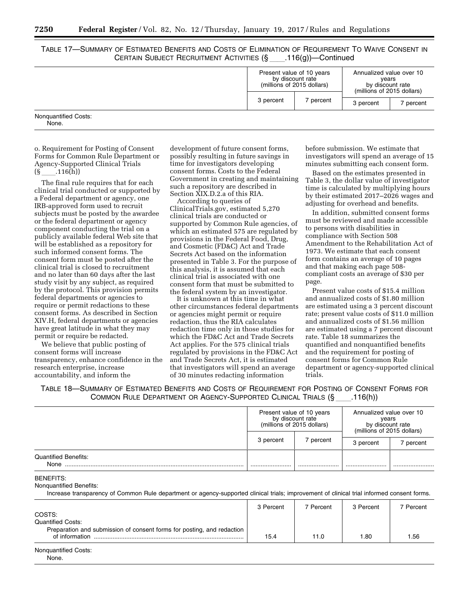TABLE 17—SUMMARY OF ESTIMATED BENEFITS AND COSTS OF ELIMINATION OF REQUIREMENT TO WAIVE CONSENT IN CERTAIN SUBJECT RECRUITMENT ACTIVITIES (§ 116(g))-Continued

|                               |           | Present value of 10 years<br>by discount rate<br>(millions of 2015 dollars) |           | Annualized value over 10<br>vears<br>by discount rate<br>(millions of 2015 dollars) |  |
|-------------------------------|-----------|-----------------------------------------------------------------------------|-----------|-------------------------------------------------------------------------------------|--|
|                               | 3 percent | 7 percent                                                                   | 3 percent | ' percent                                                                           |  |
| Nonguantified Costs:<br>None. |           |                                                                             |           |                                                                                     |  |

o. Requirement for Posting of Consent Forms for Common Rule Department or Agency-Supported Clinical Trials  $(\S$  .116(h))

The final rule requires that for each clinical trial conducted or supported by a Federal department or agency, one IRB-approved form used to recruit subjects must be posted by the awardee or the federal department or agency component conducting the trial on a publicly available federal Web site that will be established as a repository for such informed consent forms. The consent form must be posted after the clinical trial is closed to recruitment and no later than 60 days after the last study visit by any subject, as required by the protocol. This provision permits federal departments or agencies to require or permit redactions to these consent forms. As described in Section XIV.H, federal departments or agencies have great latitude in what they may permit or require be redacted.

We believe that public posting of consent forms will increase transparency, enhance confidence in the research enterprise, increase accountability, and inform the

development of future consent forms, possibly resulting in future savings in time for investigators developing consent forms. Costs to the Federal Government in creating and maintaining such a repository are described in Section XIX.D.2.a of this RIA.

According to queries of ClinicalTrials.gov, estimated 5,270 clinical trials are conducted or supported by Common Rule agencies, of which an estimated 575 are regulated by provisions in the Federal Food, Drug, and Cosmetic (FD&C) Act and Trade Secrets Act based on the information presented in Table 3. For the purpose of this analysis, it is assumed that each clinical trial is associated with one consent form that must be submitted to the federal system by an investigator.

It is unknown at this time in what other circumstances federal departments or agencies might permit or require redaction, thus the RIA calculates redaction time only in those studies for which the FD&C Act and Trade Secrets Act applies. For the 575 clinical trials regulated by provisions in the FD&C Act and Trade Secrets Act, it is estimated that investigators will spend an average of 30 minutes redacting information

before submission. We estimate that investigators will spend an average of 15 minutes submitting each consent form.

Based on the estimates presented in Table 3, the dollar value of investigator time is calculated by multiplying hours by their estimated 2017–2026 wages and adjusting for overhead and benefits.

In addition, submitted consent forms must be reviewed and made accessible to persons with disabilities in compliance with Section 508 Amendment to the Rehabilitation Act of 1973. We estimate that each consent form contains an average of 10 pages and that making each page 508 compliant costs an average of \$30 per page.

Present value costs of \$15.4 million and annualized costs of \$1.80 million are estimated using a 3 percent discount rate; present value costs of \$11.0 million and annualized costs of \$1.56 million are estimated using a 7 percent discount rate. Table 18 summarizes the quantified and nonquantified benefits and the requirement for posting of consent forms for Common Rule department or agency-supported clinical trials.

| Table 18—Summary of Estimated Benefits and Costs of Requirement for Posting of Consent Forms for |  |          |  |
|--------------------------------------------------------------------------------------------------|--|----------|--|
| COMMON RULE DEPARTMENT OR AGENCY-SUPPORTED CLINICAL TRIALS (§                                    |  | .116(h)) |  |
|                                                                                                  |  |          |  |

|                                     | Present value of 10 years<br>by discount rate<br>(millions of 2015 dollars) |           | Annualized value over 10<br>years<br>by discount rate<br>(millions of 2015 dollars) |         |
|-------------------------------------|-----------------------------------------------------------------------------|-----------|-------------------------------------------------------------------------------------|---------|
|                                     | 3 percent                                                                   | 7 percent | 3 percent                                                                           | percent |
| <b>Quantified Benefits:</b><br>None |                                                                             |           |                                                                                     |         |

BENEFITS:

Nonquantified Benefits:

Increase transparency of Common Rule department or agency-supported clinical trials; improvement of clinical trial informed consent forms.

|                                                                        | 3 Percent | 7 Percent | 3 Percent | 7 Percent |
|------------------------------------------------------------------------|-----------|-----------|-----------|-----------|
| COSTS:                                                                 |           |           |           |           |
| <b>Quantified Costs:</b>                                               |           |           |           |           |
| Preparation and submission of consent forms for posting, and redaction |           |           |           |           |
| of information                                                         | 15.4      | 11.0      | 1.80      | 1.56      |
| Nonguantified Costs:                                                   |           |           |           |           |

None.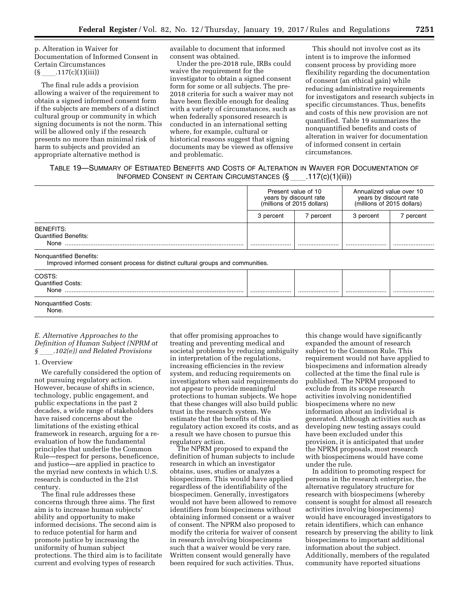p. Alteration in Waiver for Documentation of Informed Consent in Certain Circumstances  $(S_1 117(c)(1)(iii))$ 

The final rule adds a provision allowing a waiver of the requirement to obtain a signed informed consent form if the subjects are members of a distinct cultural group or community in which signing documents is not the norm. This will be allowed only if the research presents no more than minimal risk of harm to subjects and provided an appropriate alternative method is

available to document that informed consent was obtained.

Under the pre-2018 rule, IRBs could waive the requirement for the investigator to obtain a signed consent form for some or all subjects. The pre-2018 criteria for such a waiver may not have been flexible enough for dealing with a variety of circumstances, such as when federally sponsored research is conducted in an international setting where, for example, cultural or historical reasons suggest that signing documents may be viewed as offensive and problematic.

This should not involve cost as its intent is to improve the informed consent process by providing more flexibility regarding the documentation of consent (an ethical gain) while reducing administrative requirements for investigators and research subjects in specific circumstances. Thus, benefits and costs of this new provision are not quantified. Table 19 summarizes the nonquantified benefits and costs of alteration in waiver for documentation of informed consent in certain circumstances.

# TABLE 19—SUMMARY OF ESTIMATED BENEFITS AND COSTS OF ALTERATION IN WAIVER FOR DOCUMENTATION OF INFORMED CONSENT IN CERTAIN CIRCUMSTANCES  $(\S_$ <sub>1</sub> .117(c)(1)(iii))

|                                                                                                            |           | Present value of 10<br>years by discount rate<br>(millions of 2015 dollars) | Annualized value over 10<br>years by discount rate<br>(millions of 2015 dollars) |         |
|------------------------------------------------------------------------------------------------------------|-----------|-----------------------------------------------------------------------------|----------------------------------------------------------------------------------|---------|
|                                                                                                            | 3 percent | 7 percent                                                                   | 3 percent                                                                        | percent |
| BENEFITS:<br><b>Quantified Benefits:</b><br>None                                                           |           |                                                                             |                                                                                  |         |
| Nonguantified Benefits:<br>Improved informed consent process for distinct cultural groups and communities. |           |                                                                             |                                                                                  |         |
|                                                                                                            |           |                                                                             |                                                                                  |         |

| COSTS:<br><b>Quantified Costs:</b><br>None | <br> |  |
|--------------------------------------------|------|--|
| Nonquantified Costs:                       |      |  |

# *E. Alternative Approaches to the Definition of Human Subject (NPRM at §* ll*.102(e)) and Related Provisions*

#### 1. Overview

None.

We carefully considered the option of not pursuing regulatory action. However, because of shifts in science, technology, public engagement, and public expectations in the past 2 decades, a wide range of stakeholders have raised concerns about the limitations of the existing ethical framework in research, arguing for a reevaluation of how the fundamental principles that underlie the Common Rule—respect for persons, beneficence, and justice—are applied in practice to the myriad new contexts in which U.S. research is conducted in the 21st century.

The final rule addresses these concerns through three aims. The first aim is to increase human subjects' ability and opportunity to make informed decisions. The second aim is to reduce potential for harm and promote justice by increasing the uniformity of human subject protections. The third aim is to facilitate current and evolving types of research

that offer promising approaches to treating and preventing medical and societal problems by reducing ambiguity in interpretation of the regulations, increasing efficiencies in the review system, and reducing requirements on investigators when said requirements do not appear to provide meaningful protections to human subjects. We hope that these changes will also build public trust in the research system. We estimate that the benefits of this regulatory action exceed its costs, and as a result we have chosen to pursue this regulatory action.

The NPRM proposed to expand the definition of human subjects to include research in which an investigator obtains, uses, studies or analyzes a biospecimen. This would have applied regardless of the identifiability of the biospecimen. Generally, investigators would not have been allowed to remove identifiers from biospecimens without obtaining informed consent or a waiver of consent. The NPRM also proposed to modify the criteria for waiver of consent in research involving biospecimens such that a waiver would be very rare. Written consent would generally have been required for such activities. Thus,

this change would have significantly expanded the amount of research subject to the Common Rule. This requirement would not have applied to biospecimens and information already collected at the time the final rule is published. The NPRM proposed to exclude from its scope research activities involving nonidentified biospecimens where no new information about an individual is generated. Although activities such as developing new testing assays could have been excluded under this provision, it is anticipated that under the NPRM proposals, most research with biospecimens would have come under the rule.

In addition to promoting respect for persons in the research enterprise, the alternative regulatory structure for research with biospecimens (whereby consent is sought for almost all research activities involving biospecimens) would have encouraged investigators to retain identifiers, which can enhance research by preserving the ability to link biospecimens to important additional information about the subject. Additionally, members of the regulated community have reported situations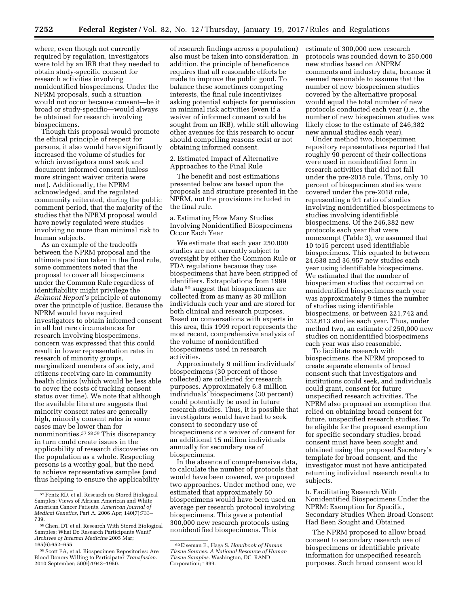where, even though not currently required by regulation, investigators were told by an IRB that they needed to obtain study-specific consent for research activities involving nonidentified biospecimens. Under the NPRM proposals, such a situation would not occur because consent—be it broad or study-specific—would always be obtained for research involving biospecimens.

Though this proposal would promote the ethical principle of respect for persons, it also would have significantly increased the volume of studies for which investigators must seek and document informed consent (unless more stringent waiver criteria were met). Additionally, the NPRM acknowledged, and the regulated community reiterated, during the public comment period, that the majority of the studies that the NPRM proposal would have newly regulated were studies involving no more than minimal risk to human subjects.

As an example of the tradeoffs between the NPRM proposal and the ultimate position taken in the final rule, some commenters noted that the proposal to cover all biospecimens under the Common Rule regardless of identifiability might privilege the *Belmont Report's* principle of autonomy over the principle of justice. Because the NPRM would have required investigators to obtain informed consent in all but rare circumstances for research involving biospecimens, concern was expressed that this could result in lower representation rates in research of minority groups, marginalized members of society, and citizens receiving care in community health clinics (which would be less able to cover the costs of tracking consent status over time). We note that although the available literature suggests that minority consent rates are generally high, minority consent rates in some cases may be lower than for nonminorities.57 58 59 This discrepancy in turn could create issues in the applicability of research discoveries on the population as a whole. Respecting persons is a worthy goal, but the need to achieve representative samples (and thus helping to ensure the applicability

of research findings across a population) also must be taken into consideration. In addition, the principle of beneficence requires that all reasonable efforts be made to improve the public good. To balance these sometimes competing interests, the final rule incentivizes asking potential subjects for permission in minimal risk activities (even if a waiver of informed consent could be sought from an IRB), while still allowing other avenues for this research to occur should compelling reasons exist or not obtaining informed consent.

2. Estimated Impact of Alternative Approaches to the Final Rule

The benefit and cost estimations presented below are based upon the proposals and structure presented in the NPRM, not the provisions included in the final rule.

a. Estimating How Many Studies Involving Nonidentified Biospecimens Occur Each Year

We estimate that each year 250,000 studies are not currently subject to oversight by either the Common Rule or FDA regulations because they use biospecimens that have been stripped of identifiers. Extrapolations from 1999 data 60 suggest that biospecimens are collected from as many as 30 million individuals each year and are stored for both clinical and research purposes. Based on conversations with experts in this area, this 1999 report represents the most recent, comprehensive analysis of the volume of nonidentified biospecimens used in research activities.

Approximately 9 million individuals' biospecimens (30 percent of those collected) are collected for research purposes. Approximately 6.3 million individuals' biospecimens (30 percent) could potentially be used in future research studies. Thus, it is possible that investigators would have had to seek consent to secondary use of biospecimens or a waiver of consent for an additional 15 million individuals annually for secondary use of biospecimens.

In the absence of comprehensive data, to calculate the number of protocols that would have been covered, we proposed two approaches. Under method one, we estimated that approximately 50 biospecimens would have been used on average per research protocol involving biospecimens. This gave a potential 300,000 new research protocols using nonidentified biospecimens. This

estimate of 300,000 new research protocols was rounded down to 250,000 new studies based on ANPRM comments and industry data, because it seemed reasonable to assume that the number of new biospecimen studies covered by the alternative proposal would equal the total number of new protocols conducted each year (*i.e.,* the number of new biospecimen studies was likely close to the estimate of 246,382 new annual studies each year).

Under method two, biospecimen repository representatives reported that roughly 90 percent of their collections were used in nonidentified form in research activities that did not fall under the pre-2018 rule. Thus, only 10 percent of biospecimen studies were covered under the pre-2018 rule, representing a 9:1 ratio of studies involving nonidentified biospecimens to studies involving identifiable biospecimens. Of the 246,382 new protocols each year that were nonexempt (Table 3), we assumed that 10 to15 percent used identifiable biospecimens. This equated to between 24,638 and 36,957 new studies each year using identifiable biospecimens. We estimated that the number of biospecimen studies that occurred on nonidentified biospecimens each year was approximately 9 times the number of studies using identifiable biospecimens, or between 221,742 and 332,613 studies each year. Thus, under method two, an estimate of 250,000 new studies on nonidentified biospecimens each year was also reasonable.

To facilitate research with biospecimens, the NPRM proposed to create separate elements of broad consent such that investigators and institutions could seek, and individuals could grant, consent for future unspecified research activities. The NPRM also proposed an exemption that relied on obtaining broad consent for future, unspecified research studies. To be eligible for the proposed exemption for specific secondary studies, broad consent must have been sought and obtained using the proposed Secretary's template for broad consent, and the investigator must not have anticipated returning individual research results to subjects.

b. Facilitating Research With Nonidentified Biospecimens Under the NPRM: Exemption for Specific, Secondary Studies When Broad Consent Had Been Sought and Obtained

The NPRM proposed to allow broad consent to secondary research use of biospecimens or identifiable private information for unspecified research purposes. Such broad consent would

<sup>57</sup>Pentz RD, et al. Research on Stored Biological Samples: Views of African American and White American Cancer Patients. *American Journal of Medical Genetics,* Part A. 2006 Apr; 140(7):733– 739.

<sup>58</sup>Chen, DT et al. Research With Stored Biological Samples; What Do Research Participants Want? *Archives of Internal Medicine* 2005 Mar; 165(6):652–655.

<sup>59</sup>Scott EA, et al. Biospecimen Repositories: Are Blood Donors Willing to Participate? *Transfusion.*  2010 September; 50(9):1943–1950.

<sup>60</sup>Eiseman E., Haga S. *Handbook of Human Tissue Sources: A National Resource of Human Tissue Samples.* Washington, DC: RAND Corporation; 1999.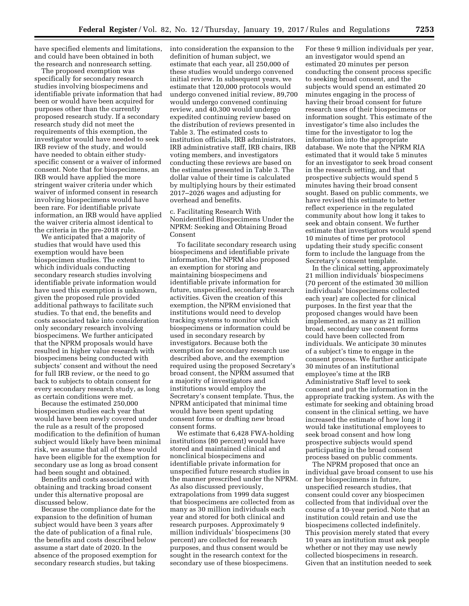have specified elements and limitations, and could have been obtained in both the research and nonresearch setting.

The proposed exemption was specifically for secondary research studies involving biospecimens and identifiable private information that had been or would have been acquired for purposes other than the currently proposed research study. If a secondary research study did not meet the requirements of this exemption, the investigator would have needed to seek IRB review of the study, and would have needed to obtain either studyspecific consent or a waiver of informed consent. Note that for biospecimens, an IRB would have applied the more stringent waiver criteria under which waiver of informed consent in research involving biospecimens would have been rare. For identifiable private information, an IRB would have applied the waiver criteria almost identical to the criteria in the pre-2018 rule.

We anticipated that a majority of studies that would have used this exemption would have been biospecimen studies. The extent to which individuals conducting secondary research studies involving identifiable private information would have used this exemption is unknown, given the proposed rule provided additional pathways to facilitate such studies. To that end, the benefits and costs associated take into consideration only secondary research involving biospecimens. We further anticipated that the NPRM proposals would have resulted in higher value research with biospecimens being conducted with subjects' consent and without the need for full IRB review, or the need to go back to subjects to obtain consent for every secondary research study, as long as certain conditions were met.

Because the estimated 250,000 biospecimen studies each year that would have been newly covered under the rule as a result of the proposed modification to the definition of human subject would likely have been minimal risk, we assume that all of these would have been eligible for the exemption for secondary use as long as broad consent had been sought and obtained.

Benefits and costs associated with obtaining and tracking broad consent under this alternative proposal are discussed below.

Because the compliance date for the expansion to the definition of human subject would have been 3 years after the date of publication of a final rule, the benefits and costs described below assume a start date of 2020. In the absence of the proposed exemption for secondary research studies, but taking

into consideration the expansion to the definition of human subject, we estimate that each year, all 250,000 of these studies would undergo convened initial review. In subsequent years, we estimate that 120,000 protocols would undergo convened initial review, 89,700 would undergo convened continuing review, and 40,300 would undergo expedited continuing review based on the distribution of reviews presented in Table 3. The estimated costs to institution officials, IRB administrators, IRB administrative staff, IRB chairs, IRB voting members, and investigators conducting these reviews are based on the estimates presented in Table 3. The dollar value of their time is calculated by multiplying hours by their estimated 2017–2026 wages and adjusting for overhead and benefits.

c. Facilitating Research With Nonidentified Biospecimens Under the NPRM: Seeking and Obtaining Broad Consent

To facilitate secondary research using biospecimens and identifiable private information, the NPRM also proposed an exemption for storing and maintaining biospecimens and identifiable private information for future, unspecified, secondary research activities. Given the creation of this exemption, the NPRM envisioned that institutions would need to develop tracking systems to monitor which biospecimens or information could be used in secondary research by investigators. Because both the exemption for secondary research use described above, and the exemption required using the proposed Secretary's broad consent, the NPRM assumed that a majority of investigators and institutions would employ the Secretary's consent template. Thus, the NPRM anticipated that minimal time would have been spent updating consent forms or drafting new broad consent forms.

We estimate that 6,428 FWA-holding institutions (80 percent) would have stored and maintained clinical and nonclinical biospecimens and identifiable private information for unspecified future research studies in the manner prescribed under the NPRM. As also discussed previously, extrapolations from 1999 data suggest that biospecimens are collected from as many as 30 million individuals each year and stored for both clinical and research purposes. Approximately 9 million individuals' biospecimens (30 percent) are collected for research purposes, and thus consent would be sought in the research context for the secondary use of these biospecimens.

For these 9 million individuals per year, an investigator would spend an estimated 20 minutes per person conducting the consent process specific to seeking broad consent, and the subjects would spend an estimated 20 minutes engaging in the process of having their broad consent for future research uses of their biospecimens or information sought. This estimate of the investigator's time also includes the time for the investigator to log the information into the appropriate database. We note that the NPRM RIA estimated that it would take 5 minutes for an investigator to seek broad consent in the research setting, and that prospective subjects would spend 5 minutes having their broad consent sought. Based on public comments, we have revised this estimate to better reflect experience in the regulated community about how long it takes to seek and obtain consent. We further estimate that investigators would spend 10 minutes of time per protocol updating their study specific consent form to include the language from the Secretary's consent template.

In the clinical setting, approximately 21 million individuals' biospecimens (70 percent of the estimated 30 million individuals' biospecimens collected each year) are collected for clinical purposes. In the first year that the proposed changes would have been implemented, as many as 21 million broad, secondary use consent forms could have been collected from individuals. We anticipate 30 minutes of a subject's time to engage in the consent process. We further anticipate 30 minutes of an institutional employee's time at the IRB Administrative Staff level to seek consent and put the information in the appropriate tracking system. As with the estimate for seeking and obtaining broad consent in the clinical setting, we have increased the estimate of how long it would take institutional employees to seek broad consent and how long prospective subjects would spend participating in the broad consent process based on public comments.

The NPRM proposed that once an individual gave broad consent to use his or her biospecimens in future, unspecified research studies, that consent could cover any biospecimen collected from that individual over the course of a 10-year period. Note that an institution could retain and use the biospecimens collected indefinitely. This provision merely stated that every 10 years an institution must ask people whether or not they may use newly collected biospecimens in research. Given that an institution needed to seek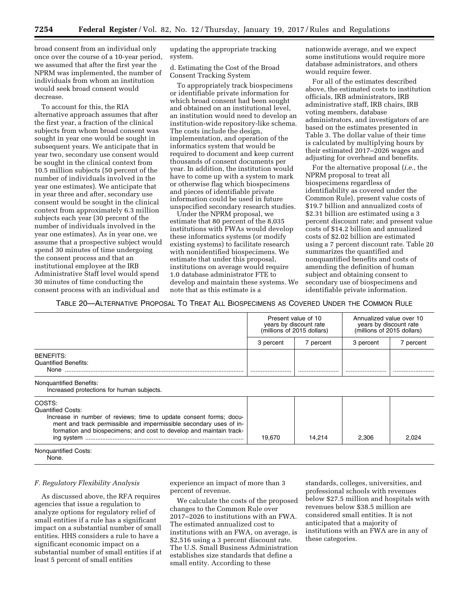broad consent from an individual only once over the course of a 10-year period, we assumed that after the first year the NPRM was implemented, the number of individuals from whom an institution would seek broad consent would decrease.

To account for this, the RIA alternative approach assumes that after the first year, a fraction of the clinical subjects from whom broad consent was sought in year one would be sought in subsequent years. We anticipate that in year two, secondary use consent would be sought in the clinical context from 10.5 million subjects (50 percent of the number of individuals involved in the year one estimates). We anticipate that in year three and after, secondary use consent would be sought in the clinical context from approximately 6.3 million subjects each year (30 percent of the number of individuals involved in the year one estimates). As in year one, we assume that a prospective subject would spend 30 minutes of time undergoing the consent process and that an institutional employee at the IRB Administrative Staff level would spend 30 minutes of time conducting the consent process with an individual and

updating the appropriate tracking system.

d. Estimating the Cost of the Broad Consent Tracking System

To appropriately track biospecimens or identifiable private information for which broad consent had been sought and obtained on an institutional level, an institution would need to develop an institution-wide repository-like schema. The costs include the design, implementation, and operation of the informatics system that would be required to document and keep current thousands of consent documents per year. In addition, the institution would have to come up with a system to mark or otherwise flag which biospecimens and pieces of identifiable private information could be used in future unspecified secondary research studies.

Under the NPRM proposal, we estimate that 80 percent of the 8,035 institutions with FWAs would develop these informatics systems (or modify existing systems) to facilitate research with nonidentified biospecimens. We estimate that under this proposal, institutions on average would require 1.0 database administrator FTE to develop and maintain these systems. We note that as this estimate is a

nationwide average, and we expect some institutions would require more database administrators, and others would require fewer.

For all of the estimates described above, the estimated costs to institution officials, IRB administrators, IRB administrative staff, IRB chairs, IRB voting members, database administrators, and investigators of are based on the estimates presented in Table 3. The dollar value of their time is calculated by multiplying hours by their estimated 2017–2026 wages and adjusting for overhead and benefits.

For the alternative proposal (*i.e.,* the NPRM proposal to treat all biospecimens regardless of identifiability as covered under the Common Rule), present value costs of \$19.7 billion and annualized costs of \$2.31 billion are estimated using a 3 percent discount rate; and present value costs of \$14.2 billion and annualized costs of \$2.02 billion are estimated using a 7 percent discount rate. Table 20 summarizes the quantified and nonquantified benefits and costs of amending the definition of human subject and obtaining consent to secondary use of biospecimens and identifiable private information.

TABLE 20—ALTERNATIVE PROPOSAL TO TREAT ALL BIOSPECIMENS AS COVERED UNDER THE COMMON RULE

|                                                                      | Present value of 10<br>years by discount rate<br>(millions of 2015 dollars) |           | Annualized value over 10<br>years by discount rate<br>(millions of 2015 dollars) |         |
|----------------------------------------------------------------------|-----------------------------------------------------------------------------|-----------|----------------------------------------------------------------------------------|---------|
|                                                                      | 3 percent                                                                   | 7 percent | 3 percent                                                                        | percent |
| <b>BENEFITS:</b><br><b>Quantified Benefits:</b><br>None              |                                                                             |           |                                                                                  |         |
| Nonguantified Benefits:<br>Increased protections for human subjects. |                                                                             |           |                                                                                  |         |

| 'nete |  |
|-------|--|

| COSTS:<br><b>Quantified Costs:</b>                                                                                                                                                                              |        |        |       |       |
|-----------------------------------------------------------------------------------------------------------------------------------------------------------------------------------------------------------------|--------|--------|-------|-------|
| Increase in number of reviews; time to update consent forms; docu-<br>ment and track permissible and impermissible secondary uses of in-<br>formation and biospecimens; and cost to develop and maintain track- |        |        |       |       |
|                                                                                                                                                                                                                 | 19.670 | 14.214 | 2.306 | 2.024 |
| Nonguantified Costs:                                                                                                                                                                                            |        |        |       |       |

None.

# *F. Regulatory Flexibility Analysis*

As discussed above, the RFA requires agencies that issue a regulation to analyze options for regulatory relief of small entities if a rule has a significant impact on a substantial number of small entities. HHS considers a rule to have a significant economic impact on a substantial number of small entities if at least 5 percent of small entities

experience an impact of more than 3 percent of revenue.

We calculate the costs of the proposed changes to the Common Rule over 2017–2026 to institutions with an FWA. The estimated annualized cost to institutions with an FWA, on average, is \$2,516 using a 3 percent discount rate. The U.S. Small Business Administration establishes size standards that define a small entity. According to these

standards, colleges, universities, and professional schools with revenues below \$27.5 million and hospitals with revenues below \$38.5 million are considered small entities. It is not anticipated that a majority of institutions with an FWA are in any of these categories.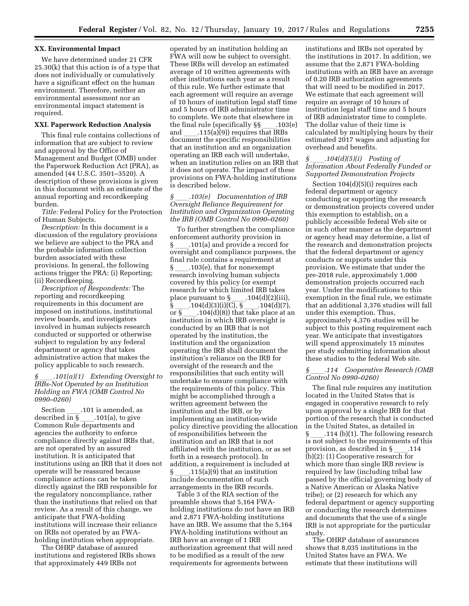#### **XX. Environmental Impact**

We have determined under 21 CFR 25.30(k) that this action is of a type that does not individually or cumulatively have a significant effect on the human environment. Therefore, neither an environmental assessment nor an environmental impact statement is required.

#### **XXI. Paperwork Reduction Analysis**

This final rule contains collections of information that are subject to review and approval by the Office of Management and Budget (OMB) under the Paperwork Reduction Act (PRA), as amended (44 U.S.C. 3501–3520). A description of these provisions is given in this document with an estimate of the annual reporting and recordkeeping burden.

*Title:* Federal Policy for the Protection of Human Subjects.

*Description:* In this document is a discussion of the regulatory provisions we believe are subject to the PRA and the probable information collection burden associated with these provisions. In general, the following actions trigger the PRA: (i) Reporting; (ii) Recordkeeping.

*Description of Respondents:* The reporting and recordkeeping requirements in this document are imposed on institutions, institutional review boards, and investigators involved in human subjects research conducted or supported or otherwise subject to regulation by any federal department or agency that takes administrative action that makes the policy applicable to such research.

# *§* ll*.101(a)(1) Extending Oversight to IRBs-Not Operated by an Institution Holding an FWA (OMB Control No 0990–0260)*

Section 101 is amended, as<br>described in  $\S$  101(a), to give described in § \_\_\_\_.101(a), to give<br>Common Rule departments and agencies the authority to enforce compliance directly against IRBs that, are not operated by an assured institution. It is anticipated that institutions using an IRB that it does not operate will be reassured because compliance actions can be taken directly against the IRB responsible for the regulatory noncompliance, rather than the institutions that relied on that review. As a result of this change, we anticipate that FWA-holding institutions will increase their reliance on IRBs not operated by an FWAholding institution when appropriate.

The OHRP database of assured institutions and registered IRBs shows that approximately 449 IRBs not

operated by an institution holding an FWA will now be subject to oversight. These IRBs will develop an estimated average of 10 written agreements with other institutions each year as a result of this rule. We further estimate that each agreement will require an average of 10 hours of institution legal staff time and 5 hours of IRB administrator time to complete. We note that elsewhere in<br>the final rule (specifically §§ .103(e) the final rule (specifically  $\S\$ <sup>103</sup> and 115(a)(9)) requires that IRBs and \_\_\_\_.115(a)(9)) requires that IRBs<br>document the specific responsibilities that an institution and an organization operating an IRB each will undertake, when an institution relies on an IRB that it does not operate. The impact of these provisions on FWA-holding institutions is described below.

# *§* ll*.103(e) Documentation of IRB Oversight Reliance Requirement for Institution and Organization Operating the IRB (OMB Control No 0990–0260)*

To further strengthen the compliance enforcement authority provision in<br>§ 101(a) and provide a record for § \_\_\_\_.101(a) and provide a record for<br>oversight and compliance purposes, the final rule contains a requirement at § ll.103(e), that for nonexempt research involving human subjects covered by this policy (or exempt research for which limited IRB takes place pursuant to §\_\_\_\_.104(d)(2)(iii),<br>§\_\_\_\_\_104(d)(3)(i)(C)\_§\_\_\_\_\_104(d)(7)  $\S$  \_\_\_\_,104(d)(3)(i)(C),  $\S$  \_\_\_\_,104(d)(7),<br>or  $\S$  \_\_\_\_\_104(d)(8)) that take place at ay or § \_\_\_\_.104(d)(8)) that take place at an<br>institution in which IRB oversight is institution in which IRB oversight is conducted by an IRB that is not operated by the institution, the institution and the organization operating the IRB shall document the institution's reliance on the IRB for oversight of the research and the responsibilities that each entity will undertake to ensure compliance with the requirements of this policy. This might be accomplished through a written agreement between the institution and the IRB, or by implementing an institution-wide policy directive providing the allocation of responsibilities between the institution and an IRB that is not affiliated with the institution, or as set forth in a research protocol). In addition, a requirement is included at  $\S$  .115(a)(9) that an institution include documentation of such

arrangements in the IRB records. Table 3 of the RIA section of the

preamble shows that 5,164 FWAholding institutions do not have an IRB and 2,871 FWA-holding institutions have an IRB. We assume that the 5,164 FWA-holding institutions without an IRB have an average of 1 IRB authorization agreement that will need to be modified as a result of the new requirements for agreements between

institutions and IRBs not operated by the institutions in 2017. In addition, we assume that the 2,871 FWA-holding institutions with an IRB have an average of 0.20 IRB authorization agreements that will need to be modified in 2017. We estimate that each agreement will require an average of 10 hours of institution legal staff time and 5 hours of IRB administrator time to complete. The dollar value of their time is calculated by multiplying hours by their estimated 2017 wages and adjusting for overhead and benefits.

# *§* ll*.104(d)(5)(i) Posting of Information About Federally Funded or Supported Demonstration Projects*

Section 104(d)(5)(i) requires each federal department or agency conducting or supporting the research or demonstration projects covered under this exemption to establish, on a publicly accessible federal Web site or in such other manner as the department or agency head may determine, a list of the research and demonstration projects that the federal department or agency conducts or supports under this provision. We estimate that under the pre-2018 rule, approximately 1,000 demonstration projects occurred each year. Under the modifications to this exemption in the final rule, we estimate that an additional 3,376 studies will fall under this exemption. Thus, approximately 4,376 studies will be subject to this posting requirement each year. We anticipate that investigators will spend approximately 15 minutes per study submitting information about these studies to the federal Web site.

## *§* ll*.114 Cooperative Research (OMB Control No 0990–0260)*

The final rule requires any institution located in the United States that is engaged in cooperative research to rely upon approval by a single IRB for that portion of the research that is conducted in the United States, as detailed in § ll.114 (b)(1). The following research is not subject to the requirements of this provision, as described in  $\frac{114}{114}$ provision, as described in § (b)(2): (1) Cooperative research for which more than single IRB review is required by law (including tribal law passed by the official governing body of a Native American or Alaska Native tribe); or (2) research for which any federal department or agency supporting or conducting the research determines and documents that the use of a single IRB is not appropriate for the particular study.

The OHRP database of assurances shows that 8,035 institutions in the United States have an FWA. We estimate that these institutions will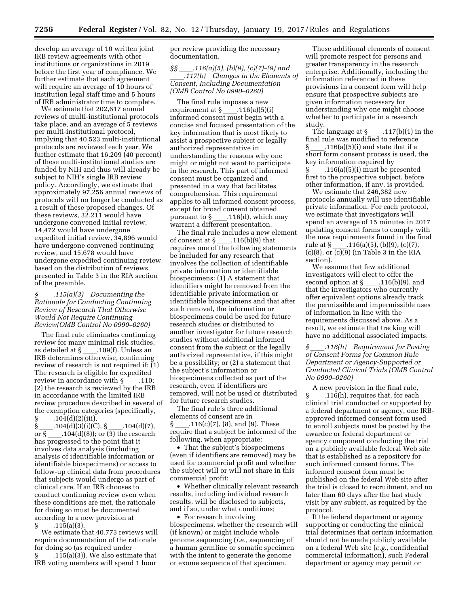develop an average of 10 written joint IRB review agreements with other institutions or organizations in 2019 before the first year of compliance. We further estimate that each agreement will require an average of 10 hours of institution legal staff time and 5 hours of IRB administrator time to complete.

We estimate that 202,617 annual reviews of multi-institutional protocols take place, and an average of 5 reviews per multi-institutional protocol, implying that 40,523 multi-institutional protocols are reviewed each year. We further estimate that 16,209 (40 percent) of these multi-institutional studies are funded by NIH and thus will already be subject to NIH's single IRB review policy. Accordingly, we estimate that approximately 97,256 annual reviews of protocols will no longer be conducted as a result of these proposed changes. Of these reviews, 32,211 would have undergone convened initial review, 14,472 would have undergone expedited initial review, 34,896 would have undergone convened continuing review, and 15,678 would have undergone expedited continuing review based on the distribution of reviews presented in Table 3 in the RIA section of the preamble.

# *§* ll*.115(a)(3) Documenting the Rationale for Conducting Continuing Review of Research That Otherwise Would Not Require Continuing Review(OMB Control No 0990–0260)*

The final rule eliminates continuing review for many minimal risk studies,<br>as detailed at §\_\_\_\_.109(f). Unless an as detailed at § \_\_\_\_.109(f). Unless an<br>IRB determines otherwise, continuing review of research is not required if: (1) The research is eligible for expedited review in accordance with §\_\_\_.110;<br>(2) the research is reviewed by the IRB in accordance with the limited IRB review procedure described in several of the exemption categories (specifically,

§ ll.104(d)(2)(iii),  $\frac{\S}{\S}$  . 104(d)(3)(i)(C),  $\frac{\S}{\S}$  . 104(d)(7), or  $\frac{\S}{\S}$  . 104(d)(8)); or (3) the research or § \_\_\_\_.104(d)(8)); or (3) the research<br>has progressed to the point that it has progressed to the point that it involves data analysis (including analysis of identifiable information or identifiable biospecimens) or access to follow-up clinical data from procedures that subjects would undergo as part of clinical care. If an IRB chooses to conduct continuing review even when these conditions are met, the rationale for doing so must be documented according to a new provision at

 $\frac{\gamma_{\text{max}}}{\gamma_{\text{max}}}$ . 115(a)(3).  $\frac{\gamma_{\text{max}}}{\gamma_{\text{max}}}$  reviews will require documentation of the rationale for doing so (as required under

§ \_\_\_\_.115(a)(3)). We also estimate that<br>IRB voting members will spend 1 hour

per review providing the necessary documentation.

*§§* ll*.116(a)(5), (b)(9), (c)(7)–(9) and*  ll*.117(b) Changes in the Elements of Consent, Including Documentation (OMB Control No 0990–0260)* 

The final rule imposes a new requirement at  $\S$  \_\_\_\_\_.116(a)(5)(i) informed consent must begin with a concise and focused presentation of the key information that is most likely to assist a prospective subject or legally authorized representative in understanding the reasons why one might or might not want to participate in the research. This part of informed consent must be organized and presented in a way that facilitates comprehension. This requirement applies to all informed consent process, except for broad consent obtained pursuant to § \_\_\_\_.116(d), which may<br>warrant a different presentation.

The final rule includes a new element of consent at § \_\_\_\_.116(b)(9) that<br>requires one of the following statements be included for any research that involves the collection of identifiable private information or identifiable biospecimens: (1) A statement that identifiers might be removed from the identifiable private information or identifiable biospecimens and that after such removal, the information or biospecimens could be used for future research studies or distributed to another investigator for future research studies without additional informed consent from the subject or the legally authorized representative, if this might be a possibility; or (2) a statement that the subject's information or biospecimens collected as part of the research, even if identifiers are removed, will not be used or distributed for future research studies.

The final rule's three additional elements of consent are in  $\S$  .116(c)(7), (8), and (9). These require that a subject be informed of the following, when appropriate:

• That the subject's biospecimens (even if identifiers are removed) may be used for commercial profit and whether the subject will or will not share in this commercial profit;

• Whether clinically relevant research results, including individual research results, will be disclosed to subjects, and if so, under what conditions;

• For research involving biospecimens, whether the research will (if known) or might include whole genome sequencing (*i.e.,* sequencing of a human germline or somatic specimen with the intent to generate the genome or exome sequence of that specimen.

These additional elements of consent will promote respect for persons and greater transparency in the research enterprise. Additionally, including the information referenced in these provisions in a consent form will help ensure that prospective subjects are given information necessary for understanding why one might choose whether to participate in a research study.

The language at  $\sum_{n=1}$  117(b)(1) in the final rule was modified to reference  $\S$  .116(a)(5)(i) and state that if a short form consent process is used, the key information required by

 $.116(a)(5)(i)$  must be presented first to the prospective subject, before other information, if any, is provided.

We estimate that 246,382 new protocols annually will use identifiable private information. For each protocol, we estimate that investigators will spend an average of 15 minutes in 2017 updating consent forms to comply with the new requirements found in the final<br>rule at  $\underline{\S}$  \_\_\_\_\_.116(a)(5), (b)(9), (c)(7), rule at § \_\_\_\_.116(a)(5), (b)(9), (c)(7),<br>(c)(8), or (c)(9) (in Table 3 in the RIA section).

We assume that few additional investigators will elect to offer the second option at § \_\_\_\_.116(b)(9), and<br>that the investigators who currently offer equivalent options already track the permissible and impermissible uses of information in line with the requirements discussed above. As a result, we estimate that tracking will have no additional associated impacts.

*§* ll*.116(h) Requirement for Posting of Consent Forms for Common Rule Department or Agency-Supported or Conducted Clinical Trials (OMB Control No 0990–0260)* 

A new provision in the final rule, § ll.116(h), requires that, for each clinical trial conducted or supported by a federal department or agency, one IRBapproved informed consent form used to enroll subjects must be posted by the awardee or federal department or agency component conducting the trial on a publicly available federal Web site that is established as a repository for such informed consent forms. The informed consent form must be published on the federal Web site after the trial is closed to recruitment, and no later than 60 days after the last study visit by any subject, as required by the protocol.

If the federal department or agency supporting or conducting the clinical trial determines that certain information should not be made publicly available on a federal Web site (*e.g.,* confidential commercial information), such Federal department or agency may permit or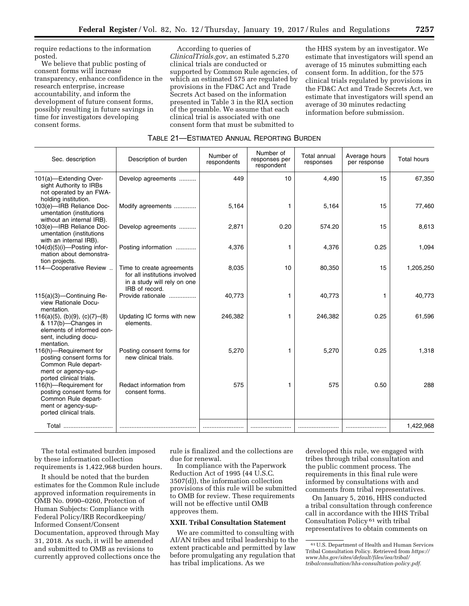require redactions to the information posted.

We believe that public posting of consent forms will increase transparency, enhance confidence in the research enterprise, increase accountability, and inform the development of future consent forms, possibly resulting in future savings in time for investigators developing consent forms.

According to queries of *ClinicalTrials.gov*, an estimated 5,270 clinical trials are conducted or supported by Common Rule agencies, of which an estimated 575 are regulated by provisions in the FD&C Act and Trade Secrets Act based on the information presented in Table 3 in the RIA section of the preamble. We assume that each clinical trial is associated with one consent form that must be submitted to

the HHS system by an investigator. We estimate that investigators will spend an average of 15 minutes submitting each consent form. In addition, for the 575 clinical trials regulated by provisions in the FD&C Act and Trade Secrets Act, we estimate that investigators will spend an average of 30 minutes redacting information before submission.

| <b>TABLE 21-ESTIMATED ANNUAL REPORTING BURDEN</b> |  |  |  |
|---------------------------------------------------|--|--|--|
|---------------------------------------------------|--|--|--|

| Sec. description                                                                                                             | Description of burden                                                                                       | Number of<br>respondents | Number of<br>responses per<br>respondent | <b>Total annual</b><br>responses | Average hours<br>per response | <b>Total hours</b> |
|------------------------------------------------------------------------------------------------------------------------------|-------------------------------------------------------------------------------------------------------------|--------------------------|------------------------------------------|----------------------------------|-------------------------------|--------------------|
| 101(a)-Extending Over-<br>sight Authority to IRBs<br>not operated by an FWA-<br>holding institution.                         | Develop agreements                                                                                          | 449                      | 10                                       | 4,490                            | 15                            | 67,350             |
| 103(e)-IRB Reliance Doc-<br>umentation (institutions<br>without an internal IRB).                                            | Modify agreements                                                                                           | 5,164                    | 1                                        | 5,164                            | 15                            | 77,460             |
| 103(e)-IRB Reliance Doc-<br>umentation (institutions<br>with an internal IRB).                                               | Develop agreements                                                                                          | 2,871                    | 0.20                                     | 574.20                           | 15                            | 8,613              |
| $104(d)(5)(i)$ -Posting infor-<br>mation about demonstra-<br>tion projects.                                                  | Posting information                                                                                         | 4,376                    | 1                                        | 4,376                            | 0.25                          | 1,094              |
| 114-Cooperative Review                                                                                                       | Time to create agreements<br>for all institutions involved<br>in a study will rely on one<br>IRB of record. | 8,035                    | 10                                       | 80,350                           | 15                            | 1,205,250          |
| $115(a)(3)$ -Continuing Re-<br>view Rationale Docu-<br>mentation.                                                            | Provide rationale                                                                                           | 40,773                   | 1                                        | 40,773                           | 1                             | 40,773             |
| $116(a)(5)$ , (b)(9), (c)(7)-(8)<br>& 117(b)-Changes in<br>elements of informed con-<br>sent, including docu-<br>mentation.  | Updating IC forms with new<br>elements.                                                                     | 246,382                  | 1                                        | 246,382                          | 0.25                          | 61,596             |
| 116(h)-Requirement for<br>posting consent forms for<br>Common Rule depart-<br>ment or agency-sup-<br>ported clinical trials. | Posting consent forms for<br>new clinical trials.                                                           | 5,270                    | 1                                        | 5,270                            | 0.25                          | 1,318              |
| 116(h)-Requirement for<br>posting consent forms for<br>Common Rule depart-<br>ment or agency-sup-<br>ported clinical trials. | Redact information from<br>consent forms.                                                                   | 575                      | 1                                        | 575                              | 0.50                          | 288                |
| Total                                                                                                                        |                                                                                                             |                          |                                          |                                  |                               | 1,422,968          |

The total estimated burden imposed by these information collection requirements is 1,422,968 burden hours.

It should be noted that the burden estimates for the Common Rule include approved information requirements in OMB No. 0990–0260, Protection of Human Subjects: Compliance with Federal Policy/IRB Recordkeeping/ Informed Consent/Consent Documentation, approved through May 31, 2018. As such, it will be amended and submitted to OMB as revisions to currently approved collections once the rule is finalized and the collections are due for renewal.

In compliance with the Paperwork Reduction Act of 1995 (44 U.S.C. 3507(d)), the information collection provisions of this rule will be submitted to OMB for review. These requirements will not be effective until OMB approves them.

#### **XXII. Tribal Consultation Statement**

We are committed to consulting with AI/AN tribes and tribal leadership to the extent practicable and permitted by law before promulgating any regulation that has tribal implications. As we

developed this rule, we engaged with tribes through tribal consultation and the public comment process. The requirements in this final rule were informed by consultations with and comments from tribal representatives.

On January 5, 2016, HHS conducted a tribal consultation through conference call in accordance with the HHS Tribal Consultation Policy 61 with tribal representatives to obtain comments on

<sup>61</sup>U.S. Department of Health and Human Services Tribal Consultation Policy. Retrieved from *[https://](https://www.hhs.gov/sites/default/files/iea/tribal/tribalconsultation/hhs-consultation-policy.pdf) [www.hhs.gov/sites/default/files/iea/tribal/](https://www.hhs.gov/sites/default/files/iea/tribal/tribalconsultation/hhs-consultation-policy.pdf) [tribalconsultation/hhs-consultation-policy.pdf.](https://www.hhs.gov/sites/default/files/iea/tribal/tribalconsultation/hhs-consultation-policy.pdf)*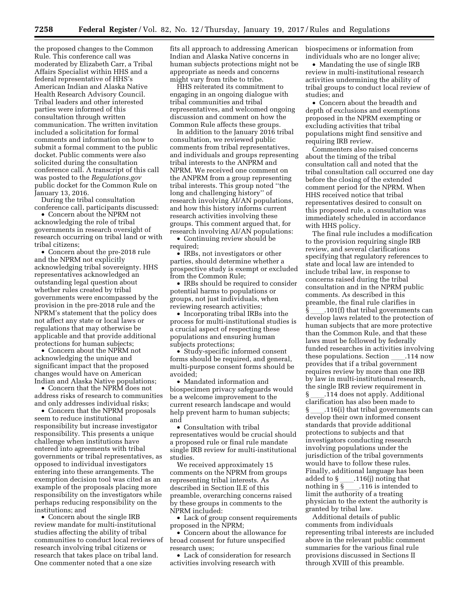the proposed changes to the Common Rule. This conference call was moderated by Elizabeth Carr, a Tribal Affairs Specialist within HHS and a federal representative of HHS's American Indian and Alaska Native Health Research Advisory Council. Tribal leaders and other interested parties were informed of this consultation through written communication. The written invitation included a solicitation for formal comments and information on how to submit a formal comment to the public docket. Public comments were also solicited during the consultation conference call. A transcript of this call was posted to the *Regulations.gov*  public docket for the Common Rule on January 13, 2016.

During the tribal consultation conference call, participants discussed:

• Concern about the NPRM not acknowledging the role of tribal governments in research oversight of research occurring on tribal land or with tribal citizens;

• Concern about the pre-2018 rule and the NPRM not explicitly acknowledging tribal sovereignty. HHS representatives acknowledged an outstanding legal question about whether rules created by tribal governments were encompassed by the provision in the pre-2018 rule and the NPRM's statement that the policy does not affect any state or local laws or regulations that may otherwise be applicable and that provide additional protections for human subjects;

• Concern about the NPRM not acknowledging the unique and significant impact that the proposed changes would have on American Indian and Alaska Native populations;

• Concern that the NPRM does not address risks of research to communities and only addresses individual risks;

• Concern that the NPRM proposals seem to reduce institutional responsibility but increase investigator responsibility. This presents a unique challenge when institutions have entered into agreements with tribal governments or tribal representatives, as opposed to individual investigators entering into these arrangements. The exemption decision tool was cited as an example of the proposals placing more responsibility on the investigators while perhaps reducing responsibility on the institutions; and

• Concern about the single IRB review mandate for multi-institutional studies affecting the ability of tribal communities to conduct local reviews of research involving tribal citizens or research that takes place on tribal land. One commenter noted that a one size

fits all approach to addressing American Indian and Alaska Native concerns in human subjects protections might not be appropriate as needs and concerns might vary from tribe to tribe.

HHS reiterated its commitment to engaging in an ongoing dialogue with tribal communities and tribal representatives, and welcomed ongoing discussion and comment on how the Common Rule affects these groups.

In addition to the January 2016 tribal consultation, we reviewed public comments from tribal representatives, and individuals and groups representing tribal interests to the ANPRM and NPRM. We received one comment on the ANPRM from a group representing tribal interests. This group noted ''the long and challenging history'' of research involving AI/AN populations, and how this history informs current research activities involving these groups. This comment argued that, for research involving AI/AN populations:

• Continuing review should be required;

• IRBs, not investigators or other parties, should determine whether a prospective study is exempt or excluded from the Common Rule;

• IRBs should be required to consider potential harms to populations or groups, not just individuals, when reviewing research activities;

• Incorporating tribal IRBs into the process for multi-institutional studies is a crucial aspect of respecting these populations and ensuring human subjects protections;

• Study-specific informed consent forms should be required, and general, multi-purpose consent forms should be avoided;

• Mandated information and biospecimen privacy safeguards would be a welcome improvement to the current research landscape and would help prevent harm to human subjects; and

• Consultation with tribal representatives would be crucial should a proposed rule or final rule mandate single IRB review for multi-institutional studies.

We received approximately 15 comments on the NPRM from groups representing tribal interests. As described in Section II.E of this preamble, overarching concerns raised by these groups in comments to the NPRM included:

• Lack of group consent requirements proposed in the NPRM;

• Concern about the allowance for broad consent for future unspecified research uses;

• Lack of consideration for research activities involving research with

biospecimens or information from individuals who are no longer alive;

• Mandating the use of single IRB review in multi-institutional research activities undermining the ability of tribal groups to conduct local review of studies; and

• Concern about the breadth and depth of exclusions and exemptions proposed in the NPRM exempting or excluding activities that tribal populations might find sensitive and requiring IRB review.

Commenters also raised concerns about the timing of the tribal consultation call and noted that the tribal consultation call occurred one day before the closing of the extended comment period for the NPRM. When HHS received notice that tribal representatives desired to consult on this proposed rule, a consultation was immediately scheduled in accordance with HHS policy.

The final rule includes a modification to the provision requiring single IRB review, and several clarifications specifying that regulatory references to state and local law are intended to include tribal law, in response to concerns raised during the tribal consultation and in the NPRM public comments. As described in this preamble, the final rule clarifies in § ll.101(f) that tribal governments can develop laws related to the protection of human subjects that are more protective than the Common Rule, and that these laws must be followed by federally funded researches in activities involving<br>these populations. Section .114 now these populations. Section \_ provides that if a tribal government requires review by more than one IRB by law in multi-institutional research, the single IRB review requirement in § \_\_\_\_\_.114 does not apply. Additional clarification has also been made to § ll.116(i) that tribal governments can develop their own informed consent standards that provide additional protections to subjects and that investigators conducting research involving populations under the jurisdiction of the tribal governments would have to follow these rules. Finally, additional language has been added to  $\frac{1}{8}$ . 116(j) noting that<br>nothing in  $\frac{1}{8}$ . 116 is intended to nothing in § \_\_\_\_.116 is intended to<br>limit the authority of a treating physician to the extent the authority is granted by tribal law.

Additional details of public comments from individuals representing tribal interests are included above in the relevant public comment summaries for the various final rule provisions discussed in Sections II through XVIII of this preamble.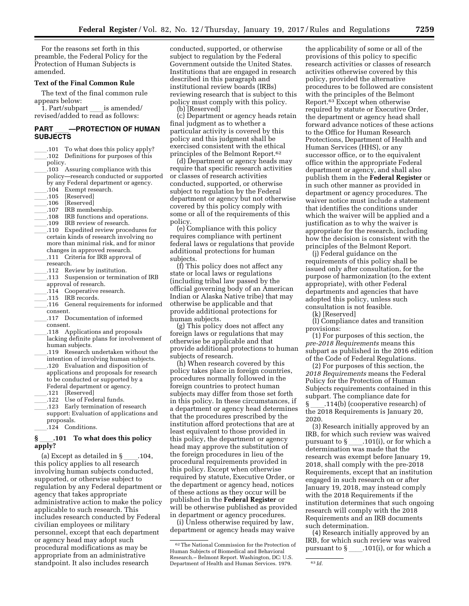For the reasons set forth in this preamble, the Federal Policy for the Protection of Human Subjects is amended.

#### **Text of the Final Common Rule**

The text of the final common rule appears below:<br>1. Part/subpart

1. Part/subpart llis amended/ revised/added to read as follows:

### **PART —PROTECTION OF HUMAN SUBJECTS**

- $\frac{101}{102}$  To what does this policy apply? ll.102 Definitions for purposes of this policy.
- .103 Assuring compliance with this policy—research conducted or supported by any Federal department or agency.<br>.104 Exempt research.
- .104 Exempt research.<br>105 [Reserved]
- 
- ll.105 [Reserved]
- ll.106 [Reserved]
- ll.107 IRB membership. .108 IRB functions and operations.<br>.109 IRB review of research.
- 
- 109 IRB review of research.<br>110 Expedited review proce ll.110 Expedited review procedures for certain kinds of research involving no more than minimal risk, and for minor changes in approved research.
- .111 Criteria for IRB approval of research.
- .112 Review by institution.<br>113 Suspension or termina
- Suspension or termination of IRB approval of research.
- .114 Cooperative research.<br>115 IRB records
- 
- 115 IRB records.<br>116 General requ ll.116 General requirements for informed consent.
- .117 Documentation of informed consent.
- .118 Applications and proposals lacking definite plans for involvement of human subjects.
- .119 Research undertaken without the intention of involving human subjects. .120 Evaluation and disposition of
- applications and proposals for research to be conducted or supported by a Federal department or agency.<br>.121 [Reserved]
- .121 [Reserved]<br>.122 Use of Federal funds.
- .123 Early termination of research ll.123 Early termination of research support: Evaluation of applications and proposals.
	- .124 Conditions.

## § 101 To what does this policy **apply?**

(a) Except as detailed in  $\S$  104, this policy applies to all research involving human subjects conducted, supported, or otherwise subject to regulation by any Federal department or agency that takes appropriate administrative action to make the policy applicable to such research. This includes research conducted by Federal civilian employees or military personnel, except that each department or agency head may adopt such procedural modifications as may be appropriate from an administrative standpoint. It also includes research

conducted, supported, or otherwise subject to regulation by the Federal Government outside the United States. Institutions that are engaged in research described in this paragraph and institutional review boards (IRBs) reviewing research that is subject to this policy must comply with this policy.

(b) [Reserved]

(c) Department or agency heads retain final judgment as to whether a particular activity is covered by this policy and this judgment shall be exercised consistent with the ethical principles of the Belmont Report.62

(d) Department or agency heads may require that specific research activities or classes of research activities conducted, supported, or otherwise subject to regulation by the Federal department or agency but not otherwise covered by this policy comply with some or all of the requirements of this policy.

(e) Compliance with this policy requires compliance with pertinent federal laws or regulations that provide additional protections for human subjects.

(f) This policy does not affect any state or local laws or regulations (including tribal law passed by the official governing body of an American Indian or Alaska Native tribe) that may otherwise be applicable and that provide additional protections for human subjects.

(g) This policy does not affect any foreign laws or regulations that may otherwise be applicable and that provide additional protections to human subjects of research.

(h) When research covered by this policy takes place in foreign countries, procedures normally followed in the foreign countries to protect human subjects may differ from those set forth in this policy. In these circumstances, if a department or agency head determines that the procedures prescribed by the institution afford protections that are at least equivalent to those provided in this policy, the department or agency head may approve the substitution of the foreign procedures in lieu of the procedural requirements provided in this policy. Except when otherwise required by statute, Executive Order, or the department or agency head, notices of these actions as they occur will be published in the **Federal Register** or will be otherwise published as provided in department or agency procedures.

(i) Unless otherwise required by law, department or agency heads may waive

the applicability of some or all of the provisions of this policy to specific research activities or classes of research activities otherwise covered by this policy, provided the alternative procedures to be followed are consistent with the principles of the Belmont Report.63 Except when otherwise required by statute or Executive Order, the department or agency head shall forward advance notices of these actions to the Office for Human Research Protections, Department of Health and Human Services (HHS), or any successor office, or to the equivalent office within the appropriate Federal department or agency, and shall also publish them in the **Federal Register** or in such other manner as provided in department or agency procedures. The waiver notice must include a statement that identifies the conditions under which the waiver will be applied and a justification as to why the waiver is appropriate for the research, including how the decision is consistent with the principles of the Belmont Report.

(j) Federal guidance on the requirements of this policy shall be issued only after consultation, for the purpose of harmonization (to the extent appropriate), with other Federal departments and agencies that have adopted this policy, unless such consultation is not feasible.

(k) [Reserved]

(l) Compliance dates and transition provisions:

(1) For purposes of this section, the *pre-2018 Requirements* means this subpart as published in the 2016 edition of the Code of Federal Regulations.

(2) For purposes of this section, the *2018 Requirements* means the Federal Policy for the Protection of Human Subjects requirements contained in this subpart. The compliance date for § ll.114(b) (cooperative research) of the 2018 Requirements is January 20, 2020.

(3) Research initially approved by an IRB, for which such review was waived<br>pursuant to  $\S$  \_\_\_\_\_.101(i), or for which a pursuant to § \_\_\_\_.101(i), or for which a<br>determination was made that the research was exempt before January 19, 2018, shall comply with the pre-2018 Requirements, except that an institution engaged in such research on or after January 19, 2018, may instead comply with the 2018 Requirements if the institution determines that such ongoing research will comply with the 2018 Requirements and an IRB documents such determination.

(4) Research initially approved by an IRB, for which such review was waived pursuant to  $\S$  .101(i), or for which a

<sup>62</sup>The National Commission for the Protection of Human Subjects of Biomedical and Behavioral Research.– Belmont Report. Washington, DC: U.S. Department of Health and Human Services. 1979. 63 *Id.*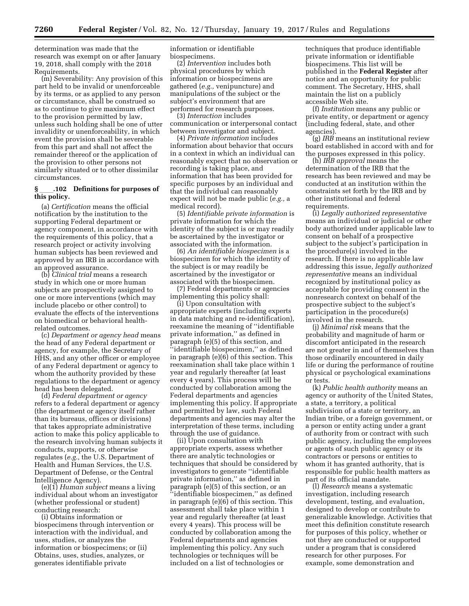determination was made that the research was exempt on or after January 19, 2018, shall comply with the 2018 Requirements.

(m) Severability: Any provision of this part held to be invalid or unenforceable by its terms, or as applied to any person or circumstance, shall be construed so as to continue to give maximum effect to the provision permitted by law, unless such holding shall be one of utter invalidity or unenforceability, in which event the provision shall be severable from this part and shall not affect the remainder thereof or the application of the provision to other persons not similarly situated or to other dissimilar circumstances.

## **§** ll**.102 Definitions for purposes of this policy.**

(a) *Certification* means the official notification by the institution to the supporting Federal department or agency component, in accordance with the requirements of this policy, that a research project or activity involving human subjects has been reviewed and approved by an IRB in accordance with an approved assurance.

(b) *Clinical trial* means a research study in which one or more human subjects are prospectively assigned to one or more interventions (which may include placebo or other control) to evaluate the effects of the interventions on biomedical or behavioral healthrelated outcomes.

(c) *Department or agency head* means the head of any Federal department or agency, for example, the Secretary of HHS, and any other officer or employee of any Federal department or agency to whom the authority provided by these regulations to the department or agency head has been delegated.

(d) *Federal department or agency*  refers to a federal department or agency (the department or agency itself rather than its bureaus, offices or divisions) that takes appropriate administrative action to make this policy applicable to the research involving human subjects it conducts, supports, or otherwise regulates (*e.g.,* the U.S. Department of Health and Human Services, the U.S. Department of Defense, or the Central Intelligence Agency).

(e)(1) *Human subject* means a living individual about whom an investigator (whether professional or student) conducting research:

(i) Obtains information or biospecimens through intervention or interaction with the individual, and uses, studies, or analyzes the information or biospecimens; or (ii) Obtains, uses, studies, analyzes, or generates identifiable private

information or identifiable biospecimens.

(2) *Intervention* includes both physical procedures by which information or biospecimens are gathered (*e.g.,* venipuncture) and manipulations of the subject or the subject's environment that are performed for research purposes.

(3) *Interaction* includes communication or interpersonal contact between investigator and subject.

(4) *Private information* includes information about behavior that occurs in a context in which an individual can reasonably expect that no observation or recording is taking place, and information that has been provided for specific purposes by an individual and that the individual can reasonably expect will not be made public (*e.g.,* a medical record).

(5) *Identifiable private information* is private information for which the identity of the subject is or may readily be ascertained by the investigator or associated with the information.

(6) *An identifiable biospecimen* is a biospecimen for which the identity of the subject is or may readily be ascertained by the investigator or associated with the biospecimen.

(7) Federal departments or agencies implementing this policy shall:

(i) Upon consultation with appropriate experts (including experts in data matching and re-identification), reexamine the meaning of ''identifiable private information,'' as defined in paragraph (e)(5) of this section, and ''identifiable biospecimen,'' as defined in paragraph (e)(6) of this section. This reexamination shall take place within 1 year and regularly thereafter (at least every 4 years). This process will be conducted by collaboration among the Federal departments and agencies implementing this policy. If appropriate and permitted by law, such Federal departments and agencies may alter the interpretation of these terms, including through the use of guidance.

(ii) Upon consultation with appropriate experts, assess whether there are analytic technologies or techniques that should be considered by investigators to generate ''identifiable private information,'' as defined in paragraph (e)(5) of this section, or an ''identifiable biospecimen,'' as defined in paragraph (e)(6) of this section. This assessment shall take place within 1 year and regularly thereafter (at least every 4 years). This process will be conducted by collaboration among the Federal departments and agencies implementing this policy. Any such technologies or techniques will be included on a list of technologies or

techniques that produce identifiable private information or identifiable biospecimens. This list will be published in the **Federal Register** after notice and an opportunity for public comment. The Secretary, HHS, shall maintain the list on a publicly accessible Web site.

(f) *Institution* means any public or private entity, or department or agency (including federal, state, and other agencies).

(g) *IRB* means an institutional review board established in accord with and for the purposes expressed in this policy.

(h) *IRB approval* means the determination of the IRB that the research has been reviewed and may be conducted at an institution within the constraints set forth by the IRB and by other institutional and federal requirements.

(i) *Legally authorized representative*  means an individual or judicial or other body authorized under applicable law to consent on behalf of a prospective subject to the subject's participation in the procedure(s) involved in the research. If there is no applicable law addressing this issue, *legally authorized representative* means an individual recognized by institutional policy as acceptable for providing consent in the nonresearch context on behalf of the prospective subject to the subject's participation in the procedure(s) involved in the research.

(j) *Minimal risk* means that the probability and magnitude of harm or discomfort anticipated in the research are not greater in and of themselves than those ordinarily encountered in daily life or during the performance of routine physical or psychological examinations or tests.

(k) *Public health authority* means an agency or authority of the United States, a state, a territory, a political subdivision of a state or territory, an Indian tribe, or a foreign government, or a person or entity acting under a grant of authority from or contract with such public agency, including the employees or agents of such public agency or its contractors or persons or entities to whom it has granted authority, that is responsible for public health matters as part of its official mandate.

(l) *Research* means a systematic investigation, including research development, testing, and evaluation, designed to develop or contribute to generalizable knowledge. Activities that meet this definition constitute research for purposes of this policy, whether or not they are conducted or supported under a program that is considered research for other purposes. For example, some demonstration and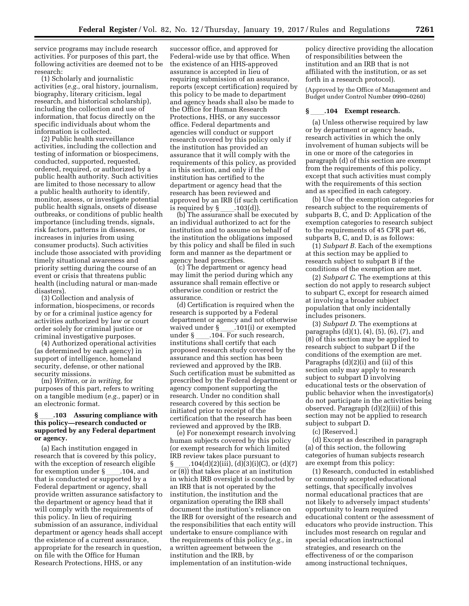service programs may include research activities. For purposes of this part, the following activities are deemed not to be research:

(1) Scholarly and journalistic activities (*e.g.,* oral history, journalism, biography, literary criticism, legal research, and historical scholarship), including the collection and use of information, that focus directly on the specific individuals about whom the information is collected.

(2) Public health surveillance activities, including the collection and testing of information or biospecimens, conducted, supported, requested, ordered, required, or authorized by a public health authority. Such activities are limited to those necessary to allow a public health authority to identify, monitor, assess, or investigate potential public health signals, onsets of disease outbreaks, or conditions of public health importance (including trends, signals, risk factors, patterns in diseases, or increases in injuries from using consumer products). Such activities include those associated with providing timely situational awareness and priority setting during the course of an event or crisis that threatens public health (including natural or man-made disasters).

(3) Collection and analysis of information, biospecimens, or records by or for a criminal justice agency for activities authorized by law or court order solely for criminal justice or criminal investigative purposes.

(4) Authorized operational activities (as determined by each agency) in support of intelligence, homeland security, defense, or other national security missions.

(m) *Written,* or *in writing,* for purposes of this part, refers to writing on a tangible medium (*e.g.,* paper) or in an electronic format.

## **§** ll**.103 Assuring compliance with this policy—research conducted or supported by any Federal department or agency.**

(a) Each institution engaged in research that is covered by this policy, with the exception of research eligible for exemption under § \_\_\_\_.104, and<br>that is conducted or supported by a Federal department or agency, shall provide written assurance satisfactory to the department or agency head that it will comply with the requirements of this policy. In lieu of requiring submission of an assurance, individual department or agency heads shall accept the existence of a current assurance, appropriate for the research in question, on file with the Office for Human Research Protections, HHS, or any

successor office, and approved for Federal-wide use by that office. When the existence of an HHS-approved assurance is accepted in lieu of requiring submission of an assurance, reports (except certification) required by this policy to be made to department and agency heads shall also be made to the Office for Human Research Protections, HHS, or any successor office. Federal departments and agencies will conduct or support research covered by this policy only if the institution has provided an assurance that it will comply with the requirements of this policy, as provided in this section, and only if the institution has certified to the department or agency head that the research has been reviewed and approved by an IRB (if such certification

is required by §\_\_\_\_.103(d)).<br>(b) The assurance shall be executed by an individual authorized to act for the institution and to assume on behalf of the institution the obligations imposed by this policy and shall be filed in such form and manner as the department or agency head prescribes.

(c) The department or agency head may limit the period during which any assurance shall remain effective or otherwise condition or restrict the assurance.

(d) Certification is required when the research is supported by a Federal department or agency and not otherwise waived under § ll.101(i) or exempted under § \_\_\_\_.104. For such research,<br>institutions shall certify that each proposed research study covered by the assurance and this section has been reviewed and approved by the IRB. Such certification must be submitted as prescribed by the Federal department or agency component supporting the research. Under no condition shall research covered by this section be initiated prior to receipt of the certification that the research has been reviewed and approved by the IRB.

(e) For nonexempt research involving human subjects covered by this policy (or exempt research for which limited IRB review takes place pursuant to §  $.104(d)(2)(iii)$ ,  $(d)(3)(i)(C)$ , or  $(d)(7)$ or (8)) that takes place at an institution in which IRB oversight is conducted by an IRB that is not operated by the institution, the institution and the organization operating the IRB shall document the institution's reliance on the IRB for oversight of the research and the responsibilities that each entity will undertake to ensure compliance with the requirements of this policy (*e.g.,* in a written agreement between the institution and the IRB, by implementation of an institution-wide

policy directive providing the allocation of responsibilities between the institution and an IRB that is not affiliated with the institution, or as set forth in a research protocol).

(Approved by the Office of Management and Budget under Control Number 0990–0260)

#### **§** ll**.104 Exempt research.**

(a) Unless otherwise required by law or by department or agency heads, research activities in which the only involvement of human subjects will be in one or more of the categories in paragraph (d) of this section are exempt from the requirements of this policy, except that such activities must comply with the requirements of this section and as specified in each category.

(b) Use of the exemption categories for research subject to the requirements of subparts B, C, and D: Application of the exemption categories to research subject to the requirements of 45 CFR part 46, subparts B, C, and D, is as follows:

(1) *Subpart B.* Each of the exemptions at this section may be applied to research subject to subpart B if the conditions of the exemption are met.

(2) *Subpart C.* The exemptions at this section do not apply to research subject to subpart C, except for research aimed at involving a broader subject population that only incidentally includes prisoners.

(3) *Subpart D.* The exemptions at paragraphs (d)(1), (4), (5), (6), (7), and (8) of this section may be applied to research subject to subpart D if the conditions of the exemption are met. Paragraphs (d)(2)(i) and (ii) of this section only may apply to research subject to subpart D involving educational tests or the observation of public behavior when the investigator(s) do not participate in the activities being observed. Paragraph (d)(2)(iii) of this section may not be applied to research subject to subpart D.

(c) [Reserved.]

(d) Except as described in paragraph (a) of this section, the following categories of human subjects research are exempt from this policy:

(1) Research, conducted in established or commonly accepted educational settings, that specifically involves normal educational practices that are not likely to adversely impact students' opportunity to learn required educational content or the assessment of educators who provide instruction. This includes most research on regular and special education instructional strategies, and research on the effectiveness of or the comparison among instructional techniques,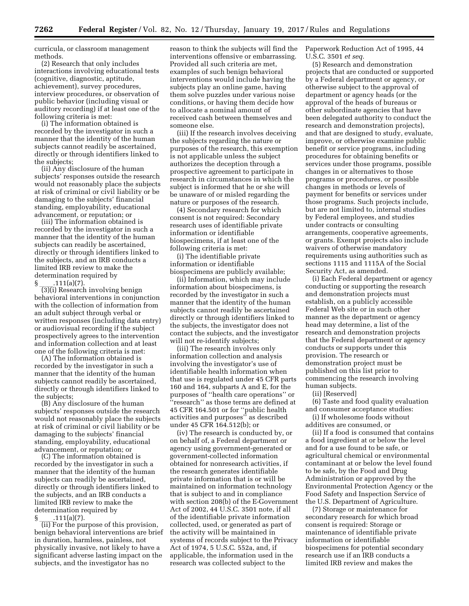curricula, or classroom management methods.

(2) Research that only includes interactions involving educational tests (cognitive, diagnostic, aptitude, achievement), survey procedures, interview procedures, or observation of public behavior (including visual or auditory recording) if at least one of the following criteria is met:

(i) The information obtained is recorded by the investigator in such a manner that the identity of the human subjects cannot readily be ascertained, directly or through identifiers linked to the subjects;

(ii) Any disclosure of the human subjects' responses outside the research would not reasonably place the subjects at risk of criminal or civil liability or be damaging to the subjects' financial standing, employability, educational advancement, or reputation; or

(iii) The information obtained is recorded by the investigator in such a manner that the identity of the human subjects can readily be ascertained, directly or through identifiers linked to the subjects, and an IRB conducts a limited IRB review to make the determination required by

§ \_\_\_\_.111(a)(7).<br>(3)(i) Research involving benign behavioral interventions in conjunction with the collection of information from an adult subject through verbal or written responses (including data entry) or audiovisual recording if the subject prospectively agrees to the intervention and information collection and at least one of the following criteria is met:

(A) The information obtained is recorded by the investigator in such a manner that the identity of the human subjects cannot readily be ascertained, directly or through identifiers linked to the subjects;

(B) Any disclosure of the human subjects' responses outside the research would not reasonably place the subjects at risk of criminal or civil liability or be damaging to the subjects' financial standing, employability, educational advancement, or reputation; or

(C) The information obtained is recorded by the investigator in such a manner that the identity of the human subjects can readily be ascertained, directly or through identifiers linked to the subjects, and an IRB conducts a limited IRB review to make the determination required by

 $\frac{\sin(7)}{\sin(6)}$  Tor the purpose of this provision, benign behavioral interventions are brief in duration, harmless, painless, not physically invasive, not likely to have a significant adverse lasting impact on the subjects, and the investigator has no

reason to think the subjects will find the interventions offensive or embarrassing. Provided all such criteria are met, examples of such benign behavioral interventions would include having the subjects play an online game, having them solve puzzles under various noise conditions, or having them decide how to allocate a nominal amount of received cash between themselves and someone else.

(iii) If the research involves deceiving the subjects regarding the nature or purposes of the research, this exemption is not applicable unless the subject authorizes the deception through a prospective agreement to participate in research in circumstances in which the subject is informed that he or she will be unaware of or misled regarding the nature or purposes of the research.

(4) Secondary research for which consent is not required: Secondary research uses of identifiable private information or identifiable biospecimens, if at least one of the following criteria is met:

(i) The identifiable private information or identifiable biospecimens are publicly available;

(ii) Information, which may include information about biospecimens, is recorded by the investigator in such a manner that the identity of the human subjects cannot readily be ascertained directly or through identifiers linked to the subjects, the investigator does not contact the subjects, and the investigator will not re-identify subjects;

(iii) The research involves only information collection and analysis involving the investigator's use of identifiable health information when that use is regulated under 45 CFR parts 160 and 164, subparts A and E, for the purposes of ''health care operations'' or ''research'' as those terms are defined at 45 CFR 164.501 or for ''public health activities and purposes'' as described under 45 CFR 164.512(b); or

(iv) The research is conducted by, or on behalf of, a Federal department or agency using government-generated or government-collected information obtained for nonresearch activities, if the research generates identifiable private information that is or will be maintained on information technology that is subject to and in compliance with section 208(b) of the E-Government Act of 2002, 44 U.S.C. 3501 note, if all of the identifiable private information collected, used, or generated as part of the activity will be maintained in systems of records subject to the Privacy Act of 1974, 5 U.S.C. 552a, and, if applicable, the information used in the research was collected subject to the

Paperwork Reduction Act of 1995, 44 U.S.C. 3501 *et seq.* 

(5) Research and demonstration projects that are conducted or supported by a Federal department or agency, or otherwise subject to the approval of department or agency heads (or the approval of the heads of bureaus or other subordinate agencies that have been delegated authority to conduct the research and demonstration projects), and that are designed to study, evaluate, improve, or otherwise examine public benefit or service programs, including procedures for obtaining benefits or services under those programs, possible changes in or alternatives to those programs or procedures, or possible changes in methods or levels of payment for benefits or services under those programs. Such projects include, but are not limited to, internal studies by Federal employees, and studies under contracts or consulting arrangements, cooperative agreements, or grants. Exempt projects also include waivers of otherwise mandatory requirements using authorities such as sections 1115 and 1115A of the Social Security Act, as amended.

(i) Each Federal department or agency conducting or supporting the research and demonstration projects must establish, on a publicly accessible Federal Web site or in such other manner as the department or agency head may determine, a list of the research and demonstration projects that the Federal department or agency conducts or supports under this provision. The research or demonstration project must be published on this list prior to commencing the research involving human subjects.

(ii) [Reserved]

(6) Taste and food quality evaluation and consumer acceptance studies:

(i) If wholesome foods without additives are consumed, or

(ii) If a food is consumed that contains a food ingredient at or below the level and for a use found to be safe, or agricultural chemical or environmental contaminant at or below the level found to be safe, by the Food and Drug Administration or approved by the Environmental Protection Agency or the Food Safety and Inspection Service of the U.S. Department of Agriculture.

(7) Storage or maintenance for secondary research for which broad consent is required: Storage or maintenance of identifiable private information or identifiable biospecimens for potential secondary research use if an IRB conducts a limited IRB review and makes the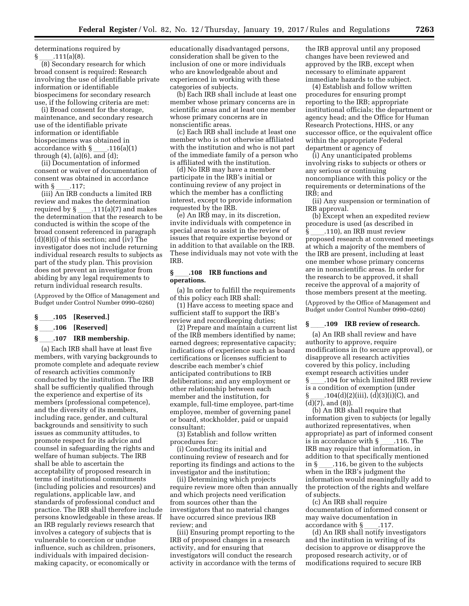determinations required by

 $\frac{\S}{\S(8)}$ . 111(a)(8).<br>(8) Secondary research for which broad consent is required: Research involving the use of identifiable private information or identifiable biospecimens for secondary research use, if the following criteria are met:

(i) Broad consent for the storage, maintenance, and secondary research use of the identifiable private information or identifiable biospecimens was obtained in accordance with § \_\_\_\_.116(a)(1)<br>through (4), (a)(6), and (d);

(ii) Documentation of informed consent or waiver of documentation of consent was obtained in accordance with §\_\_\_\_.117;<br>(iii) An IRB conducts a limited IRB

review and makes the determination required by § \_\_\_\_.111(a)(7) and makes<br>the determination that the research to be conducted is within the scope of the broad consent referenced in paragraph (d)(8)(i) of this section; and (iv) The investigator does not include returning individual research results to subjects as part of the study plan. This provision does not prevent an investigator from abiding by any legal requirements to return individual research results.

(Approved by the Office of Management and Budget under Control Number 0990–0260)

## **§** ll**.105 [Reserved.] §** \_\_\_\_.106 [Reserved]<br>**§** \_\_\_\_.107 IRB membe

## **§** ll**.107 IRB membership.**

(a) Each IRB shall have at least five members, with varying backgrounds to promote complete and adequate review of research activities commonly conducted by the institution. The IRB shall be sufficiently qualified through the experience and expertise of its members (professional competence), and the diversity of its members, including race, gender, and cultural backgrounds and sensitivity to such issues as community attitudes, to promote respect for its advice and counsel in safeguarding the rights and welfare of human subjects. The IRB shall be able to ascertain the acceptability of proposed research in terms of institutional commitments (including policies and resources) and regulations, applicable law, and standards of professional conduct and practice. The IRB shall therefore include persons knowledgeable in these areas. If an IRB regularly reviews research that involves a category of subjects that is vulnerable to coercion or undue influence, such as children, prisoners, individuals with impaired decisionmaking capacity, or economically or

educationally disadvantaged persons, consideration shall be given to the inclusion of one or more individuals who are knowledgeable about and experienced in working with these categories of subjects.

(b) Each IRB shall include at least one member whose primary concerns are in scientific areas and at least one member whose primary concerns are in nonscientific areas.

(c) Each IRB shall include at least one member who is not otherwise affiliated with the institution and who is not part of the immediate family of a person who is affiliated with the institution.

(d) No IRB may have a member participate in the IRB's initial or continuing review of any project in which the member has a conflicting interest, except to provide information requested by the IRB.

(e) An IRB may, in its discretion, invite individuals with competence in special areas to assist in the review of issues that require expertise beyond or in addition to that available on the IRB. These individuals may not vote with the IRB.

#### **§** ll**.108 IRB functions and operations.**

(a) In order to fulfill the requirements of this policy each IRB shall:

(1) Have access to meeting space and sufficient staff to support the IRB's review and recordkeeping duties;

(2) Prepare and maintain a current list of the IRB members identified by name; earned degrees; representative capacity; indications of experience such as board certifications or licenses sufficient to describe each member's chief anticipated contributions to IRB deliberations; and any employment or other relationship between each member and the institution, for example, full-time employee, part-time employee, member of governing panel or board, stockholder, paid or unpaid consultant;

(3) Establish and follow written procedures for:

(i) Conducting its initial and continuing review of research and for reporting its findings and actions to the investigator and the institution;

(ii) Determining which projects require review more often than annually and which projects need verification from sources other than the investigators that no material changes have occurred since previous IRB review; and

(iii) Ensuring prompt reporting to the IRB of proposed changes in a research activity, and for ensuring that investigators will conduct the research activity in accordance with the terms of

the IRB approval until any proposed changes have been reviewed and approved by the IRB, except when necessary to eliminate apparent immediate hazards to the subject.

(4) Establish and follow written procedures for ensuring prompt reporting to the IRB; appropriate institutional officials; the department or agency head; and the Office for Human Research Protections, HHS, or any successor office, or the equivalent office within the appropriate Federal department or agency of

(i) Any unanticipated problems involving risks to subjects or others or any serious or continuing noncompliance with this policy or the requirements or determinations of the IRB; and

(ii) Any suspension or termination of IRB approval.

(b) Except when an expedited review procedure is used (as described in § \_\_\_\_.110), an IRB must review<br>proposed research at convened meetings at which a majority of the members of the IRB are present, including at least one member whose primary concerns are in nonscientific areas. In order for the research to be approved, it shall receive the approval of a majority of those members present at the meeting.

(Approved by the Office of Management and Budget under Control Number 0990–0260)

#### **§** ll**.109 IRB review of research.**

(a) An IRB shall review and have authority to approve, require modifications in (to secure approval), or disapprove all research activities covered by this policy, including exempt research activities under § 104 for which limited IRB review is a condition of exemption (under  $\S$  .104(d)(2)(iii), (d)(3)(i)(C), and (d)(7), and (8)).

(b) An IRB shall require that information given to subjects (or legally authorized representatives, when appropriate) as part of informed consent is in accordance with §\_\_\_\_.116. The<br>IRB may require that information, in addition to that specifically mentioned in  $\S$  .116, be given to the subjects when in the IRB's judgment the information would meaningfully add to the protection of the rights and welfare of subjects.

(c) An IRB shall require documentation of informed consent or may waive documentation in

accordance with § \_\_\_\_.117.<br>(d) An IRB shall notify investigators and the institution in writing of its decision to approve or disapprove the proposed research activity, or of modifications required to secure IRB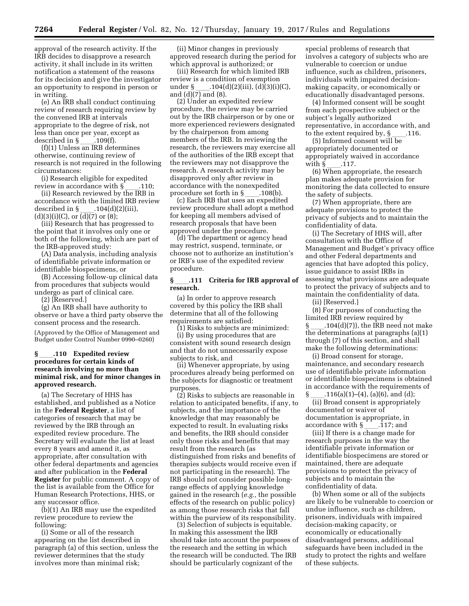approval of the research activity. If the IRB decides to disapprove a research activity, it shall include in its written notification a statement of the reasons for its decision and give the investigator an opportunity to respond in person or in writing.

(e) An IRB shall conduct continuing review of research requiring review by the convened IRB at intervals appropriate to the degree of risk, not less than once per year, except as

described in §\_\_\_\_.109(f).<br>(f)(1) Unless an IRB determines otherwise, continuing review of research is not required in the following circumstances:

(i) Research eligible for expedited

review in accordance with §\_\_\_\_.110;<br>ii) Research reviewed by the IRB in) accordance with the limited IRB review described in § \_\_\_.104(d)(2)(iii),<br>(d)(3)(i)(C), or (d)(7) or (8);

(iii) Research that has progressed to the point that it involves only one or both of the following, which are part of the IRB-approved study:

(A) Data analysis, including analysis of identifiable private information or identifiable biospecimens, or

(B) Accessing follow-up clinical data from procedures that subjects would undergo as part of clinical care.

(2) [Reserved.]

(g) An IRB shall have authority to observe or have a third party observe the consent process and the research.

(Approved by the Office of Management and Budget under Control Number 0990–0260)

## **§** ll**.110 Expedited review procedures for certain kinds of research involving no more than minimal risk, and for minor changes in approved research.**

(a) The Secretary of HHS has established, and published as a Notice in the **Federal Register**, a list of categories of research that may be reviewed by the IRB through an expedited review procedure. The Secretary will evaluate the list at least every 8 years and amend it, as appropriate, after consultation with other federal departments and agencies and after publication in the **Federal Register** for public comment. A copy of the list is available from the Office for Human Research Protections, HHS, or any successor office.

(b)(1) An IRB may use the expedited review procedure to review the following:

(i) Some or all of the research appearing on the list described in paragraph (a) of this section, unless the reviewer determines that the study involves more than minimal risk;

(ii) Minor changes in previously approved research during the period for which approval is authorized; or

(iii) Research for which limited IRB review is a condition of exemption under  $\S$  \_\_\_\_\_\_. 104(d)(2)(iii), (d)(3)(i)(C), and (d)(7) and (8).

(2) Under an expedited review procedure, the review may be carried out by the IRB chairperson or by one or more experienced reviewers designated by the chairperson from among members of the IRB. In reviewing the research, the reviewers may exercise all of the authorities of the IRB except that the reviewers may not disapprove the research. A research activity may be disapproved only after review in accordance with the nonexpedited<br>procedure set forth in §\_\_\_\_.108(b).

procedure set forth in §\_\_\_\_.108(b).<br>〔c) Each IRB that uses an expedited review procedure shall adopt a method for keeping all members advised of research proposals that have been approved under the procedure.

(d) The department or agency head may restrict, suspend, terminate, or choose not to authorize an institution's or IRB's use of the expedited review procedure.

#### **§** ll**.111 Criteria for IRB approval of research.**

(a) In order to approve research covered by this policy the IRB shall determine that all of the following requirements are satisfied:

(1) Risks to subjects are minimized:

(i) By using procedures that are consistent with sound research design and that do not unnecessarily expose subjects to risk, and

(ii) Whenever appropriate, by using procedures already being performed on the subjects for diagnostic or treatment purposes.

(2) Risks to subjects are reasonable in relation to anticipated benefits, if any, to subjects, and the importance of the knowledge that may reasonably be expected to result. In evaluating risks and benefits, the IRB should consider only those risks and benefits that may result from the research (as distinguished from risks and benefits of therapies subjects would receive even if not participating in the research). The IRB should not consider possible longrange effects of applying knowledge gained in the research (*e.g.,* the possible effects of the research on public policy) as among those research risks that fall within the purview of its responsibility.

(3) Selection of subjects is equitable. In making this assessment the IRB should take into account the purposes of the research and the setting in which the research will be conducted. The IRB should be particularly cognizant of the

special problems of research that involves a category of subjects who are vulnerable to coercion or undue influence, such as children, prisoners, individuals with impaired decisionmaking capacity, or economically or educationally disadvantaged persons.

(4) Informed consent will be sought from each prospective subject or the subject's legally authorized representative, in accordance with, and to the extent required by,  $\S$  .116.

(5) Informed consent will be appropriately documented or appropriately waived in accordance

with § \_\_\_\_.117.<br>(6) When appropriate, the research plan makes adequate provision for monitoring the data collected to ensure the safety of subjects.

(7) When appropriate, there are adequate provisions to protect the privacy of subjects and to maintain the confidentiality of data.

(i) The Secretary of HHS will, after consultation with the Office of Management and Budget's privacy office and other Federal departments and agencies that have adopted this policy, issue guidance to assist IRBs in assessing what provisions are adequate to protect the privacy of subjects and to maintain the confidentiality of data.

(ii) [Reserved.]

(8) For purposes of conducting the limited IRB review required by  $(104(d)(7))$ , the IRB need not make the determinations at paragraphs (a)(1) through (7) of this section, and shall make the following determinations:

(i) Broad consent for storage, maintenance, and secondary research use of identifiable private information or identifiable biospecimens is obtained in accordance with the requirements of

§ ll.116(a)(1)–(4), (a)(6), and (d); (ii) Broad consent is appropriately documented or waiver of documentation is appropriate, in

accordance with §\_\_\_\_.117; and<br>(iii) If there is a change made for research purposes in the way the identifiable private information or identifiable biospecimens are stored or maintained, there are adequate provisions to protect the privacy of subjects and to maintain the confidentiality of data.

(b) When some or all of the subjects are likely to be vulnerable to coercion or undue influence, such as children, prisoners, individuals with impaired decision-making capacity, or economically or educationally disadvantaged persons, additional safeguards have been included in the study to protect the rights and welfare of these subjects.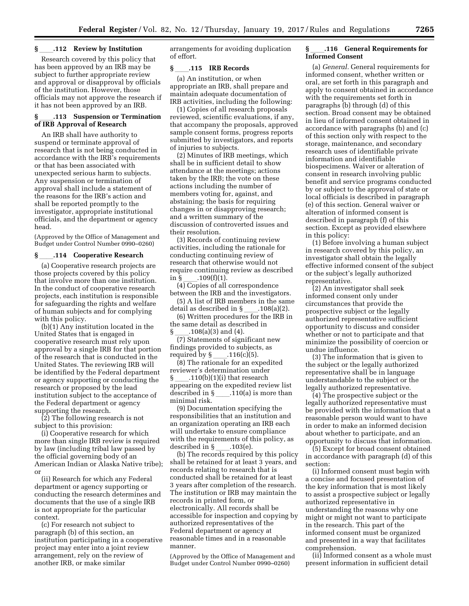#### **§** ll**.112 Review by Institution**

Research covered by this policy that has been approved by an IRB may be subject to further appropriate review and approval or disapproval by officials of the institution. However, those officials may not approve the research if it has not been approved by an IRB.

## **§** ll**.113 Suspension or Termination of IRB Approval of Research**

An IRB shall have authority to suspend or terminate approval of research that is not being conducted in accordance with the IRB's requirements or that has been associated with unexpected serious harm to subjects. Any suspension or termination of approval shall include a statement of the reasons for the IRB's action and shall be reported promptly to the investigator, appropriate institutional officials, and the department or agency head.

(Approved by the Office of Management and Budget under Control Number 0990–0260)

#### **§** ll**.114 Cooperative Research**

(a) Cooperative research projects are those projects covered by this policy that involve more than one institution. In the conduct of cooperative research projects, each institution is responsible for safeguarding the rights and welfare of human subjects and for complying with this policy.

(b)(1) Any institution located in the United States that is engaged in cooperative research must rely upon approval by a single IRB for that portion of the research that is conducted in the United States. The reviewing IRB will be identified by the Federal department or agency supporting or conducting the research or proposed by the lead institution subject to the acceptance of the Federal department or agency supporting the research.

(2) The following research is not subject to this provision:

(i) Cooperative research for which more than single IRB review is required by law (including tribal law passed by the official governing body of an American Indian or Alaska Native tribe); or

(ii) Research for which any Federal department or agency supporting or conducting the research determines and documents that the use of a single IRB is not appropriate for the particular context.

(c) For research not subject to paragraph (b) of this section, an institution participating in a cooperative project may enter into a joint review arrangement, rely on the review of another IRB, or make similar

arrangements for avoiding duplication of effort.

#### **§** ll**.115 IRB Records**

(a) An institution, or when appropriate an IRB, shall prepare and maintain adequate documentation of IRB activities, including the following:

(1) Copies of all research proposals reviewed, scientific evaluations, if any, that accompany the proposals, approved sample consent forms, progress reports submitted by investigators, and reports of injuries to subjects.

(2) Minutes of IRB meetings, which shall be in sufficient detail to show attendance at the meetings; actions taken by the IRB; the vote on these actions including the number of members voting for, against, and abstaining; the basis for requiring changes in or disapproving research; and a written summary of the discussion of controverted issues and their resolution.

(3) Records of continuing review activities, including the rationale for conducting continuing review of research that otherwise would not require continuing review as described

in § \_\_\_\_.109(f)(1).<br>(4) Copies of all correspondence between the IRB and the investigators.

(5) A list of IRB members in the same

detail as described in §\_\_\_\_.108(a)(2).<br>(6) Written procedures for the IRB in the same detail as described in

 $\S$  \_\_\_\_.108(a)(3) and (4).<br>(7) Statements of significant new findings provided to subjects, as

required by § \_\_\_\_.116(c)(5).<br>(8) The rationale for an expedited reviewer's determination under<br>§ .110(b)(1)(i) that research § \_\_\_\_.110(b)(1)(i) that research<br>appearing on the expedited review list described in  $\S$  .110(a) is more than minimal risk.

(9) Documentation specifying the responsibilities that an institution and an organization operating an IRB each will undertake to ensure compliance with the requirements of this policy, as described in §\_\_\_\_.103(e).<br>(b) The records required by this policy

shall be retained for at least 3 years, and records relating to research that is conducted shall be retained for at least 3 years after completion of the research. The institution or IRB may maintain the records in printed form, or electronically. All records shall be accessible for inspection and copying by authorized representatives of the Federal department or agency at reasonable times and in a reasonable manner.

(Approved by the Office of Management and Budget under Control Number 0990–0260)

#### **§** ll**.116 General Requirements for Informed Consent**

(a) *General.* General requirements for informed consent, whether written or oral, are set forth in this paragraph and apply to consent obtained in accordance with the requirements set forth in paragraphs (b) through (d) of this section. Broad consent may be obtained in lieu of informed consent obtained in accordance with paragraphs (b) and (c) of this section only with respect to the storage, maintenance, and secondary research uses of identifiable private information and identifiable biospecimens. Waiver or alteration of consent in research involving public benefit and service programs conducted by or subject to the approval of state or local officials is described in paragraph (e) of this section. General waiver or alteration of informed consent is described in paragraph (f) of this section. Except as provided elsewhere in this policy:

(1) Before involving a human subject in research covered by this policy, an investigator shall obtain the legally effective informed consent of the subject or the subject's legally authorized representative.

(2) An investigator shall seek informed consent only under circumstances that provide the prospective subject or the legally authorized representative sufficient opportunity to discuss and consider whether or not to participate and that minimize the possibility of coercion or undue influence.

(3) The information that is given to the subject or the legally authorized representative shall be in language understandable to the subject or the legally authorized representative.

(4) The prospective subject or the legally authorized representative must be provided with the information that a reasonable person would want to have in order to make an informed decision about whether to participate, and an opportunity to discuss that information.

(5) Except for broad consent obtained in accordance with paragraph (d) of this section:

(i) Informed consent must begin with a concise and focused presentation of the key information that is most likely to assist a prospective subject or legally authorized representative in understanding the reasons why one might or might not want to participate in the research. This part of the informed consent must be organized and presented in a way that facilitates comprehension.

(ii) Informed consent as a whole must present information in sufficient detail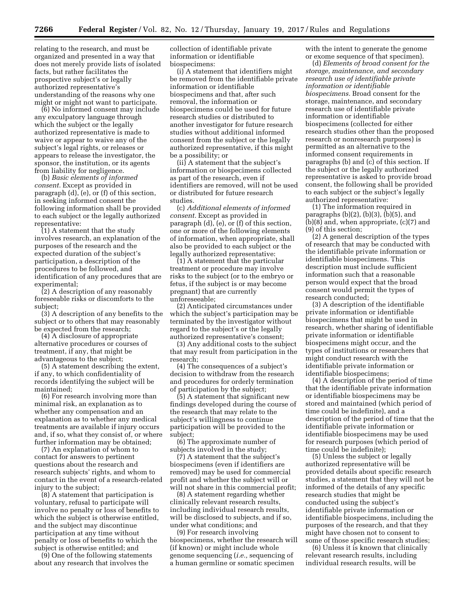relating to the research, and must be organized and presented in a way that does not merely provide lists of isolated facts, but rather facilitates the prospective subject's or legally authorized representative's understanding of the reasons why one might or might not want to participate.

(6) No informed consent may include any exculpatory language through which the subject or the legally authorized representative is made to waive or appear to waive any of the subject's legal rights, or releases or appears to release the investigator, the sponsor, the institution, or its agents from liability for negligence.

(b) *Basic elements of informed consent.* Except as provided in paragraph (d), (e), or (f) of this section, in seeking informed consent the following information shall be provided to each subject or the legally authorized representative:

(1) A statement that the study involves research, an explanation of the purposes of the research and the expected duration of the subject's participation, a description of the procedures to be followed, and identification of any procedures that are experimental;

(2) A description of any reasonably foreseeable risks or discomforts to the subject;

(3) A description of any benefits to the subject or to others that may reasonably be expected from the research;

(4) A disclosure of appropriate alternative procedures or courses of treatment, if any, that might be advantageous to the subject;

(5) A statement describing the extent, if any, to which confidentiality of records identifying the subject will be maintained;

(6) For research involving more than minimal risk, an explanation as to whether any compensation and an explanation as to whether any medical treatments are available if injury occurs and, if so, what they consist of, or where further information may be obtained;

(7) An explanation of whom to contact for answers to pertinent questions about the research and research subjects' rights, and whom to contact in the event of a research-related injury to the subject;

(8) A statement that participation is voluntary, refusal to participate will involve no penalty or loss of benefits to which the subject is otherwise entitled, and the subject may discontinue participation at any time without penalty or loss of benefits to which the subject is otherwise entitled; and

(9) One of the following statements about any research that involves the

collection of identifiable private information or identifiable biospecimens:

(i) A statement that identifiers might be removed from the identifiable private information or identifiable biospecimens and that, after such removal, the information or biospecimens could be used for future research studies or distributed to another investigator for future research studies without additional informed consent from the subject or the legally authorized representative, if this might be a possibility; or

(ii) A statement that the subject's information or biospecimens collected as part of the research, even if identifiers are removed, will not be used or distributed for future research studies.

(c) *Additional elements of informed consent.* Except as provided in paragraph (d), (e), or (f) of this section, one or more of the following elements of information, when appropriate, shall also be provided to each subject or the legally authorized representative:

(1) A statement that the particular treatment or procedure may involve risks to the subject (or to the embryo or fetus, if the subject is or may become pregnant) that are currently unforeseeable;

(2) Anticipated circumstances under which the subject's participation may be terminated by the investigator without regard to the subject's or the legally authorized representative's consent;

(3) Any additional costs to the subject that may result from participation in the research;

(4) The consequences of a subject's decision to withdraw from the research and procedures for orderly termination of participation by the subject;

(5) A statement that significant new findings developed during the course of the research that may relate to the subject's willingness to continue participation will be provided to the subject;

(6) The approximate number of subjects involved in the study;

(7) A statement that the subject's biospecimens (even if identifiers are removed) may be used for commercial profit and whether the subject will or will not share in this commercial profit;

(8) A statement regarding whether clinically relevant research results, including individual research results, will be disclosed to subjects, and if so, under what conditions; and

(9) For research involving biospecimens, whether the research will (if known) or might include whole genome sequencing (*i.e.,* sequencing of a human germline or somatic specimen

with the intent to generate the genome or exome sequence of that specimen).

(d) *Elements of broad consent for the storage, maintenance, and secondary research use of identifiable private information or identifiable biospecimens.* Broad consent for the storage, maintenance, and secondary research use of identifiable private information or identifiable biospecimens (collected for either research studies other than the proposed research or nonresearch purposes) is permitted as an alternative to the informed consent requirements in paragraphs (b) and (c) of this section. If the subject or the legally authorized representative is asked to provide broad consent, the following shall be provided to each subject or the subject's legally authorized representative:

(1) The information required in paragraphs (b)(2), (b)(3), (b)(5), and (b)(8) and, when appropriate, (c)(7) and (9) of this section;

(2) A general description of the types of research that may be conducted with the identifiable private information or identifiable biospecimens. This description must include sufficient information such that a reasonable person would expect that the broad consent would permit the types of research conducted;

(3) A description of the identifiable private information or identifiable biospecimens that might be used in research, whether sharing of identifiable private information or identifiable biospecimens might occur, and the types of institutions or researchers that might conduct research with the identifiable private information or identifiable biospecimens;

(4) A description of the period of time that the identifiable private information or identifiable biospecimens may be stored and maintained (which period of time could be indefinite), and a description of the period of time that the identifiable private information or identifiable biospecimens may be used for research purposes (which period of time could be indefinite);

(5) Unless the subject or legally authorized representative will be provided details about specific research studies, a statement that they will not be informed of the details of any specific research studies that might be conducted using the subject's identifiable private information or identifiable biospecimens, including the purposes of the research, and that they might have chosen not to consent to some of those specific research studies;

(6) Unless it is known that clinically relevant research results, including individual research results, will be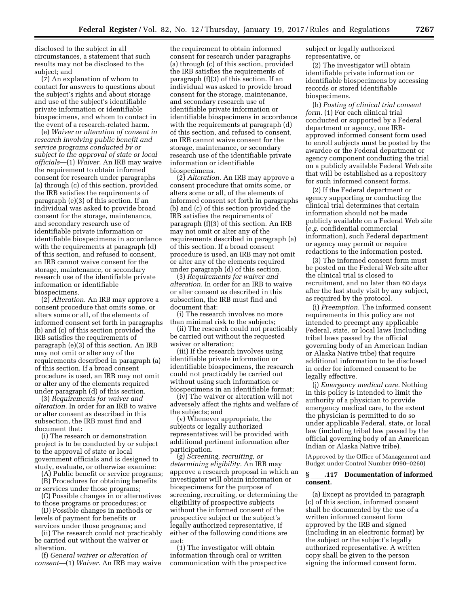disclosed to the subject in all circumstances, a statement that such results may not be disclosed to the subject; and

(7) An explanation of whom to contact for answers to questions about the subject's rights and about storage and use of the subject's identifiable private information or identifiable biospecimens, and whom to contact in the event of a research-related harm.

(e) *Waiver or alteration of consent in research involving public benefit and service programs conducted by or subject to the approval of state or local officials*—(1) *Waiver.* An IRB may waive the requirement to obtain informed consent for research under paragraphs (a) through (c) of this section, provided the IRB satisfies the requirements of paragraph (e)(3) of this section. If an individual was asked to provide broad consent for the storage, maintenance, and secondary research use of identifiable private information or identifiable biospecimens in accordance with the requirements at paragraph (d) of this section, and refused to consent, an IRB cannot waive consent for the storage, maintenance, or secondary research use of the identifiable private information or identifiable biospecimens.

(2) *Alteration.* An IRB may approve a consent procedure that omits some, or alters some or all, of the elements of informed consent set forth in paragraphs (b) and (c) of this section provided the IRB satisfies the requirements of paragraph (e)(3) of this section. An IRB may not omit or alter any of the requirements described in paragraph (a) of this section. If a broad consent procedure is used, an IRB may not omit or alter any of the elements required under paragraph (d) of this section.

(3) *Requirements for waiver and alteration.* In order for an IRB to waive or alter consent as described in this subsection, the IRB must find and document that:

(i) The research or demonstration project is to be conducted by or subject to the approval of state or local government officials and is designed to study, evaluate, or otherwise examine:

(A) Public benefit or service programs;

(B) Procedures for obtaining benefits or services under those programs;

(C) Possible changes in or alternatives to those programs or procedures; or

(D) Possible changes in methods or levels of payment for benefits or services under those programs; and

(ii) The research could not practicably be carried out without the waiver or alteration.

(f) *General waiver or alteration of consent*—(1) *Waiver.* An IRB may waive

the requirement to obtain informed consent for research under paragraphs (a) through (c) of this section, provided the IRB satisfies the requirements of paragraph (f)(3) of this section. If an individual was asked to provide broad consent for the storage, maintenance, and secondary research use of identifiable private information or identifiable biospecimens in accordance with the requirements at paragraph (d) of this section, and refused to consent, an IRB cannot waive consent for the storage, maintenance, or secondary research use of the identifiable private information or identifiable biospecimens.

(2) *Alteration.* An IRB may approve a consent procedure that omits some, or alters some or all, of the elements of informed consent set forth in paragraphs (b) and (c) of this section provided the IRB satisfies the requirements of paragraph (f)(3) of this section. An IRB may not omit or alter any of the requirements described in paragraph (a) of this section. If a broad consent procedure is used, an IRB may not omit or alter any of the elements required under paragraph (d) of this section.

(3) *Requirements for waiver and alteration.* In order for an IRB to waive or alter consent as described in this subsection, the IRB must find and document that:

(i) The research involves no more than minimal risk to the subjects;

(ii) The research could not practicably be carried out without the requested waiver or alteration;

(iii) If the research involves using identifiable private information or identifiable biospecimens, the research could not practicably be carried out without using such information or biospecimens in an identifiable format;

(iv) The waiver or alteration will not adversely affect the rights and welfare of the subjects; and

(v) Whenever appropriate, the subjects or legally authorized representatives will be provided with additional pertinent information after participation.

(g) *Screening, recruiting, or determining eligibility.* An IRB may approve a research proposal in which an investigator will obtain information or biospecimens for the purpose of screening, recruiting, or determining the eligibility of prospective subjects without the informed consent of the prospective subject or the subject's legally authorized representative, if either of the following conditions are met:

(1) The investigator will obtain information through oral or written communication with the prospective subject or legally authorized representative, or

(2) The investigator will obtain identifiable private information or identifiable biospecimens by accessing records or stored identifiable biospecimens.

(h) *Posting of clinical trial consent form.* (1) For each clinical trial conducted or supported by a Federal department or agency, one IRBapproved informed consent form used to enroll subjects must be posted by the awardee or the Federal department or agency component conducting the trial on a publicly available Federal Web site that will be established as a repository for such informed consent forms.

(2) If the Federal department or agency supporting or conducting the clinical trial determines that certain information should not be made publicly available on a Federal Web site (*e.g.* confidential commercial information), such Federal department or agency may permit or require redactions to the information posted.

(3) The informed consent form must be posted on the Federal Web site after the clinical trial is closed to recruitment, and no later than 60 days after the last study visit by any subject, as required by the protocol.

(i) *Preemption.* The informed consent requirements in this policy are not intended to preempt any applicable Federal, state, or local laws (including tribal laws passed by the official governing body of an American Indian or Alaska Native tribe) that require additional information to be disclosed in order for informed consent to be legally effective.

(j) *Emergency medical care.* Nothing in this policy is intended to limit the authority of a physician to provide emergency medical care, to the extent the physician is permitted to do so under applicable Federal, state, or local law (including tribal law passed by the official governing body of an American Indian or Alaska Native tribe).

(Approved by the Office of Management and Budget under Control Number 0990–0260)

#### **§** ll**.117 Documentation of informed consent.**

(a) Except as provided in paragraph (c) of this section, informed consent shall be documented by the use of a written informed consent form approved by the IRB and signed (including in an electronic format) by the subject or the subject's legally authorized representative. A written copy shall be given to the person signing the informed consent form.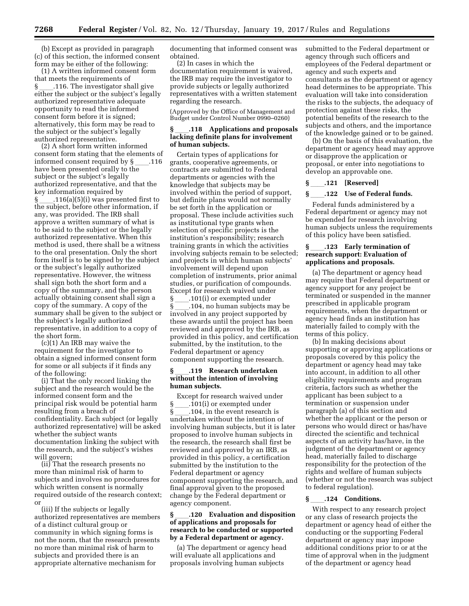(b) Except as provided in paragraph (c) of this section, the informed consent form may be either of the following:

(1) A written informed consent form that meets the requirements of § ll.116. The investigator shall give either the subject or the subject's legally authorized representative adequate opportunity to read the informed consent form before it is signed; alternatively, this form may be read to the subject or the subject's legally authorized representative.

(2) A short form written informed consent form stating that the elements of informed consent required by  $\S$ . 116 have been presented orally to the subject or the subject's legally authorized representative, and that the key information required by  $.116(a)(5)(i)$  was presented first to the subject, before other information, if any, was provided. The IRB shall approve a written summary of what is to be said to the subject or the legally authorized representative. When this method is used, there shall be a witness to the oral presentation. Only the short form itself is to be signed by the subject or the subject's legally authorized representative. However, the witness shall sign both the short form and a copy of the summary, and the person actually obtaining consent shall sign a copy of the summary. A copy of the summary shall be given to the subject or the subject's legally authorized representative, in addition to a copy of the short form.

(c)(1) An IRB may waive the requirement for the investigator to obtain a signed informed consent form for some or all subjects if it finds any of the following:

(i) That the only record linking the subject and the research would be the informed consent form and the principal risk would be potential harm resulting from a breach of confidentiality. Each subject (or legally authorized representative) will be asked whether the subject wants documentation linking the subject with the research, and the subject's wishes will govern;

(ii) That the research presents no more than minimal risk of harm to subjects and involves no procedures for which written consent is normally required outside of the research context; or

(iii) If the subjects or legally authorized representatives are members of a distinct cultural group or community in which signing forms is not the norm, that the research presents no more than minimal risk of harm to subjects and provided there is an appropriate alternative mechanism for

documenting that informed consent was obtained.

(2) In cases in which the documentation requirement is waived, the IRB may require the investigator to provide subjects or legally authorized representatives with a written statement regarding the research.

(Approved by the Office of Management and Budget under Control Number 0990–0260)

#### **§** ll**.118 Applications and proposals lacking definite plans for involvement of human subjects.**

Certain types of applications for grants, cooperative agreements, or contracts are submitted to Federal departments or agencies with the knowledge that subjects may be involved within the period of support, but definite plans would not normally be set forth in the application or proposal. These include activities such as institutional type grants when selection of specific projects is the institution's responsibility; research training grants in which the activities involving subjects remain to be selected; and projects in which human subjects' involvement will depend upon completion of instruments, prior animal studies, or purification of compounds. Except for research waived under § .101(i) or exempted under § ll.104, no human subjects may be

involved in any project supported by these awards until the project has been reviewed and approved by the IRB, as provided in this policy, and certification submitted, by the institution, to the Federal department or agency component supporting the research.

#### **§** ll**.119 Research undertaken without the intention of involving human subjects.**

Except for research waived under § ll.101(i) or exempted under § ll.104, in the event research is undertaken without the intention of involving human subjects, but it is later proposed to involve human subjects in the research, the research shall first be reviewed and approved by an IRB, as provided in this policy, a certification submitted by the institution to the Federal department or agency component supporting the research, and final approval given to the proposed change by the Federal department or agency component.

#### **§** ll**.120 Evaluation and disposition of applications and proposals for research to be conducted or supported by a Federal department or agency.**

(a) The department or agency head will evaluate all applications and proposals involving human subjects

submitted to the Federal department or agency through such officers and employees of the Federal department or agency and such experts and consultants as the department or agency head determines to be appropriate. This evaluation will take into consideration the risks to the subjects, the adequacy of protection against these risks, the potential benefits of the research to the subjects and others, and the importance of the knowledge gained or to be gained.

(b) On the basis of this evaluation, the department or agency head may approve or disapprove the application or proposal, or enter into negotiations to develop an approvable one.

# **§** ll**.121 [Reserved]**

#### **§** ll**.122 Use of Federal funds.**

Federal funds administered by a Federal department or agency may not be expended for research involving human subjects unless the requirements of this policy have been satisfied.

## § \_\_\_\_.123 Early termination of<br>research support: Evaluation of **applications and proposals.**

(a) The department or agency head may require that Federal department or agency support for any project be terminated or suspended in the manner prescribed in applicable program requirements, when the department or agency head finds an institution has materially failed to comply with the terms of this policy.

(b) In making decisions about supporting or approving applications or proposals covered by this policy the department or agency head may take into account, in addition to all other eligibility requirements and program criteria, factors such as whether the applicant has been subject to a termination or suspension under paragraph (a) of this section and whether the applicant or the person or persons who would direct or has/have directed the scientific and technical aspects of an activity has/have, in the judgment of the department or agency head, materially failed to discharge responsibility for the protection of the rights and welfare of human subjects (whether or not the research was subject to federal regulation).

#### **§** ll**.124 Conditions.**

With respect to any research project or any class of research projects the department or agency head of either the conducting or the supporting Federal department or agency may impose additional conditions prior to or at the time of approval when in the judgment of the department or agency head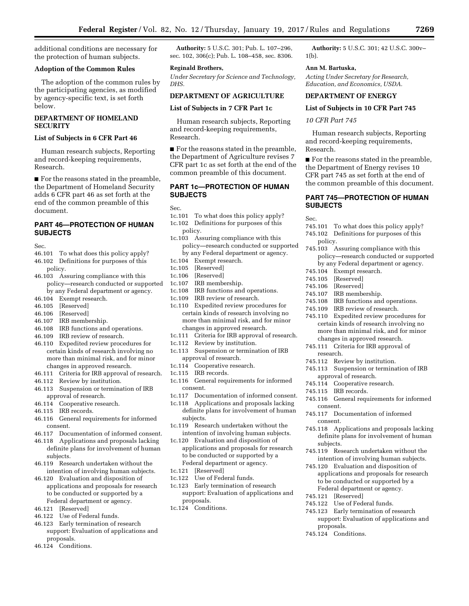additional conditions are necessary for the protection of human subjects.

#### **Adoption of the Common Rules**

The adoption of the common rules by the participating agencies, as modified by agency-specific text, is set forth below.

## **DEPARTMENT OF HOMELAND SECURITY**

## **List of Subjects in 6 CFR Part 46**

Human research subjects, Reporting and record-keeping requirements, Research.

■ For the reasons stated in the preamble, the Department of Homeland Security adds 6 CFR part 46 as set forth at the end of the common preamble of this document.

## **PART 46—PROTECTION OF HUMAN SUBJECTS**

Sec.

- 46.101 To what does this policy apply?
- 46.102 Definitions for purposes of this
- policy. 46.103 Assuring compliance with this policy—research conducted or supported
- by any Federal department or agency.
- 46.104 Exempt research.
- 46.105 [Reserved]
- 46.106 [Reserved]
- 46.107 IRB membership.
- 46.108 IRB functions and operations.
- 46.109 IRB review of research.
- 46.110 Expedited review procedures for certain kinds of research involving no more than minimal risk, and for minor changes in approved research.
- 46.111 Criteria for IRB approval of research.
- 46.112 Review by institution.
- 46.113 Suspension or termination of IRB approval of research.
- 46.114 Cooperative research.
- 46.115 IRB records.
- 46.116 General requirements for informed consent.
- 46.117 Documentation of informed consent.
- 46.118 Applications and proposals lacking definite plans for involvement of human subjects.
- 46.119 Research undertaken without the intention of involving human subjects.
- 46.120 Evaluation and disposition of applications and proposals for research to be conducted or supported by a Federal department or agency.
- 46.121 [Reserved]
- 46.122 Use of Federal funds.
- 46.123 Early termination of research support: Evaluation of applications and proposals.
- 46.124 Conditions.

**Authority:** 5 U.S.C. 301; Pub. L. 107–296, sec. 102, 306(c); Pub. L. 108–458, sec. 8306.

#### **Reginald Brothers,**

*Under Secretary for Science and Technology, DHS.* 

## **DEPARTMENT OF AGRICULTURE**

#### **List of Subjects in 7 CFR Part 1c**

Human research subjects, Reporting and record-keeping requirements, Research.

■ For the reasons stated in the preamble, the Department of Agriculture revises 7 CFR part 1c as set forth at the end of the common preamble of this document.

## **PART 1c—PROTECTION OF HUMAN SUBJECTS**

Sec.

- 1c.101 To what does this policy apply?
- 1c.102 Definitions for purposes of this policy.
- 1c.103 Assuring compliance with this policy—research conducted or supported by any Federal department or agency.
- 1c.104 Exempt research.
- 1c.105 [Reserved]
- 1c.106 [Reserved]
- 1c.107 IRB membership.
- 1c.108 IRB functions and operations.
- 1c.109 IRB review of research. 1c.110 Expedited review procedures for
- certain kinds of research involving no more than minimal risk, and for minor changes in approved research.
- 1c.111 Criteria for IRB approval of research.
- 1c.112 Review by institution.
- 1c.113 Suspension or termination of IRB approval of research.
- 1c.114 Cooperative research.
- 1c.115 IRB records.
- 1c.116 General requirements for informed consent.
- 1c.117 Documentation of informed consent. 1c.118 Applications and proposals lacking definite plans for involvement of human subjects.
- 1c.119 Research undertaken without the intention of involving human subjects.
- 1c.120 Evaluation and disposition of applications and proposals for research to be conducted or supported by a Federal department or agency.
- 1c.121 [Reserved]
- 1c.122 Use of Federal funds.
- 1c.123 Early termination of research support: Evaluation of applications and proposals.
- 1c.124 Conditions.

**Authority:** 5 U.S.C. 301; 42 U.S.C. 300v– 1(b).

#### **Ann M. Bartuska,**

*Acting Under Secretary for Research, Education, and Economics, USDA.* 

## **DEPARTMENT OF ENERGY**

#### **List of Subjects in 10 CFR Part 745**

#### *10 CFR Part 745*

Human research subjects, Reporting and record-keeping requirements, Research.

■ For the reasons stated in the preamble, the Department of Energy revises 10 CFR part 745 as set forth at the end of the common preamble of this document.

## **PART 745—PROTECTION OF HUMAN SUBJECTS**

Sec.

- 745.101 To what does this policy apply?
- 745.102 Definitions for purposes of this policy.
- 745.103 Assuring compliance with this policy—research conducted or supported by any Federal department or agency.
- 745.104 Exempt research.
- 745.105 [Reserved]
- 745.106 [Reserved]<br>745.107 IRB member
- IRB membership.
- 745.108 IRB functions and operations.
- 745.109 IRB review of research.
- 745.110 Expedited review procedures for certain kinds of research involving no more than minimal risk, and for minor changes in approved research.
- 745.111 Criteria for IRB approval of research.
- 745.112 Review by institution.
- 745.113 Suspension or termination of IRB approval of research.
- 745.114 Cooperative research.
- 745.115 IRB records.
- 745.116 General requirements for informed consent.
- 745.117 Documentation of informed consent.
- 745.118 Applications and proposals lacking definite plans for involvement of human subjects.
- 745.119 Research undertaken without the intention of involving human subjects.
- 745.120 Evaluation and disposition of applications and proposals for research to be conducted or supported by a Federal department or agency.
- 745.121 [Reserved]
- 745.122 Use of Federal funds.
- 745.123 Early termination of research support: Evaluation of applications and proposals. 745.124 Conditions.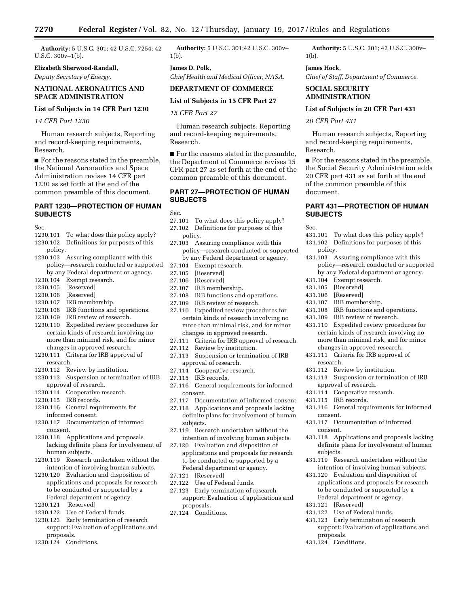**Authority:** 5 U.S.C. 301; 42 U.S.C. 7254; 42 U.S.C. 300v–1(b).

#### **Elizabeth Sherwood-Randall,**

*Deputy Secretary of Energy.* 

## **NATIONAL AERONAUTICS AND SPACE ADMINISTRATION**

#### **List of Subjects in 14 CFR Part 1230**

## *14 CFR Part 1230*

Human research subjects, Reporting and record-keeping requirements, Research.

■ For the reasons stated in the preamble, the National Aeronautics and Space Administration revises 14 CFR part 1230 as set forth at the end of the common preamble of this document.

## **PART 1230—PROTECTION OF HUMAN SUBJECTS**

Sec.

- 1230.101 To what does this policy apply? 1230.102 Definitions for purposes of this policy.
- 1230.103 Assuring compliance with this policy—research conducted or supported by any Federal department or agency.
- 1230.104 Exempt research.
- 1230.105 [Reserved]
- 1230.106 [Reserved]
- 1230.107 IRB membership.
- 1230.108 IRB functions and operations.
- 1230.109 IRB review of research.
- 1230.110 Expedited review procedures for certain kinds of research involving no more than minimal risk, and for minor changes in approved research.
- 1230.111 Criteria for IRB approval of research.
- 1230.112 Review by institution.
- 1230.113 Suspension or termination of IRB approval of research.
- 1230.114 Cooperative research.
- 1230.115 IRB records.
- 1230.116 General requirements for informed consent.
- 1230.117 Documentation of informed consent.
- 1230.118 Applications and proposals lacking definite plans for involvement of human subjects.
- 1230.119 Research undertaken without the intention of involving human subjects.
- 1230.120 Evaluation and disposition of applications and proposals for research to be conducted or supported by a Federal department or agency.
- 1230.121 [Reserved]
- 1230.122 Use of Federal funds.
- 1230.123 Early termination of research support: Evaluation of applications and proposals.
- 1230.124 Conditions.

**Authority:** 5 U.S.C. 301;42 U.S.C. 300v– 1(b).

#### **James D. Polk,**

*Chief Health and Medical Officer, NASA.* 

## **DEPARTMENT OF COMMERCE**

## **List of Subjects in 15 CFR Part 27**

#### *15 CFR Part 27*

Human research subjects, Reporting and record-keeping requirements, Research.

■ For the reasons stated in the preamble, the Department of Commerce revises 15 CFR part 27 as set forth at the end of the common preamble of this document.

## **PART 27—PROTECTION OF HUMAN SUBJECTS**

Sec.

- 27.101 To what does this policy apply?
- 27.102 Definitions for purposes of this policy.
- 27.103 Assuring compliance with this policy—research conducted or supported by any Federal department or agency.
- 27.104 Exempt research.<br>27.105 [Reserved]
- [Reserved]
- 27.106 [Reserved]
- 27.107 IRB membership.
- 27.108 IRB functions and operations.
- 27.109 IRB review of research.
- 27.110 Expedited review procedures for certain kinds of research involving no more than minimal risk, and for minor changes in approved research.
- 27.111 Criteria for IRB approval of research.
- 27.112 Review by institution.
- 27.113 Suspension or termination of IRB approval of research.
- 27.114 Cooperative research.
- 27.115 IRB records.
- 27.116 General requirements for informed consent.
- 27.117 Documentation of informed consent.
- 27.118 Applications and proposals lacking definite plans for involvement of human subjects.
- 27.119 Research undertaken without the intention of involving human subjects.
- 27.120 Evaluation and disposition of applications and proposals for research to be conducted or supported by a Federal department or agency.
- 27.121 [Reserved]
- 27.122 Use of Federal funds.
- 27.123 Early termination of research support: Evaluation of applications and proposals.
- 27.124 Conditions.

**Authority:** 5 U.S.C. 301; 42 U.S.C. 300v– 1(b).

#### **James Hock,**

*Chief of Staff, Department of Commerce.* 

## **SOCIAL SECURITY ADMINISTRATION**

## **List of Subjects in 20 CFR Part 431**

## *20 CFR Part 431*

Human research subjects, Reporting and record-keeping requirements, Research.

■ For the reasons stated in the preamble, the Social Security Administration adds 20 CFR part 431 as set forth at the end of the common preamble of this document.

## **PART 431—PROTECTION OF HUMAN SUBJECTS**

Sec.

- 431.101 To what does this policy apply?
- 431.102 Definitions for purposes of this policy.
- 431.103 Assuring compliance with this policy—research conducted or supported by any Federal department or agency.
- 431.104 Exempt research.
- 431.105 [Reserved]
- 431.106 [Reserved]
- 431.107 IRB membership.
- 431.108 IRB functions and operations.
- 431.109 IRB review of research.
- 431.110 Expedited review procedures for certain kinds of research involving no more than minimal risk, and for minor changes in approved research.
- 431.111 Criteria for IRB approval of research.
- 431.112 Review by institution.
- 431.113 Suspension or termination of IRB approval of research.
- 431.114 Cooperative research.
- 431.115 IRB records.
- 431.116 General requirements for informed consent.
- 431.117 Documentation of informed consent.
- 431.118 Applications and proposals lacking definite plans for involvement of human subjects.
- 431.119 Research undertaken without the intention of involving human subjects.
- 431.120 Evaluation and disposition of applications and proposals for research to be conducted or supported by a Federal department or agency.
- 431.121 [Reserved]

proposals. 431.124 Conditions.

431.122 Use of Federal funds.

431.123 Early termination of research support: Evaluation of applications and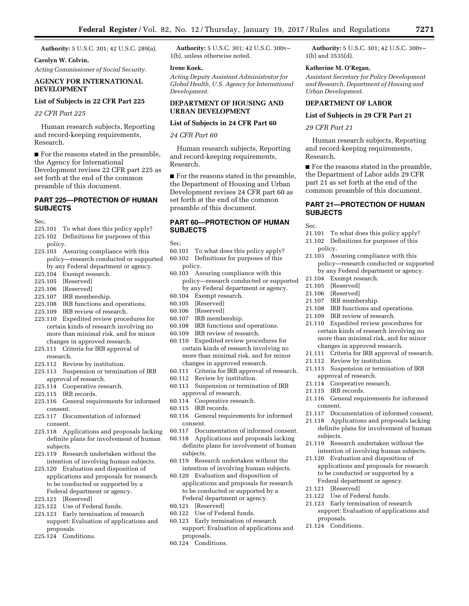**Authority:** 5 U.S.C. 301; 42 U.S.C. 289(a).

#### **Carolyn W. Colvin,**

*Acting Commissioner of Social Security.* 

## **AGENCY FOR INTERNATIONAL DEVELOPMENT**

## **List of Subjects in 22 CFR Part 225**

*22 CFR Part 225* 

Human research subjects, Reporting and record-keeping requirements, Research.

■ For the reasons stated in the preamble, the Agency for International Development revises 22 CFR part 225 as set forth at the end of the common preamble of this document.

## **PART 225—PROTECTION OF HUMAN SUBJECTS**

Sec.

- 225.101 To what does this policy apply?
- 225.102 Definitions for purposes of this policy.
- 225.103 Assuring compliance with this policy—research conducted or supported by any Federal department or agency.
- 225.104 Exempt research.
- 225.105 [Reserved]
- 225.106 [Reserved]
- 225.107 IRB membership.
- 225.108 IRB functions and operations.<br>225.109 IRB review of research.
- IRB review of research.
- 225.110 Expedited review procedures for certain kinds of research involving no more than minimal risk, and for minor changes in approved research.
- 225.111 Criteria for IRB approval of research.
- 225.112 Review by institution.
- 225.113 Suspension or termination of IRB approval of research.
- 225.114 Cooperative research.
- 225.115 IRB records.
- 225.116 General requirements for informed consent.
- 225.117 Documentation of informed consent.
- 225.118 Applications and proposals lacking definite plans for involvement of human subjects.
- 225.119 Research undertaken without the intention of involving human subjects.
- 225.120 Evaluation and disposition of applications and proposals for research to be conducted or supported by a Federal department or agency.
- 225.121 [Reserved]
- 225.122 Use of Federal funds.
- 225.123 Early termination of research support: Evaluation of applications and proposals.
- 225.124 Conditions.

**Authority:** 5 U.S.C. 301; 42 U.S.C. 300v– 1(b), unless otherwise noted.

#### **Irene Koek,**

*Acting Deputy Assistant Administrator for Global Health, U.S. Agency for International Development.* 

## **DEPARTMENT OF HOUSING AND URBAN DEVELOPMENT**

## **List of Subjects in 24 CFR Part 60**

## *24 CFR Part 60*

Human research subjects, Reporting and record-keeping requirements, Research.

■ For the reasons stated in the preamble, the Department of Housing and Urban Development revises 24 CFR part 60 as set forth at the end of the common preamble of this document.

## **PART 60—PROTECTION OF HUMAN SUBJECTS**

Sec.

- 60.101 To what does this policy apply? 60.102 Definitions for purposes of this
- policy. 60.103 Assuring compliance with this
- policy—research conducted or supported by any Federal department or agency.
- 60.104 Exempt research.
- 60.105 [Reserved]
- 60.106 [Reserved]
- 60.107 IRB membership.
- 60.108 IRB functions and operations.
- 60.109 IRB review of research.
- 60.110 Expedited review procedures for certain kinds of research involving no more than minimal risk, and for minor changes in approved research.
- 60.111 Criteria for IRB approval of research.
- 60.112 Review by institution.
- 60.113 Suspension or termination of IRB approval of research.
- 60.114 Cooperative research.
- 60.115 IRB records.
- 60.116 General requirements for informed consent.
- 60.117 Documentation of informed consent.
- 60.118 Applications and proposals lacking definite plans for involvement of human subjects.
- 60.119 Research undertaken without the intention of involving human subjects.
- 60.120 Evaluation and disposition of applications and proposals for research to be conducted or supported by a Federal department or agency.
- 60.121 [Reserved]
- 60.122 Use of Federal funds.
- 60.123 Early termination of research support: Evaluation of applications and proposals.
- 60.124 Conditions.

**Authority:** 5 U.S.C. 301; 42 U.S.C. 300v– 1(b) and 3535(d).

#### **Katherine M. O'Regan,**

*Assistant Secretary for Policy Development and Research, Department of Housing and Urban Development.* 

## **DEPARTMENT OF LABOR**

#### **List of Subjects in 29 CFR Part 21**

## *29 CFR Part 21*

Human research subjects, Reporting and record-keeping requirements, Research.

■ For the reasons stated in the preamble, the Department of Labor adds 29 CFR part 21 as set forth at the end of the common preamble of this document.

## **PART 21—PROTECTION OF HUMAN SUBJECTS**

Sec.

- 21.101 To what does this policy apply?
- 21.102 Definitions for purposes of this policy.
- 21.103 Assuring compliance with this policy—research conducted or supported by any Federal department or agency.
- 21.104 Exempt research.
- 21.105 [Reserved]
- 21.106 [Reserved]
- 21.107 IRB membership.
- 21.108 IRB functions and operations.
- 21.109 IRB review of research.
- 21.110 Expedited review procedures for certain kinds of research involving no more than minimal risk, and for minor changes in approved research.
- 21.111 Criteria for IRB approval of research.
- 21.112 Review by institution.
- 21.113 Suspension or termination of IRB approval of research.
- 21.114 Cooperative research.
- 21.115 IRB records.
- 21.116 General requirements for informed consent.
- 21.117 Documentation of informed consent.
- 21.118 Applications and proposals lacking definite plans for involvement of human subjects.
- 21.119 Research undertaken without the intention of involving human subjects.
- 21.120 Evaluation and disposition of applications and proposals for research to be conducted or supported by a Federal department or agency.

support: Evaluation of applications and

21.123 Early termination of research

21.121 [Reserved] 21.122 Use of Federal funds.

proposals. 21.124 Conditions.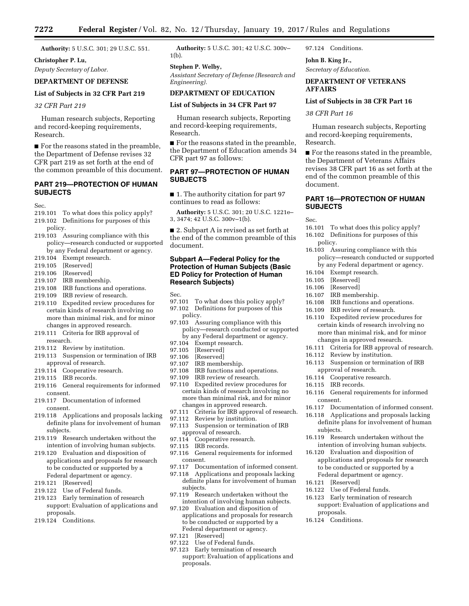**Authority:** 5 U.S.C. 301; 29 U.S.C. 551.

**Christopher P. Lu,** 

*Deputy Secretary of Labor.* 

## **DEPARTMENT OF DEFENSE**

#### **List of Subjects in 32 CFR Part 219**

*32 CFR Part 219* 

Human research subjects, Reporting and record-keeping requirements, Research.

■ For the reasons stated in the preamble, the Department of Defense revises 32 CFR part 219 as set forth at the end of the common preamble of this document.

## **PART 219—PROTECTION OF HUMAN SUBJECTS**

Sec.

- 219.101 To what does this policy apply?
- 219.102 Definitions for purposes of this policy.
- 219.103 Assuring compliance with this policy—research conducted or supported by any Federal department or agency.
- 219.104 Exempt research.
- 219.105 [Reserved]
- 219.106 [Reserved]
- 219.107 IRB membership.
- 219.108 IRB functions and operations.
- 219.109 IRB review of research.
- 219.110 Expedited review procedures for certain kinds of research involving no more than minimal risk, and for minor changes in approved research.
- 219.111 Criteria for IRB approval of research.
- 219.112 Review by institution.
- 219.113 Suspension or termination of IRB approval of research.
- 219.114 Cooperative research.
- 219.115 IRB records.
- 219.116 General requirements for informed consent.
- 219.117 Documentation of informed consent.
- 219.118 Applications and proposals lacking definite plans for involvement of human subjects.
- 219.119 Research undertaken without the intention of involving human subjects.
- 219.120 Evaluation and disposition of applications and proposals for research to be conducted or supported by a Federal department or agency.
- 219.121 [Reserved]
- 219.122 Use of Federal funds.
- 219.123 Early termination of research support: Evaluation of applications and proposals.
- 219.124 Conditions.

**Authority:** 5 U.S.C. 301; 42 U.S.C. 300v– 1(b).

## **Stephen P. Welby,**

*Assistant Secretary of Defense (Research and Engineering).* 

## **DEPARTMENT OF EDUCATION**

## **List of Subjects in 34 CFR Part 97**

Human research subjects, Reporting and record-keeping requirements, Research.

■ For the reasons stated in the preamble, the Department of Education amends 34 CFR part 97 as follows:

## **PART 97—PROTECTION OF HUMAN SUBJECTS**

■ 1. The authority citation for part 97 continues to read as follows:

**Authority:** 5 U.S.C. 301; 20 U.S.C. 1221e– 3, 3474; 42 U.S.C. 300v–1(b).

■ 2. Subpart A is revised as set forth at the end of the common preamble of this document.

## **Subpart A—Federal Policy for the Protection of Human Subjects (Basic ED Policy for Protection of Human Research Subjects)**

Sec.

- 97.101 To what does this policy apply?
- 97.102 Definitions for purposes of this policy.
- 97.103 Assuring compliance with this policy—research conducted or supported by any Federal department or agency.<br>97.104 Exempt research.
- 97.104 Exempt research.<br>97.105 [Reserved]
- 97.105 [Reserved]<br>97.106 [Reserved]
- 97.106 [Reserved]<br>97.107 IRB memb
- 97.107 IRB membership.<br>97.108 IRB functions and
- 97.108 IRB functions and operations.<br>97.109 IRB review of research.
- 97.109 IRB review of research.<br>97.110 Expedited review proce
- Expedited review procedures for certain kinds of research involving no more than minimal risk, and for minor changes in approved research.<br>97.111 Criteria for IRB approval o
- 97.111 Criteria for IRB approval of research.<br>97.112 Review by institution.
- 97.112 Review by institution.<br>97.113 Suspension or termina
- Suspension or termination of IRB
- approval of research.<br>97.114 Cooperative rese
- Cooperative research. 97.115 IRB records.
- 
- 97.116 General requirements for informed consent.
- 97.117 Documentation of informed consent.<br>97.118 Applications and proposals lacking
- Applications and proposals lacking definite plans for involvement of human subjects.
- 97.119 Research undertaken without the intention of involving human subjects.
- 97.120 Evaluation and disposition of applications and proposals for research to be conducted or supported by a Federal department or agency.
- 97.121 [Reserved]
- 97.122 Use of Federal funds.
- 97.123 Early termination of research support: Evaluation of applications and proposals.

97.124 Conditions.

**John B. King Jr.,** 

*Secretary of Education.* 

## **DEPARTMENT OF VETERANS AFFAIRS**

#### **List of Subjects in 38 CFR Part 16**

*38 CFR Part 16* 

Human research subjects, Reporting and record-keeping requirements, Research.

■ For the reasons stated in the preamble, the Department of Veterans Affairs revises 38 CFR part 16 as set forth at the end of the common preamble of this document.

## **PART 16—PROTECTION OF HUMAN SUBJECTS**

Sec.

- 16.101 To what does this policy apply?
- 16.102 Definitions for purposes of this policy.
- 16.103 Assuring compliance with this policy—research conducted or supported by any Federal department or agency.
- 16.104 Exempt research.
- 16.105 [Reserved]
- 16.106 [Reserved]
- 16.107 IRB membership.
- 16.108 IRB functions and operations.
- 16.109 IRB review of research.
- 16.110 Expedited review procedures for certain kinds of research involving no more than minimal risk, and for minor changes in approved research.
- 16.111 Criteria for IRB approval of research.
- 16.112 Review by institution.
- 16.113 Suspension or termination of IRB approval of research.
- 16.114 Cooperative research.
- 16.115 IRB records.

16.121 [Reserved]

proposals. 16.124 Conditions.

16.122 Use of Federal funds. 16.123 Early termination of research

- 16.116 General requirements for informed consent.
- 16.117 Documentation of informed consent.
- 16.118 Applications and proposals lacking definite plans for involvement of human subjects.

applications and proposals for research to be conducted or supported by a Federal department or agency.

support: Evaluation of applications and

16.119 Research undertaken without the intention of involving human subjects. 16.120 Evaluation and disposition of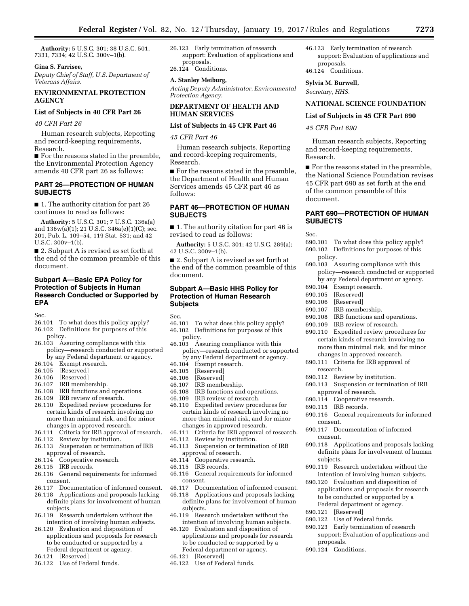**Authority:** 5 U.S.C. 301; 38 U.S.C. 501, 7331, 7334; 42 U.S.C. 300v–1(b).

#### **Gina S. Farrisee,**

*Deputy Chief of Staff, U.S. Department of Veterans Affairs.* 

## **ENVIRONMENTAL PROTECTION AGENCY**

## **List of Subjects in 40 CFR Part 26**

#### *40 CFR Part 26*

Human research subjects, Reporting and record-keeping requirements, Research.

■ For the reasons stated in the preamble, the Environmental Protection Agency amends 40 CFR part 26 as follows:

## **PART 26—PROTECTION OF HUMAN SUBJECTS**

■ 1. The authority citation for part 26 continues to read as follows:

**Authority:** 5 U.S.C. 301; 7 U.S.C. 136a(a) and 136w(a)(1); 21 U.S.C. 346a(e)(1)(C); sec. 201, Pub. L. 109–54, 119 Stat. 531; and 42 U.S.C. 300v–1(b).

■ 2. Subpart A is revised as set forth at the end of the common preamble of this document.

## **Subpart A—Basic EPA Policy for Protection of Subjects in Human Research Conducted or Supported by EPA**

- Sec.<br>26 101 To what does this policy apply?
- 26.102 Definitions for purposes of this policy.
- 26.103 Assuring compliance with this policy—research conducted or supported by any Federal department or agency.
- 26.104 Exempt research.<br>26.105 [Reserved]
- 26.105 [Reserved]<br>26.106 [Reserved]
- 26.106 [Reserved]<br>26.107 IRB memb
- IRB membership.
- 26.108 IRB functions and operations.
- 26.109 IRB review of research.
- 26.110 Expedited review procedures for certain kinds of research involving no more than minimal risk, and for minor changes in approved research.
- 26.111 Criteria for IRB approval of research.
- 26.112 Review by institution.
- 26.113 Suspension or termination of IRB approval of research.
- 26.114 Cooperative research.
- 26.115 IRB records.
- 26.116 General requirements for informed consent.
- 26.117 Documentation of informed consent.
- 26.118 Applications and proposals lacking definite plans for involvement of human subjects.
- 26.119 Research undertaken without the intention of involving human subjects.
- 26.120 Evaluation and disposition of applications and proposals for research to be conducted or supported by a Federal department or agency.
- 26.121 [Reserved]
- 26.122 Use of Federal funds.

26.123 Early termination of research support: Evaluation of applications and proposals. 26.124 Conditions.

#### **A. Stanley Meiburg,**

*Acting Deputy Administrator, Environmental Protection Agency.* 

#### **DEPARTMENT OF HEALTH AND HUMAN SERVICES**

## **List of Subjects in 45 CFR Part 46**

#### *45 CFR Part 46*

Human research subjects, Reporting and record-keeping requirements, Research.

■ For the reasons stated in the preamble, the Department of Health and Human Services amends 45 CFR part 46 as follows:

## **PART 46—PROTECTION OF HUMAN SUBJECTS**

■ 1. The authority citation for part 46 is revised to read as follows:

**Authority:** 5 U.S.C. 301; 42 U.S.C. 289(a); 42 U.S.C. 300v–1(b).

■ 2. Subpart A is revised as set forth at the end of the common preamble of this document.

#### **Subpart A—Basic HHS Policy for Protection of Human Research Subjects**

- Sec.<br>46.101 To what does this policy apply?
- 46.102 Definitions for purposes of this policy.
- 46.103 Assuring compliance with this policy—research conducted or supported by any Federal department or agency.<br>46.104 Exempt research.
- 46.104 Exempt research.<br>46.105 [Reserved]
- 46.105 [Reserved]<br>46.106 [Reserved]
- [Reserved]
- 46.107 IRB membership.
- 46.108 IRB functions and operations.
- 46.109 IRB review of research. 46.110 Expedited review procedures for certain kinds of research involving no
- more than minimal risk, and for minor changes in approved research.<br>46.111 Criteria for IRB approval of Criteria for IRB approval of research.
- 46.112 Review by institution.
- 46.113 Suspension or termination of IRB
- approval of research.
- 46.114 Cooperative research.<br>46.115 IRB records. IRB records.
- 46.116 General requirements for informed
- consent.
- 46.117 Documentation of informed consent.
- 46.118 Applications and proposals lacking definite plans for involvement of human subjects.
- 46.119 Research undertaken without the intention of involving human subjects.
- 46.120 Evaluation and disposition of applications and proposals for research to be conducted or supported by a Federal department or agency.
- 46.121 [Reserved]
- 46.122 Use of Federal funds.

46.123 Early termination of research support: Evaluation of applications and proposals.

46.124 Conditions.

#### **Sylvia M. Burwell,**

*Secretary, HHS.* 

#### **NATIONAL SCIENCE FOUNDATION**

#### **List of Subjects in 45 CFR Part 690**

#### *45 CFR Part 690*

Human research subjects, Reporting and record-keeping requirements, Research.

■ For the reasons stated in the preamble, the National Science Foundation revises 45 CFR part 690 as set forth at the end of the common preamble of this document.

## **PART 690—PROTECTION OF HUMAN SUBJECTS**

Sec.

- 690.101 To what does this policy apply?
- 690.102 Definitions for purposes of this
- policy.
- 690.103 Assuring compliance with this policy—research conducted or supported by any Federal department or agency.
- 690.104 Exempt research.
- 690.105 [Reserved]
- 690.106 [Reserved]
- 690.107 IRB membership.
- 690.108 IRB functions and operations.
- 690.109 IRB review of research. 690.110 Expedited review procedures for
- certain kinds of research involving no more than minimal risk, and for minor changes in approved research.
- 690.111 Criteria for IRB approval of research.
- 690.112 Review by institution.
- 690.113 Suspension or termination of IRB approval of research.

690.116 General requirements for informed

690.118 Applications and proposals lacking definite plans for involvement of human

690.119 Research undertaken without the intention of involving human subjects. 690.120 Evaluation and disposition of applications and proposals for research to be conducted or supported by a Federal department or agency.

690.117 Documentation of informed

- 690.114 Cooperative research.
- 690.115 IRB records.

consent.

consent.

subjects.

690.121 [Reserved]

proposals. 690.124 Conditions.

690.122 Use of Federal funds. 690.123 Early termination of research support: Evaluation of applications and